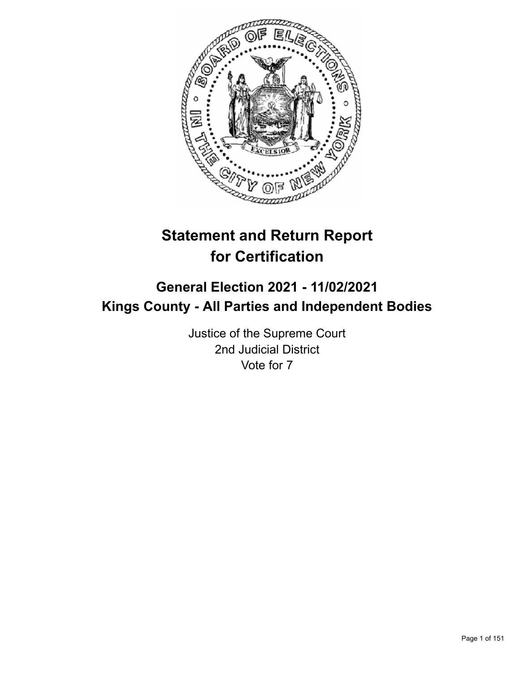

# **Statement and Return Report for Certification**

## **General Election 2021 - 11/02/2021 Kings County - All Parties and Independent Bodies**

Justice of the Supreme Court 2nd Judicial District Vote for 7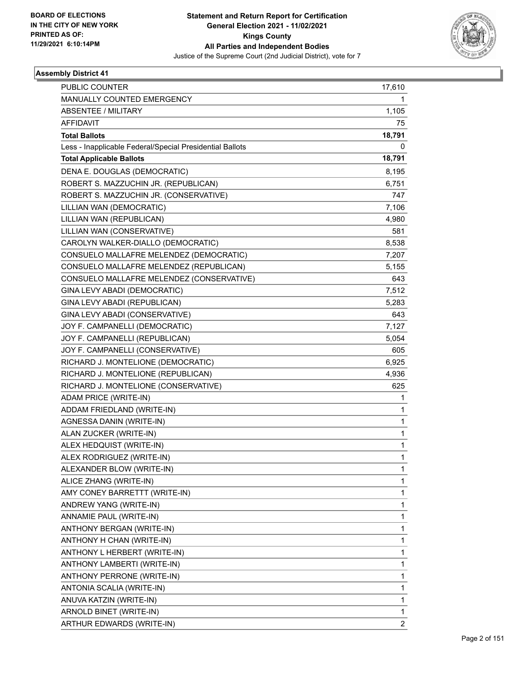

| PUBLIC COUNTER                                           | 17,610         |
|----------------------------------------------------------|----------------|
| MANUALLY COUNTED EMERGENCY                               | 1              |
| ABSENTEE / MILITARY                                      | 1,105          |
| <b>AFFIDAVIT</b>                                         | 75             |
| <b>Total Ballots</b>                                     | 18,791         |
| Less - Inapplicable Federal/Special Presidential Ballots | 0              |
| <b>Total Applicable Ballots</b>                          | 18,791         |
| DENA E. DOUGLAS (DEMOCRATIC)                             | 8,195          |
| ROBERT S. MAZZUCHIN JR. (REPUBLICAN)                     | 6,751          |
| ROBERT S. MAZZUCHIN JR. (CONSERVATIVE)                   | 747            |
| LILLIAN WAN (DEMOCRATIC)                                 | 7,106          |
| LILLIAN WAN (REPUBLICAN)                                 | 4,980          |
| LILLIAN WAN (CONSERVATIVE)                               | 581            |
| CAROLYN WALKER-DIALLO (DEMOCRATIC)                       | 8,538          |
| CONSUELO MALLAFRE MELENDEZ (DEMOCRATIC)                  | 7,207          |
| CONSUELO MALLAFRE MELENDEZ (REPUBLICAN)                  | 5,155          |
| CONSUELO MALLAFRE MELENDEZ (CONSERVATIVE)                | 643            |
| GINA LEVY ABADI (DEMOCRATIC)                             | 7,512          |
| GINA LEVY ABADI (REPUBLICAN)                             | 5,283          |
| GINA LEVY ABADI (CONSERVATIVE)                           | 643            |
| JOY F. CAMPANELLI (DEMOCRATIC)                           | 7,127          |
| JOY F. CAMPANELLI (REPUBLICAN)                           | 5,054          |
| JOY F. CAMPANELLI (CONSERVATIVE)                         | 605            |
| RICHARD J. MONTELIONE (DEMOCRATIC)                       | 6,925          |
| RICHARD J. MONTELIONE (REPUBLICAN)                       | 4,936          |
| RICHARD J. MONTELIONE (CONSERVATIVE)                     | 625            |
| ADAM PRICE (WRITE-IN)                                    | 1              |
| ADDAM FRIEDLAND (WRITE-IN)                               | 1              |
| AGNESSA DANIN (WRITE-IN)                                 | 1              |
| ALAN ZUCKER (WRITE-IN)                                   | 1              |
| ALEX HEDQUIST (WRITE-IN)                                 | 1              |
| ALEX RODRIGUEZ (WRITE-IN)                                | 1              |
| ALEXANDER BLOW (WRITE-IN)                                | 1              |
| ALICE ZHANG (WRITE-IN)                                   | 1              |
| AMY CONEY BARRETTT (WRITE-IN)                            | 1              |
| ANDREW YANG (WRITE-IN)                                   | 1              |
| ANNAMIE PAUL (WRITE-IN)                                  | 1              |
| ANTHONY BERGAN (WRITE-IN)                                | 1              |
| ANTHONY H CHAN (WRITE-IN)                                | 1              |
| ANTHONY L HERBERT (WRITE-IN)                             | 1              |
| ANTHONY LAMBERTI (WRITE-IN)                              | 1              |
| ANTHONY PERRONE (WRITE-IN)                               | 1              |
| ANTONIA SCALIA (WRITE-IN)                                | 1              |
| ANUVA KATZIN (WRITE-IN)                                  | 1              |
| ARNOLD BINET (WRITE-IN)                                  | 1              |
| ARTHUR EDWARDS (WRITE-IN)                                | $\overline{2}$ |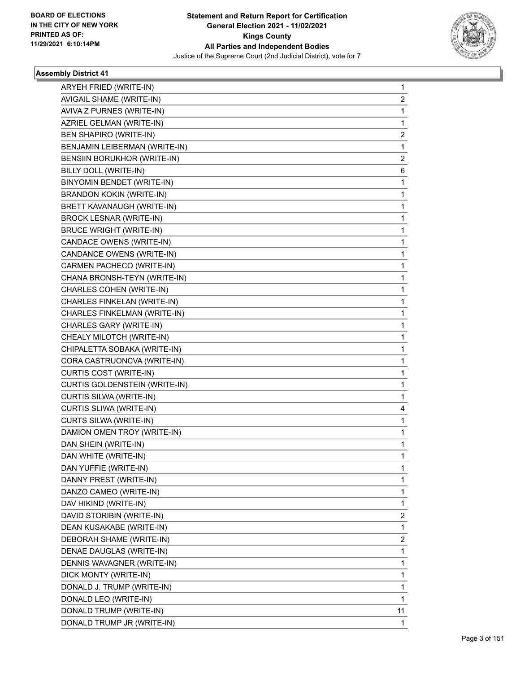

| ARYEH FRIED (WRITE-IN)         | 1              |
|--------------------------------|----------------|
| AVIGAIL SHAME (WRITE-IN)       | $\overline{c}$ |
| AVIVA Z PURNES (WRITE-IN)      | 1              |
| AZRIEL GELMAN (WRITE-IN)       | 1              |
| BEN SHAPIRO (WRITE-IN)         | 2              |
| BENJAMIN LEIBERMAN (WRITE-IN)  | 1              |
| BENSIIN BORUKHOR (WRITE-IN)    | 2              |
| BILLY DOLL (WRITE-IN)          | 6              |
| BINYOMIN BENDET (WRITE-IN)     | 1              |
| BRANDON KOKIN (WRITE-IN)       | 1              |
| BRETT KAVANAUGH (WRITE-IN)     | 1              |
| <b>BROCK LESNAR (WRITE-IN)</b> | 1              |
| <b>BRUCE WRIGHT (WRITE-IN)</b> | 1              |
| CANDACE OWENS (WRITE-IN)       | 1              |
| CANDANCE OWENS (WRITE-IN)      | 1              |
| CARMEN PACHECO (WRITE-IN)      | 1              |
| CHANA BRONSH-TEYN (WRITE-IN)   | 1              |
| CHARLES COHEN (WRITE-IN)       | 1              |
| CHARLES FINKELAN (WRITE-IN)    | 1              |
| CHARLES FINKELMAN (WRITE-IN)   | 1              |
| CHARLES GARY (WRITE-IN)        | 1              |
| CHEALY MILOTCH (WRITE-IN)      | 1              |
| CHIPALETTA SOBAKA (WRITE-IN)   | 1              |
| CORA CASTRUONCVA (WRITE-IN)    | 1              |
| CURTIS COST (WRITE-IN)         | 1              |
| CURTIS GOLDENSTEIN (WRITE-IN)  | 1              |
| CURTIS SILWA (WRITE-IN)        | 1              |
| CURTIS SLIWA (WRITE-IN)        | 4              |
| CURTS SILWA (WRITE-IN)         | 1              |
| DAMION OMEN TROY (WRITE-IN)    | 1              |
| DAN SHEIN (WRITE-IN)           | 1              |
| DAN WHITE (WRITE-IN)           | 1              |
| DAN YUFFIE (WRITE-IN)          | 1              |
| DANNY PREST (WRITE-IN)         | 1              |
| DANZO CAMEO (WRITE-IN)         | 1              |
| DAV HIKIND (WRITE-IN)          | 1              |
| DAVID STORIBIN (WRITE-IN)      | 2              |
| DEAN KUSAKABE (WRITE-IN)       | 1              |
| DEBORAH SHAME (WRITE-IN)       | 2              |
| DENAE DAUGLAS (WRITE-IN)       | 1              |
| DENNIS WAVAGNER (WRITE-IN)     | 1              |
| DICK MONTY (WRITE-IN)          | 1              |
| DONALD J. TRUMP (WRITE-IN)     | 1              |
| DONALD LEO (WRITE-IN)          | 1              |
| DONALD TRUMP (WRITE-IN)        | 11             |
| DONALD TRUMP JR (WRITE-IN)     | 1              |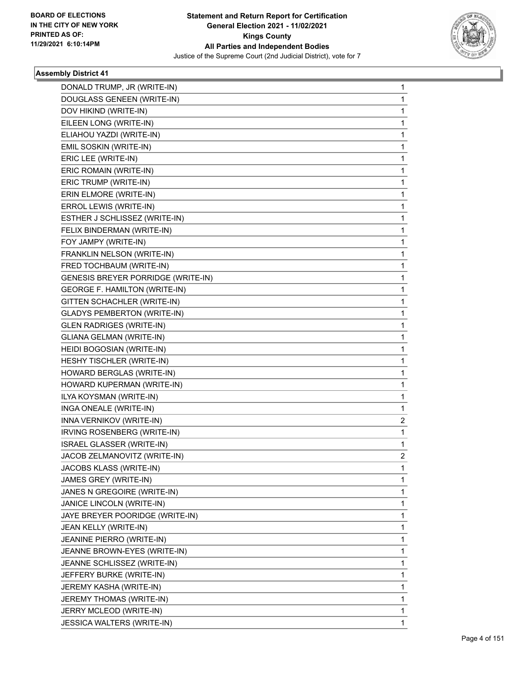

| DONALD TRUMP, JR (WRITE-IN)          | 1            |
|--------------------------------------|--------------|
| DOUGLASS GENEEN (WRITE-IN)           | $\mathbf 1$  |
| DOV HIKIND (WRITE-IN)                | 1            |
| EILEEN LONG (WRITE-IN)               | 1            |
| ELIAHOU YAZDI (WRITE-IN)             | 1            |
| EMIL SOSKIN (WRITE-IN)               | 1            |
| ERIC LEE (WRITE-IN)                  | 1            |
| ERIC ROMAIN (WRITE-IN)               | $\mathbf{1}$ |
| ERIC TRUMP (WRITE-IN)                | 1            |
| ERIN ELMORE (WRITE-IN)               | 1            |
| ERROL LEWIS (WRITE-IN)               | 1            |
| ESTHER J SCHLISSEZ (WRITE-IN)        | 1            |
| FELIX BINDERMAN (WRITE-IN)           | 1            |
| FOY JAMPY (WRITE-IN)                 | $\mathbf{1}$ |
| FRANKLIN NELSON (WRITE-IN)           | 1            |
| FRED TOCHBAUM (WRITE-IN)             | 1            |
| GENESIS BREYER PORRIDGE (WRITE-IN)   | 1            |
| <b>GEORGE F. HAMILTON (WRITE-IN)</b> | 1            |
| GITTEN SCHACHLER (WRITE-IN)          | 1            |
| <b>GLADYS PEMBERTON (WRITE-IN)</b>   | $\mathbf{1}$ |
| <b>GLEN RADRIGES (WRITE-IN)</b>      | 1            |
| <b>GLIANA GELMAN (WRITE-IN)</b>      | 1            |
| HEIDI BOGOSIAN (WRITE-IN)            | 1            |
| HESHY TISCHLER (WRITE-IN)            | 1            |
| HOWARD BERGLAS (WRITE-IN)            | 1            |
| HOWARD KUPERMAN (WRITE-IN)           | 1            |
| ILYA KOYSMAN (WRITE-IN)              | 1            |
| INGA ONEALE (WRITE-IN)               | 1            |
| INNA VERNIKOV (WRITE-IN)             | 2            |
| IRVING ROSENBERG (WRITE-IN)          | 1            |
| <b>ISRAEL GLASSER (WRITE-IN)</b>     | 1            |
| JACOB ZELMANOVITZ (WRITE-IN)         | 2            |
| JACOBS KLASS (WRITE-IN)              | 1            |
| JAMES GREY (WRITE-IN)                | 1            |
| JANES N GREGOIRE (WRITE-IN)          | 1            |
| JANICE LINCOLN (WRITE-IN)            | 1            |
| JAYE BREYER POORIDGE (WRITE-IN)      | 1            |
| JEAN KELLY (WRITE-IN)                | 1            |
| JEANINE PIERRO (WRITE-IN)            | 1            |
| JEANNE BROWN-EYES (WRITE-IN)         | 1            |
| JEANNE SCHLISSEZ (WRITE-IN)          | 1            |
| JEFFERY BURKE (WRITE-IN)             | 1            |
| JEREMY KASHA (WRITE-IN)              | 1            |
| JEREMY THOMAS (WRITE-IN)             | 1            |
| JERRY MCLEOD (WRITE-IN)              | 1            |
| JESSICA WALTERS (WRITE-IN)           | 1            |
|                                      |              |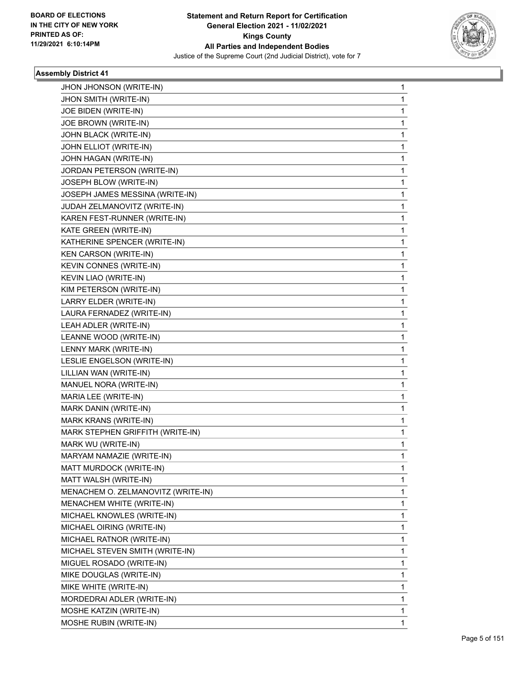

| JHON JHONSON (WRITE-IN)            | 1            |
|------------------------------------|--------------|
| JHON SMITH (WRITE-IN)              | $\mathbf 1$  |
| JOE BIDEN (WRITE-IN)               | 1            |
| JOE BROWN (WRITE-IN)               | 1            |
| JOHN BLACK (WRITE-IN)              | 1            |
| JOHN ELLIOT (WRITE-IN)             | 1            |
| JOHN HAGAN (WRITE-IN)              | 1            |
| JORDAN PETERSON (WRITE-IN)         | 1            |
| JOSEPH BLOW (WRITE-IN)             | 1            |
| JOSEPH JAMES MESSINA (WRITE-IN)    | 1            |
| JUDAH ZELMANOVITZ (WRITE-IN)       | 1            |
| KAREN FEST-RUNNER (WRITE-IN)       | 1            |
| KATE GREEN (WRITE-IN)              | 1            |
| KATHERINE SPENCER (WRITE-IN)       | 1            |
| KEN CARSON (WRITE-IN)              | 1            |
| KEVIN CONNES (WRITE-IN)            | 1            |
| KEVIN LIAO (WRITE-IN)              | 1            |
| KIM PETERSON (WRITE-IN)            | 1            |
| LARRY ELDER (WRITE-IN)             | 1            |
| LAURA FERNADEZ (WRITE-IN)          | 1            |
| LEAH ADLER (WRITE-IN)              | 1            |
| LEANNE WOOD (WRITE-IN)             | 1            |
| LENNY MARK (WRITE-IN)              | 1            |
| LESLIE ENGELSON (WRITE-IN)         | 1            |
| LILLIAN WAN (WRITE-IN)             | 1            |
| MANUEL NORA (WRITE-IN)             | 1            |
| MARIA LEE (WRITE-IN)               | 1            |
| MARK DANIN (WRITE-IN)              | 1            |
| MARK KRANS (WRITE-IN)              | 1            |
| MARK STEPHEN GRIFFITH (WRITE-IN)   | 1            |
| MARK WU (WRITE-IN)                 | 1            |
| MARYAM NAMAZIE (WRITE-IN)          | $\mathbf{1}$ |
| MATT MURDOCK (WRITE-IN)            | 1            |
| MATT WALSH (WRITE-IN)              | 1            |
| MENACHEM O. ZELMANOVITZ (WRITE-IN) | 1            |
| MENACHEM WHITE (WRITE-IN)          | 1            |
| MICHAEL KNOWLES (WRITE-IN)         | 1            |
| MICHAEL OIRING (WRITE-IN)          | 1            |
| MICHAEL RATNOR (WRITE-IN)          | 1            |
| MICHAEL STEVEN SMITH (WRITE-IN)    | 1            |
| MIGUEL ROSADO (WRITE-IN)           | 1            |
| MIKE DOUGLAS (WRITE-IN)            | 1            |
| MIKE WHITE (WRITE-IN)              | 1            |
| MORDEDRAI ADLER (WRITE-IN)         | 1            |
| MOSHE KATZIN (WRITE-IN)            | 1            |
| MOSHE RUBIN (WRITE-IN)             | 1            |
|                                    |              |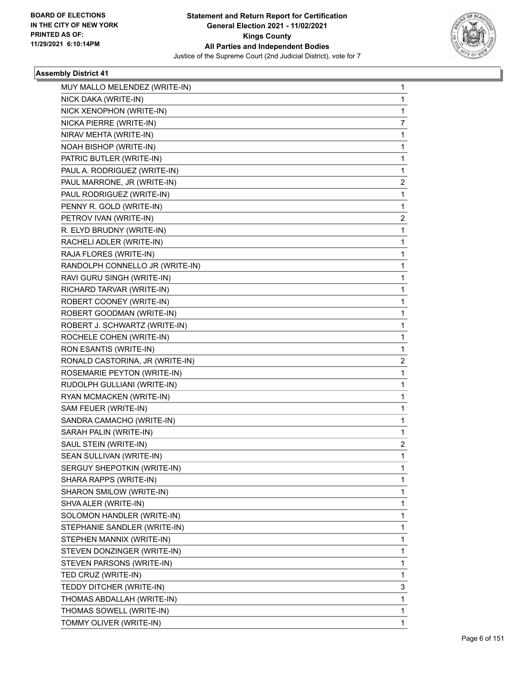

| MUY MALLO MELENDEZ (WRITE-IN)   | 1 |
|---------------------------------|---|
| NICK DAKA (WRITE-IN)            | 1 |
| NICK XENOPHON (WRITE-IN)        | 1 |
| NICKA PIERRE (WRITE-IN)         | 7 |
| NIRAV MEHTA (WRITE-IN)          | 1 |
| NOAH BISHOP (WRITE-IN)          | 1 |
| PATRIC BUTLER (WRITE-IN)        | 1 |
| PAUL A. RODRIGUEZ (WRITE-IN)    | 1 |
| PAUL MARRONE, JR (WRITE-IN)     | 2 |
| PAUL RODRIGUEZ (WRITE-IN)       | 1 |
| PENNY R. GOLD (WRITE-IN)        | 1 |
| PETROV IVAN (WRITE-IN)          | 2 |
| R. ELYD BRUDNY (WRITE-IN)       | 1 |
| RACHELI ADLER (WRITE-IN)        | 1 |
| RAJA FLORES (WRITE-IN)          | 1 |
| RANDOLPH CONNELLO JR (WRITE-IN) | 1 |
| RAVI GURU SINGH (WRITE-IN)      | 1 |
| RICHARD TARVAR (WRITE-IN)       | 1 |
| ROBERT COONEY (WRITE-IN)        | 1 |
| ROBERT GOODMAN (WRITE-IN)       | 1 |
| ROBERT J. SCHWARTZ (WRITE-IN)   | 1 |
| ROCHELE COHEN (WRITE-IN)        | 1 |
| RON ESANTIS (WRITE-IN)          | 1 |
| RONALD CASTORINA, JR (WRITE-IN) | 2 |
| ROSEMARIE PEYTON (WRITE-IN)     | 1 |
| RUDOLPH GULLIANI (WRITE-IN)     | 1 |
| RYAN MCMACKEN (WRITE-IN)        | 1 |
| SAM FEUER (WRITE-IN)            | 1 |
| SANDRA CAMACHO (WRITE-IN)       | 1 |
| SARAH PALIN (WRITE-IN)          | 1 |
| SAUL STEIN (WRITE-IN)           | 2 |
| SEAN SULLIVAN (WRITE-IN)        | 1 |
| SERGUY SHEPOTKIN (WRITE-IN)     | 1 |
| SHARA RAPPS (WRITE-IN)          | 1 |
| SHARON SMILOW (WRITE-IN)        | 1 |
| SHVA ALER (WRITE-IN)            | 1 |
| SOLOMON HANDLER (WRITE-IN)      | 1 |
| STEPHANIE SANDLER (WRITE-IN)    | 1 |
| STEPHEN MANNIX (WRITE-IN)       | 1 |
| STEVEN DONZINGER (WRITE-IN)     | 1 |
| STEVEN PARSONS (WRITE-IN)       | 1 |
| TED CRUZ (WRITE-IN)             | 1 |
| TEDDY DITCHER (WRITE-IN)        | 3 |
| THOMAS ABDALLAH (WRITE-IN)      | 1 |
| THOMAS SOWELL (WRITE-IN)        | 1 |
| TOMMY OLIVER (WRITE-IN)         | 1 |
|                                 |   |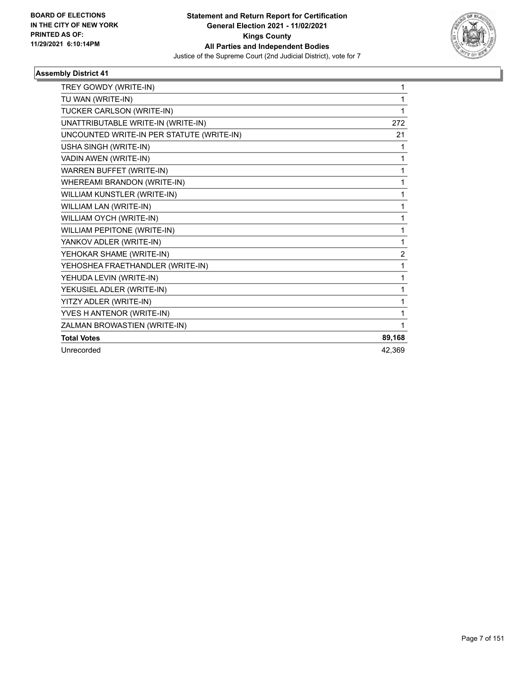

| TREY GOWDY (WRITE-IN)                     | 1      |
|-------------------------------------------|--------|
| TU WAN (WRITE-IN)                         | 1      |
| TUCKER CARLSON (WRITE-IN)                 | 1      |
| UNATTRIBUTABLE WRITE-IN (WRITE-IN)        | 272    |
| UNCOUNTED WRITE-IN PER STATUTE (WRITE-IN) | 21     |
| USHA SINGH (WRITE-IN)                     | 1      |
| VADIN AWEN (WRITE-IN)                     | 1      |
| <b>WARREN BUFFET (WRITE-IN)</b>           | 1      |
| WHEREAMI BRANDON (WRITE-IN)               | 1      |
| WILLIAM KUNSTLER (WRITE-IN)               | 1      |
| WILLIAM LAN (WRITE-IN)                    | 1      |
| WILLIAM OYCH (WRITE-IN)                   | 1      |
| WILLIAM PEPITONE (WRITE-IN)               | 1      |
| YANKOV ADLER (WRITE-IN)                   | 1      |
| YEHOKAR SHAME (WRITE-IN)                  | 2      |
| YEHOSHEA FRAETHANDLER (WRITE-IN)          | 1      |
| YEHUDA LEVIN (WRITE-IN)                   | 1      |
| YEKUSIEL ADLER (WRITE-IN)                 | 1      |
| YITZY ADLER (WRITE-IN)                    | 1      |
| YVES H ANTENOR (WRITE-IN)                 | 1      |
| ZALMAN BROWASTIEN (WRITE-IN)              | 1      |
| <b>Total Votes</b>                        | 89,168 |
| Unrecorded                                | 42,369 |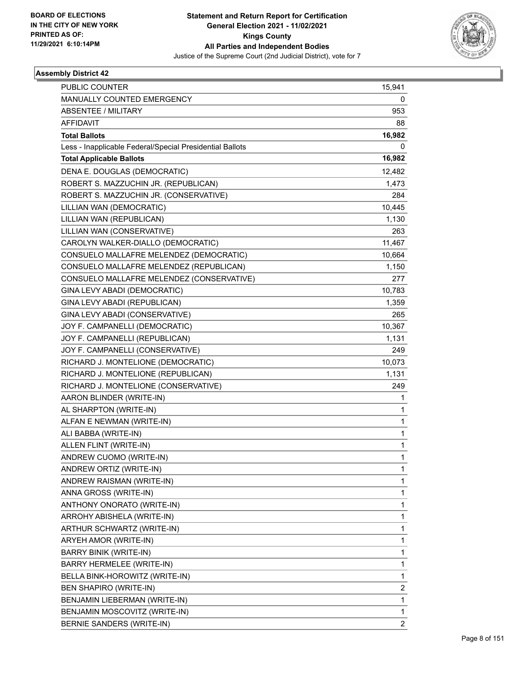

| PUBLIC COUNTER                                           | 15,941         |
|----------------------------------------------------------|----------------|
| MANUALLY COUNTED EMERGENCY                               | 0              |
| <b>ABSENTEE / MILITARY</b>                               | 953            |
| <b>AFFIDAVIT</b>                                         | 88             |
| <b>Total Ballots</b>                                     | 16,982         |
| Less - Inapplicable Federal/Special Presidential Ballots | 0              |
| <b>Total Applicable Ballots</b>                          | 16,982         |
| DENA E. DOUGLAS (DEMOCRATIC)                             | 12,482         |
| ROBERT S. MAZZUCHIN JR. (REPUBLICAN)                     | 1,473          |
| ROBERT S. MAZZUCHIN JR. (CONSERVATIVE)                   | 284            |
| LILLIAN WAN (DEMOCRATIC)                                 | 10,445         |
| LILLIAN WAN (REPUBLICAN)                                 | 1,130          |
| LILLIAN WAN (CONSERVATIVE)                               | 263            |
| CAROLYN WALKER-DIALLO (DEMOCRATIC)                       | 11,467         |
| CONSUELO MALLAFRE MELENDEZ (DEMOCRATIC)                  | 10,664         |
| CONSUELO MALLAFRE MELENDEZ (REPUBLICAN)                  | 1,150          |
| CONSUELO MALLAFRE MELENDEZ (CONSERVATIVE)                | 277            |
| GINA LEVY ABADI (DEMOCRATIC)                             | 10,783         |
| GINA LEVY ABADI (REPUBLICAN)                             | 1,359          |
| GINA LEVY ABADI (CONSERVATIVE)                           | 265            |
| JOY F. CAMPANELLI (DEMOCRATIC)                           | 10,367         |
| JOY F. CAMPANELLI (REPUBLICAN)                           | 1,131          |
| JOY F. CAMPANELLI (CONSERVATIVE)                         | 249            |
| RICHARD J. MONTELIONE (DEMOCRATIC)                       | 10,073         |
| RICHARD J. MONTELIONE (REPUBLICAN)                       | 1,131          |
| RICHARD J. MONTELIONE (CONSERVATIVE)                     | 249            |
| AARON BLINDER (WRITE-IN)                                 | 1              |
| AL SHARPTON (WRITE-IN)                                   | 1              |
| ALFAN E NEWMAN (WRITE-IN)                                | 1              |
| ALI BABBA (WRITE-IN)                                     | 1              |
| ALLEN FLINT (WRITE-IN)                                   | 1              |
| ANDREW CUOMO (WRITE-IN)                                  | 1              |
| ANDREW ORTIZ (WRITE-IN)                                  | 1              |
| ANDREW RAISMAN (WRITE-IN)                                | 1              |
| ANNA GROSS (WRITE-IN)                                    | 1              |
| ANTHONY ONORATO (WRITE-IN)                               | 1              |
| ARROHY ABISHELA (WRITE-IN)                               | 1              |
| ARTHUR SCHWARTZ (WRITE-IN)                               | 1              |
| ARYEH AMOR (WRITE-IN)                                    | 1              |
| <b>BARRY BINIK (WRITE-IN)</b>                            | 1              |
| BARRY HERMELEE (WRITE-IN)                                | 1              |
| BELLA BINK-HOROWITZ (WRITE-IN)                           | 1              |
| BEN SHAPIRO (WRITE-IN)                                   | 2              |
| BENJAMIN LIEBERMAN (WRITE-IN)                            | 1              |
| BENJAMIN MOSCOVITZ (WRITE-IN)                            | 1              |
| BERNIE SANDERS (WRITE-IN)                                | $\overline{2}$ |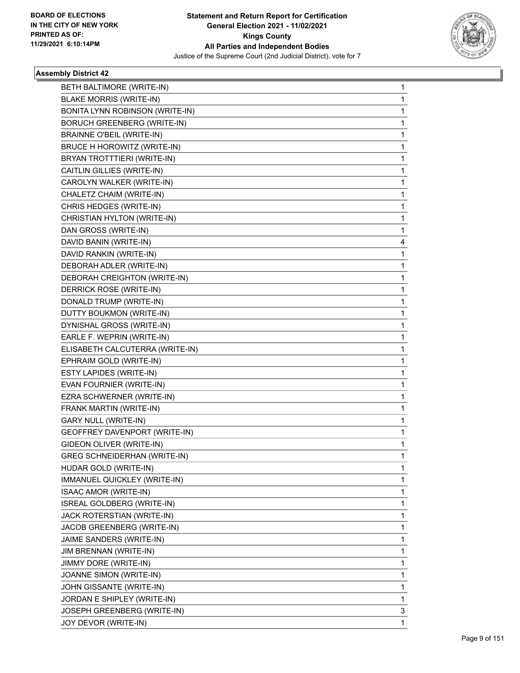

| BETH BALTIMORE (WRITE-IN)           | 1           |
|-------------------------------------|-------------|
| <b>BLAKE MORRIS (WRITE-IN)</b>      | 1           |
| BONITA LYNN ROBINSON (WRITE-IN)     | 1           |
| <b>BORUCH GREENBERG (WRITE-IN)</b>  | 1           |
| <b>BRAINNE O'BEIL (WRITE-IN)</b>    | 1           |
| BRUCE H HOROWITZ (WRITE-IN)         | 1           |
| BRYAN TROTTTIERI (WRITE-IN)         | 1           |
| CAITLIN GILLIES (WRITE-IN)          | 1           |
| CAROLYN WALKER (WRITE-IN)           | 1           |
| CHALETZ CHAIM (WRITE-IN)            | 1           |
| CHRIS HEDGES (WRITE-IN)             | 1           |
| CHRISTIAN HYLTON (WRITE-IN)         | 1           |
| DAN GROSS (WRITE-IN)                | 1           |
| DAVID BANIN (WRITE-IN)              | 4           |
| DAVID RANKIN (WRITE-IN)             | $\mathbf 1$ |
| DEBORAH ADLER (WRITE-IN)            | 1           |
| DEBORAH CREIGHTON (WRITE-IN)        | 1           |
| DERRICK ROSE (WRITE-IN)             | 1           |
| DONALD TRUMP (WRITE-IN)             | 1           |
| DUTTY BOUKMON (WRITE-IN)            | 1           |
| DYNISHAL GROSS (WRITE-IN)           | 1           |
| EARLE F. WEPRIN (WRITE-IN)          | 1           |
| ELISABETH CALCUTERRA (WRITE-IN)     | 1           |
| EPHRAIM GOLD (WRITE-IN)             | 1           |
| ESTY LAPIDES (WRITE-IN)             | 1           |
| EVAN FOURNIER (WRITE-IN)            | 1           |
| EZRA SCHWERNER (WRITE-IN)           | 1           |
| FRANK MARTIN (WRITE-IN)             | 1           |
| GARY NULL (WRITE-IN)                | 1           |
| GEOFFREY DAVENPORT (WRITE-IN)       | 1           |
| GIDEON OLIVER (WRITE-IN)            | 1           |
| <b>GREG SCHNEIDERHAN (WRITE-IN)</b> | 1           |
| HUDAR GOLD (WRITE-IN)               | 1           |
| IMMANUEL QUICKLEY (WRITE-IN)        | 1           |
| ISAAC AMOR (WRITE-IN)               | 1           |
| ISREAL GOLDBERG (WRITE-IN)          | 1           |
| JACK ROTERSTIAN (WRITE-IN)          | 1           |
| JACOB GREENBERG (WRITE-IN)          | 1           |
| JAIME SANDERS (WRITE-IN)            | 1           |
| JIM BRENNAN (WRITE-IN)              | 1           |
| JIMMY DORE (WRITE-IN)               | 1           |
| JOANNE SIMON (WRITE-IN)             | 1           |
| JOHN GISSANTE (WRITE-IN)            | 1           |
| JORDAN E SHIPLEY (WRITE-IN)         | 1           |
| JOSEPH GREENBERG (WRITE-IN)         | 3           |
| JOY DEVOR (WRITE-IN)                | 1           |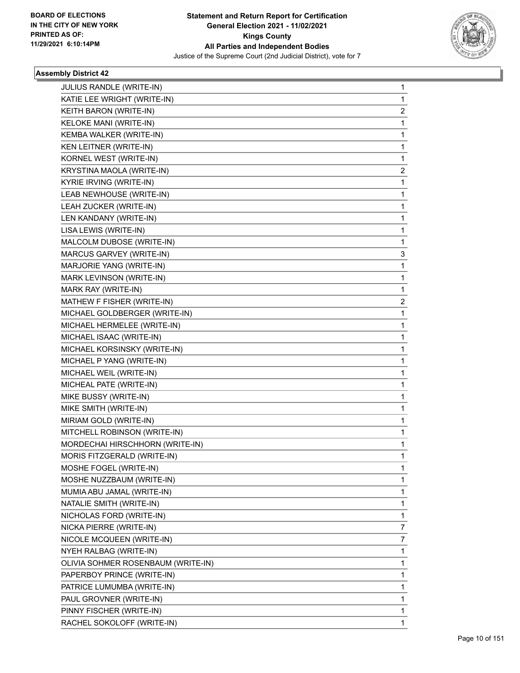

| JULIUS RANDLE (WRITE-IN)           | 1           |
|------------------------------------|-------------|
| KATIE LEE WRIGHT (WRITE-IN)        | 1           |
| KEITH BARON (WRITE-IN)             | 2           |
| <b>KELOKE MANI (WRITE-IN)</b>      | 1           |
| KEMBA WALKER (WRITE-IN)            | 1           |
| KEN LEITNER (WRITE-IN)             | 1           |
| KORNEL WEST (WRITE-IN)             | 1           |
| KRYSTINA MAOLA (WRITE-IN)          | 2           |
| KYRIE IRVING (WRITE-IN)            | $\mathbf 1$ |
| LEAB NEWHOUSE (WRITE-IN)           | 1           |
| LEAH ZUCKER (WRITE-IN)             | 1           |
| LEN KANDANY (WRITE-IN)             | 1           |
| LISA LEWIS (WRITE-IN)              | 1           |
| MALCOLM DUBOSE (WRITE-IN)          | 1           |
| MARCUS GARVEY (WRITE-IN)           | 3           |
| MARJORIE YANG (WRITE-IN)           | 1           |
| MARK LEVINSON (WRITE-IN)           | 1           |
| MARK RAY (WRITE-IN)                | 1           |
| MATHEW F FISHER (WRITE-IN)         | 2           |
| MICHAEL GOLDBERGER (WRITE-IN)      | 1           |
| MICHAEL HERMELEE (WRITE-IN)        | 1           |
| MICHAEL ISAAC (WRITE-IN)           | 1           |
| MICHAEL KORSINSKY (WRITE-IN)       | 1           |
| MICHAEL P YANG (WRITE-IN)          | 1           |
| MICHAEL WEIL (WRITE-IN)            | 1           |
| MICHEAL PATE (WRITE-IN)            | 1           |
| MIKE BUSSY (WRITE-IN)              | 1           |
| MIKE SMITH (WRITE-IN)              | 1           |
| MIRIAM GOLD (WRITE-IN)             | 1           |
| MITCHELL ROBINSON (WRITE-IN)       | 1           |
| MORDECHAI HIRSCHHORN (WRITE-IN)    | 1           |
| MORIS FITZGERALD (WRITE-IN)        | 1           |
| MOSHE FOGEL (WRITE-IN)             | 1           |
| MOSHE NUZZBAUM (WRITE-IN)          | 1           |
| MUMIA ABU JAMAL (WRITE-IN)         | 1           |
| NATALIE SMITH (WRITE-IN)           | 1           |
| NICHOLAS FORD (WRITE-IN)           | 1           |
| NICKA PIERRE (WRITE-IN)            | 7           |
| NICOLE MCQUEEN (WRITE-IN)          | 7           |
| NYEH RALBAG (WRITE-IN)             | 1           |
| OLIVIA SOHMER ROSENBAUM (WRITE-IN) | 1           |
| PAPERBOY PRINCE (WRITE-IN)         | 1           |
| PATRICE LUMUMBA (WRITE-IN)         | 1           |
| PAUL GROVNER (WRITE-IN)            | 1           |
| PINNY FISCHER (WRITE-IN)           | 1           |
| RACHEL SOKOLOFF (WRITE-IN)         | 1           |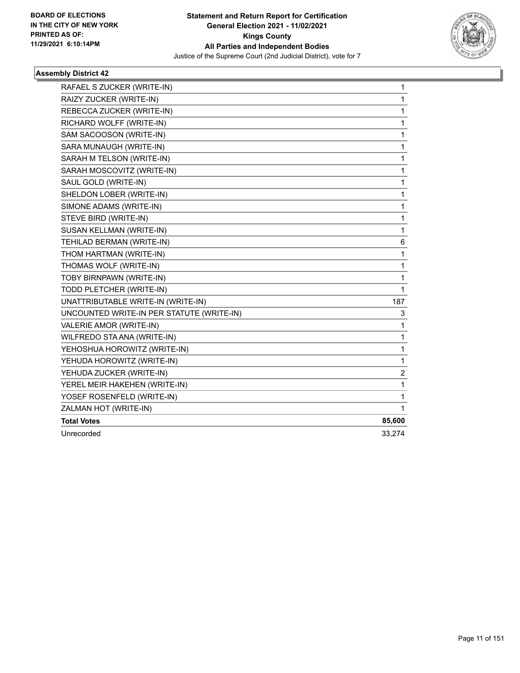

| RAFAEL S ZUCKER (WRITE-IN)                | 1            |
|-------------------------------------------|--------------|
| RAIZY ZUCKER (WRITE-IN)                   | $\mathbf{1}$ |
| REBECCA ZUCKER (WRITE-IN)                 | $\mathbf{1}$ |
| RICHARD WOLFF (WRITE-IN)                  | $\mathbf 1$  |
| SAM SACOOSON (WRITE-IN)                   | 1            |
| SARA MUNAUGH (WRITE-IN)                   | $\mathbf 1$  |
| SARAH M TELSON (WRITE-IN)                 | 1            |
| SARAH MOSCOVITZ (WRITE-IN)                | 1            |
| SAUL GOLD (WRITE-IN)                      | 1            |
| SHELDON LOBER (WRITE-IN)                  | $\mathbf{1}$ |
| SIMONE ADAMS (WRITE-IN)                   | $\mathbf 1$  |
| STEVE BIRD (WRITE-IN)                     | 1            |
| SUSAN KELLMAN (WRITE-IN)                  | 1            |
| TEHILAD BERMAN (WRITE-IN)                 | 6            |
| THOM HARTMAN (WRITE-IN)                   | $\mathbf{1}$ |
| THOMAS WOLF (WRITE-IN)                    | 1            |
| TOBY BIRNPAWN (WRITE-IN)                  | 1            |
| TODD PLETCHER (WRITE-IN)                  | $\mathbf{1}$ |
| UNATTRIBUTABLE WRITE-IN (WRITE-IN)        | 187          |
| UNCOUNTED WRITE-IN PER STATUTE (WRITE-IN) | 3            |
| VALERIE AMOR (WRITE-IN)                   | 1            |
| WILFREDO STA ANA (WRITE-IN)               | 1            |
| YEHOSHUA HOROWITZ (WRITE-IN)              | $\mathbf 1$  |
| YEHUDA HOROWITZ (WRITE-IN)                | $\mathbf 1$  |
| YEHUDA ZUCKER (WRITE-IN)                  | 2            |
| YEREL MEIR HAKEHEN (WRITE-IN)             | 1            |
| YOSEF ROSENFELD (WRITE-IN)                | $\mathbf{1}$ |
| ZALMAN HOT (WRITE-IN)                     | $\mathbf{1}$ |
| <b>Total Votes</b>                        | 85,600       |
| Unrecorded                                | 33,274       |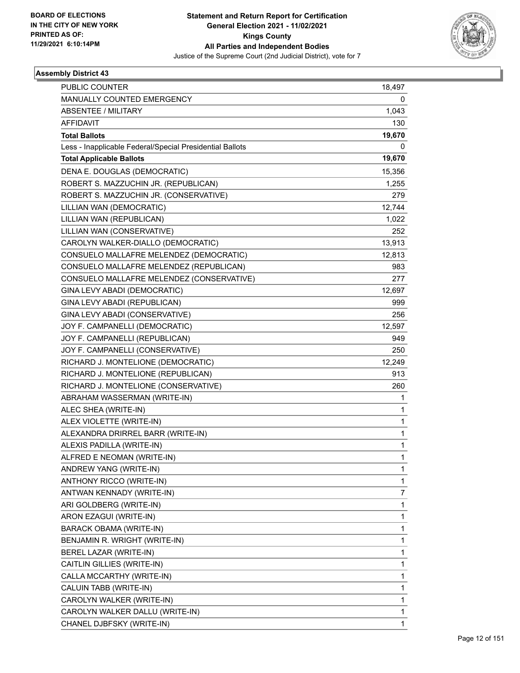

| <b>PUBLIC COUNTER</b>                                    | 18,497       |
|----------------------------------------------------------|--------------|
| MANUALLY COUNTED EMERGENCY                               | 0            |
| <b>ABSENTEE / MILITARY</b>                               | 1,043        |
| <b>AFFIDAVIT</b>                                         | 130          |
| <b>Total Ballots</b>                                     | 19,670       |
| Less - Inapplicable Federal/Special Presidential Ballots | 0            |
| <b>Total Applicable Ballots</b>                          | 19,670       |
| DENA E. DOUGLAS (DEMOCRATIC)                             | 15,356       |
| ROBERT S. MAZZUCHIN JR. (REPUBLICAN)                     | 1,255        |
| ROBERT S. MAZZUCHIN JR. (CONSERVATIVE)                   | 279          |
| LILLIAN WAN (DEMOCRATIC)                                 | 12,744       |
| LILLIAN WAN (REPUBLICAN)                                 | 1,022        |
| LILLIAN WAN (CONSERVATIVE)                               | 252          |
| CAROLYN WALKER-DIALLO (DEMOCRATIC)                       | 13,913       |
| CONSUELO MALLAFRE MELENDEZ (DEMOCRATIC)                  | 12,813       |
| CONSUELO MALLAFRE MELENDEZ (REPUBLICAN)                  | 983          |
| CONSUELO MALLAFRE MELENDEZ (CONSERVATIVE)                | 277          |
| GINA LEVY ABADI (DEMOCRATIC)                             | 12,697       |
| GINA LEVY ABADI (REPUBLICAN)                             | 999          |
| GINA LEVY ABADI (CONSERVATIVE)                           | 256          |
| JOY F. CAMPANELLI (DEMOCRATIC)                           | 12,597       |
| JOY F. CAMPANELLI (REPUBLICAN)                           | 949          |
| JOY F. CAMPANELLI (CONSERVATIVE)                         | 250          |
| RICHARD J. MONTELIONE (DEMOCRATIC)                       | 12,249       |
| RICHARD J. MONTELIONE (REPUBLICAN)                       | 913          |
| RICHARD J. MONTELIONE (CONSERVATIVE)                     | 260          |
| ABRAHAM WASSERMAN (WRITE-IN)                             | 1            |
| ALEC SHEA (WRITE-IN)                                     | 1            |
| ALEX VIOLETTE (WRITE-IN)                                 | 1            |
| ALEXANDRA DRIRREL BARR (WRITE-IN)                        | 1            |
| ALEXIS PADILLA (WRITE-IN)                                | 1            |
| ALFRED E NEOMAN (WRITE-IN)                               | 1            |
| ANDREW YANG (WRITE-IN)                                   | 1            |
| ANTHONY RICCO (WRITE-IN)                                 | 1            |
| ANTWAN KENNADY (WRITE-IN)                                | 7            |
| ARI GOLDBERG (WRITE-IN)                                  | 1            |
| ARON EZAGUI (WRITE-IN)                                   | 1            |
| BARACK OBAMA (WRITE-IN)                                  | 1            |
| BENJAMIN R. WRIGHT (WRITE-IN)                            | 1            |
| BEREL LAZAR (WRITE-IN)                                   | 1            |
| CAITLIN GILLIES (WRITE-IN)                               | 1            |
| CALLA MCCARTHY (WRITE-IN)                                | 1            |
| CALUIN TABB (WRITE-IN)                                   | 1            |
| CAROLYN WALKER (WRITE-IN)                                | 1            |
| CAROLYN WALKER DALLU (WRITE-IN)                          | 1            |
| CHANEL DJBFSKY (WRITE-IN)                                | $\mathbf{1}$ |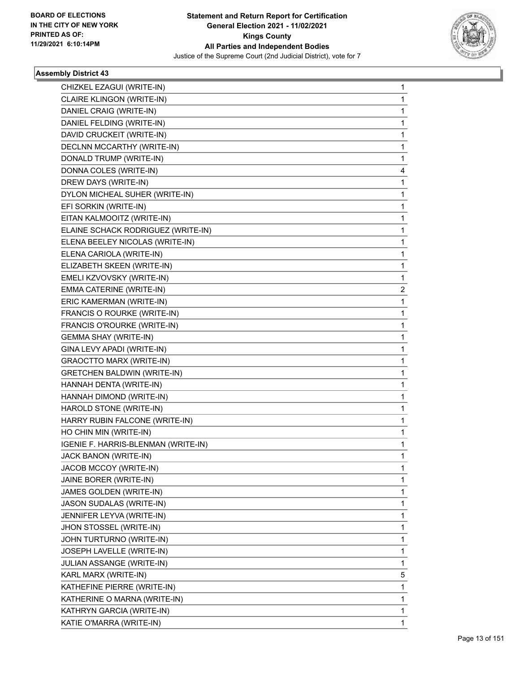

| CHIZKEL EZAGUI (WRITE-IN)           | 1 |
|-------------------------------------|---|
| CLAIRE KLINGON (WRITE-IN)           | 1 |
| DANIEL CRAIG (WRITE-IN)             | 1 |
| DANIEL FELDING (WRITE-IN)           | 1 |
| DAVID CRUCKEIT (WRITE-IN)           | 1 |
| DECLNN MCCARTHY (WRITE-IN)          | 1 |
| DONALD TRUMP (WRITE-IN)             | 1 |
| DONNA COLES (WRITE-IN)              | 4 |
| DREW DAYS (WRITE-IN)                | 1 |
| DYLON MICHEAL SUHER (WRITE-IN)      | 1 |
| EFI SORKIN (WRITE-IN)               | 1 |
| EITAN KALMOOITZ (WRITE-IN)          | 1 |
| ELAINE SCHACK RODRIGUEZ (WRITE-IN)  | 1 |
| ELENA BEELEY NICOLAS (WRITE-IN)     | 1 |
| ELENA CARIOLA (WRITE-IN)            | 1 |
| ELIZABETH SKEEN (WRITE-IN)          | 1 |
| EMELI KZVOVSKY (WRITE-IN)           | 1 |
| EMMA CATERINE (WRITE-IN)            | 2 |
| ERIC KAMERMAN (WRITE-IN)            | 1 |
| FRANCIS O ROURKE (WRITE-IN)         | 1 |
| FRANCIS O'ROURKE (WRITE-IN)         | 1 |
| <b>GEMMA SHAY (WRITE-IN)</b>        | 1 |
| GINA LEVY APADI (WRITE-IN)          | 1 |
| <b>GRAOCTTO MARX (WRITE-IN)</b>     | 1 |
| <b>GRETCHEN BALDWIN (WRITE-IN)</b>  | 1 |
| HANNAH DENTA (WRITE-IN)             | 1 |
| HANNAH DIMOND (WRITE-IN)            | 1 |
| HAROLD STONE (WRITE-IN)             | 1 |
| HARRY RUBIN FALCONE (WRITE-IN)      | 1 |
| HO CHIN MIN (WRITE-IN)              | 1 |
| IGENIE F. HARRIS-BLENMAN (WRITE-IN) | 1 |
| JACK BANON (WRITE-IN)               | 1 |
| JACOB MCCOY (WRITE-IN)              | 1 |
| JAINE BORER (WRITE-IN)              | 1 |
| JAMES GOLDEN (WRITE-IN)             | 1 |
| JASON SUDALAS (WRITE-IN)            | 1 |
| JENNIFER LEYVA (WRITE-IN)           | 1 |
| JHON STOSSEL (WRITE-IN)             | 1 |
| JOHN TURTURNO (WRITE-IN)            | 1 |
| JOSEPH LAVELLE (WRITE-IN)           | 1 |
| JULIAN ASSANGE (WRITE-IN)           | 1 |
| KARL MARX (WRITE-IN)                | 5 |
| KATHEFINE PIERRE (WRITE-IN)         | 1 |
| KATHERINE O MARNA (WRITE-IN)        | 1 |
| KATHRYN GARCIA (WRITE-IN)           | 1 |
| KATIE O'MARRA (WRITE-IN)            | 1 |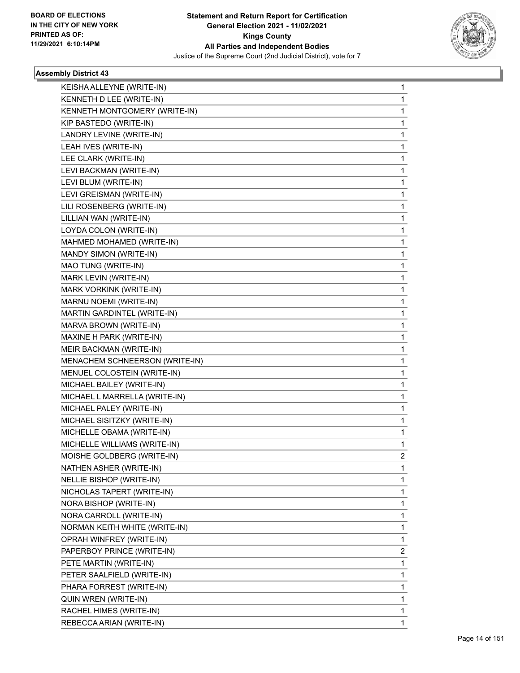

| KEISHA ALLEYNE (WRITE-IN)      | 1              |
|--------------------------------|----------------|
| KENNETH D LEE (WRITE-IN)       | 1              |
| KENNETH MONTGOMERY (WRITE-IN)  | 1              |
| KIP BASTEDO (WRITE-IN)         | 1              |
| LANDRY LEVINE (WRITE-IN)       | 1              |
| LEAH IVES (WRITE-IN)           | 1              |
| LEE CLARK (WRITE-IN)           | 1              |
| LEVI BACKMAN (WRITE-IN)        | 1              |
| LEVI BLUM (WRITE-IN)           | 1              |
| LEVI GREISMAN (WRITE-IN)       | 1              |
| LILI ROSENBERG (WRITE-IN)      | 1              |
| LILLIAN WAN (WRITE-IN)         | 1              |
| LOYDA COLON (WRITE-IN)         | 1              |
| MAHMED MOHAMED (WRITE-IN)      | 1              |
| MANDY SIMON (WRITE-IN)         | 1              |
| MAO TUNG (WRITE-IN)            | 1              |
| MARK LEVIN (WRITE-IN)          | 1              |
| MARK VORKINK (WRITE-IN)        | 1              |
| MARNU NOEMI (WRITE-IN)         | 1              |
| MARTIN GARDINTEL (WRITE-IN)    | 1              |
| MARVA BROWN (WRITE-IN)         | 1              |
| MAXINE H PARK (WRITE-IN)       | 1              |
| MEIR BACKMAN (WRITE-IN)        | 1              |
| MENACHEM SCHNEERSON (WRITE-IN) | 1              |
| MENUEL COLOSTEIN (WRITE-IN)    | 1              |
| MICHAEL BAILEY (WRITE-IN)      | 1              |
| MICHAEL L MARRELLA (WRITE-IN)  | 1              |
| MICHAEL PALEY (WRITE-IN)       | 1              |
| MICHAEL SISITZKY (WRITE-IN)    | 1              |
| MICHELLE OBAMA (WRITE-IN)      | 1              |
| MICHELLE WILLIAMS (WRITE-IN)   | 1              |
| MOISHE GOLDBERG (WRITE-IN)     | $\overline{2}$ |
| NATHEN ASHER (WRITE-IN)        | 1              |
| NELLIE BISHOP (WRITE-IN)       | 1              |
| NICHOLAS TAPERT (WRITE-IN)     | 1              |
| NORA BISHOP (WRITE-IN)         | 1              |
| NORA CARROLL (WRITE-IN)        | 1              |
| NORMAN KEITH WHITE (WRITE-IN)  | 1              |
| OPRAH WINFREY (WRITE-IN)       | 1              |
| PAPERBOY PRINCE (WRITE-IN)     | 2              |
| PETE MARTIN (WRITE-IN)         | 1              |
| PETER SAALFIELD (WRITE-IN)     | 1              |
| PHARA FORREST (WRITE-IN)       | 1              |
| QUIN WREN (WRITE-IN)           | 1              |
| RACHEL HIMES (WRITE-IN)        | 1              |
| REBECCA ARIAN (WRITE-IN)       | 1              |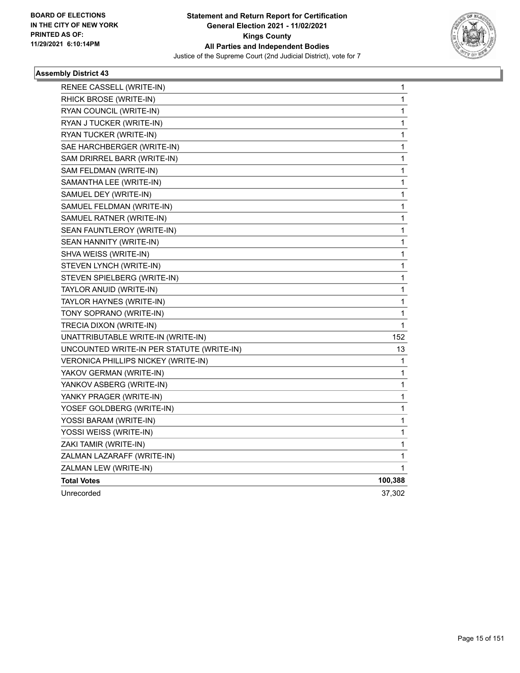

| RENEE CASSELL (WRITE-IN)                  | 1            |
|-------------------------------------------|--------------|
| RHICK BROSE (WRITE-IN)                    | 1            |
| RYAN COUNCIL (WRITE-IN)                   | 1            |
| RYAN J TUCKER (WRITE-IN)                  | 1            |
| RYAN TUCKER (WRITE-IN)                    | 1            |
| SAE HARCHBERGER (WRITE-IN)                | 1            |
| SAM DRIRREL BARR (WRITE-IN)               | 1            |
| SAM FELDMAN (WRITE-IN)                    | $\mathbf{1}$ |
| SAMANTHA LEE (WRITE-IN)                   | $\mathbf{1}$ |
| SAMUEL DEY (WRITE-IN)                     | 1            |
| SAMUEL FELDMAN (WRITE-IN)                 | 1            |
| SAMUEL RATNER (WRITE-IN)                  | 1            |
| SEAN FAUNTLEROY (WRITE-IN)                | 1            |
| SEAN HANNITY (WRITE-IN)                   | 1            |
| SHVA WEISS (WRITE-IN)                     | 1            |
| STEVEN LYNCH (WRITE-IN)                   | 1            |
| STEVEN SPIELBERG (WRITE-IN)               | 1            |
| TAYLOR ANUID (WRITE-IN)                   | 1            |
| TAYLOR HAYNES (WRITE-IN)                  | 1            |
| TONY SOPRANO (WRITE-IN)                   | 1            |
| TRECIA DIXON (WRITE-IN)                   | 1            |
| UNATTRIBUTABLE WRITE-IN (WRITE-IN)        | 152          |
| UNCOUNTED WRITE-IN PER STATUTE (WRITE-IN) | 13           |
| VERONICA PHILLIPS NICKEY (WRITE-IN)       | 1            |
| YAKOV GERMAN (WRITE-IN)                   | 1            |
| YANKOV ASBERG (WRITE-IN)                  | 1            |
| YANKY PRAGER (WRITE-IN)                   | 1            |
| YOSEF GOLDBERG (WRITE-IN)                 | 1            |
| YOSSI BARAM (WRITE-IN)                    | 1            |
| YOSSI WEISS (WRITE-IN)                    | 1            |
| ZAKI TAMIR (WRITE-IN)                     | $\mathbf{1}$ |
| ZALMAN LAZARAFF (WRITE-IN)                | 1            |
| ZALMAN LEW (WRITE-IN)                     | 1            |
| <b>Total Votes</b>                        | 100,388      |
| Unrecorded                                | 37,302       |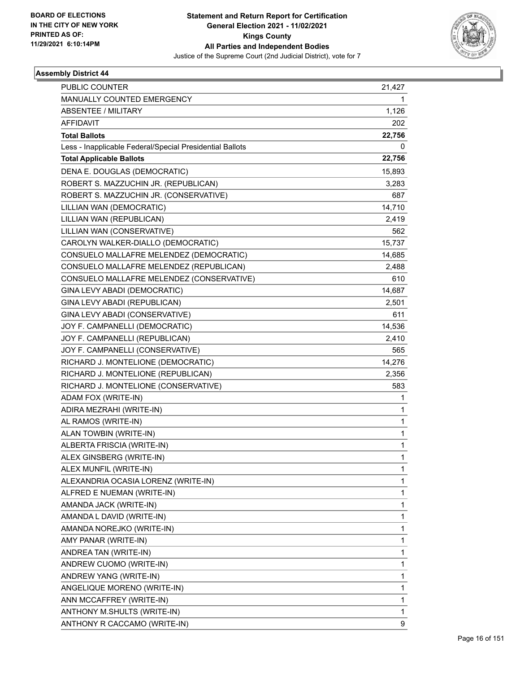

| PUBLIC COUNTER                                           | 21,427       |
|----------------------------------------------------------|--------------|
| MANUALLY COUNTED EMERGENCY                               | 1            |
| ABSENTEE / MILITARY                                      | 1,126        |
| <b>AFFIDAVIT</b>                                         | 202          |
| <b>Total Ballots</b>                                     | 22,756       |
| Less - Inapplicable Federal/Special Presidential Ballots | 0            |
| <b>Total Applicable Ballots</b>                          | 22,756       |
| DENA E. DOUGLAS (DEMOCRATIC)                             | 15,893       |
| ROBERT S. MAZZUCHIN JR. (REPUBLICAN)                     | 3,283        |
| ROBERT S. MAZZUCHIN JR. (CONSERVATIVE)                   | 687          |
| LILLIAN WAN (DEMOCRATIC)                                 | 14,710       |
| LILLIAN WAN (REPUBLICAN)                                 | 2,419        |
| LILLIAN WAN (CONSERVATIVE)                               | 562          |
| CAROLYN WALKER-DIALLO (DEMOCRATIC)                       | 15,737       |
| CONSUELO MALLAFRE MELENDEZ (DEMOCRATIC)                  | 14,685       |
| CONSUELO MALLAFRE MELENDEZ (REPUBLICAN)                  | 2,488        |
| CONSUELO MALLAFRE MELENDEZ (CONSERVATIVE)                | 610          |
| GINA LEVY ABADI (DEMOCRATIC)                             | 14,687       |
| GINA LEVY ABADI (REPUBLICAN)                             | 2,501        |
| GINA LEVY ABADI (CONSERVATIVE)                           | 611          |
| JOY F. CAMPANELLI (DEMOCRATIC)                           | 14,536       |
| JOY F. CAMPANELLI (REPUBLICAN)                           | 2,410        |
| JOY F. CAMPANELLI (CONSERVATIVE)                         | 565          |
| RICHARD J. MONTELIONE (DEMOCRATIC)                       | 14,276       |
| RICHARD J. MONTELIONE (REPUBLICAN)                       | 2,356        |
| RICHARD J. MONTELIONE (CONSERVATIVE)                     | 583          |
| ADAM FOX (WRITE-IN)                                      | 1            |
| ADIRA MEZRAHI (WRITE-IN)                                 | 1            |
| AL RAMOS (WRITE-IN)                                      | $\mathbf{1}$ |
| ALAN TOWBIN (WRITE-IN)                                   | 1            |
| ALBERTA FRISCIA (WRITE-IN)                               | $\mathbf{1}$ |
| ALEX GINSBERG (WRITE-IN)                                 | 1            |
| ALEX MUNFIL (WRITE-IN)                                   | 1            |
| ALEXANDRIA OCASIA LORENZ (WRITE-IN)                      | $\mathbf{1}$ |
| ALFRED E NUEMAN (WRITE-IN)                               | 1            |
| AMANDA JACK (WRITE-IN)                                   | 1            |
| AMANDA L DAVID (WRITE-IN)                                | $\mathbf{1}$ |
| AMANDA NOREJKO (WRITE-IN)                                | 1            |
| AMY PANAR (WRITE-IN)                                     | 1            |
| ANDREA TAN (WRITE-IN)                                    | $\mathbf{1}$ |
| ANDREW CUOMO (WRITE-IN)                                  | 1            |
| ANDREW YANG (WRITE-IN)                                   | 1            |
| ANGELIQUE MORENO (WRITE-IN)                              | 1            |
| ANN MCCAFFREY (WRITE-IN)                                 | 1            |
| ANTHONY M.SHULTS (WRITE-IN)                              | 1            |
| ANTHONY R CACCAMO (WRITE-IN)                             | 9            |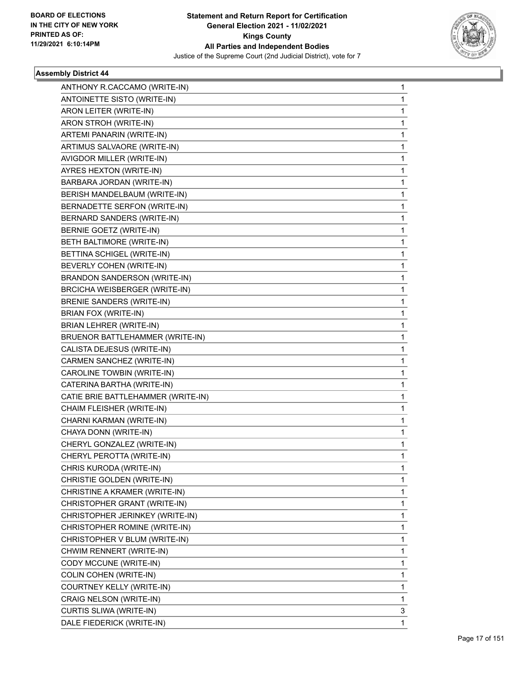

| ANTHONY R.CACCAMO (WRITE-IN)         | 1 |
|--------------------------------------|---|
| ANTOINETTE SISTO (WRITE-IN)          | 1 |
| ARON LEITER (WRITE-IN)               | 1 |
| ARON STROH (WRITE-IN)                | 1 |
| ARTEMI PANARIN (WRITE-IN)            | 1 |
| ARTIMUS SALVAORE (WRITE-IN)          | 1 |
| AVIGDOR MILLER (WRITE-IN)            | 1 |
| AYRES HEXTON (WRITE-IN)              | 1 |
| BARBARA JORDAN (WRITE-IN)            | 1 |
| BERISH MANDELBAUM (WRITE-IN)         | 1 |
| BERNADETTE SERFON (WRITE-IN)         | 1 |
| BERNARD SANDERS (WRITE-IN)           | 1 |
| BERNIE GOETZ (WRITE-IN)              | 1 |
| BETH BALTIMORE (WRITE-IN)            | 1 |
| BETTINA SCHIGEL (WRITE-IN)           | 1 |
| BEVERLY COHEN (WRITE-IN)             | 1 |
| <b>BRANDON SANDERSON (WRITE-IN)</b>  | 1 |
| <b>BRCICHA WEISBERGER (WRITE-IN)</b> | 1 |
| <b>BRENIE SANDERS (WRITE-IN)</b>     | 1 |
| BRIAN FOX (WRITE-IN)                 | 1 |
| <b>BRIAN LEHRER (WRITE-IN)</b>       | 1 |
| BRUENOR BATTLEHAMMER (WRITE-IN)      | 1 |
| CALISTA DEJESUS (WRITE-IN)           | 1 |
| CARMEN SANCHEZ (WRITE-IN)            | 1 |
| CAROLINE TOWBIN (WRITE-IN)           | 1 |
| CATERINA BARTHA (WRITE-IN)           | 1 |
| CATIE BRIE BATTLEHAMMER (WRITE-IN)   | 1 |
| CHAIM FLEISHER (WRITE-IN)            | 1 |
| CHARNI KARMAN (WRITE-IN)             | 1 |
| CHAYA DONN (WRITE-IN)                | 1 |
| CHERYL GONZALEZ (WRITE-IN)           | 1 |
| CHERYL PEROTTA (WRITE-IN)            | 1 |
| CHRIS KURODA (WRITE-IN)              | 1 |
| CHRISTIE GOLDEN (WRITE-IN)           | 1 |
| CHRISTINE A KRAMER (WRITE-IN)        | 1 |
| CHRISTOPHER GRANT (WRITE-IN)         | 1 |
| CHRISTOPHER JERINKEY (WRITE-IN)      | 1 |
| CHRISTOPHER ROMINE (WRITE-IN)        | 1 |
| CHRISTOPHER V BLUM (WRITE-IN)        | 1 |
| CHWIM RENNERT (WRITE-IN)             | 1 |
| CODY MCCUNE (WRITE-IN)               | 1 |
| COLIN COHEN (WRITE-IN)               | 1 |
| COURTNEY KELLY (WRITE-IN)            | 1 |
| CRAIG NELSON (WRITE-IN)              | 1 |
| CURTIS SLIWA (WRITE-IN)              | 3 |
| DALE FIEDERICK (WRITE-IN)            | 1 |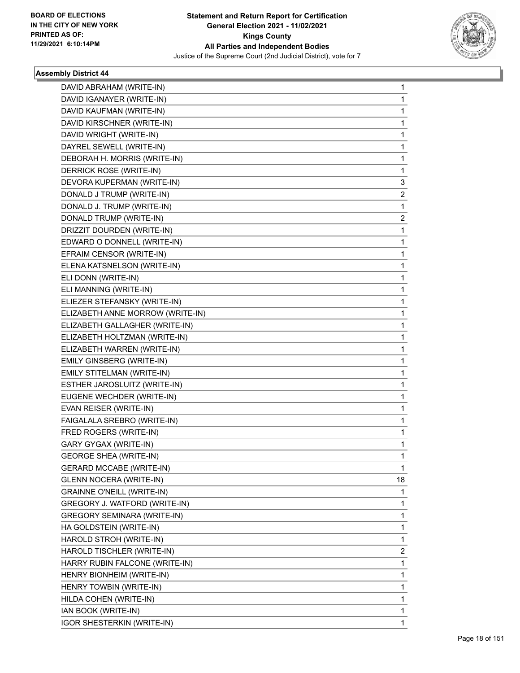

| DAVID ABRAHAM (WRITE-IN)           | 1  |
|------------------------------------|----|
| DAVID IGANAYER (WRITE-IN)          | 1  |
| DAVID KAUFMAN (WRITE-IN)           | 1  |
| DAVID KIRSCHNER (WRITE-IN)         | 1  |
| DAVID WRIGHT (WRITE-IN)            | 1  |
| DAYREL SEWELL (WRITE-IN)           | 1  |
| DEBORAH H. MORRIS (WRITE-IN)       | 1  |
| DERRICK ROSE (WRITE-IN)            | 1  |
| DEVORA KUPERMAN (WRITE-IN)         | 3  |
| DONALD J TRUMP (WRITE-IN)          | 2  |
| DONALD J. TRUMP (WRITE-IN)         | 1  |
| DONALD TRUMP (WRITE-IN)            | 2  |
| DRIZZIT DOURDEN (WRITE-IN)         | 1  |
| EDWARD O DONNELL (WRITE-IN)        | 1  |
| EFRAIM CENSOR (WRITE-IN)           | 1  |
| ELENA KATSNELSON (WRITE-IN)        | 1  |
| ELI DONN (WRITE-IN)                | 1  |
| ELI MANNING (WRITE-IN)             | 1  |
| ELIEZER STEFANSKY (WRITE-IN)       | 1  |
| ELIZABETH ANNE MORROW (WRITE-IN)   | 1  |
| ELIZABETH GALLAGHER (WRITE-IN)     | 1  |
| ELIZABETH HOLTZMAN (WRITE-IN)      | 1  |
| ELIZABETH WARREN (WRITE-IN)        | 1  |
| EMILY GINSBERG (WRITE-IN)          | 1  |
| EMILY STITELMAN (WRITE-IN)         | 1  |
| ESTHER JAROSLUITZ (WRITE-IN)       | 1  |
| EUGENE WECHDER (WRITE-IN)          | 1  |
| EVAN REISER (WRITE-IN)             | 1  |
| FAIGALALA SREBRO (WRITE-IN)        | 1  |
| FRED ROGERS (WRITE-IN)             | 1  |
| GARY GYGAX (WRITE-IN)              | 1  |
| <b>GEORGE SHEA (WRITE-IN)</b>      | 1  |
| <b>GERARD MCCABE (WRITE-IN)</b>    | 1  |
| <b>GLENN NOCERA (WRITE-IN)</b>     | 18 |
| <b>GRAINNE O'NEILL (WRITE-IN)</b>  | 1  |
| GREGORY J. WATFORD (WRITE-IN)      | 1  |
| <b>GREGORY SEMINARA (WRITE-IN)</b> | 1  |
| HA GOLDSTEIN (WRITE-IN)            | 1  |
| HAROLD STROH (WRITE-IN)            | 1  |
| HAROLD TISCHLER (WRITE-IN)         | 2  |
| HARRY RUBIN FALCONE (WRITE-IN)     | 1  |
| HENRY BIONHEIM (WRITE-IN)          | 1  |
| HENRY TOWBIN (WRITE-IN)            | 1  |
| HILDA COHEN (WRITE-IN)             | 1  |
| IAN BOOK (WRITE-IN)                | 1  |
| <b>IGOR SHESTERKIN (WRITE-IN)</b>  | 1  |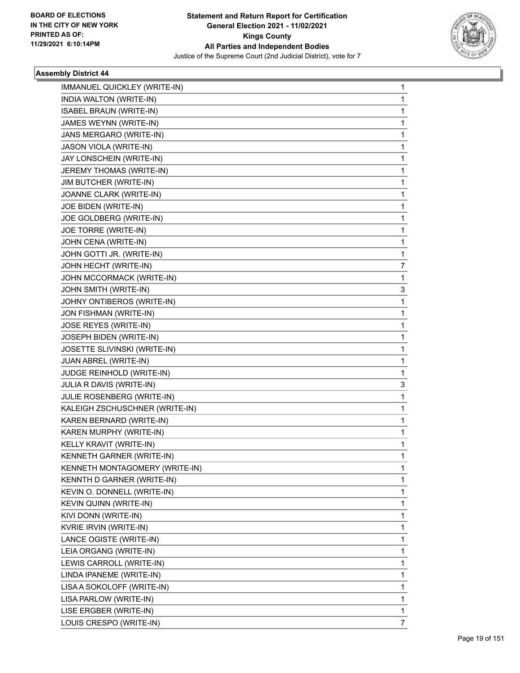

| IMMANUEL QUICKLEY (WRITE-IN)   | 1            |
|--------------------------------|--------------|
| INDIA WALTON (WRITE-IN)        | $\mathbf{1}$ |
| <b>ISABEL BRAUN (WRITE-IN)</b> | 1            |
| JAMES WEYNN (WRITE-IN)         | 1            |
| JANS MERGARO (WRITE-IN)        | 1            |
| JASON VIOLA (WRITE-IN)         | 1            |
| JAY LONSCHEIN (WRITE-IN)       | 1            |
| JEREMY THOMAS (WRITE-IN)       | 1            |
| JIM BUTCHER (WRITE-IN)         | 1            |
| JOANNE CLARK (WRITE-IN)        | 1            |
| JOE BIDEN (WRITE-IN)           | 1            |
| JOE GOLDBERG (WRITE-IN)        | 1            |
| JOE TORRE (WRITE-IN)           | 1            |
| JOHN CENA (WRITE-IN)           | 1            |
| JOHN GOTTI JR. (WRITE-IN)      | 1            |
| JOHN HECHT (WRITE-IN)          | 7            |
| JOHN MCCORMACK (WRITE-IN)      | 1            |
| JOHN SMITH (WRITE-IN)          | 3            |
| JOHNY ONTIBEROS (WRITE-IN)     | 1            |
| JON FISHMAN (WRITE-IN)         | 1            |
| JOSE REYES (WRITE-IN)          | 1            |
| JOSEPH BIDEN (WRITE-IN)        | 1            |
| JOSETTE SLIVINSKI (WRITE-IN)   | 1            |
| JUAN ABREL (WRITE-IN)          | 1            |
| JUDGE REINHOLD (WRITE-IN)      | 1            |
| JULIA R DAVIS (WRITE-IN)       | 3            |
| JULIE ROSENBERG (WRITE-IN)     | 1            |
| KALEIGH ZSCHUSCHNER (WRITE-IN) | 1            |
| KAREN BERNARD (WRITE-IN)       | 1            |
| KAREN MURPHY (WRITE-IN)        | 1            |
| KELLY KRAVIT (WRITE-IN)        | 1            |
| KENNETH GARNER (WRITE-IN)      | $\mathbf{1}$ |
| KENNETH MONTAGOMERY (WRITE-IN) | 1            |
| KENNTH D GARNER (WRITE-IN)     | 1            |
| KEVIN O. DONNELL (WRITE-IN)    | 1            |
| KEVIN QUINN (WRITE-IN)         | 1            |
| KIVI DONN (WRITE-IN)           | 1            |
| KVRIE IRVIN (WRITE-IN)         | 1            |
| LANCE OGISTE (WRITE-IN)        | 1            |
| LEIA ORGANG (WRITE-IN)         | 1            |
| LEWIS CARROLL (WRITE-IN)       | 1            |
| LINDA IPANEME (WRITE-IN)       | 1            |
| LISA A SOKOLOFF (WRITE-IN)     | 1            |
| LISA PARLOW (WRITE-IN)         | 1            |
| LISE ERGBER (WRITE-IN)         | 1            |
| LOUIS CRESPO (WRITE-IN)        | 7            |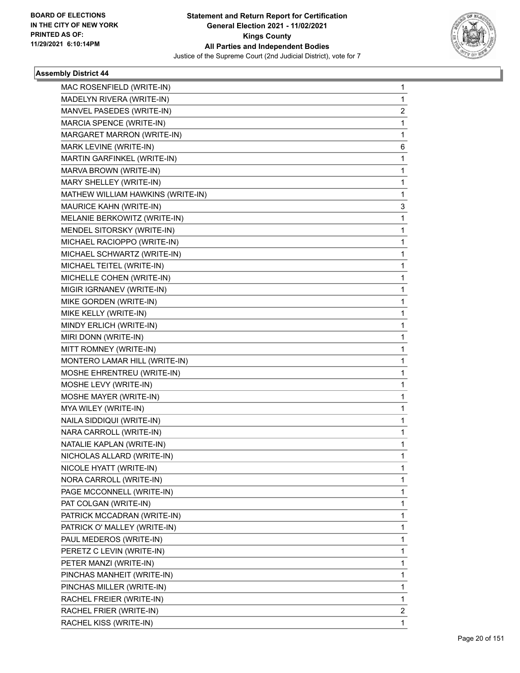

| MAC ROSENFIELD (WRITE-IN)         | 1            |
|-----------------------------------|--------------|
| MADELYN RIVERA (WRITE-IN)         | 1            |
| MANVEL PASEDES (WRITE-IN)         | 2            |
| MARCIA SPENCE (WRITE-IN)          | 1            |
| MARGARET MARRON (WRITE-IN)        | 1            |
| MARK LEVINE (WRITE-IN)            | 6            |
| MARTIN GARFINKEL (WRITE-IN)       | 1            |
| MARVA BROWN (WRITE-IN)            | 1            |
| MARY SHELLEY (WRITE-IN)           | 1            |
| MATHEW WILLIAM HAWKINS (WRITE-IN) | 1            |
| MAURICE KAHN (WRITE-IN)           | 3            |
| MELANIE BERKOWITZ (WRITE-IN)      | 1            |
| MENDEL SITORSKY (WRITE-IN)        | 1            |
| MICHAEL RACIOPPO (WRITE-IN)       | 1            |
| MICHAEL SCHWARTZ (WRITE-IN)       | 1            |
| MICHAEL TEITEL (WRITE-IN)         | 1            |
| MICHELLE COHEN (WRITE-IN)         | 1            |
| MIGIR IGRNANEV (WRITE-IN)         | 1            |
| MIKE GORDEN (WRITE-IN)            | 1            |
| MIKE KELLY (WRITE-IN)             | 1            |
| MINDY ERLICH (WRITE-IN)           | 1            |
| MIRI DONN (WRITE-IN)              | 1            |
| MITT ROMNEY (WRITE-IN)            | 1            |
| MONTERO LAMAR HILL (WRITE-IN)     | 1            |
| MOSHE EHRENTREU (WRITE-IN)        | 1            |
| MOSHE LEVY (WRITE-IN)             | 1            |
| MOSHE MAYER (WRITE-IN)            | 1            |
| MYA WILEY (WRITE-IN)              | 1            |
| NAILA SIDDIQUI (WRITE-IN)         | 1            |
| NARA CARROLL (WRITE-IN)           | 1            |
| NATALIE KAPLAN (WRITE-IN)         | 1            |
| NICHOLAS ALLARD (WRITE-IN)        | 1            |
| NICOLE HYATT (WRITE-IN)           | 1            |
| NORA CARROLL (WRITE-IN)           | 1            |
| PAGE MCCONNELL (WRITE-IN)         | 1            |
| PAT COLGAN (WRITE-IN)             | 1            |
| PATRICK MCCADRAN (WRITE-IN)       | 1            |
| PATRICK O' MALLEY (WRITE-IN)      | 1            |
| PAUL MEDEROS (WRITE-IN)           | 1            |
| PERETZ C LEVIN (WRITE-IN)         | 1            |
| PETER MANZI (WRITE-IN)            | 1            |
| PINCHAS MANHEIT (WRITE-IN)        | 1            |
| PINCHAS MILLER (WRITE-IN)         | 1            |
| RACHEL FREIER (WRITE-IN)          | 1            |
| RACHEL FRIER (WRITE-IN)           | 2            |
| RACHEL KISS (WRITE-IN)            | $\mathbf{1}$ |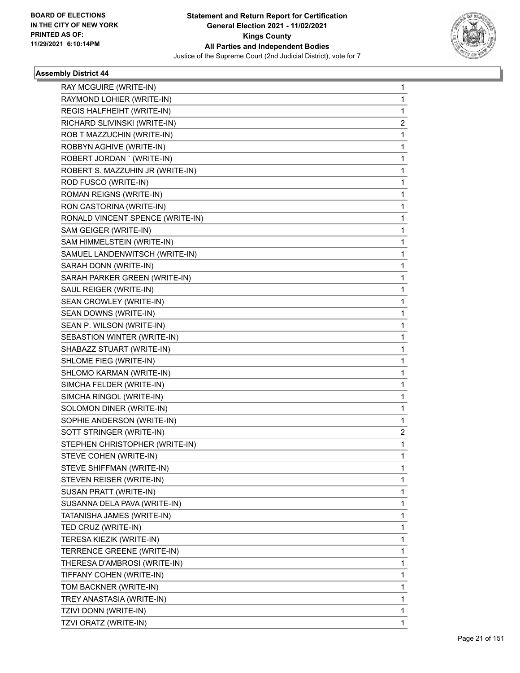

| RAY MCGUIRE (WRITE-IN)           | 1 |
|----------------------------------|---|
| RAYMOND LOHIER (WRITE-IN)        | 1 |
| REGIS HALFHEIHT (WRITE-IN)       | 1 |
| RICHARD SLIVINSKI (WRITE-IN)     | 2 |
| ROB T MAZZUCHIN (WRITE-IN)       | 1 |
| ROBBYN AGHIVE (WRITE-IN)         | 1 |
| ROBERT JORDAN ' (WRITE-IN)       | 1 |
| ROBERT S. MAZZUHIN JR (WRITE-IN) | 1 |
| ROD FUSCO (WRITE-IN)             | 1 |
| ROMAN REIGNS (WRITE-IN)          | 1 |
| RON CASTORINA (WRITE-IN)         | 1 |
| RONALD VINCENT SPENCE (WRITE-IN) | 1 |
| SAM GEIGER (WRITE-IN)            | 1 |
| SAM HIMMELSTEIN (WRITE-IN)       | 1 |
| SAMUEL LANDENWITSCH (WRITE-IN)   | 1 |
| SARAH DONN (WRITE-IN)            | 1 |
| SARAH PARKER GREEN (WRITE-IN)    | 1 |
| SAUL REIGER (WRITE-IN)           | 1 |
| SEAN CROWLEY (WRITE-IN)          | 1 |
| SEAN DOWNS (WRITE-IN)            | 1 |
| SEAN P. WILSON (WRITE-IN)        | 1 |
| SEBASTION WINTER (WRITE-IN)      | 1 |
| SHABAZZ STUART (WRITE-IN)        | 1 |
| SHLOME FIEG (WRITE-IN)           | 1 |
| SHLOMO KARMAN (WRITE-IN)         | 1 |
| SIMCHA FELDER (WRITE-IN)         | 1 |
| SIMCHA RINGOL (WRITE-IN)         | 1 |
| SOLOMON DINER (WRITE-IN)         | 1 |
| SOPHIE ANDERSON (WRITE-IN)       | 1 |
| SOTT STRINGER (WRITE-IN)         | 2 |
| STEPHEN CHRISTOPHER (WRITE-IN)   | 1 |
| STEVE COHEN (WRITE-IN)           | 1 |
| STEVE SHIFFMAN (WRITE-IN)        | 1 |
| STEVEN REISER (WRITE-IN)         | 1 |
| SUSAN PRATT (WRITE-IN)           | 1 |
| SUSANNA DELA PAVA (WRITE-IN)     | 1 |
| TATANISHA JAMES (WRITE-IN)       | 1 |
| TED CRUZ (WRITE-IN)              | 1 |
| TERESA KIEZIK (WRITE-IN)         | 1 |
| TERRENCE GREENE (WRITE-IN)       | 1 |
| THERESA D'AMBROSI (WRITE-IN)     | 1 |
| TIFFANY COHEN (WRITE-IN)         | 1 |
| TOM BACKNER (WRITE-IN)           | 1 |
| TREY ANASTASIA (WRITE-IN)        | 1 |
| TZIVI DONN (WRITE-IN)            | 1 |
| TZVI ORATZ (WRITE-IN)            | 1 |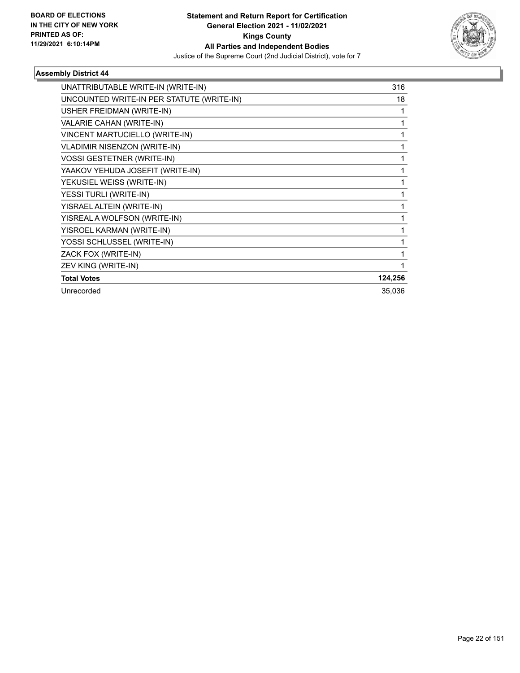

| UNATTRIBUTABLE WRITE-IN (WRITE-IN)        | 316     |
|-------------------------------------------|---------|
| UNCOUNTED WRITE-IN PER STATUTE (WRITE-IN) | 18      |
| USHER FREIDMAN (WRITE-IN)                 |         |
| VALARIE CAHAN (WRITE-IN)                  |         |
| VINCENT MARTUCIELLO (WRITE-IN)            |         |
| <b>VLADIMIR NISENZON (WRITE-IN)</b>       |         |
| <b>VOSSI GESTETNER (WRITE-IN)</b>         |         |
| YAAKOV YEHUDA JOSEFIT (WRITE-IN)          |         |
| YEKUSIEL WEISS (WRITE-IN)                 |         |
| YESSI TURLI (WRITE-IN)                    | 1       |
| YISRAEL ALTEIN (WRITE-IN)                 |         |
| YISREAL A WOLFSON (WRITE-IN)              |         |
| YISROEL KARMAN (WRITE-IN)                 |         |
| YOSSI SCHLUSSEL (WRITE-IN)                |         |
| ZACK FOX (WRITE-IN)                       |         |
| ZEV KING (WRITE-IN)                       |         |
| <b>Total Votes</b>                        | 124,256 |
| Unrecorded                                | 35,036  |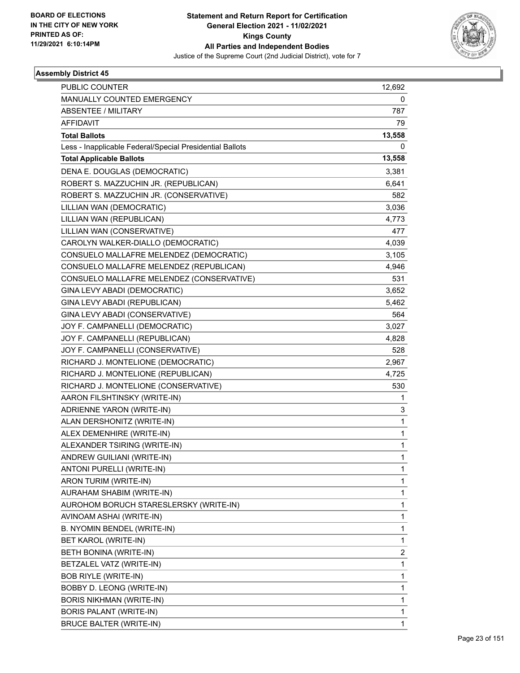

| <b>PUBLIC COUNTER</b>                                    | 12,692                  |
|----------------------------------------------------------|-------------------------|
| MANUALLY COUNTED EMERGENCY                               | 0                       |
| ABSENTEE / MILITARY                                      | 787                     |
| <b>AFFIDAVIT</b>                                         | 79                      |
| <b>Total Ballots</b>                                     | 13,558                  |
| Less - Inapplicable Federal/Special Presidential Ballots | 0                       |
| <b>Total Applicable Ballots</b>                          | 13,558                  |
| DENA E. DOUGLAS (DEMOCRATIC)                             | 3,381                   |
| ROBERT S. MAZZUCHIN JR. (REPUBLICAN)                     | 6,641                   |
| ROBERT S. MAZZUCHIN JR. (CONSERVATIVE)                   | 582                     |
| LILLIAN WAN (DEMOCRATIC)                                 | 3,036                   |
| LILLIAN WAN (REPUBLICAN)                                 | 4,773                   |
| LILLIAN WAN (CONSERVATIVE)                               | 477                     |
| CAROLYN WALKER-DIALLO (DEMOCRATIC)                       | 4,039                   |
| CONSUELO MALLAFRE MELENDEZ (DEMOCRATIC)                  | 3,105                   |
| CONSUELO MALLAFRE MELENDEZ (REPUBLICAN)                  | 4,946                   |
| CONSUELO MALLAFRE MELENDEZ (CONSERVATIVE)                | 531                     |
| GINA LEVY ABADI (DEMOCRATIC)                             | 3,652                   |
| GINA LEVY ABADI (REPUBLICAN)                             | 5,462                   |
| GINA LEVY ABADI (CONSERVATIVE)                           | 564                     |
| JOY F. CAMPANELLI (DEMOCRATIC)                           | 3,027                   |
| JOY F. CAMPANELLI (REPUBLICAN)                           | 4,828                   |
| JOY F. CAMPANELLI (CONSERVATIVE)                         | 528                     |
| RICHARD J. MONTELIONE (DEMOCRATIC)                       | 2,967                   |
| RICHARD J. MONTELIONE (REPUBLICAN)                       | 4,725                   |
| RICHARD J. MONTELIONE (CONSERVATIVE)                     | 530                     |
| AARON FILSHTINSKY (WRITE-IN)                             | 1                       |
| ADRIENNE YARON (WRITE-IN)                                | 3                       |
| ALAN DERSHONITZ (WRITE-IN)                               | $\mathbf{1}$            |
| ALEX DEMENHIRE (WRITE-IN)                                | 1                       |
| ALEXANDER TSIRING (WRITE-IN)                             | 1                       |
| ANDREW GUILIANI (WRITE-IN)                               | 1                       |
| ANTONI PURELLI (WRITE-IN)                                | 1                       |
| ARON TURIM (WRITE-IN)                                    | 1                       |
| AURAHAM SHABIM (WRITE-IN)                                | 1                       |
| AUROHOM BORUCH STARESLERSKY (WRITE-IN)                   | 1                       |
| AVINOAM ASHAI (WRITE-IN)                                 | 1                       |
| B. NYOMIN BENDEL (WRITE-IN)                              | 1                       |
| BET KAROL (WRITE-IN)                                     | 1                       |
| BETH BONINA (WRITE-IN)                                   | $\overline{\mathbf{c}}$ |
| BETZALEL VATZ (WRITE-IN)                                 | 1                       |
| <b>BOB RIYLE (WRITE-IN)</b>                              | 1                       |
| BOBBY D. LEONG (WRITE-IN)                                | 1                       |
| <b>BORIS NIKHMAN (WRITE-IN)</b>                          | 1                       |
| BORIS PALANT (WRITE-IN)                                  | 1                       |
| <b>BRUCE BALTER (WRITE-IN)</b>                           | 1                       |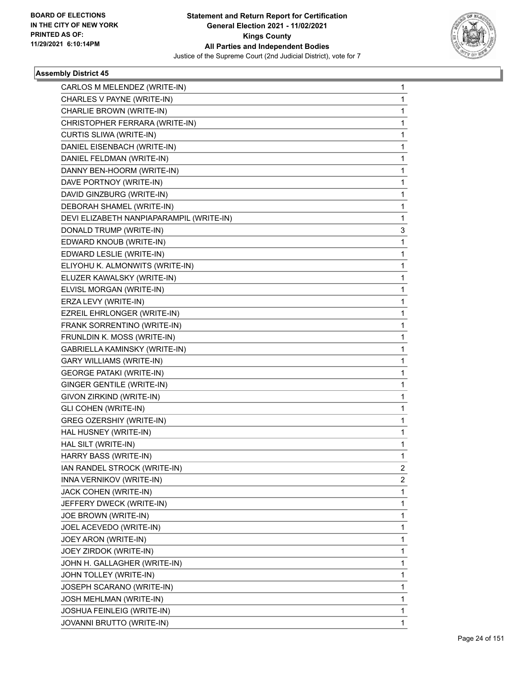

| CARLOS M MELENDEZ (WRITE-IN)             | 1 |
|------------------------------------------|---|
| CHARLES V PAYNE (WRITE-IN)               | 1 |
| CHARLIE BROWN (WRITE-IN)                 | 1 |
| CHRISTOPHER FERRARA (WRITE-IN)           | 1 |
| CURTIS SLIWA (WRITE-IN)                  | 1 |
| DANIEL EISENBACH (WRITE-IN)              | 1 |
| DANIEL FELDMAN (WRITE-IN)                | 1 |
| DANNY BEN-HOORM (WRITE-IN)               | 1 |
| DAVE PORTNOY (WRITE-IN)                  | 1 |
| DAVID GINZBURG (WRITE-IN)                | 1 |
| DEBORAH SHAMEL (WRITE-IN)                | 1 |
| DEVI ELIZABETH NANPIAPARAMPIL (WRITE-IN) | 1 |
| DONALD TRUMP (WRITE-IN)                  | 3 |
| EDWARD KNOUB (WRITE-IN)                  | 1 |
| EDWARD LESLIE (WRITE-IN)                 | 1 |
| ELIYOHU K. ALMONWITS (WRITE-IN)          | 1 |
| ELUZER KAWALSKY (WRITE-IN)               | 1 |
| ELVISL MORGAN (WRITE-IN)                 | 1 |
| ERZA LEVY (WRITE-IN)                     | 1 |
| EZREIL EHRLONGER (WRITE-IN)              | 1 |
| FRANK SORRENTINO (WRITE-IN)              | 1 |
| FRUNLDIN K. MOSS (WRITE-IN)              | 1 |
| GABRIELLA KAMINSKY (WRITE-IN)            | 1 |
| <b>GARY WILLIAMS (WRITE-IN)</b>          | 1 |
| <b>GEORGE PATAKI (WRITE-IN)</b>          | 1 |
| GINGER GENTILE (WRITE-IN)                | 1 |
| GIVON ZIRKIND (WRITE-IN)                 | 1 |
| <b>GLI COHEN (WRITE-IN)</b>              | 1 |
| GREG OZERSHIY (WRITE-IN)                 | 1 |
| HAL HUSNEY (WRITE-IN)                    | 1 |
| HAL SILT (WRITE-IN)                      | 1 |
| HARRY BASS (WRITE-IN)                    | 1 |
| IAN RANDEL STROCK (WRITE-IN)             | 2 |
| INNA VERNIKOV (WRITE-IN)                 | 2 |
| JACK COHEN (WRITE-IN)                    | 1 |
| JEFFERY DWECK (WRITE-IN)                 | 1 |
| JOE BROWN (WRITE-IN)                     | 1 |
| JOEL ACEVEDO (WRITE-IN)                  | 1 |
| JOEY ARON (WRITE-IN)                     | 1 |
| JOEY ZIRDOK (WRITE-IN)                   | 1 |
| JOHN H. GALLAGHER (WRITE-IN)             | 1 |
| JOHN TOLLEY (WRITE-IN)                   | 1 |
| JOSEPH SCARANO (WRITE-IN)                | 1 |
| JOSH MEHLMAN (WRITE-IN)                  | 1 |
| JOSHUA FEINLEIG (WRITE-IN)               | 1 |
| JOVANNI BRUTTO (WRITE-IN)                | 1 |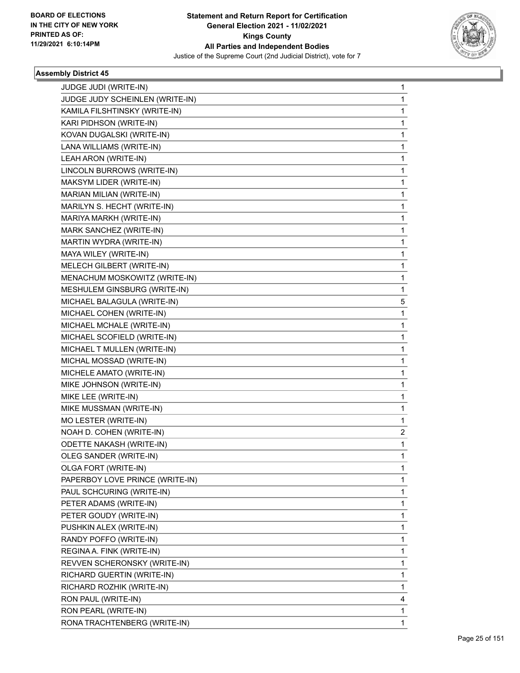

| JUDGE JUDI (WRITE-IN)           | 1 |
|---------------------------------|---|
| JUDGE JUDY SCHEINLEN (WRITE-IN) | 1 |
| KAMILA FILSHTINSKY (WRITE-IN)   | 1 |
| KARI PIDHSON (WRITE-IN)         | 1 |
| KOVAN DUGALSKI (WRITE-IN)       | 1 |
| LANA WILLIAMS (WRITE-IN)        | 1 |
| LEAH ARON (WRITE-IN)            | 1 |
| LINCOLN BURROWS (WRITE-IN)      | 1 |
| MAKSYM LIDER (WRITE-IN)         | 1 |
| MARIAN MILIAN (WRITE-IN)        | 1 |
| MARILYN S. HECHT (WRITE-IN)     | 1 |
| MARIYA MARKH (WRITE-IN)         | 1 |
| MARK SANCHEZ (WRITE-IN)         | 1 |
| MARTIN WYDRA (WRITE-IN)         | 1 |
| MAYA WILEY (WRITE-IN)           | 1 |
| MELECH GILBERT (WRITE-IN)       | 1 |
| MENACHUM MOSKOWITZ (WRITE-IN)   | 1 |
| MESHULEM GINSBURG (WRITE-IN)    | 1 |
| MICHAEL BALAGULA (WRITE-IN)     | 5 |
| MICHAEL COHEN (WRITE-IN)        | 1 |
| MICHAEL MCHALE (WRITE-IN)       | 1 |
| MICHAEL SCOFIELD (WRITE-IN)     | 1 |
| MICHAEL T MULLEN (WRITE-IN)     | 1 |
| MICHAL MOSSAD (WRITE-IN)        | 1 |
| MICHELE AMATO (WRITE-IN)        | 1 |
| MIKE JOHNSON (WRITE-IN)         | 1 |
| MIKE LEE (WRITE-IN)             | 1 |
| MIKE MUSSMAN (WRITE-IN)         | 1 |
| MO LESTER (WRITE-IN)            | 1 |
| NOAH D. COHEN (WRITE-IN)        | 2 |
| <b>ODETTE NAKASH (WRITE-IN)</b> | 1 |
| OLEG SANDER (WRITE-IN)          | 1 |
| OLGA FORT (WRITE-IN)            | 1 |
| PAPERBOY LOVE PRINCE (WRITE-IN) | 1 |
| PAUL SCHCURING (WRITE-IN)       | 1 |
| PETER ADAMS (WRITE-IN)          | 1 |
| PETER GOUDY (WRITE-IN)          | 1 |
| PUSHKIN ALEX (WRITE-IN)         | 1 |
| RANDY POFFO (WRITE-IN)          | 1 |
| REGINA A. FINK (WRITE-IN)       | 1 |
| REVVEN SCHERONSKY (WRITE-IN)    | 1 |
| RICHARD GUERTIN (WRITE-IN)      | 1 |
| RICHARD ROZHIK (WRITE-IN)       | 1 |
| RON PAUL (WRITE-IN)             | 4 |
| RON PEARL (WRITE-IN)            | 1 |
| RONA TRACHTENBERG (WRITE-IN)    | 1 |
|                                 |   |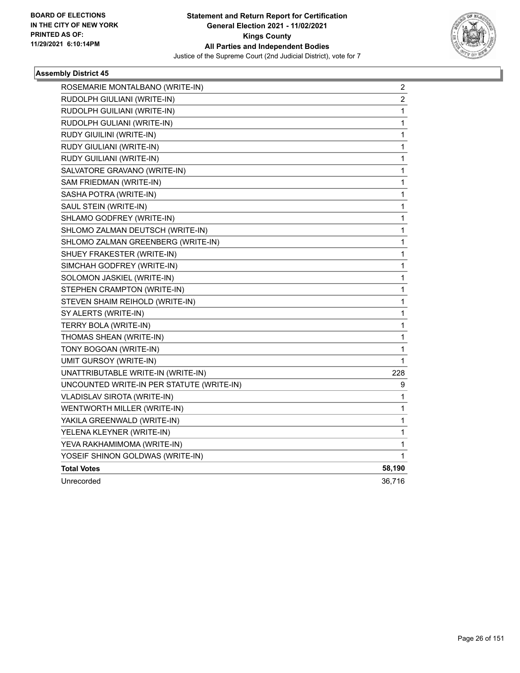

| ROSEMARIE MONTALBANO (WRITE-IN)           | 2                       |
|-------------------------------------------|-------------------------|
| RUDOLPH GIULIANI (WRITE-IN)               | $\overline{\mathbf{c}}$ |
| RUDOLPH GUILIANI (WRITE-IN)               | 1                       |
| RUDOLPH GULIANI (WRITE-IN)                | 1                       |
| RUDY GIUILINI (WRITE-IN)                  | 1                       |
| RUDY GIULIANI (WRITE-IN)                  | $\mathbf{1}$            |
| RUDY GUILIANI (WRITE-IN)                  | 1                       |
| SALVATORE GRAVANO (WRITE-IN)              | 1                       |
| SAM FRIEDMAN (WRITE-IN)                   | 1                       |
| SASHA POTRA (WRITE-IN)                    | 1                       |
| SAUL STEIN (WRITE-IN)                     | 1                       |
| SHLAMO GODFREY (WRITE-IN)                 | 1                       |
| SHLOMO ZALMAN DEUTSCH (WRITE-IN)          | 1                       |
| SHLOMO ZALMAN GREENBERG (WRITE-IN)        | 1                       |
| SHUEY FRAKESTER (WRITE-IN)                | 1                       |
| SIMCHAH GODFREY (WRITE-IN)                | 1                       |
| SOLOMON JASKIEL (WRITE-IN)                | 1                       |
| STEPHEN CRAMPTON (WRITE-IN)               | 1                       |
| STEVEN SHAIM REIHOLD (WRITE-IN)           | 1                       |
| SY ALERTS (WRITE-IN)                      | 1                       |
| TERRY BOLA (WRITE-IN)                     | 1                       |
| THOMAS SHEAN (WRITE-IN)                   | 1                       |
| TONY BOGOAN (WRITE-IN)                    | 1                       |
| UMIT GURSOY (WRITE-IN)                    | 1                       |
| UNATTRIBUTABLE WRITE-IN (WRITE-IN)        | 228                     |
| UNCOUNTED WRITE-IN PER STATUTE (WRITE-IN) | 9                       |
| <b>VLADISLAV SIROTA (WRITE-IN)</b>        | 1                       |
| WENTWORTH MILLER (WRITE-IN)               | 1                       |
| YAKILA GREENWALD (WRITE-IN)               | 1                       |
| YELENA KLEYNER (WRITE-IN)                 | 1                       |
| YEVA RAKHAMIMOMA (WRITE-IN)               | 1                       |
| YOSEIF SHINON GOLDWAS (WRITE-IN)          | 1                       |
| <b>Total Votes</b>                        | 58,190                  |
| Unrecorded                                | 36,716                  |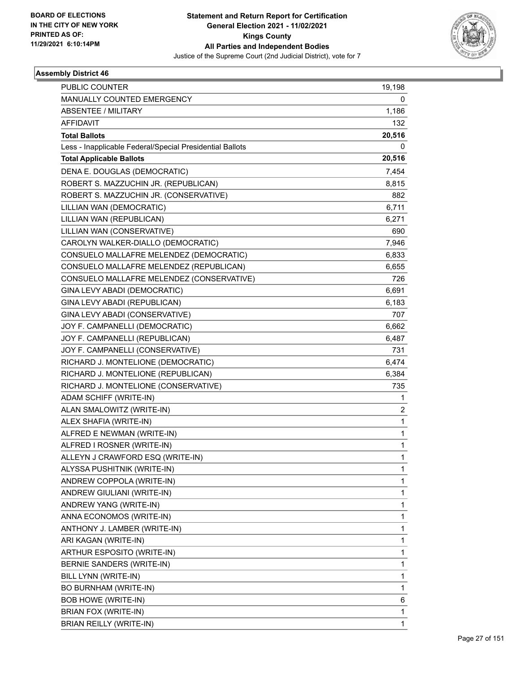

| 19,198       |
|--------------|
| 0            |
| 1,186        |
| 132          |
| 20,516       |
| 0            |
| 20,516       |
| 7,454        |
| 8,815        |
| 882          |
| 6,711        |
| 6,271        |
| 690          |
| 7,946        |
| 6,833        |
| 6,655        |
| 726          |
| 6,691        |
| 6,183        |
| 707          |
| 6,662        |
| 6,487        |
| 731          |
| 6,474        |
| 6,384        |
| 735          |
| 1            |
| 2            |
| $\mathbf{1}$ |
| 1            |
| 1            |
| 1            |
| 1            |
| 1            |
| 1            |
| 1            |
| 1            |
| 1            |
| 1            |
| 1            |
| 1            |
| 1            |
| 1            |
| 6            |
| 1            |
| 1            |
|              |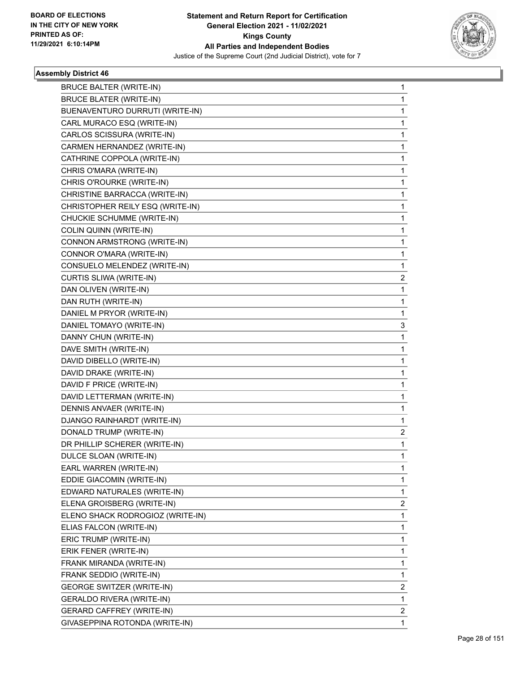

| <b>BRUCE BALTER (WRITE-IN)</b>   | 1            |
|----------------------------------|--------------|
| <b>BRUCE BLATER (WRITE-IN)</b>   | 1            |
| BUENAVENTURO DURRUTI (WRITE-IN)  | 1            |
| CARL MURACO ESQ (WRITE-IN)       | 1            |
| CARLOS SCISSURA (WRITE-IN)       | 1            |
| CARMEN HERNANDEZ (WRITE-IN)      | 1            |
| CATHRINE COPPOLA (WRITE-IN)      | 1            |
| CHRIS O'MARA (WRITE-IN)          | 1            |
| CHRIS O'ROURKE (WRITE-IN)        | 1            |
| CHRISTINE BARRACCA (WRITE-IN)    | 1            |
| CHRISTOPHER REILY ESQ (WRITE-IN) | 1            |
| CHUCKIE SCHUMME (WRITE-IN)       | 1            |
| COLIN QUINN (WRITE-IN)           | 1            |
| CONNON ARMSTRONG (WRITE-IN)      | 1            |
| CONNOR O'MARA (WRITE-IN)         | 1            |
| CONSUELO MELENDEZ (WRITE-IN)     | 1            |
| CURTIS SLIWA (WRITE-IN)          | 2            |
| DAN OLIVEN (WRITE-IN)            | 1            |
| DAN RUTH (WRITE-IN)              | 1            |
| DANIEL M PRYOR (WRITE-IN)        | 1            |
| DANIEL TOMAYO (WRITE-IN)         | 3            |
| DANNY CHUN (WRITE-IN)            | 1            |
| DAVE SMITH (WRITE-IN)            | 1            |
| DAVID DIBELLO (WRITE-IN)         | 1            |
| DAVID DRAKE (WRITE-IN)           | 1            |
| DAVID F PRICE (WRITE-IN)         | 1            |
| DAVID LETTERMAN (WRITE-IN)       | 1            |
| DENNIS ANVAER (WRITE-IN)         | 1            |
| DJANGO RAINHARDT (WRITE-IN)      | 1            |
| DONALD TRUMP (WRITE-IN)          | 2            |
| DR PHILLIP SCHERER (WRITE-IN)    | 1            |
| DULCE SLOAN (WRITE-IN)           | 1            |
| EARL WARREN (WRITE-IN)           | 1            |
| EDDIE GIACOMIN (WRITE-IN)        | 1            |
| EDWARD NATURALES (WRITE-IN)      | $\mathbf{1}$ |
| ELENA GROISBERG (WRITE-IN)       | 2            |
| ELENO SHACK RODROGIOZ (WRITE-IN) | 1            |
| ELIAS FALCON (WRITE-IN)          | 1            |
| ERIC TRUMP (WRITE-IN)            | 1            |
| ERIK FENER (WRITE-IN)            | 1            |
| FRANK MIRANDA (WRITE-IN)         | 1            |
| FRANK SEDDIO (WRITE-IN)          | 1            |
| GEORGE SWITZER (WRITE-IN)        | 2            |
| GERALDO RIVERA (WRITE-IN)        | $\mathbf{1}$ |
| <b>GERARD CAFFREY (WRITE-IN)</b> | 2            |
| GIVASEPPINA ROTONDA (WRITE-IN)   | 1            |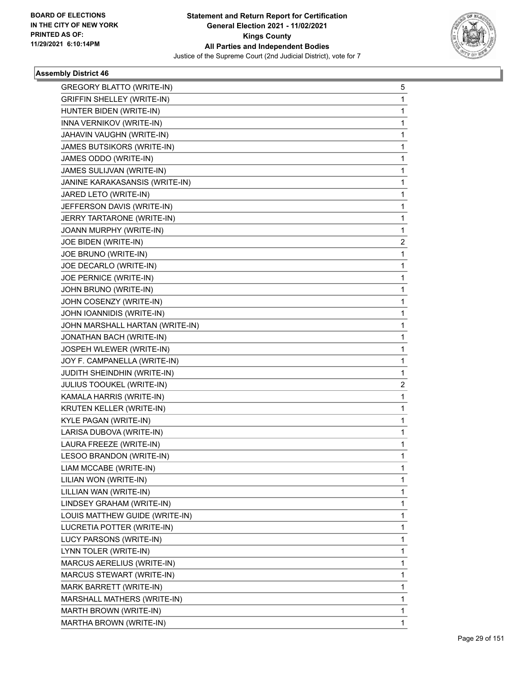

| <b>GREGORY BLATTO (WRITE-IN)</b> | 5            |
|----------------------------------|--------------|
| GRIFFIN SHELLEY (WRITE-IN)       | $\mathbf{1}$ |
| HUNTER BIDEN (WRITE-IN)          | 1            |
| INNA VERNIKOV (WRITE-IN)         | $\mathbf 1$  |
| JAHAVIN VAUGHN (WRITE-IN)        | 1            |
| JAMES BUTSIKORS (WRITE-IN)       | 1            |
| JAMES ODDO (WRITE-IN)            | $\mathbf 1$  |
| JAMES SULIJVAN (WRITE-IN)        | 1            |
| JANINE KARAKASANSIS (WRITE-IN)   | 1            |
| JARED LETO (WRITE-IN)            | $\mathbf 1$  |
| JEFFERSON DAVIS (WRITE-IN)       | $\mathbf 1$  |
| JERRY TARTARONE (WRITE-IN)       | 1            |
| JOANN MURPHY (WRITE-IN)          | $\mathbf 1$  |
| JOE BIDEN (WRITE-IN)             | 2            |
| JOE BRUNO (WRITE-IN)             | 1            |
| JOE DECARLO (WRITE-IN)           | $\mathbf 1$  |
| JOE PERNICE (WRITE-IN)           | $\mathbf{1}$ |
| JOHN BRUNO (WRITE-IN)            | 1            |
| JOHN COSENZY (WRITE-IN)          | $\mathbf 1$  |
| JOHN IOANNIDIS (WRITE-IN)        | $\mathbf{1}$ |
| JOHN MARSHALL HARTAN (WRITE-IN)  | 1            |
| JONATHAN BACH (WRITE-IN)         | $\mathbf{1}$ |
| JOSPEH WLEWER (WRITE-IN)         | $\mathbf{1}$ |
| JOY F. CAMPANELLA (WRITE-IN)     | 1            |
| JUDITH SHEINDHIN (WRITE-IN)      | 1            |
| JULIUS TOOUKEL (WRITE-IN)        | 2            |
| KAMALA HARRIS (WRITE-IN)         | 1            |
| KRUTEN KELLER (WRITE-IN)         | $\mathbf{1}$ |
| KYLE PAGAN (WRITE-IN)            | $\mathbf{1}$ |
| LARISA DUBOVA (WRITE-IN)         | 1            |
| LAURA FREEZE (WRITE-IN)          | $\mathbf{1}$ |
| LESOO BRANDON (WRITE-IN)         | $\mathbf 1$  |
| LIAM MCCABE (WRITE-IN)           | 1            |
| LILIAN WON (WRITE-IN)            | 1            |
| LILLIAN WAN (WRITE-IN)           | 1            |
| LINDSEY GRAHAM (WRITE-IN)        | 1            |
| LOUIS MATTHEW GUIDE (WRITE-IN)   | 1            |
| LUCRETIA POTTER (WRITE-IN)       | 1            |
| LUCY PARSONS (WRITE-IN)          | 1            |
| LYNN TOLER (WRITE-IN)            | 1            |
| MARCUS AERELIUS (WRITE-IN)       | 1            |
| MARCUS STEWART (WRITE-IN)        | 1            |
| MARK BARRETT (WRITE-IN)          | 1            |
| MARSHALL MATHERS (WRITE-IN)      | 1            |
| MARTH BROWN (WRITE-IN)           | 1            |
| MARTHA BROWN (WRITE-IN)          | $\mathbf{1}$ |
|                                  |              |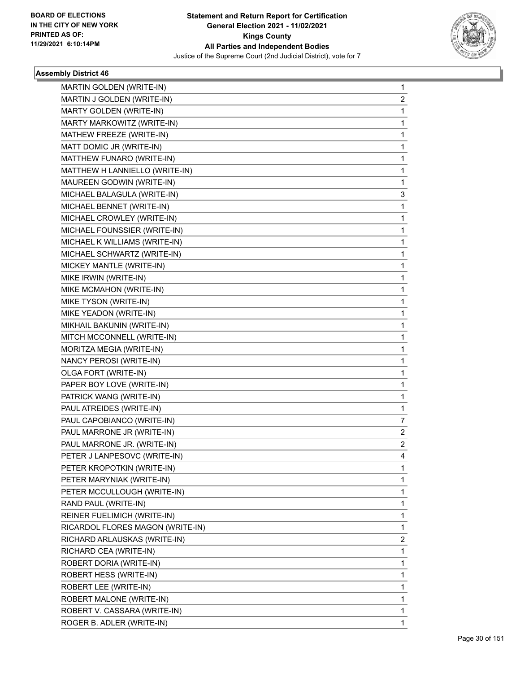

| MARTIN GOLDEN (WRITE-IN)         | 1                       |
|----------------------------------|-------------------------|
| MARTIN J GOLDEN (WRITE-IN)       | 2                       |
| MARTY GOLDEN (WRITE-IN)          | 1                       |
| MARTY MARKOWITZ (WRITE-IN)       | 1                       |
| MATHEW FREEZE (WRITE-IN)         | 1                       |
| MATT DOMIC JR (WRITE-IN)         | 1                       |
| MATTHEW FUNARO (WRITE-IN)        | 1                       |
| MATTHEW H LANNIELLO (WRITE-IN)   | 1                       |
| MAUREEN GODWIN (WRITE-IN)        | 1                       |
| MICHAEL BALAGULA (WRITE-IN)      | 3                       |
| MICHAEL BENNET (WRITE-IN)        | 1                       |
| MICHAEL CROWLEY (WRITE-IN)       | 1                       |
| MICHAEL FOUNSSIER (WRITE-IN)     | 1                       |
| MICHAEL K WILLIAMS (WRITE-IN)    | 1                       |
| MICHAEL SCHWARTZ (WRITE-IN)      | 1                       |
| MICKEY MANTLE (WRITE-IN)         | 1                       |
| MIKE IRWIN (WRITE-IN)            | 1                       |
| MIKE MCMAHON (WRITE-IN)          | 1                       |
| MIKE TYSON (WRITE-IN)            | 1                       |
| MIKE YEADON (WRITE-IN)           | 1                       |
| MIKHAIL BAKUNIN (WRITE-IN)       | 1                       |
| MITCH MCCONNELL (WRITE-IN)       | 1                       |
| MORITZA MEGIA (WRITE-IN)         | 1                       |
| NANCY PEROSI (WRITE-IN)          | 1                       |
| OLGA FORT (WRITE-IN)             | 1                       |
| PAPER BOY LOVE (WRITE-IN)        | 1                       |
| PATRICK WANG (WRITE-IN)          | 1                       |
| PAUL ATREIDES (WRITE-IN)         | 1                       |
| PAUL CAPOBIANCO (WRITE-IN)       | 7                       |
| PAUL MARRONE JR (WRITE-IN)       | 2                       |
| PAUL MARRONE JR. (WRITE-IN)      | $\overline{\mathbf{c}}$ |
| PETER J LANPESOVC (WRITE-IN)     | 4                       |
| PETER KROPOTKIN (WRITE-IN)       | 1                       |
| PETER MARYNIAK (WRITE-IN)        | 1                       |
| PETER MCCULLOUGH (WRITE-IN)      | 1                       |
| RAND PAUL (WRITE-IN)             | 1                       |
| REINER FUELIMICH (WRITE-IN)      | 1                       |
| RICARDOL FLORES MAGON (WRITE-IN) | 1                       |
| RICHARD ARLAUSKAS (WRITE-IN)     | 2                       |
| RICHARD CEA (WRITE-IN)           | 1                       |
| ROBERT DORIA (WRITE-IN)          | 1                       |
| ROBERT HESS (WRITE-IN)           | 1                       |
| ROBERT LEE (WRITE-IN)            | 1                       |
| ROBERT MALONE (WRITE-IN)         | 1                       |
| ROBERT V. CASSARA (WRITE-IN)     | 1                       |
| ROGER B. ADLER (WRITE-IN)        | 1                       |
|                                  |                         |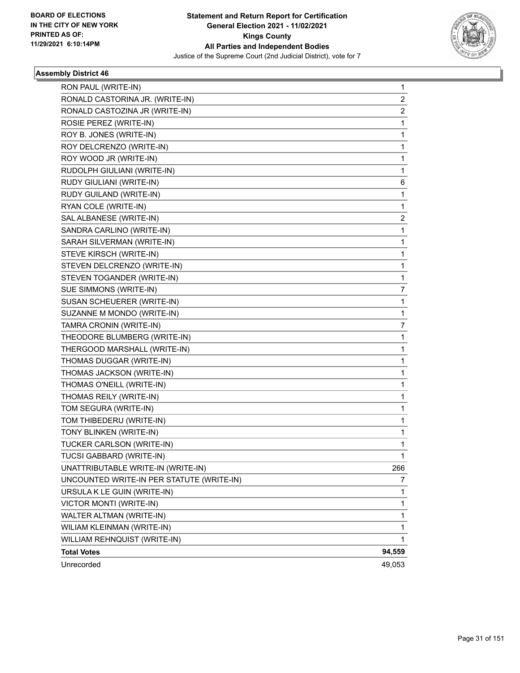

| RON PAUL (WRITE-IN)                       | 1                       |
|-------------------------------------------|-------------------------|
| RONALD CASTORINA JR. (WRITE-IN)           | 2                       |
| RONALD CASTOZINA JR (WRITE-IN)            | $\overline{\mathbf{c}}$ |
| ROSIE PEREZ (WRITE-IN)                    | 1                       |
| ROY B. JONES (WRITE-IN)                   | 1                       |
| ROY DELCRENZO (WRITE-IN)                  | 1                       |
| ROY WOOD JR (WRITE-IN)                    | 1                       |
| RUDOLPH GIULIANI (WRITE-IN)               | 1                       |
| RUDY GIULIANI (WRITE-IN)                  | 6                       |
| RUDY GUILAND (WRITE-IN)                   | 1                       |
| RYAN COLE (WRITE-IN)                      | 1                       |
| SAL ALBANESE (WRITE-IN)                   | 2                       |
| SANDRA CARLINO (WRITE-IN)                 | 1                       |
| SARAH SILVERMAN (WRITE-IN)                | 1                       |
| STEVE KIRSCH (WRITE-IN)                   | 1                       |
| STEVEN DELCRENZO (WRITE-IN)               | 1                       |
| STEVEN TOGANDER (WRITE-IN)                | 1                       |
| SUE SIMMONS (WRITE-IN)                    | 7                       |
| SUSAN SCHEUERER (WRITE-IN)                | 1                       |
| SUZANNE M MONDO (WRITE-IN)                | 1                       |
| TAMRA CRONIN (WRITE-IN)                   | 7                       |
| THEODORE BLUMBERG (WRITE-IN)              | 1                       |
| THERGOOD MARSHALL (WRITE-IN)              | 1                       |
| THOMAS DUGGAR (WRITE-IN)                  | 1                       |
| THOMAS JACKSON (WRITE-IN)                 | 1                       |
| THOMAS O'NEILL (WRITE-IN)                 | 1                       |
| THOMAS REILY (WRITE-IN)                   | 1                       |
| TOM SEGURA (WRITE-IN)                     | 1                       |
| TOM THIBEDERU (WRITE-IN)                  | 1                       |
| TONY BLINKEN (WRITE-IN)                   | 1                       |
| TUCKER CARLSON (WRITE-IN)                 | 1                       |
| TUCSI GABBARD (WRITE-IN)                  | 1                       |
| UNATTRIBUTABLE WRITE-IN (WRITE-IN)        | 266                     |
| UNCOUNTED WRITE-IN PER STATUTE (WRITE-IN) | 7                       |
| URSULA K LE GUIN (WRITE-IN)               | 1                       |
| VICTOR MONTI (WRITE-IN)                   | 1                       |
| WALTER ALTMAN (WRITE-IN)                  | 1                       |
| WILIAM KLEINMAN (WRITE-IN)                | 1                       |
| WILLIAM REHNQUIST (WRITE-IN)              | 1                       |
| <b>Total Votes</b>                        | 94,559                  |
| Unrecorded                                | 49,053                  |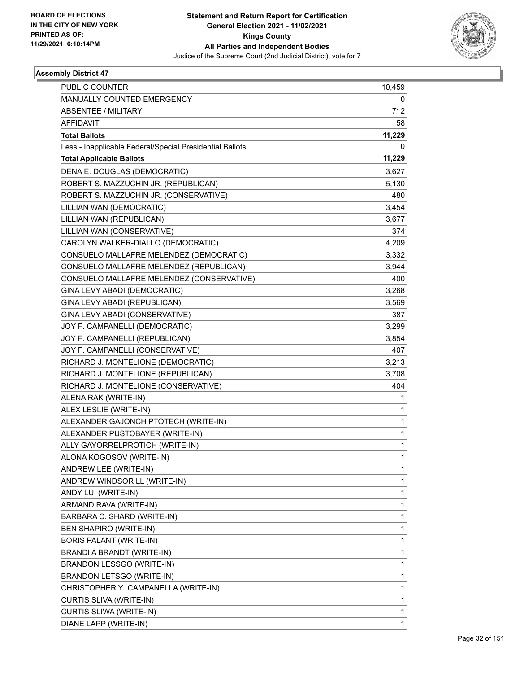

| 10,459       |
|--------------|
| 0            |
| 712          |
| 58           |
| 11,229       |
| 0            |
| 11,229       |
| 3,627        |
| 5,130        |
| 480          |
| 3,454        |
| 3,677        |
| 374          |
| 4,209        |
| 3,332        |
| 3,944        |
| 400          |
| 3,268        |
| 3,569        |
| 387          |
| 3,299        |
| 3,854        |
| 407          |
| 3,213        |
| 3,708        |
| 404          |
| 1            |
| 1            |
| 1            |
| 1            |
| $\mathbf{1}$ |
| 1            |
| 1            |
| 1            |
| 1            |
| 1            |
| 1            |
| 1            |
| $\mathbf{1}$ |
| $\mathbf{1}$ |
| 1            |
| 1            |
| 1            |
| 1            |
| 1            |
| $\mathbf{1}$ |
|              |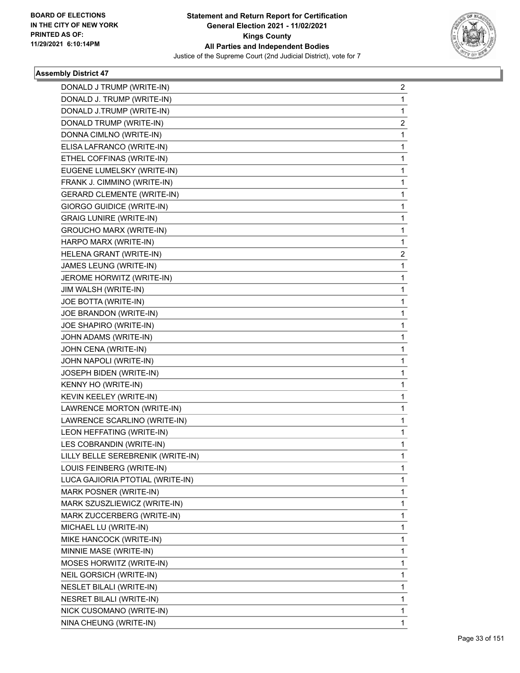

| DONALD J TRUMP (WRITE-IN)         | 2 |
|-----------------------------------|---|
| DONALD J. TRUMP (WRITE-IN)        | 1 |
| DONALD J.TRUMP (WRITE-IN)         | 1 |
| DONALD TRUMP (WRITE-IN)           | 2 |
| DONNA CIMLNO (WRITE-IN)           | 1 |
| ELISA LAFRANCO (WRITE-IN)         | 1 |
| ETHEL COFFINAS (WRITE-IN)         | 1 |
| EUGENE LUMELSKY (WRITE-IN)        | 1 |
| FRANK J. CIMMINO (WRITE-IN)       | 1 |
| <b>GERARD CLEMENTE (WRITE-IN)</b> | 1 |
| GIORGO GUIDICE (WRITE-IN)         | 1 |
| <b>GRAIG LUNIRE (WRITE-IN)</b>    | 1 |
| GROUCHO MARX (WRITE-IN)           | 1 |
| HARPO MARX (WRITE-IN)             | 1 |
| HELENA GRANT (WRITE-IN)           | 2 |
| JAMES LEUNG (WRITE-IN)            | 1 |
| JEROME HORWITZ (WRITE-IN)         | 1 |
| JIM WALSH (WRITE-IN)              | 1 |
| JOE BOTTA (WRITE-IN)              | 1 |
| JOE BRANDON (WRITE-IN)            | 1 |
| JOE SHAPIRO (WRITE-IN)            | 1 |
| JOHN ADAMS (WRITE-IN)             | 1 |
| JOHN CENA (WRITE-IN)              | 1 |
| JOHN NAPOLI (WRITE-IN)            | 1 |
| JOSEPH BIDEN (WRITE-IN)           | 1 |
| KENNY HO (WRITE-IN)               | 1 |
| KEVIN KEELEY (WRITE-IN)           | 1 |
| LAWRENCE MORTON (WRITE-IN)        | 1 |
| LAWRENCE SCARLINO (WRITE-IN)      | 1 |
| LEON HEFFATING (WRITE-IN)         | 1 |
| LES COBRANDIN (WRITE-IN)          | 1 |
| LILLY BELLE SEREBRENIK (WRITE-IN) | 1 |
| LOUIS FEINBERG (WRITE-IN)         | 1 |
| LUCA GAJIORIA PTOTIAL (WRITE-IN)  | 1 |
| MARK POSNER (WRITE-IN)            | 1 |
| MARK SZUSZLIEWICZ (WRITE-IN)      | 1 |
| MARK ZUCCERBERG (WRITE-IN)        | 1 |
| MICHAEL LU (WRITE-IN)             | 1 |
| MIKE HANCOCK (WRITE-IN)           | 1 |
| MINNIE MASE (WRITE-IN)            | 1 |
| MOSES HORWITZ (WRITE-IN)          | 1 |
| NEIL GORSICH (WRITE-IN)           | 1 |
| <b>NESLET BILALI (WRITE-IN)</b>   | 1 |
| NESRET BILALI (WRITE-IN)          | 1 |
| NICK CUSOMANO (WRITE-IN)          | 1 |
| NINA CHEUNG (WRITE-IN)            | 1 |
|                                   |   |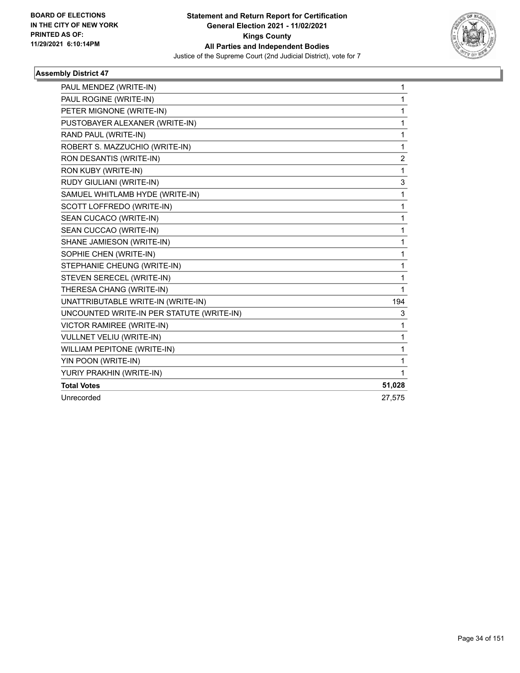

| PAUL MENDEZ (WRITE-IN)                    | 1              |
|-------------------------------------------|----------------|
| PAUL ROGINE (WRITE-IN)                    | 1              |
| PETER MIGNONE (WRITE-IN)                  | 1              |
| PUSTOBAYER ALEXANER (WRITE-IN)            | 1              |
| RAND PAUL (WRITE-IN)                      | 1              |
| ROBERT S. MAZZUCHIO (WRITE-IN)            | 1              |
| RON DESANTIS (WRITE-IN)                   | $\overline{c}$ |
| RON KUBY (WRITE-IN)                       | 1              |
| RUDY GIULIANI (WRITE-IN)                  | 3              |
| SAMUEL WHITLAMB HYDE (WRITE-IN)           | 1              |
| SCOTT LOFFREDO (WRITE-IN)                 | 1              |
| SEAN CUCACO (WRITE-IN)                    | 1              |
| SEAN CUCCAO (WRITE-IN)                    | 1              |
| SHANE JAMIESON (WRITE-IN)                 | 1              |
| SOPHIE CHEN (WRITE-IN)                    | 1              |
| STEPHANIE CHEUNG (WRITE-IN)               | 1              |
| STEVEN SERECEL (WRITE-IN)                 | 1              |
| THERESA CHANG (WRITE-IN)                  | 1              |
| UNATTRIBUTABLE WRITE-IN (WRITE-IN)        | 194            |
| UNCOUNTED WRITE-IN PER STATUTE (WRITE-IN) | 3              |
| <b>VICTOR RAMIREE (WRITE-IN)</b>          | 1              |
| <b>VULLNET VELIU (WRITE-IN)</b>           | 1              |
| WILLIAM PEPITONE (WRITE-IN)               | 1              |
| YIN POON (WRITE-IN)                       | 1              |
| YURIY PRAKHIN (WRITE-IN)                  | 1              |
| <b>Total Votes</b>                        | 51,028         |
| Unrecorded                                | 27.575         |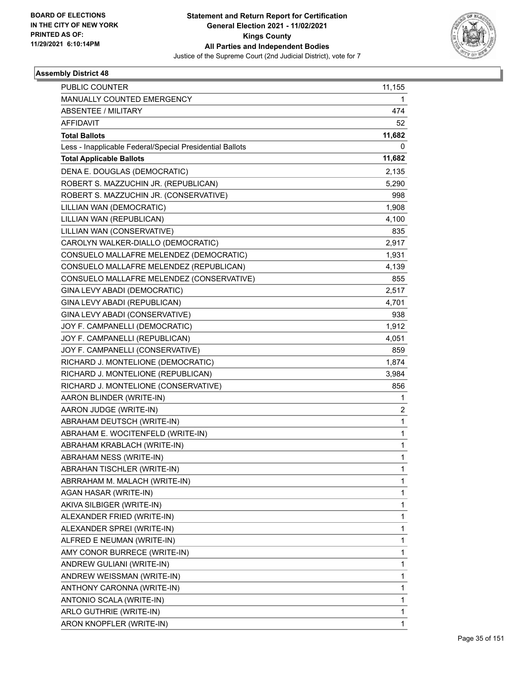

| <b>PUBLIC COUNTER</b>                                    | 11,155       |
|----------------------------------------------------------|--------------|
| MANUALLY COUNTED EMERGENCY                               | 1            |
| ABSENTEE / MILITARY                                      | 474          |
| <b>AFFIDAVIT</b>                                         | 52           |
| <b>Total Ballots</b>                                     | 11,682       |
| Less - Inapplicable Federal/Special Presidential Ballots | 0            |
| <b>Total Applicable Ballots</b>                          | 11,682       |
| DENA E. DOUGLAS (DEMOCRATIC)                             | 2,135        |
| ROBERT S. MAZZUCHIN JR. (REPUBLICAN)                     | 5,290        |
| ROBERT S. MAZZUCHIN JR. (CONSERVATIVE)                   | 998          |
| LILLIAN WAN (DEMOCRATIC)                                 | 1,908        |
| LILLIAN WAN (REPUBLICAN)                                 | 4,100        |
| LILLIAN WAN (CONSERVATIVE)                               | 835          |
| CAROLYN WALKER-DIALLO (DEMOCRATIC)                       | 2,917        |
| CONSUELO MALLAFRE MELENDEZ (DEMOCRATIC)                  | 1,931        |
| CONSUELO MALLAFRE MELENDEZ (REPUBLICAN)                  | 4,139        |
| CONSUELO MALLAFRE MELENDEZ (CONSERVATIVE)                | 855          |
| GINA LEVY ABADI (DEMOCRATIC)                             | 2,517        |
| GINA LEVY ABADI (REPUBLICAN)                             | 4,701        |
| GINA LEVY ABADI (CONSERVATIVE)                           | 938          |
| JOY F. CAMPANELLI (DEMOCRATIC)                           | 1,912        |
| JOY F. CAMPANELLI (REPUBLICAN)                           | 4,051        |
| JOY F. CAMPANELLI (CONSERVATIVE)                         | 859          |
| RICHARD J. MONTELIONE (DEMOCRATIC)                       | 1,874        |
| RICHARD J. MONTELIONE (REPUBLICAN)                       | 3,984        |
| RICHARD J. MONTELIONE (CONSERVATIVE)                     | 856          |
| AARON BLINDER (WRITE-IN)                                 | 1            |
| AARON JUDGE (WRITE-IN)                                   | 2            |
| ABRAHAM DEUTSCH (WRITE-IN)                               | $\mathbf{1}$ |
| ABRAHAM E. WOCITENFELD (WRITE-IN)                        | 1            |
| ABRAHAM KRABLACH (WRITE-IN)                              | 1            |
| ABRAHAM NESS (WRITE-IN)                                  | 1            |
| ABRAHAN TISCHLER (WRITE-IN)                              | 1            |
| ABRRAHAM M. MALACH (WRITE-IN)                            | 1            |
| AGAN HASAR (WRITE-IN)                                    | 1            |
| AKIVA SILBIGER (WRITE-IN)                                | 1            |
| ALEXANDER FRIED (WRITE-IN)                               | 1            |
| ALEXANDER SPREI (WRITE-IN)                               | 1            |
| ALFRED E NEUMAN (WRITE-IN)                               | 1            |
| AMY CONOR BURRECE (WRITE-IN)                             | 1            |
| ANDREW GULIANI (WRITE-IN)                                | 1            |
| ANDREW WEISSMAN (WRITE-IN)                               | 1            |
| ANTHONY CARONNA (WRITE-IN)                               | 1            |
| ANTONIO SCALA (WRITE-IN)                                 | 1            |
| ARLO GUTHRIE (WRITE-IN)                                  | 1            |
| ARON KNOPFLER (WRITE-IN)                                 | 1            |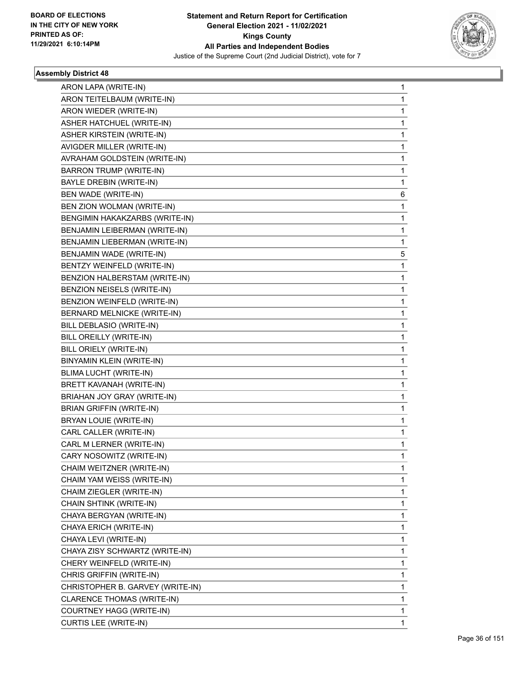

٠

| ARON LAPA (WRITE-IN)             | $\mathbf{1}$ |
|----------------------------------|--------------|
| ARON TEITELBAUM (WRITE-IN)       | 1            |
| ARON WIEDER (WRITE-IN)           | 1            |
| ASHER HATCHUEL (WRITE-IN)        | 1            |
| ASHER KIRSTEIN (WRITE-IN)        | 1            |
| AVIGDER MILLER (WRITE-IN)        | 1            |
| AVRAHAM GOLDSTEIN (WRITE-IN)     | 1            |
| <b>BARRON TRUMP (WRITE-IN)</b>   | 1            |
| BAYLE DREBIN (WRITE-IN)          | 1            |
| BEN WADE (WRITE-IN)              | 6            |
| BEN ZION WOLMAN (WRITE-IN)       | 1            |
| BENGIMIN HAKAKZARBS (WRITE-IN)   | 1            |
| BENJAMIN LEIBERMAN (WRITE-IN)    | 1            |
| BENJAMIN LIEBERMAN (WRITE-IN)    | 1            |
| BENJAMIN WADE (WRITE-IN)         | 5            |
| BENTZY WEINFELD (WRITE-IN)       | 1            |
| BENZION HALBERSTAM (WRITE-IN)    | 1            |
| BENZION NEISELS (WRITE-IN)       | 1            |
| BENZION WEINFELD (WRITE-IN)      | 1            |
| BERNARD MELNICKE (WRITE-IN)      | 1            |
| BILL DEBLASIO (WRITE-IN)         | 1            |
| BILL OREILLY (WRITE-IN)          | 1            |
| BILL ORIELY (WRITE-IN)           | 1            |
| BINYAMIN KLEIN (WRITE-IN)        | 1            |
| BLIMA LUCHT (WRITE-IN)           | 1            |
| BRETT KAVANAH (WRITE-IN)         | 1            |
| BRIAHAN JOY GRAY (WRITE-IN)      | 1            |
| <b>BRIAN GRIFFIN (WRITE-IN)</b>  | 1            |
| BRYAN LOUIE (WRITE-IN)           | 1            |
| CARL CALLER (WRITE-IN)           | 1            |
| CARL M LERNER (WRITE-IN)         | 1            |
| CARY NOSOWITZ (WRITE-IN)         | 1            |
| CHAIM WEITZNER (WRITE-IN)        | 1            |
| CHAIM YAM WEISS (WRITE-IN)       | 1            |
| CHAIM ZIEGLER (WRITE-IN)         | 1            |
| CHAIN SHTINK (WRITE-IN)          | 1            |
| CHAYA BERGYAN (WRITE-IN)         | 1            |
| CHAYA ERICH (WRITE-IN)           | 1            |
| CHAYA LEVI (WRITE-IN)            | 1            |
| CHAYA ZISY SCHWARTZ (WRITE-IN)   | 1            |
| CHERY WEINFELD (WRITE-IN)        | 1            |
| CHRIS GRIFFIN (WRITE-IN)         | 1            |
| CHRISTOPHER B. GARVEY (WRITE-IN) | 1            |
| CLARENCE THOMAS (WRITE-IN)       | 1            |
| COURTNEY HAGG (WRITE-IN)         | 1            |
| CURTIS LEE (WRITE-IN)            | 1            |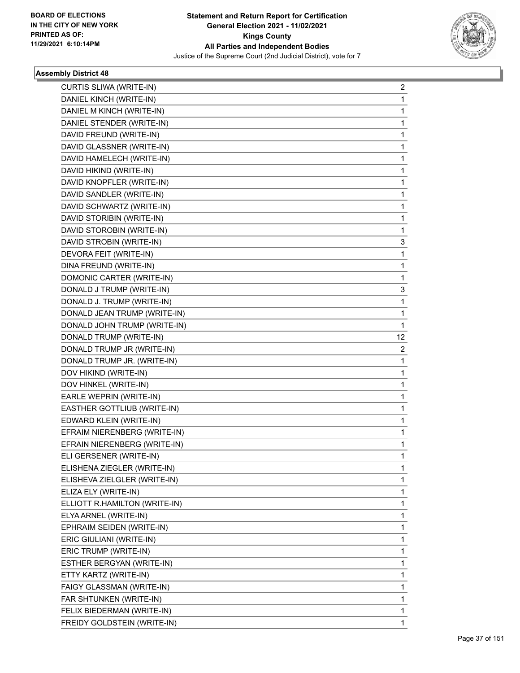

| CURTIS SLIWA (WRITE-IN)       | 2  |
|-------------------------------|----|
| DANIEL KINCH (WRITE-IN)       | 1  |
| DANIEL M KINCH (WRITE-IN)     | 1  |
| DANIEL STENDER (WRITE-IN)     | 1  |
| DAVID FREUND (WRITE-IN)       | 1  |
| DAVID GLASSNER (WRITE-IN)     | 1  |
| DAVID HAMELECH (WRITE-IN)     | 1  |
| DAVID HIKIND (WRITE-IN)       | 1  |
| DAVID KNOPFLER (WRITE-IN)     | 1  |
| DAVID SANDLER (WRITE-IN)      | 1  |
| DAVID SCHWARTZ (WRITE-IN)     | 1  |
| DAVID STORIBIN (WRITE-IN)     | 1  |
| DAVID STOROBIN (WRITE-IN)     | 1  |
| DAVID STROBIN (WRITE-IN)      | 3  |
| DEVORA FEIT (WRITE-IN)        | 1  |
| DINA FREUND (WRITE-IN)        | 1  |
| DOMONIC CARTER (WRITE-IN)     | 1  |
| DONALD J TRUMP (WRITE-IN)     | 3  |
| DONALD J. TRUMP (WRITE-IN)    | 1  |
| DONALD JEAN TRUMP (WRITE-IN)  | 1  |
| DONALD JOHN TRUMP (WRITE-IN)  | 1  |
| DONALD TRUMP (WRITE-IN)       | 12 |
| DONALD TRUMP JR (WRITE-IN)    | 2  |
| DONALD TRUMP JR. (WRITE-IN)   | 1  |
| DOV HIKIND (WRITE-IN)         | 1  |
| DOV HINKEL (WRITE-IN)         | 1  |
| EARLE WEPRIN (WRITE-IN)       | 1  |
| EASTHER GOTTLIUB (WRITE-IN)   | 1  |
| EDWARD KLEIN (WRITE-IN)       | 1  |
| EFRAIM NIERENBERG (WRITE-IN)  | 1  |
| EFRAIN NIERENBERG (WRITE-IN)  | 1  |
| ELI GERSENER (WRITE-IN)       | 1  |
| ELISHENA ZIEGLER (WRITE-IN)   | 1  |
| ELISHEVA ZIELGLER (WRITE-IN)  | 1  |
| ELIZA ELY (WRITE-IN)          | 1  |
| ELLIOTT R.HAMILTON (WRITE-IN) | 1  |
| ELYA ARNEL (WRITE-IN)         | 1  |
| EPHRAIM SEIDEN (WRITE-IN)     | 1  |
| ERIC GIULIANI (WRITE-IN)      | 1  |
| ERIC TRUMP (WRITE-IN)         | 1  |
| ESTHER BERGYAN (WRITE-IN)     | 1  |
| ETTY KARTZ (WRITE-IN)         | 1  |
| FAIGY GLASSMAN (WRITE-IN)     | 1  |
| FAR SHTUNKEN (WRITE-IN)       | 1  |
| FELIX BIEDERMAN (WRITE-IN)    | 1  |
| FREIDY GOLDSTEIN (WRITE-IN)   | 1  |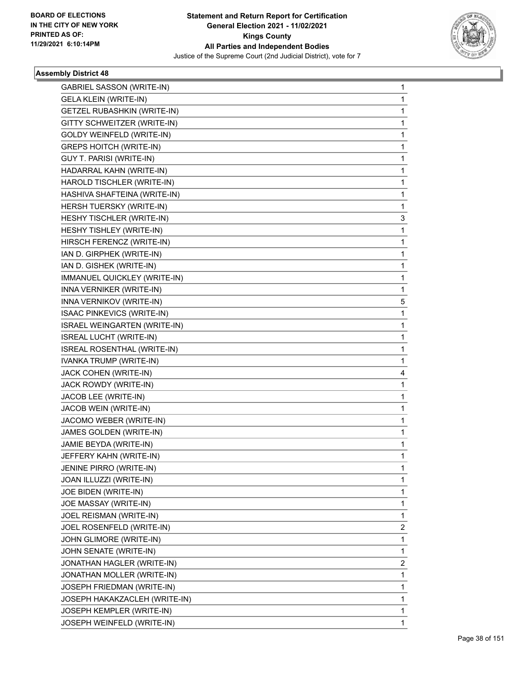

| <b>GABRIEL SASSON (WRITE-IN)</b>   | 1                       |
|------------------------------------|-------------------------|
| <b>GELA KLEIN (WRITE-IN)</b>       | 1                       |
| <b>GETZEL RUBASHKIN (WRITE-IN)</b> | 1                       |
| GITTY SCHWEITZER (WRITE-IN)        | 1                       |
| GOLDY WEINFELD (WRITE-IN)          | 1                       |
| <b>GREPS HOITCH (WRITE-IN)</b>     | 1                       |
| GUY T. PARISI (WRITE-IN)           | 1                       |
| HADARRAL KAHN (WRITE-IN)           | 1                       |
| HAROLD TISCHLER (WRITE-IN)         | 1                       |
| HASHIVA SHAFTEINA (WRITE-IN)       | 1                       |
| HERSH TUERSKY (WRITE-IN)           | 1                       |
| HESHY TISCHLER (WRITE-IN)          | 3                       |
| HESHY TISHLEY (WRITE-IN)           | 1                       |
| HIRSCH FERENCZ (WRITE-IN)          | 1                       |
| IAN D. GIRPHEK (WRITE-IN)          | 1                       |
| IAN D. GISHEK (WRITE-IN)           | 1                       |
| IMMANUEL QUICKLEY (WRITE-IN)       | 1                       |
| INNA VERNIKER (WRITE-IN)           | 1                       |
| INNA VERNIKOV (WRITE-IN)           | 5                       |
| ISAAC PINKEVICS (WRITE-IN)         | 1                       |
| ISRAEL WEINGARTEN (WRITE-IN)       | 1                       |
| <b>ISREAL LUCHT (WRITE-IN)</b>     | 1                       |
| ISREAL ROSENTHAL (WRITE-IN)        | 1                       |
| IVANKA TRUMP (WRITE-IN)            | 1                       |
| JACK COHEN (WRITE-IN)              | 4                       |
| JACK ROWDY (WRITE-IN)              | 1                       |
| JACOB LEE (WRITE-IN)               | 1                       |
| JACOB WEIN (WRITE-IN)              | 1                       |
| JACOMO WEBER (WRITE-IN)            | 1                       |
| JAMES GOLDEN (WRITE-IN)            | 1                       |
| JAMIE BEYDA (WRITE-IN)             | 1                       |
| JEFFERY KAHN (WRITE-IN)            | 1                       |
| JENINE PIRRO (WRITE-IN)            | 1                       |
| JOAN ILLUZZI (WRITE-IN)            | 1                       |
| JOE BIDEN (WRITE-IN)               | 1                       |
| JOE MASSAY (WRITE-IN)              | 1                       |
| JOEL REISMAN (WRITE-IN)            | 1                       |
| JOEL ROSENFELD (WRITE-IN)          | 2                       |
| JOHN GLIMORE (WRITE-IN)            | 1                       |
| JOHN SENATE (WRITE-IN)             | 1                       |
| JONATHAN HAGLER (WRITE-IN)         | $\overline{\mathbf{c}}$ |
| JONATHAN MOLLER (WRITE-IN)         | 1                       |
| JOSEPH FRIEDMAN (WRITE-IN)         | 1                       |
| JOSEPH HAKAKZACLEH (WRITE-IN)      | 1                       |
| JOSEPH KEMPLER (WRITE-IN)          | 1                       |
| JOSEPH WEINFELD (WRITE-IN)         | 1                       |
|                                    |                         |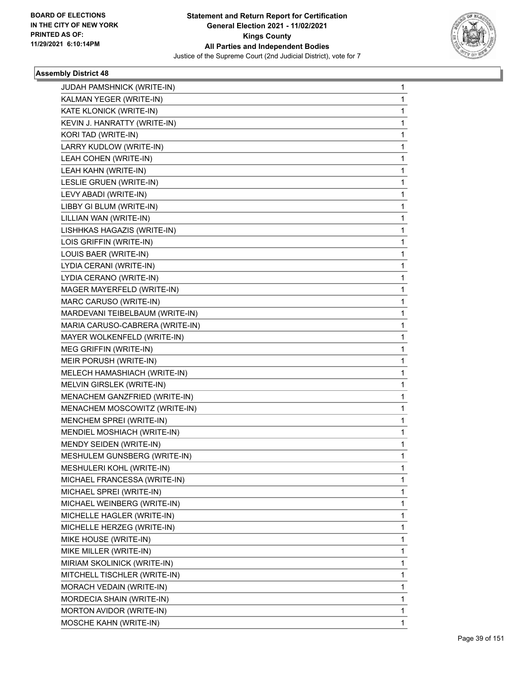

| <b>JUDAH PAMSHNICK (WRITE-IN)</b> | 1 |
|-----------------------------------|---|
| KALMAN YEGER (WRITE-IN)           | 1 |
| KATE KLONICK (WRITE-IN)           | 1 |
| KEVIN J. HANRATTY (WRITE-IN)      | 1 |
| KORI TAD (WRITE-IN)               | 1 |
| LARRY KUDLOW (WRITE-IN)           | 1 |
| LEAH COHEN (WRITE-IN)             | 1 |
| LEAH KAHN (WRITE-IN)              | 1 |
| LESLIE GRUEN (WRITE-IN)           | 1 |
| LEVY ABADI (WRITE-IN)             | 1 |
| LIBBY GI BLUM (WRITE-IN)          | 1 |
| LILLIAN WAN (WRITE-IN)            | 1 |
| LISHHKAS HAGAZIS (WRITE-IN)       | 1 |
| LOIS GRIFFIN (WRITE-IN)           | 1 |
| LOUIS BAER (WRITE-IN)             | 1 |
| LYDIA CERANI (WRITE-IN)           | 1 |
| LYDIA CERANO (WRITE-IN)           | 1 |
| MAGER MAYERFELD (WRITE-IN)        | 1 |
| MARC CARUSO (WRITE-IN)            | 1 |
| MARDEVANI TEIBELBAUM (WRITE-IN)   | 1 |
| MARIA CARUSO-CABRERA (WRITE-IN)   | 1 |
| MAYER WOLKENFELD (WRITE-IN)       | 1 |
| MEG GRIFFIN (WRITE-IN)            | 1 |
| MEIR PORUSH (WRITE-IN)            | 1 |
| MELECH HAMASHIACH (WRITE-IN)      | 1 |
| MELVIN GIRSLEK (WRITE-IN)         | 1 |
| MENACHEM GANZFRIED (WRITE-IN)     | 1 |
| MENACHEM MOSCOWITZ (WRITE-IN)     | 1 |
| MENCHEM SPREI (WRITE-IN)          | 1 |
| MENDIEL MOSHIACH (WRITE-IN)       | 1 |
| MENDY SEIDEN (WRITE-IN)           | 1 |
| MESHULEM GUNSBERG (WRITE-IN)      | 1 |
| MESHULERI KOHL (WRITE-IN)         | 1 |
| MICHAEL FRANCESSA (WRITE-IN)      | 1 |
| MICHAEL SPREI (WRITE-IN)          | 1 |
| MICHAEL WEINBERG (WRITE-IN)       | 1 |
| MICHELLE HAGLER (WRITE-IN)        | 1 |
| MICHELLE HERZEG (WRITE-IN)        | 1 |
| MIKE HOUSE (WRITE-IN)             | 1 |
| MIKE MILLER (WRITE-IN)            | 1 |
| MIRIAM SKOLINICK (WRITE-IN)       | 1 |
| MITCHELL TISCHLER (WRITE-IN)      | 1 |
| MORACH VEDAIN (WRITE-IN)          | 1 |
| MORDECIA SHAIN (WRITE-IN)         | 1 |
| MORTON AVIDOR (WRITE-IN)          | 1 |
| MOSCHE KAHN (WRITE-IN)            | 1 |
|                                   |   |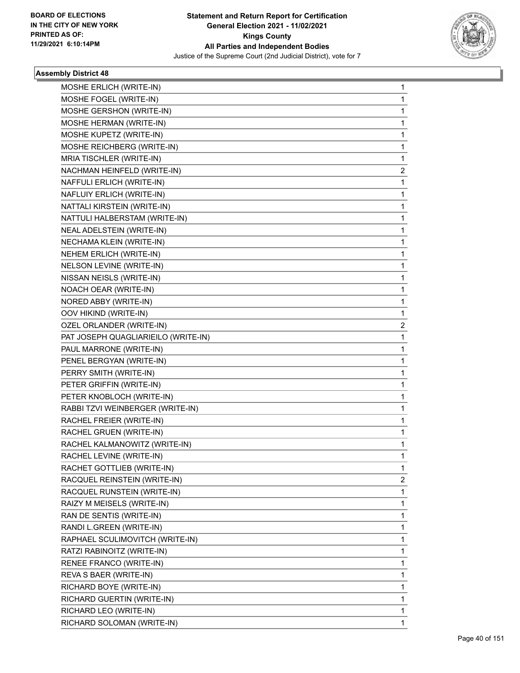

| MOSHE ERLICH (WRITE-IN)             | 1           |
|-------------------------------------|-------------|
| MOSHE FOGEL (WRITE-IN)              | 1           |
| MOSHE GERSHON (WRITE-IN)            | $\mathbf 1$ |
| MOSHE HERMAN (WRITE-IN)             | 1           |
| MOSHE KUPETZ (WRITE-IN)             | 1           |
| MOSHE REICHBERG (WRITE-IN)          | 1           |
| MRIA TISCHLER (WRITE-IN)            | 1           |
| NACHMAN HEINFELD (WRITE-IN)         | 2           |
| NAFFULI ERLICH (WRITE-IN)           | $\mathbf 1$ |
| NAFLUIY ERLICH (WRITE-IN)           | 1           |
| NATTALI KIRSTEIN (WRITE-IN)         | 1           |
| NATTULI HALBERSTAM (WRITE-IN)       | 1           |
| NEAL ADELSTEIN (WRITE-IN)           | 1           |
| NECHAMA KLEIN (WRITE-IN)            | 1           |
| NEHEM ERLICH (WRITE-IN)             | 1           |
| NELSON LEVINE (WRITE-IN)            | 1           |
| NISSAN NEISLS (WRITE-IN)            | 1           |
| NOACH OEAR (WRITE-IN)               | 1           |
| NORED ABBY (WRITE-IN)               | 1           |
| OOV HIKIND (WRITE-IN)               | 1           |
| OZEL ORLANDER (WRITE-IN)            | 2           |
| PAT JOSEPH QUAGLIARIEILO (WRITE-IN) | 1           |
| PAUL MARRONE (WRITE-IN)             | 1           |
| PENEL BERGYAN (WRITE-IN)            | 1           |
| PERRY SMITH (WRITE-IN)              | 1           |
| PETER GRIFFIN (WRITE-IN)            | 1           |
| PETER KNOBLOCH (WRITE-IN)           | 1           |
| RABBI TZVI WEINBERGER (WRITE-IN)    | 1           |
| RACHEL FREIER (WRITE-IN)            | 1           |
| RACHEL GRUEN (WRITE-IN)             | $\mathbf 1$ |
| RACHEL KALMANOWITZ (WRITE-IN)       | 1           |
| RACHEL LEVINE (WRITE-IN)            | 1           |
| RACHET GOTTLIEB (WRITE-IN)          | 1           |
| RACQUEL REINSTEIN (WRITE-IN)        | 2           |
| RACQUEL RUNSTEIN (WRITE-IN)         | 1           |
| RAIZY M MEISELS (WRITE-IN)          | $\mathbf 1$ |
| RAN DE SENTIS (WRITE-IN)            | 1           |
| RANDI L.GREEN (WRITE-IN)            | 1           |
| RAPHAEL SCULIMOVITCH (WRITE-IN)     | 1           |
| RATZI RABINOITZ (WRITE-IN)          | 1           |
| RENEE FRANCO (WRITE-IN)             | 1           |
| REVA S BAER (WRITE-IN)              | $\mathbf 1$ |
| RICHARD BOYE (WRITE-IN)             | 1           |
| RICHARD GUERTIN (WRITE-IN)          | 1           |
| RICHARD LEO (WRITE-IN)              | 1           |
| RICHARD SOLOMAN (WRITE-IN)          | 1           |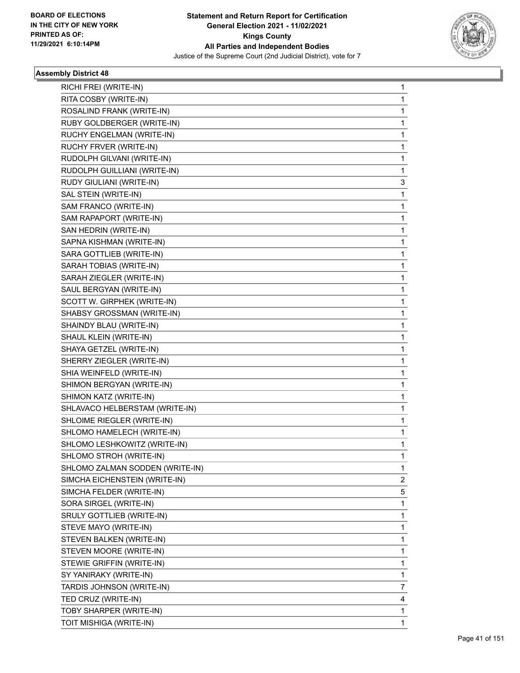

| RICHI FREI (WRITE-IN)           | 1           |
|---------------------------------|-------------|
| RITA COSBY (WRITE-IN)           | 1           |
| ROSALIND FRANK (WRITE-IN)       | 1           |
| RUBY GOLDBERGER (WRITE-IN)      | 1           |
| RUCHY ENGELMAN (WRITE-IN)       | 1           |
| RUCHY FRVER (WRITE-IN)          | 1           |
| RUDOLPH GILVANI (WRITE-IN)      | 1           |
| RUDOLPH GUILLIANI (WRITE-IN)    | 1           |
| RUDY GIULIANI (WRITE-IN)        | 3           |
| SAL STEIN (WRITE-IN)            | 1           |
| SAM FRANCO (WRITE-IN)           | 1           |
| SAM RAPAPORT (WRITE-IN)         | 1           |
| SAN HEDRIN (WRITE-IN)           | 1           |
| SAPNA KISHMAN (WRITE-IN)        | 1           |
| SARA GOTTLIEB (WRITE-IN)        | 1           |
| SARAH TOBIAS (WRITE-IN)         | 1           |
| SARAH ZIEGLER (WRITE-IN)        | 1           |
| SAUL BERGYAN (WRITE-IN)         | 1           |
| SCOTT W. GIRPHEK (WRITE-IN)     | 1           |
| SHABSY GROSSMAN (WRITE-IN)      | 1           |
| SHAINDY BLAU (WRITE-IN)         | 1           |
| SHAUL KLEIN (WRITE-IN)          | 1           |
| SHAYA GETZEL (WRITE-IN)         | 1           |
| SHERRY ZIEGLER (WRITE-IN)       | 1           |
| SHIA WEINFELD (WRITE-IN)        | 1           |
| SHIMON BERGYAN (WRITE-IN)       | 1           |
| SHIMON KATZ (WRITE-IN)          | 1           |
| SHLAVACO HELBERSTAM (WRITE-IN)  | 1           |
| SHLOIME RIEGLER (WRITE-IN)      | 1           |
| SHLOMO HAMELECH (WRITE-IN)      | 1           |
| SHLOMO LESHKOWITZ (WRITE-IN)    | 1           |
| SHLOMO STROH (WRITE-IN)         | 1           |
| SHLOMO ZALMAN SODDEN (WRITE-IN) | 1           |
| SIMCHA EICHENSTEIN (WRITE-IN)   | 2           |
| SIMCHA FELDER (WRITE-IN)        | 5           |
| SORA SIRGEL (WRITE-IN)          | 1           |
| SRULY GOTTLIEB (WRITE-IN)       | 1           |
| STEVE MAYO (WRITE-IN)           | 1           |
| STEVEN BALKEN (WRITE-IN)        | 1           |
| STEVEN MOORE (WRITE-IN)         | 1           |
| STEWIE GRIFFIN (WRITE-IN)       | 1           |
| SY YANIRAKY (WRITE-IN)          | 1           |
| TARDIS JOHNSON (WRITE-IN)       | 7           |
| TED CRUZ (WRITE-IN)             | 4           |
| TOBY SHARPER (WRITE-IN)         | 1           |
| TOIT MISHIGA (WRITE-IN)         | $\mathbf 1$ |
|                                 |             |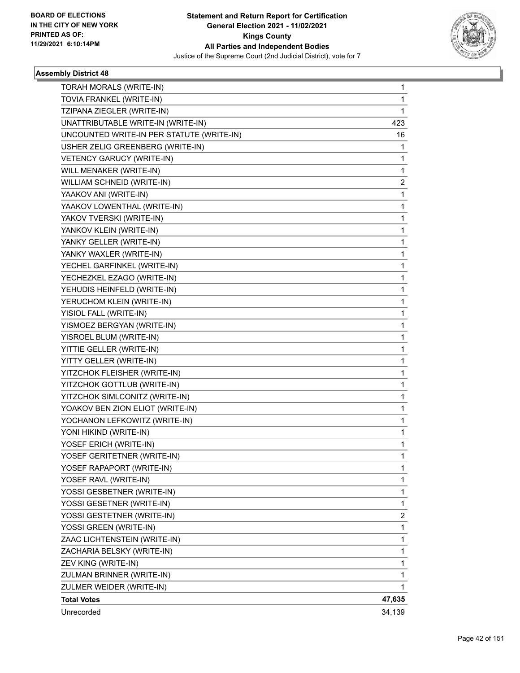

| TORAH MORALS (WRITE-IN)                   | 1              |
|-------------------------------------------|----------------|
| TOVIA FRANKEL (WRITE-IN)                  | 1              |
| TZIPANA ZIEGLER (WRITE-IN)                | 1              |
| UNATTRIBUTABLE WRITE-IN (WRITE-IN)        | 423            |
| UNCOUNTED WRITE-IN PER STATUTE (WRITE-IN) | 16             |
| USHER ZELIG GREENBERG (WRITE-IN)          | 1              |
| VETENCY GARUCY (WRITE-IN)                 | 1              |
| WILL MENAKER (WRITE-IN)                   | 1              |
| WILLIAM SCHNEID (WRITE-IN)                | 2              |
| YAAKOV ANI (WRITE-IN)                     | 1              |
| YAAKOV LOWENTHAL (WRITE-IN)               | 1              |
| YAKOV TVERSKI (WRITE-IN)                  | 1              |
| YANKOV KLEIN (WRITE-IN)                   | 1              |
| YANKY GELLER (WRITE-IN)                   | 1              |
| YANKY WAXLER (WRITE-IN)                   | 1              |
| YECHEL GARFINKEL (WRITE-IN)               | 1              |
| YECHEZKEL EZAGO (WRITE-IN)                | 1              |
| YEHUDIS HEINFELD (WRITE-IN)               | 1              |
| YERUCHOM KLEIN (WRITE-IN)                 | 1              |
| YISIOL FALL (WRITE-IN)                    | 1              |
| YISMOEZ BERGYAN (WRITE-IN)                | 1              |
| YISROEL BLUM (WRITE-IN)                   | 1              |
| YITTIE GELLER (WRITE-IN)                  | 1              |
| YITTY GELLER (WRITE-IN)                   | 1              |
| YITZCHOK FLEISHER (WRITE-IN)              | 1              |
| YITZCHOK GOTTLUB (WRITE-IN)               | 1              |
| YITZCHOK SIMLCONITZ (WRITE-IN)            | 1              |
| YOAKOV BEN ZION ELIOT (WRITE-IN)          | 1              |
| YOCHANON LEFKOWITZ (WRITE-IN)             | 1              |
| YONI HIKIND (WRITE-IN)                    | 1              |
| YOSEF ERICH (WRITE-IN)                    | 1              |
| YOSEF GERITETNER (WRITE-IN)               | 1              |
| YOSEF RAPAPORT (WRITE-IN)                 | 1              |
| YOSEF RAVL (WRITE-IN)                     | 1              |
| YOSSI GESBETNER (WRITE-IN)                | 1              |
| YOSSI GESETNER (WRITE-IN)                 | 1              |
| YOSSI GESTETNER (WRITE-IN)                | $\overline{c}$ |
| YOSSI GREEN (WRITE-IN)                    | 1              |
| ZAAC LICHTENSTEIN (WRITE-IN)              | 1              |
| ZACHARIA BELSKY (WRITE-IN)                | 1              |
| ZEV KING (WRITE-IN)                       | 1              |
| ZULMAN BRINNER (WRITE-IN)                 | 1              |
| ZULMER WEIDER (WRITE-IN)                  | 1              |
| <b>Total Votes</b>                        | 47,635         |
| Unrecorded                                | 34,139         |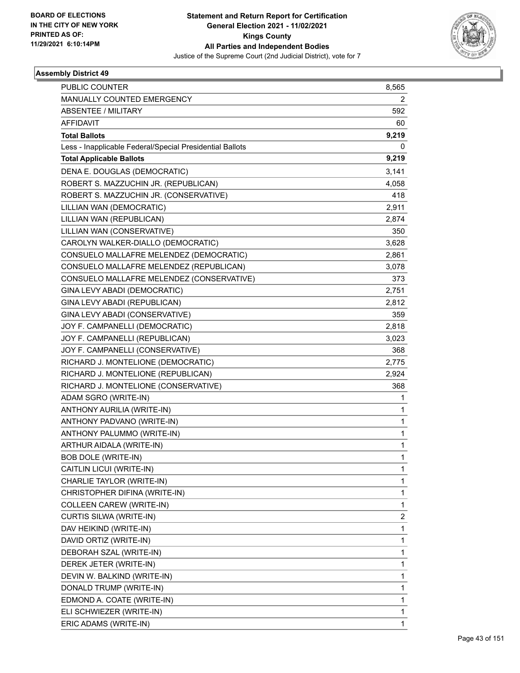

| MANUALLY COUNTED EMERGENCY<br>2<br>ABSENTEE / MILITARY<br>592<br><b>AFFIDAVIT</b><br>60<br>9,219<br><b>Total Ballots</b><br>0<br>Less - Inapplicable Federal/Special Presidential Ballots<br><b>Total Applicable Ballots</b><br>9,219<br>DENA E. DOUGLAS (DEMOCRATIC)<br>3,141<br>ROBERT S. MAZZUCHIN JR. (REPUBLICAN)<br>4,058<br>ROBERT S. MAZZUCHIN JR. (CONSERVATIVE)<br>418<br>LILLIAN WAN (DEMOCRATIC)<br>2,911<br>LILLIAN WAN (REPUBLICAN)<br>2,874<br>LILLIAN WAN (CONSERVATIVE)<br>350<br>CAROLYN WALKER-DIALLO (DEMOCRATIC)<br>3,628<br>CONSUELO MALLAFRE MELENDEZ (DEMOCRATIC)<br>2,861<br>CONSUELO MALLAFRE MELENDEZ (REPUBLICAN)<br>3,078<br>CONSUELO MALLAFRE MELENDEZ (CONSERVATIVE)<br>373<br>GINA LEVY ABADI (DEMOCRATIC)<br>2,751<br>GINA LEVY ABADI (REPUBLICAN)<br>2,812<br>GINA LEVY ABADI (CONSERVATIVE)<br>359<br>JOY F. CAMPANELLI (DEMOCRATIC)<br>2,818<br>JOY F. CAMPANELLI (REPUBLICAN)<br>3,023<br>JOY F. CAMPANELLI (CONSERVATIVE)<br>368<br>RICHARD J. MONTELIONE (DEMOCRATIC)<br>2,775<br>RICHARD J. MONTELIONE (REPUBLICAN)<br>2,924<br>RICHARD J. MONTELIONE (CONSERVATIVE)<br>368<br>ADAM SGRO (WRITE-IN)<br>1<br>ANTHONY AURILIA (WRITE-IN)<br>1<br>ANTHONY PADVANO (WRITE-IN)<br>1<br>ANTHONY PALUMMO (WRITE-IN)<br>1<br>ARTHUR AIDALA (WRITE-IN)<br>1<br><b>BOB DOLE (WRITE-IN)</b><br>1<br>CAITLIN LICUI (WRITE-IN)<br>1<br>CHARLIE TAYLOR (WRITE-IN)<br>1<br>CHRISTOPHER DIFINA (WRITE-IN)<br>1<br>COLLEEN CAREW (WRITE-IN)<br>1<br>$\overline{\mathbf{c}}$<br>CURTIS SILWA (WRITE-IN)<br>1<br>DAV HEIKIND (WRITE-IN)<br>DAVID ORTIZ (WRITE-IN)<br>1<br>1<br>DEBORAH SZAL (WRITE-IN)<br>1<br>DEREK JETER (WRITE-IN)<br>DEVIN W. BALKIND (WRITE-IN)<br>1<br>DONALD TRUMP (WRITE-IN)<br>1 | <b>PUBLIC COUNTER</b> | 8,565 |
|--------------------------------------------------------------------------------------------------------------------------------------------------------------------------------------------------------------------------------------------------------------------------------------------------------------------------------------------------------------------------------------------------------------------------------------------------------------------------------------------------------------------------------------------------------------------------------------------------------------------------------------------------------------------------------------------------------------------------------------------------------------------------------------------------------------------------------------------------------------------------------------------------------------------------------------------------------------------------------------------------------------------------------------------------------------------------------------------------------------------------------------------------------------------------------------------------------------------------------------------------------------------------------------------------------------------------------------------------------------------------------------------------------------------------------------------------------------------------------------------------------------------------------------------------------------------------------------------------------------------------------------------------------------------------------------------------------------------------------|-----------------------|-------|
|                                                                                                                                                                                                                                                                                                                                                                                                                                                                                                                                                                                                                                                                                                                                                                                                                                                                                                                                                                                                                                                                                                                                                                                                                                                                                                                                                                                                                                                                                                                                                                                                                                                                                                                                |                       |       |
|                                                                                                                                                                                                                                                                                                                                                                                                                                                                                                                                                                                                                                                                                                                                                                                                                                                                                                                                                                                                                                                                                                                                                                                                                                                                                                                                                                                                                                                                                                                                                                                                                                                                                                                                |                       |       |
|                                                                                                                                                                                                                                                                                                                                                                                                                                                                                                                                                                                                                                                                                                                                                                                                                                                                                                                                                                                                                                                                                                                                                                                                                                                                                                                                                                                                                                                                                                                                                                                                                                                                                                                                |                       |       |
|                                                                                                                                                                                                                                                                                                                                                                                                                                                                                                                                                                                                                                                                                                                                                                                                                                                                                                                                                                                                                                                                                                                                                                                                                                                                                                                                                                                                                                                                                                                                                                                                                                                                                                                                |                       |       |
|                                                                                                                                                                                                                                                                                                                                                                                                                                                                                                                                                                                                                                                                                                                                                                                                                                                                                                                                                                                                                                                                                                                                                                                                                                                                                                                                                                                                                                                                                                                                                                                                                                                                                                                                |                       |       |
|                                                                                                                                                                                                                                                                                                                                                                                                                                                                                                                                                                                                                                                                                                                                                                                                                                                                                                                                                                                                                                                                                                                                                                                                                                                                                                                                                                                                                                                                                                                                                                                                                                                                                                                                |                       |       |
|                                                                                                                                                                                                                                                                                                                                                                                                                                                                                                                                                                                                                                                                                                                                                                                                                                                                                                                                                                                                                                                                                                                                                                                                                                                                                                                                                                                                                                                                                                                                                                                                                                                                                                                                |                       |       |
|                                                                                                                                                                                                                                                                                                                                                                                                                                                                                                                                                                                                                                                                                                                                                                                                                                                                                                                                                                                                                                                                                                                                                                                                                                                                                                                                                                                                                                                                                                                                                                                                                                                                                                                                |                       |       |
|                                                                                                                                                                                                                                                                                                                                                                                                                                                                                                                                                                                                                                                                                                                                                                                                                                                                                                                                                                                                                                                                                                                                                                                                                                                                                                                                                                                                                                                                                                                                                                                                                                                                                                                                |                       |       |
|                                                                                                                                                                                                                                                                                                                                                                                                                                                                                                                                                                                                                                                                                                                                                                                                                                                                                                                                                                                                                                                                                                                                                                                                                                                                                                                                                                                                                                                                                                                                                                                                                                                                                                                                |                       |       |
|                                                                                                                                                                                                                                                                                                                                                                                                                                                                                                                                                                                                                                                                                                                                                                                                                                                                                                                                                                                                                                                                                                                                                                                                                                                                                                                                                                                                                                                                                                                                                                                                                                                                                                                                |                       |       |
|                                                                                                                                                                                                                                                                                                                                                                                                                                                                                                                                                                                                                                                                                                                                                                                                                                                                                                                                                                                                                                                                                                                                                                                                                                                                                                                                                                                                                                                                                                                                                                                                                                                                                                                                |                       |       |
|                                                                                                                                                                                                                                                                                                                                                                                                                                                                                                                                                                                                                                                                                                                                                                                                                                                                                                                                                                                                                                                                                                                                                                                                                                                                                                                                                                                                                                                                                                                                                                                                                                                                                                                                |                       |       |
|                                                                                                                                                                                                                                                                                                                                                                                                                                                                                                                                                                                                                                                                                                                                                                                                                                                                                                                                                                                                                                                                                                                                                                                                                                                                                                                                                                                                                                                                                                                                                                                                                                                                                                                                |                       |       |
|                                                                                                                                                                                                                                                                                                                                                                                                                                                                                                                                                                                                                                                                                                                                                                                                                                                                                                                                                                                                                                                                                                                                                                                                                                                                                                                                                                                                                                                                                                                                                                                                                                                                                                                                |                       |       |
|                                                                                                                                                                                                                                                                                                                                                                                                                                                                                                                                                                                                                                                                                                                                                                                                                                                                                                                                                                                                                                                                                                                                                                                                                                                                                                                                                                                                                                                                                                                                                                                                                                                                                                                                |                       |       |
|                                                                                                                                                                                                                                                                                                                                                                                                                                                                                                                                                                                                                                                                                                                                                                                                                                                                                                                                                                                                                                                                                                                                                                                                                                                                                                                                                                                                                                                                                                                                                                                                                                                                                                                                |                       |       |
|                                                                                                                                                                                                                                                                                                                                                                                                                                                                                                                                                                                                                                                                                                                                                                                                                                                                                                                                                                                                                                                                                                                                                                                                                                                                                                                                                                                                                                                                                                                                                                                                                                                                                                                                |                       |       |
|                                                                                                                                                                                                                                                                                                                                                                                                                                                                                                                                                                                                                                                                                                                                                                                                                                                                                                                                                                                                                                                                                                                                                                                                                                                                                                                                                                                                                                                                                                                                                                                                                                                                                                                                |                       |       |
|                                                                                                                                                                                                                                                                                                                                                                                                                                                                                                                                                                                                                                                                                                                                                                                                                                                                                                                                                                                                                                                                                                                                                                                                                                                                                                                                                                                                                                                                                                                                                                                                                                                                                                                                |                       |       |
|                                                                                                                                                                                                                                                                                                                                                                                                                                                                                                                                                                                                                                                                                                                                                                                                                                                                                                                                                                                                                                                                                                                                                                                                                                                                                                                                                                                                                                                                                                                                                                                                                                                                                                                                |                       |       |
|                                                                                                                                                                                                                                                                                                                                                                                                                                                                                                                                                                                                                                                                                                                                                                                                                                                                                                                                                                                                                                                                                                                                                                                                                                                                                                                                                                                                                                                                                                                                                                                                                                                                                                                                |                       |       |
|                                                                                                                                                                                                                                                                                                                                                                                                                                                                                                                                                                                                                                                                                                                                                                                                                                                                                                                                                                                                                                                                                                                                                                                                                                                                                                                                                                                                                                                                                                                                                                                                                                                                                                                                |                       |       |
|                                                                                                                                                                                                                                                                                                                                                                                                                                                                                                                                                                                                                                                                                                                                                                                                                                                                                                                                                                                                                                                                                                                                                                                                                                                                                                                                                                                                                                                                                                                                                                                                                                                                                                                                |                       |       |
|                                                                                                                                                                                                                                                                                                                                                                                                                                                                                                                                                                                                                                                                                                                                                                                                                                                                                                                                                                                                                                                                                                                                                                                                                                                                                                                                                                                                                                                                                                                                                                                                                                                                                                                                |                       |       |
|                                                                                                                                                                                                                                                                                                                                                                                                                                                                                                                                                                                                                                                                                                                                                                                                                                                                                                                                                                                                                                                                                                                                                                                                                                                                                                                                                                                                                                                                                                                                                                                                                                                                                                                                |                       |       |
|                                                                                                                                                                                                                                                                                                                                                                                                                                                                                                                                                                                                                                                                                                                                                                                                                                                                                                                                                                                                                                                                                                                                                                                                                                                                                                                                                                                                                                                                                                                                                                                                                                                                                                                                |                       |       |
|                                                                                                                                                                                                                                                                                                                                                                                                                                                                                                                                                                                                                                                                                                                                                                                                                                                                                                                                                                                                                                                                                                                                                                                                                                                                                                                                                                                                                                                                                                                                                                                                                                                                                                                                |                       |       |
|                                                                                                                                                                                                                                                                                                                                                                                                                                                                                                                                                                                                                                                                                                                                                                                                                                                                                                                                                                                                                                                                                                                                                                                                                                                                                                                                                                                                                                                                                                                                                                                                                                                                                                                                |                       |       |
|                                                                                                                                                                                                                                                                                                                                                                                                                                                                                                                                                                                                                                                                                                                                                                                                                                                                                                                                                                                                                                                                                                                                                                                                                                                                                                                                                                                                                                                                                                                                                                                                                                                                                                                                |                       |       |
|                                                                                                                                                                                                                                                                                                                                                                                                                                                                                                                                                                                                                                                                                                                                                                                                                                                                                                                                                                                                                                                                                                                                                                                                                                                                                                                                                                                                                                                                                                                                                                                                                                                                                                                                |                       |       |
|                                                                                                                                                                                                                                                                                                                                                                                                                                                                                                                                                                                                                                                                                                                                                                                                                                                                                                                                                                                                                                                                                                                                                                                                                                                                                                                                                                                                                                                                                                                                                                                                                                                                                                                                |                       |       |
|                                                                                                                                                                                                                                                                                                                                                                                                                                                                                                                                                                                                                                                                                                                                                                                                                                                                                                                                                                                                                                                                                                                                                                                                                                                                                                                                                                                                                                                                                                                                                                                                                                                                                                                                |                       |       |
|                                                                                                                                                                                                                                                                                                                                                                                                                                                                                                                                                                                                                                                                                                                                                                                                                                                                                                                                                                                                                                                                                                                                                                                                                                                                                                                                                                                                                                                                                                                                                                                                                                                                                                                                |                       |       |
|                                                                                                                                                                                                                                                                                                                                                                                                                                                                                                                                                                                                                                                                                                                                                                                                                                                                                                                                                                                                                                                                                                                                                                                                                                                                                                                                                                                                                                                                                                                                                                                                                                                                                                                                |                       |       |
|                                                                                                                                                                                                                                                                                                                                                                                                                                                                                                                                                                                                                                                                                                                                                                                                                                                                                                                                                                                                                                                                                                                                                                                                                                                                                                                                                                                                                                                                                                                                                                                                                                                                                                                                |                       |       |
|                                                                                                                                                                                                                                                                                                                                                                                                                                                                                                                                                                                                                                                                                                                                                                                                                                                                                                                                                                                                                                                                                                                                                                                                                                                                                                                                                                                                                                                                                                                                                                                                                                                                                                                                |                       |       |
|                                                                                                                                                                                                                                                                                                                                                                                                                                                                                                                                                                                                                                                                                                                                                                                                                                                                                                                                                                                                                                                                                                                                                                                                                                                                                                                                                                                                                                                                                                                                                                                                                                                                                                                                |                       |       |
|                                                                                                                                                                                                                                                                                                                                                                                                                                                                                                                                                                                                                                                                                                                                                                                                                                                                                                                                                                                                                                                                                                                                                                                                                                                                                                                                                                                                                                                                                                                                                                                                                                                                                                                                |                       |       |
|                                                                                                                                                                                                                                                                                                                                                                                                                                                                                                                                                                                                                                                                                                                                                                                                                                                                                                                                                                                                                                                                                                                                                                                                                                                                                                                                                                                                                                                                                                                                                                                                                                                                                                                                |                       |       |
|                                                                                                                                                                                                                                                                                                                                                                                                                                                                                                                                                                                                                                                                                                                                                                                                                                                                                                                                                                                                                                                                                                                                                                                                                                                                                                                                                                                                                                                                                                                                                                                                                                                                                                                                |                       |       |
|                                                                                                                                                                                                                                                                                                                                                                                                                                                                                                                                                                                                                                                                                                                                                                                                                                                                                                                                                                                                                                                                                                                                                                                                                                                                                                                                                                                                                                                                                                                                                                                                                                                                                                                                |                       |       |
| 1<br>EDMOND A. COATE (WRITE-IN)                                                                                                                                                                                                                                                                                                                                                                                                                                                                                                                                                                                                                                                                                                                                                                                                                                                                                                                                                                                                                                                                                                                                                                                                                                                                                                                                                                                                                                                                                                                                                                                                                                                                                                |                       |       |
| ELI SCHWIEZER (WRITE-IN)<br>1                                                                                                                                                                                                                                                                                                                                                                                                                                                                                                                                                                                                                                                                                                                                                                                                                                                                                                                                                                                                                                                                                                                                                                                                                                                                                                                                                                                                                                                                                                                                                                                                                                                                                                  |                       |       |
| ERIC ADAMS (WRITE-IN)<br>$\mathbf{1}$                                                                                                                                                                                                                                                                                                                                                                                                                                                                                                                                                                                                                                                                                                                                                                                                                                                                                                                                                                                                                                                                                                                                                                                                                                                                                                                                                                                                                                                                                                                                                                                                                                                                                          |                       |       |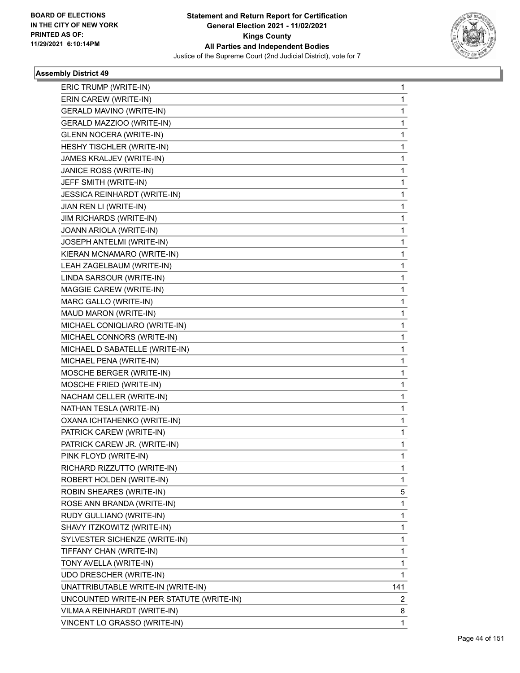

| ERIC TRUMP (WRITE-IN)                     | 1   |
|-------------------------------------------|-----|
| ERIN CAREW (WRITE-IN)                     | 1   |
| <b>GERALD MAVINO (WRITE-IN)</b>           | 1   |
| GERALD MAZZIOO (WRITE-IN)                 | 1   |
| <b>GLENN NOCERA (WRITE-IN)</b>            | 1   |
| HESHY TISCHLER (WRITE-IN)                 | 1   |
| JAMES KRALJEV (WRITE-IN)                  | 1   |
| JANICE ROSS (WRITE-IN)                    | 1   |
| JEFF SMITH (WRITE-IN)                     | 1   |
| JESSICA REINHARDT (WRITE-IN)              | 1   |
| JIAN REN LI (WRITE-IN)                    | 1   |
| <b>JIM RICHARDS (WRITE-IN)</b>            | 1   |
| JOANN ARIOLA (WRITE-IN)                   | 1   |
| JOSEPH ANTELMI (WRITE-IN)                 | 1   |
| KIERAN MCNAMARO (WRITE-IN)                | 1   |
| LEAH ZAGELBAUM (WRITE-IN)                 | 1   |
| LINDA SARSOUR (WRITE-IN)                  | 1   |
| MAGGIE CAREW (WRITE-IN)                   | 1   |
| MARC GALLO (WRITE-IN)                     | 1   |
| MAUD MARON (WRITE-IN)                     | 1   |
| MICHAEL CONIQLIARO (WRITE-IN)             | 1   |
| MICHAEL CONNORS (WRITE-IN)                | 1   |
| MICHAEL D SABATELLE (WRITE-IN)            | 1   |
| MICHAEL PENA (WRITE-IN)                   | 1   |
| MOSCHE BERGER (WRITE-IN)                  | 1   |
| MOSCHE FRIED (WRITE-IN)                   | 1   |
| NACHAM CELLER (WRITE-IN)                  | 1   |
| NATHAN TESLA (WRITE-IN)                   | 1   |
| OXANA ICHTAHENKO (WRITE-IN)               | 1   |
| PATRICK CAREW (WRITE-IN)                  | 1   |
| PATRICK CAREW JR. (WRITE-IN)              | 1   |
| PINK FLOYD (WRITE-IN)                     | 1   |
| RICHARD RIZZUTTO (WRITE-IN)               | 1   |
| ROBERT HOLDEN (WRITE-IN)                  | 1   |
| ROBIN SHEARES (WRITE-IN)                  | 5   |
| ROSE ANN BRANDA (WRITE-IN)                | 1   |
| RUDY GULLIANO (WRITE-IN)                  | 1   |
| SHAVY ITZKOWITZ (WRITE-IN)                | 1   |
| SYLVESTER SICHENZE (WRITE-IN)             | 1   |
| TIFFANY CHAN (WRITE-IN)                   | 1   |
| TONY AVELLA (WRITE-IN)                    | 1   |
| UDO DRESCHER (WRITE-IN)                   | 1   |
| UNATTRIBUTABLE WRITE-IN (WRITE-IN)        | 141 |
| UNCOUNTED WRITE-IN PER STATUTE (WRITE-IN) | 2   |
| VILMA A REINHARDT (WRITE-IN)              | 8   |
| VINCENT LO GRASSO (WRITE-IN)              | 1   |
|                                           |     |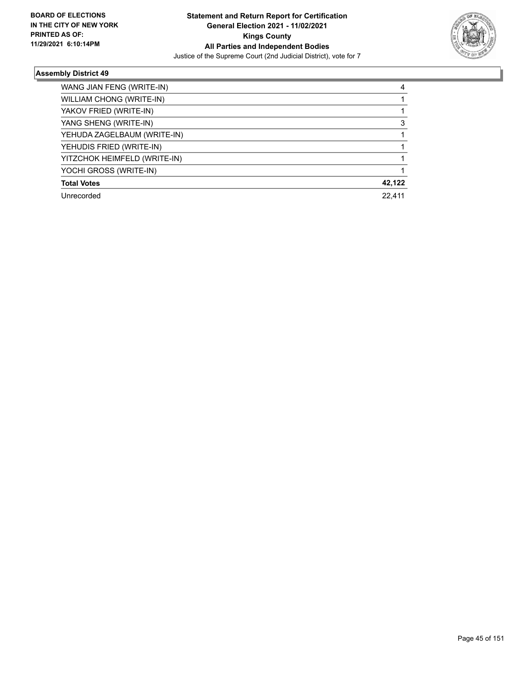

| WANG JIAN FENG (WRITE-IN)    | 4      |
|------------------------------|--------|
| WILLIAM CHONG (WRITE-IN)     |        |
| YAKOV FRIED (WRITE-IN)       |        |
| YANG SHENG (WRITE-IN)        | 3      |
| YEHUDA ZAGELBAUM (WRITE-IN)  |        |
| YEHUDIS FRIED (WRITE-IN)     |        |
| YITZCHOK HEIMFELD (WRITE-IN) |        |
| YOCHI GROSS (WRITE-IN)       |        |
| <b>Total Votes</b>           | 42,122 |
| Unrecorded                   | 22.411 |
|                              |        |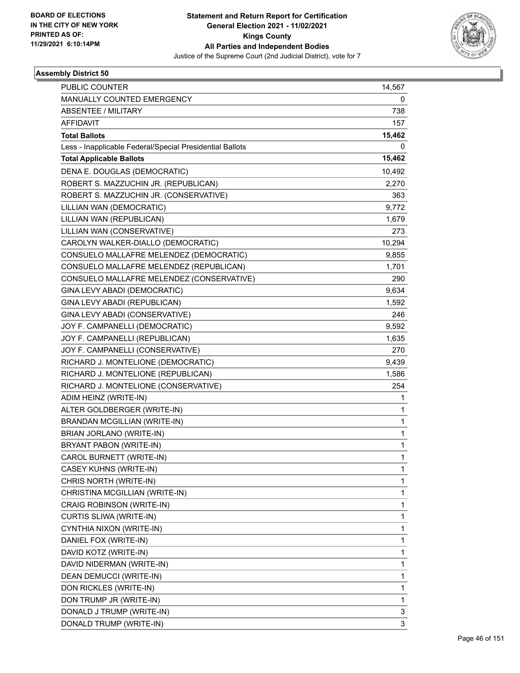

| PUBLIC COUNTER                                           | 14,567 |
|----------------------------------------------------------|--------|
| MANUALLY COUNTED EMERGENCY                               | 0      |
| ABSENTEE / MILITARY                                      | 738    |
| <b>AFFIDAVIT</b>                                         | 157    |
| <b>Total Ballots</b>                                     | 15,462 |
| Less - Inapplicable Federal/Special Presidential Ballots | 0      |
| <b>Total Applicable Ballots</b>                          | 15,462 |
| DENA E. DOUGLAS (DEMOCRATIC)                             | 10,492 |
| ROBERT S. MAZZUCHIN JR. (REPUBLICAN)                     | 2,270  |
| ROBERT S. MAZZUCHIN JR. (CONSERVATIVE)                   | 363    |
| LILLIAN WAN (DEMOCRATIC)                                 | 9,772  |
| LILLIAN WAN (REPUBLICAN)                                 | 1,679  |
| LILLIAN WAN (CONSERVATIVE)                               | 273    |
| CAROLYN WALKER-DIALLO (DEMOCRATIC)                       | 10,294 |
| CONSUELO MALLAFRE MELENDEZ (DEMOCRATIC)                  | 9,855  |
| CONSUELO MALLAFRE MELENDEZ (REPUBLICAN)                  | 1,701  |
| CONSUELO MALLAFRE MELENDEZ (CONSERVATIVE)                | 290    |
| GINA LEVY ABADI (DEMOCRATIC)                             | 9,634  |
| GINA LEVY ABADI (REPUBLICAN)                             | 1,592  |
| GINA LEVY ABADI (CONSERVATIVE)                           | 246    |
| JOY F. CAMPANELLI (DEMOCRATIC)                           | 9,592  |
| JOY F. CAMPANELLI (REPUBLICAN)                           | 1,635  |
| JOY F. CAMPANELLI (CONSERVATIVE)                         | 270    |
| RICHARD J. MONTELIONE (DEMOCRATIC)                       | 9,439  |
| RICHARD J. MONTELIONE (REPUBLICAN)                       | 1,586  |
| RICHARD J. MONTELIONE (CONSERVATIVE)                     | 254    |
| ADIM HEINZ (WRITE-IN)                                    | 1      |
| ALTER GOLDBERGER (WRITE-IN)                              | 1      |
| <b>BRANDAN MCGILLIAN (WRITE-IN)</b>                      | 1      |
| BRIAN JORLANO (WRITE-IN)                                 | 1      |
| BRYANT PABON (WRITE-IN)                                  | 1      |
| CAROL BURNETT (WRITE-IN)                                 | 1      |
| CASEY KUHNS (WRITE-IN)                                   | 1      |
| CHRIS NORTH (WRITE-IN)                                   | 1      |
| CHRISTINA MCGILLIAN (WRITE-IN)                           | 1      |
| CRAIG ROBINSON (WRITE-IN)                                | 1      |
| CURTIS SLIWA (WRITE-IN)                                  | 1      |
| CYNTHIA NIXON (WRITE-IN)                                 | 1      |
| DANIEL FOX (WRITE-IN)                                    | 1      |
| DAVID KOTZ (WRITE-IN)                                    | 1      |
| DAVID NIDERMAN (WRITE-IN)                                | 1      |
| DEAN DEMUCCI (WRITE-IN)                                  | 1      |
| DON RICKLES (WRITE-IN)                                   | 1      |
| DON TRUMP JR (WRITE-IN)                                  | 1      |
| DONALD J TRUMP (WRITE-IN)                                | 3      |
| DONALD TRUMP (WRITE-IN)                                  | 3      |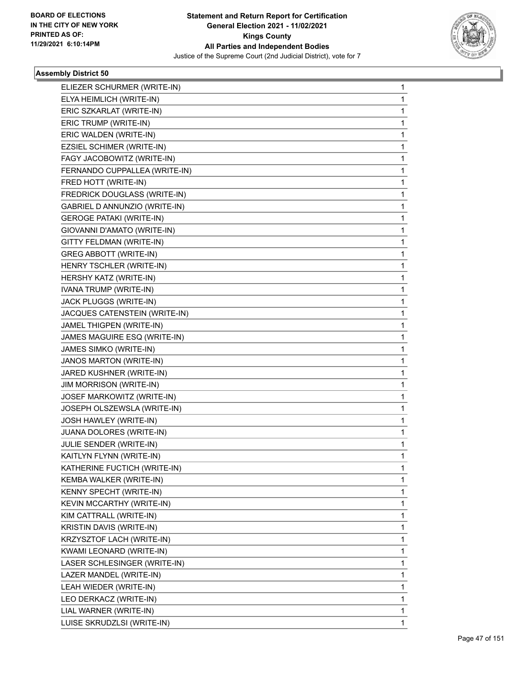

| ELIEZER SCHURMER (WRITE-IN)     | $\mathbf{1}$ |
|---------------------------------|--------------|
| ELYA HEIMLICH (WRITE-IN)        | 1            |
| ERIC SZKARLAT (WRITE-IN)        | 1            |
| ERIC TRUMP (WRITE-IN)           | 1            |
| ERIC WALDEN (WRITE-IN)          | 1            |
| EZSIEL SCHIMER (WRITE-IN)       | 1            |
| FAGY JACOBOWITZ (WRITE-IN)      | 1            |
| FERNANDO CUPPALLEA (WRITE-IN)   | 1            |
| FRED HOTT (WRITE-IN)            | 1            |
| FREDRICK DOUGLASS (WRITE-IN)    | 1            |
| GABRIEL D ANNUNZIO (WRITE-IN)   | 1            |
| <b>GEROGE PATAKI (WRITE-IN)</b> | 1            |
| GIOVANNI D'AMATO (WRITE-IN)     | 1            |
| GITTY FELDMAN (WRITE-IN)        | 1            |
| <b>GREG ABBOTT (WRITE-IN)</b>   | 1            |
| HENRY TSCHLER (WRITE-IN)        | 1            |
| HERSHY KATZ (WRITE-IN)          | 1            |
| IVANA TRUMP (WRITE-IN)          | 1            |
| JACK PLUGGS (WRITE-IN)          | 1            |
| JACQUES CATENSTEIN (WRITE-IN)   | 1            |
| JAMEL THIGPEN (WRITE-IN)        | 1            |
| JAMES MAGUIRE ESQ (WRITE-IN)    | 1            |
| JAMES SIMKO (WRITE-IN)          | 1            |
| JANOS MARTON (WRITE-IN)         | 1            |
| JARED KUSHNER (WRITE-IN)        | 1            |
| JIM MORRISON (WRITE-IN)         | 1            |
| JOSEF MARKOWITZ (WRITE-IN)      | 1            |
| JOSEPH OLSZEWSLA (WRITE-IN)     | 1            |
| JOSH HAWLEY (WRITE-IN)          | 1            |
| JUANA DOLORES (WRITE-IN)        | 1            |
| JULIE SENDER (WRITE-IN)         | 1            |
| KAITLYN FLYNN (WRITE-IN)        | 1            |
| KATHERINE FUCTICH (WRITE-IN)    | 1            |
| KEMBA WALKER (WRITE-IN)         | 1            |
| KENNY SPECHT (WRITE-IN)         | 1            |
| KEVIN MCCARTHY (WRITE-IN)       | 1            |
| KIM CATTRALL (WRITE-IN)         | 1            |
| KRISTIN DAVIS (WRITE-IN)        | 1            |
| KRZYSZTOF LACH (WRITE-IN)       | 1            |
| KWAMI LEONARD (WRITE-IN)        | 1            |
| LASER SCHLESINGER (WRITE-IN)    | 1            |
| LAZER MANDEL (WRITE-IN)         | 1            |
| LEAH WIEDER (WRITE-IN)          | 1            |
| LEO DERKACZ (WRITE-IN)          | 1            |
| LIAL WARNER (WRITE-IN)          | 1            |
| LUISE SKRUDZLSI (WRITE-IN)      | 1            |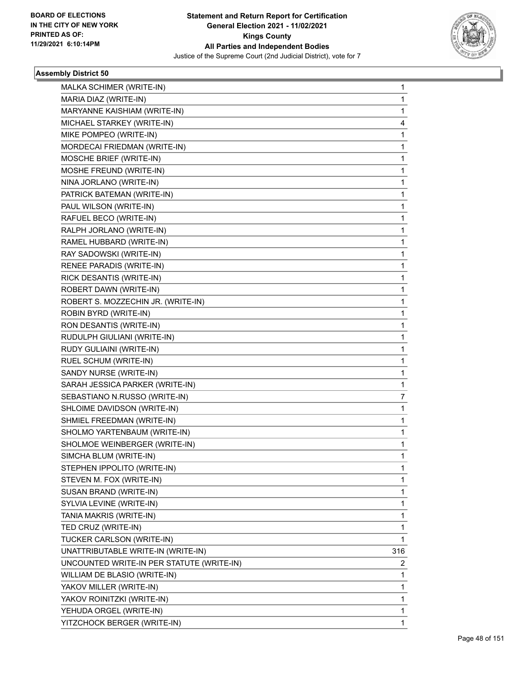

| MALKA SCHIMER (WRITE-IN)                  | 1   |
|-------------------------------------------|-----|
| MARIA DIAZ (WRITE-IN)                     | 1   |
| MARYANNE KAISHIAM (WRITE-IN)              | 1   |
| MICHAEL STARKEY (WRITE-IN)                | 4   |
| MIKE POMPEO (WRITE-IN)                    | 1   |
| MORDECAI FRIEDMAN (WRITE-IN)              | 1   |
| MOSCHE BRIEF (WRITE-IN)                   | 1   |
| MOSHE FREUND (WRITE-IN)                   | 1   |
| NINA JORLANO (WRITE-IN)                   | 1   |
| PATRICK BATEMAN (WRITE-IN)                | 1   |
| PAUL WILSON (WRITE-IN)                    | 1   |
| RAFUEL BECO (WRITE-IN)                    | 1   |
| RALPH JORLANO (WRITE-IN)                  | 1   |
| RAMEL HUBBARD (WRITE-IN)                  | 1   |
| RAY SADOWSKI (WRITE-IN)                   | 1   |
| RENEE PARADIS (WRITE-IN)                  | 1   |
| RICK DESANTIS (WRITE-IN)                  | 1   |
| ROBERT DAWN (WRITE-IN)                    | 1   |
| ROBERT S. MOZZECHIN JR. (WRITE-IN)        | 1   |
| ROBIN BYRD (WRITE-IN)                     | 1   |
| RON DESANTIS (WRITE-IN)                   | 1   |
| RUDULPH GIULIANI (WRITE-IN)               | 1   |
| RUDY GULIAINI (WRITE-IN)                  | 1   |
| RUEL SCHUM (WRITE-IN)                     | 1   |
| SANDY NURSE (WRITE-IN)                    | 1   |
| SARAH JESSICA PARKER (WRITE-IN)           | 1   |
| SEBASTIANO N.RUSSO (WRITE-IN)             | 7   |
| SHLOIME DAVIDSON (WRITE-IN)               | 1   |
| SHMIEL FREEDMAN (WRITE-IN)                | 1   |
| SHOLMO YARTENBAUM (WRITE-IN)              | 1   |
| SHOLMOE WEINBERGER (WRITE-IN)             | 1   |
| SIMCHA BLUM (WRITE-IN)                    | 1   |
| STEPHEN IPPOLITO (WRITE-IN)               | 1   |
| STEVEN M. FOX (WRITE-IN)                  | 1   |
| SUSAN BRAND (WRITE-IN)                    | 1   |
| SYLVIA LEVINE (WRITE-IN)                  | 1   |
| TANIA MAKRIS (WRITE-IN)                   | 1   |
| TED CRUZ (WRITE-IN)                       | 1   |
| TUCKER CARLSON (WRITE-IN)                 | 1   |
| UNATTRIBUTABLE WRITE-IN (WRITE-IN)        | 316 |
| UNCOUNTED WRITE-IN PER STATUTE (WRITE-IN) | 2   |
| WILLIAM DE BLASIO (WRITE-IN)              | 1   |
| YAKOV MILLER (WRITE-IN)                   | 1   |
| YAKOV ROINITZKI (WRITE-IN)                | 1   |
| YEHUDA ORGEL (WRITE-IN)                   | 1   |
| YITZCHOCK BERGER (WRITE-IN)               | 1   |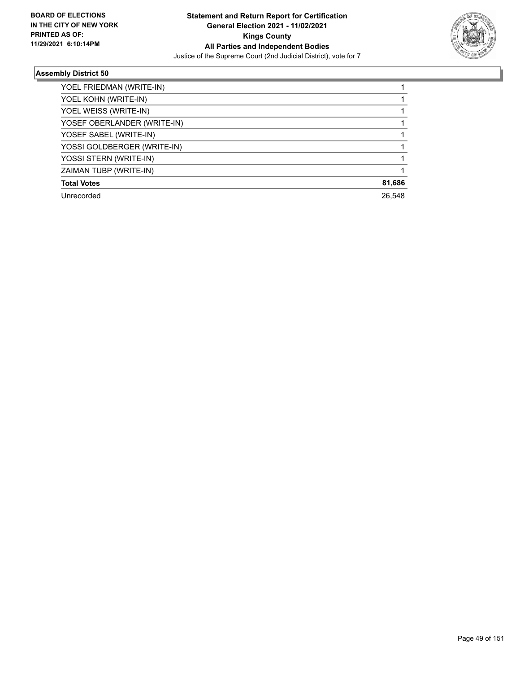

| 81,686 |
|--------|
| 26.548 |
|        |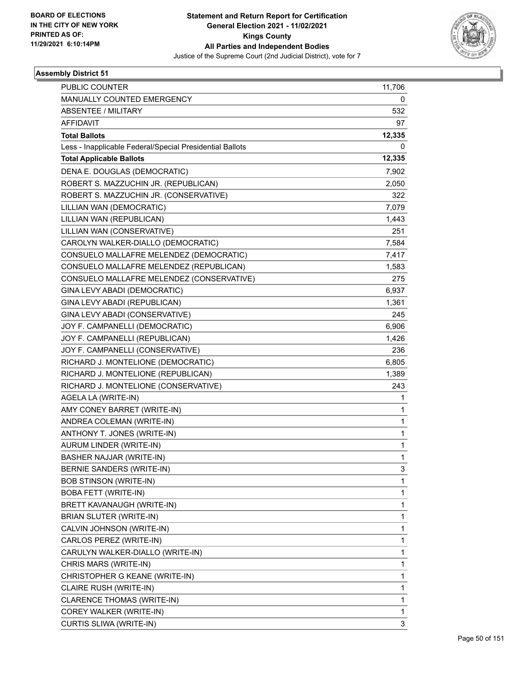

| PUBLIC COUNTER                                           | 11,706 |
|----------------------------------------------------------|--------|
| MANUALLY COUNTED EMERGENCY                               | 0      |
| <b>ABSENTEE / MILITARY</b>                               | 532    |
| <b>AFFIDAVIT</b>                                         | 97     |
| <b>Total Ballots</b>                                     | 12,335 |
| Less - Inapplicable Federal/Special Presidential Ballots | 0      |
| <b>Total Applicable Ballots</b>                          | 12,335 |
| DENA E. DOUGLAS (DEMOCRATIC)                             | 7,902  |
| ROBERT S. MAZZUCHIN JR. (REPUBLICAN)                     | 2,050  |
| ROBERT S. MAZZUCHIN JR. (CONSERVATIVE)                   | 322    |
| LILLIAN WAN (DEMOCRATIC)                                 | 7,079  |
| LILLIAN WAN (REPUBLICAN)                                 | 1,443  |
| LILLIAN WAN (CONSERVATIVE)                               | 251    |
| CAROLYN WALKER-DIALLO (DEMOCRATIC)                       | 7,584  |
| CONSUELO MALLAFRE MELENDEZ (DEMOCRATIC)                  | 7,417  |
| CONSUELO MALLAFRE MELENDEZ (REPUBLICAN)                  | 1,583  |
| CONSUELO MALLAFRE MELENDEZ (CONSERVATIVE)                | 275    |
| GINA LEVY ABADI (DEMOCRATIC)                             | 6,937  |
| GINA LEVY ABADI (REPUBLICAN)                             | 1,361  |
| GINA LEVY ABADI (CONSERVATIVE)                           | 245    |
| JOY F. CAMPANELLI (DEMOCRATIC)                           | 6,906  |
| JOY F. CAMPANELLI (REPUBLICAN)                           | 1,426  |
| JOY F. CAMPANELLI (CONSERVATIVE)                         | 236    |
| RICHARD J. MONTELIONE (DEMOCRATIC)                       | 6,805  |
| RICHARD J. MONTELIONE (REPUBLICAN)                       | 1,389  |
| RICHARD J. MONTELIONE (CONSERVATIVE)                     | 243    |
| AGELA LA (WRITE-IN)                                      | 1      |
| AMY CONEY BARRET (WRITE-IN)                              | 1      |
| ANDREA COLEMAN (WRITE-IN)                                | 1      |
| ANTHONY T. JONES (WRITE-IN)                              | 1      |
| AURUM LINDER (WRITE-IN)                                  | 1      |
| BASHER NAJJAR (WRITE-IN)                                 | 1      |
| <b>BERNIE SANDERS (WRITE-IN)</b>                         | 3      |
| <b>BOB STINSON (WRITE-IN)</b>                            | 1      |
| <b>BOBA FETT (WRITE-IN)</b>                              | 1      |
| BRETT KAVANAUGH (WRITE-IN)                               | 1      |
| BRIAN SLUTER (WRITE-IN)                                  | 1      |
| CALVIN JOHNSON (WRITE-IN)                                | 1      |
| CARLOS PEREZ (WRITE-IN)                                  | 1      |
| CARULYN WALKER-DIALLO (WRITE-IN)                         | 1      |
| CHRIS MARS (WRITE-IN)                                    | 1      |
| CHRISTOPHER G KEANE (WRITE-IN)                           | 1      |
| CLAIRE RUSH (WRITE-IN)                                   | 1      |
| CLARENCE THOMAS (WRITE-IN)                               | 1      |
| COREY WALKER (WRITE-IN)                                  | 1      |
| CURTIS SLIWA (WRITE-IN)                                  | 3      |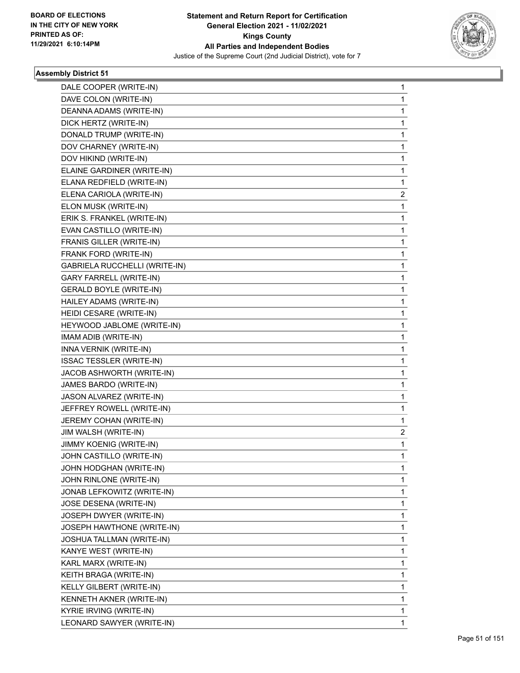

| DALE COOPER (WRITE-IN)          | $\mathbf{1}$   |
|---------------------------------|----------------|
| DAVE COLON (WRITE-IN)           | 1              |
| DEANNA ADAMS (WRITE-IN)         | 1              |
| DICK HERTZ (WRITE-IN)           | 1              |
| DONALD TRUMP (WRITE-IN)         | 1              |
| DOV CHARNEY (WRITE-IN)          | 1              |
| DOV HIKIND (WRITE-IN)           | 1              |
| ELAINE GARDINER (WRITE-IN)      | 1              |
| ELANA REDFIELD (WRITE-IN)       | 1              |
| ELENA CARIOLA (WRITE-IN)        | 2              |
| ELON MUSK (WRITE-IN)            | 1              |
| ERIK S. FRANKEL (WRITE-IN)      | 1              |
| EVAN CASTILLO (WRITE-IN)        | 1              |
| FRANIS GILLER (WRITE-IN)        | 1              |
| FRANK FORD (WRITE-IN)           | 1              |
| GABRIELA RUCCHELLI (WRITE-IN)   | 1              |
| <b>GARY FARRELL (WRITE-IN)</b>  | 1              |
| <b>GERALD BOYLE (WRITE-IN)</b>  | 1              |
| HAILEY ADAMS (WRITE-IN)         | 1              |
| HEIDI CESARE (WRITE-IN)         | 1              |
| HEYWOOD JABLOME (WRITE-IN)      | 1              |
| IMAM ADIB (WRITE-IN)            | 1              |
| INNA VERNIK (WRITE-IN)          | 1              |
| <b>ISSAC TESSLER (WRITE-IN)</b> | 1              |
| JACOB ASHWORTH (WRITE-IN)       | 1              |
| JAMES BARDO (WRITE-IN)          | 1              |
| JASON ALVAREZ (WRITE-IN)        | 1              |
| JEFFREY ROWELL (WRITE-IN)       | 1              |
| JEREMY COHAN (WRITE-IN)         | 1              |
| JIM WALSH (WRITE-IN)            | $\overline{2}$ |
| JIMMY KOENIG (WRITE-IN)         | 1              |
| JOHN CASTILLO (WRITE-IN)        | 1              |
| JOHN HODGHAN (WRITE-IN)         | 1              |
| JOHN RINLONE (WRITE-IN)         | 1              |
| JONAB LEFKOWITZ (WRITE-IN)      | 1              |
| JOSE DESENA (WRITE-IN)          | 1              |
| JOSEPH DWYER (WRITE-IN)         | 1              |
| JOSEPH HAWTHONE (WRITE-IN)      | 1              |
| JOSHUA TALLMAN (WRITE-IN)       | 1              |
| KANYE WEST (WRITE-IN)           | 1              |
| KARL MARX (WRITE-IN)            | 1              |
| KEITH BRAGA (WRITE-IN)          | 1              |
| KELLY GILBERT (WRITE-IN)        | 1              |
| KENNETH AKNER (WRITE-IN)        | 1              |
| KYRIE IRVING (WRITE-IN)         | 1              |
| LEONARD SAWYER (WRITE-IN)       | 1              |
|                                 |                |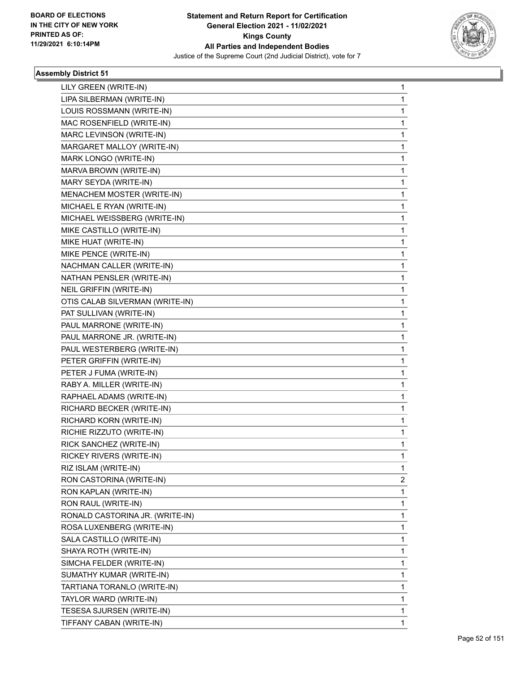

| LILY GREEN (WRITE-IN)           | 1 |
|---------------------------------|---|
| LIPA SILBERMAN (WRITE-IN)       | 1 |
| LOUIS ROSSMANN (WRITE-IN)       | 1 |
| MAC ROSENFIELD (WRITE-IN)       | 1 |
| MARC LEVINSON (WRITE-IN)        | 1 |
| MARGARET MALLOY (WRITE-IN)      | 1 |
| MARK LONGO (WRITE-IN)           | 1 |
| MARVA BROWN (WRITE-IN)          | 1 |
| MARY SEYDA (WRITE-IN)           | 1 |
| MENACHEM MOSTER (WRITE-IN)      | 1 |
| MICHAEL E RYAN (WRITE-IN)       | 1 |
| MICHAEL WEISSBERG (WRITE-IN)    | 1 |
| MIKE CASTILLO (WRITE-IN)        | 1 |
| MIKE HUAT (WRITE-IN)            | 1 |
| MIKE PENCE (WRITE-IN)           | 1 |
| NACHMAN CALLER (WRITE-IN)       | 1 |
| NATHAN PENSLER (WRITE-IN)       | 1 |
| <b>NEIL GRIFFIN (WRITE-IN)</b>  | 1 |
| OTIS CALAB SILVERMAN (WRITE-IN) | 1 |
| PAT SULLIVAN (WRITE-IN)         | 1 |
| PAUL MARRONE (WRITE-IN)         | 1 |
| PAUL MARRONE JR. (WRITE-IN)     | 1 |
| PAUL WESTERBERG (WRITE-IN)      | 1 |
| PETER GRIFFIN (WRITE-IN)        | 1 |
| PETER J FUMA (WRITE-IN)         | 1 |
| RABY A. MILLER (WRITE-IN)       | 1 |
| RAPHAEL ADAMS (WRITE-IN)        | 1 |
| RICHARD BECKER (WRITE-IN)       | 1 |
| RICHARD KORN (WRITE-IN)         | 1 |
| RICHIE RIZZUTO (WRITE-IN)       | 1 |
| RICK SANCHEZ (WRITE-IN)         | 1 |
| RICKEY RIVERS (WRITE-IN)        | 1 |
| RIZ ISLAM (WRITE-IN)            | 1 |
| RON CASTORINA (WRITE-IN)        | 2 |
| RON KAPLAN (WRITE-IN)           | 1 |
| RON RAUL (WRITE-IN)             | 1 |
| RONALD CASTORINA JR. (WRITE-IN) | 1 |
| ROSA LUXENBERG (WRITE-IN)       | 1 |
| SALA CASTILLO (WRITE-IN)        | 1 |
| SHAYA ROTH (WRITE-IN)           | 1 |
| SIMCHA FELDER (WRITE-IN)        | 1 |
| SUMATHY KUMAR (WRITE-IN)        | 1 |
| TARTIANA TORANLO (WRITE-IN)     | 1 |
| TAYLOR WARD (WRITE-IN)          | 1 |
| TESESA SJURSEN (WRITE-IN)       | 1 |
| TIFFANY CABAN (WRITE-IN)        | 1 |
|                                 |   |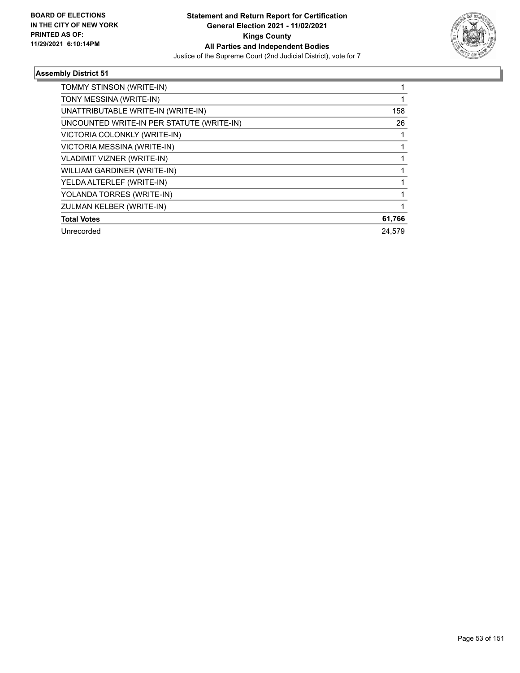

| TOMMY STINSON (WRITE-IN)                  |        |
|-------------------------------------------|--------|
| TONY MESSINA (WRITE-IN)                   |        |
| UNATTRIBUTABLE WRITE-IN (WRITE-IN)        | 158    |
| UNCOUNTED WRITE-IN PER STATUTE (WRITE-IN) | 26     |
| VICTORIA COLONKLY (WRITE-IN)              |        |
| VICTORIA MESSINA (WRITE-IN)               |        |
| VLADIMIT VIZNER (WRITE-IN)                |        |
| WILLIAM GARDINER (WRITE-IN)               |        |
| YELDA ALTERLEF (WRITE-IN)                 |        |
| YOLANDA TORRES (WRITE-IN)                 |        |
| ZULMAN KELBER (WRITE-IN)                  |        |
| <b>Total Votes</b>                        | 61,766 |
| Unrecorded                                | 24.579 |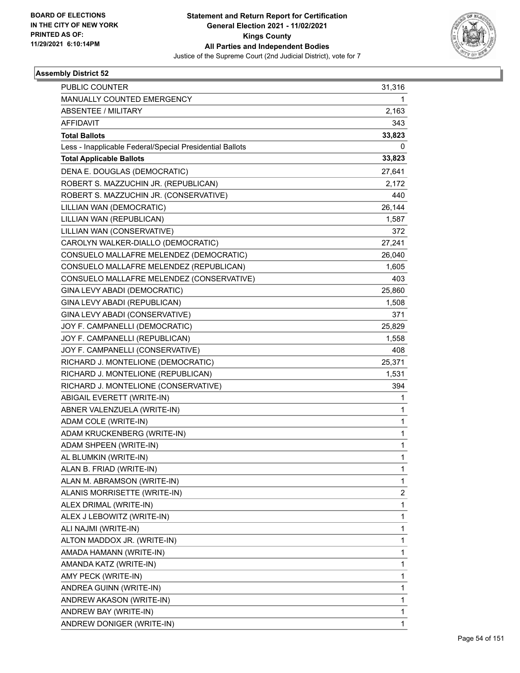

| PUBLIC COUNTER                                           | 31,316       |
|----------------------------------------------------------|--------------|
| MANUALLY COUNTED EMERGENCY                               | 1.           |
| ABSENTEE / MILITARY                                      | 2,163        |
| <b>AFFIDAVIT</b>                                         | 343          |
| <b>Total Ballots</b>                                     | 33,823       |
| Less - Inapplicable Federal/Special Presidential Ballots | 0            |
| <b>Total Applicable Ballots</b>                          | 33,823       |
| DENA E. DOUGLAS (DEMOCRATIC)                             | 27,641       |
| ROBERT S. MAZZUCHIN JR. (REPUBLICAN)                     | 2,172        |
| ROBERT S. MAZZUCHIN JR. (CONSERVATIVE)                   | 440          |
| LILLIAN WAN (DEMOCRATIC)                                 | 26,144       |
| LILLIAN WAN (REPUBLICAN)                                 | 1,587        |
| LILLIAN WAN (CONSERVATIVE)                               | 372.         |
| CAROLYN WALKER-DIALLO (DEMOCRATIC)                       | 27,241       |
| CONSUELO MALLAFRE MELENDEZ (DEMOCRATIC)                  | 26,040       |
| CONSUELO MALLAFRE MELENDEZ (REPUBLICAN)                  | 1,605        |
| CONSUELO MALLAFRE MELENDEZ (CONSERVATIVE)                | 403          |
| GINA LEVY ABADI (DEMOCRATIC)                             | 25,860       |
| GINA LEVY ABADI (REPUBLICAN)                             | 1,508        |
| GINA LEVY ABADI (CONSERVATIVE)                           | 371          |
| JOY F. CAMPANELLI (DEMOCRATIC)                           | 25,829       |
| JOY F. CAMPANELLI (REPUBLICAN)                           | 1,558        |
| JOY F. CAMPANELLI (CONSERVATIVE)                         | 408          |
| RICHARD J. MONTELIONE (DEMOCRATIC)                       | 25,371       |
| RICHARD J. MONTELIONE (REPUBLICAN)                       | 1,531        |
| RICHARD J. MONTELIONE (CONSERVATIVE)                     | 394          |
| ABIGAIL EVERETT (WRITE-IN)                               | 1            |
| ABNER VALENZUELA (WRITE-IN)                              | 1            |
| ADAM COLE (WRITE-IN)                                     | 1            |
| ADAM KRUCKENBERG (WRITE-IN)                              | 1            |
| ADAM SHPEEN (WRITE-IN)                                   | 1            |
| AL BLUMKIN (WRITE-IN)                                    | 1            |
| ALAN B. FRIAD (WRITE-IN)                                 | 1            |
| ALAN M. ABRAMSON (WRITE-IN)                              | 1            |
| ALANIS MORRISETTE (WRITE-IN)                             | 2            |
| ALEX DRIMAL (WRITE-IN)                                   | 1            |
| ALEX J LEBOWITZ (WRITE-IN)                               | 1            |
| ALI NAJMI (WRITE-IN)                                     | 1            |
| ALTON MADDOX JR. (WRITE-IN)                              | 1            |
| AMADA HAMANN (WRITE-IN)                                  | 1            |
| AMANDA KATZ (WRITE-IN)                                   | 1            |
| AMY PECK (WRITE-IN)                                      | 1            |
| ANDREA GUINN (WRITE-IN)                                  | 1            |
| ANDREW AKASON (WRITE-IN)                                 | 1            |
| ANDREW BAY (WRITE-IN)                                    | 1            |
| ANDREW DONIGER (WRITE-IN)                                | $\mathbf{1}$ |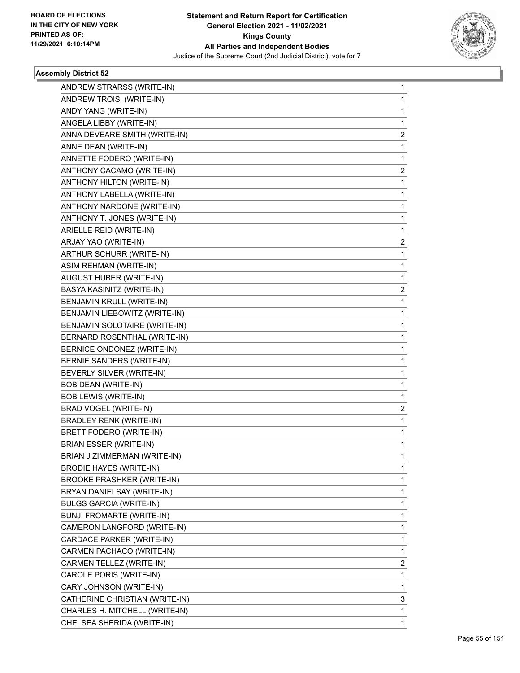

| ANDREW STRARSS (WRITE-IN)         | $\mathbf{1}$ |
|-----------------------------------|--------------|
| ANDREW TROISI (WRITE-IN)          | 1            |
| ANDY YANG (WRITE-IN)              | 1            |
| ANGELA LIBBY (WRITE-IN)           | 1            |
| ANNA DEVEARE SMITH (WRITE-IN)     | 2            |
| ANNE DEAN (WRITE-IN)              | 1            |
| ANNETTE FODERO (WRITE-IN)         | 1            |
| ANTHONY CACAMO (WRITE-IN)         | 2            |
| ANTHONY HILTON (WRITE-IN)         | 1            |
| ANTHONY LABELLA (WRITE-IN)        | 1            |
| ANTHONY NARDONE (WRITE-IN)        | 1            |
| ANTHONY T. JONES (WRITE-IN)       | 1            |
| ARIELLE REID (WRITE-IN)           | 1            |
| ARJAY YAO (WRITE-IN)              | 2            |
| ARTHUR SCHURR (WRITE-IN)          | 1            |
| ASIM REHMAN (WRITE-IN)            | 1            |
| AUGUST HUBER (WRITE-IN)           | 1            |
| BASYA KASINITZ (WRITE-IN)         | 2            |
| BENJAMIN KRULL (WRITE-IN)         | 1            |
| BENJAMIN LIEBOWITZ (WRITE-IN)     | 1            |
| BENJAMIN SOLOTAIRE (WRITE-IN)     | 1            |
| BERNARD ROSENTHAL (WRITE-IN)      | 1            |
| BERNICE ONDONEZ (WRITE-IN)        | 1            |
| BERNIE SANDERS (WRITE-IN)         | 1            |
| BEVERLY SILVER (WRITE-IN)         | 1            |
| <b>BOB DEAN (WRITE-IN)</b>        | 1            |
| <b>BOB LEWIS (WRITE-IN)</b>       | 1            |
| BRAD VOGEL (WRITE-IN)             | 2            |
| <b>BRADLEY RENK (WRITE-IN)</b>    | 1            |
| BRETT FODERO (WRITE-IN)           | 1            |
| <b>BRIAN ESSER (WRITE-IN)</b>     | 1            |
| BRIAN J ZIMMERMAN (WRITE-IN)      | 1            |
| <b>BRODIE HAYES (WRITE-IN)</b>    | 1            |
| <b>BROOKE PRASHKER (WRITE-IN)</b> | 1            |
| BRYAN DANIELSAY (WRITE-IN)        | 1            |
| <b>BULGS GARCIA (WRITE-IN)</b>    | 1            |
| <b>BUNJI FROMARTE (WRITE-IN)</b>  | 1            |
| CAMERON LANGFORD (WRITE-IN)       | 1            |
| CARDACE PARKER (WRITE-IN)         | 1            |
| CARMEN PACHACO (WRITE-IN)         | 1            |
| CARMEN TELLEZ (WRITE-IN)          | 2            |
| CAROLE PORIS (WRITE-IN)           | 1            |
| CARY JOHNSON (WRITE-IN)           | 1            |
| CATHERINE CHRISTIAN (WRITE-IN)    | 3            |
| CHARLES H. MITCHELL (WRITE-IN)    | 1            |
| CHELSEA SHERIDA (WRITE-IN)        | 1            |
|                                   |              |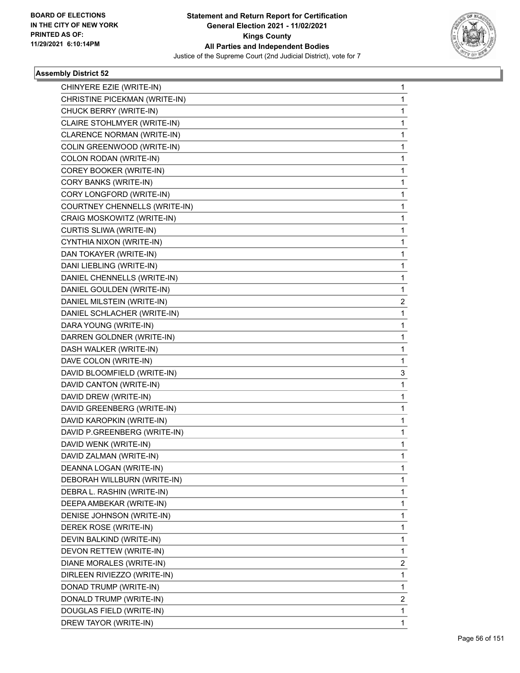

| CHINYERE EZIE (WRITE-IN)      | 1 |
|-------------------------------|---|
| CHRISTINE PICEKMAN (WRITE-IN) | 1 |
| CHUCK BERRY (WRITE-IN)        | 1 |
| CLAIRE STOHLMYER (WRITE-IN)   | 1 |
| CLARENCE NORMAN (WRITE-IN)    | 1 |
| COLIN GREENWOOD (WRITE-IN)    | 1 |
| COLON RODAN (WRITE-IN)        | 1 |
| COREY BOOKER (WRITE-IN)       | 1 |
| CORY BANKS (WRITE-IN)         | 1 |
| CORY LONGFORD (WRITE-IN)      | 1 |
| COURTNEY CHENNELLS (WRITE-IN) | 1 |
| CRAIG MOSKOWITZ (WRITE-IN)    | 1 |
| CURTIS SLIWA (WRITE-IN)       | 1 |
| CYNTHIA NIXON (WRITE-IN)      | 1 |
| DAN TOKAYER (WRITE-IN)        | 1 |
| DANI LIEBLING (WRITE-IN)      | 1 |
| DANIEL CHENNELLS (WRITE-IN)   | 1 |
| DANIEL GOULDEN (WRITE-IN)     | 1 |
| DANIEL MILSTEIN (WRITE-IN)    | 2 |
| DANIEL SCHLACHER (WRITE-IN)   | 1 |
| DARA YOUNG (WRITE-IN)         | 1 |
| DARREN GOLDNER (WRITE-IN)     | 1 |
| DASH WALKER (WRITE-IN)        | 1 |
| DAVE COLON (WRITE-IN)         | 1 |
| DAVID BLOOMFIELD (WRITE-IN)   | 3 |
| DAVID CANTON (WRITE-IN)       | 1 |
| DAVID DREW (WRITE-IN)         | 1 |
| DAVID GREENBERG (WRITE-IN)    | 1 |
| DAVID KAROPKIN (WRITE-IN)     | 1 |
| DAVID P.GREENBERG (WRITE-IN)  | 1 |
| DAVID WENK (WRITE-IN)         | 1 |
| DAVID ZALMAN (WRITE-IN)       | 1 |
| DEANNA LOGAN (WRITE-IN)       | 1 |
| DEBORAH WILLBURN (WRITE-IN)   | 1 |
| DEBRA L. RASHIN (WRITE-IN)    | 1 |
| DEEPA AMBEKAR (WRITE-IN)      | 1 |
| DENISE JOHNSON (WRITE-IN)     | 1 |
| DEREK ROSE (WRITE-IN)         | 1 |
| DEVIN BALKIND (WRITE-IN)      | 1 |
| DEVON RETTEW (WRITE-IN)       | 1 |
| DIANE MORALES (WRITE-IN)      | 2 |
| DIRLEEN RIVIEZZO (WRITE-IN)   | 1 |
| DONAD TRUMP (WRITE-IN)        | 1 |
| DONALD TRUMP (WRITE-IN)       | 2 |
| DOUGLAS FIELD (WRITE-IN)      | 1 |
| DREW TAYOR (WRITE-IN)         | 1 |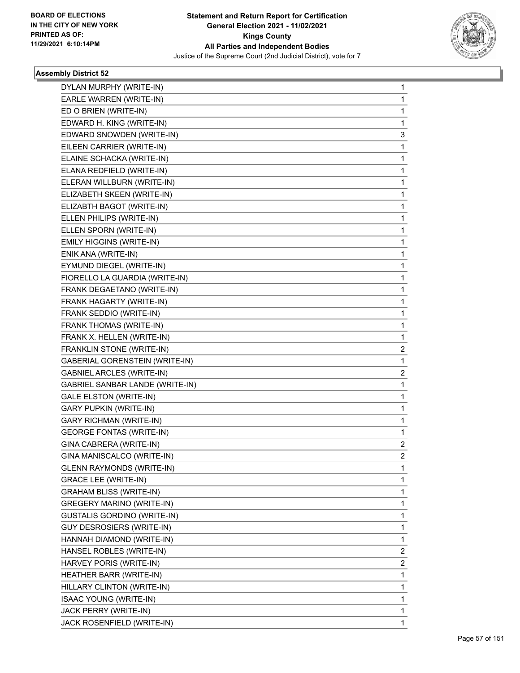

| DYLAN MURPHY (WRITE-IN)               | 1            |
|---------------------------------------|--------------|
| EARLE WARREN (WRITE-IN)               | 1            |
| ED O BRIEN (WRITE-IN)                 | 1            |
| EDWARD H. KING (WRITE-IN)             | 1            |
| EDWARD SNOWDEN (WRITE-IN)             | 3            |
| EILEEN CARRIER (WRITE-IN)             | 1            |
| ELAINE SCHACKA (WRITE-IN)             | 1            |
| ELANA REDFIELD (WRITE-IN)             | 1            |
| ELERAN WILLBURN (WRITE-IN)            | 1            |
| ELIZABETH SKEEN (WRITE-IN)            | 1            |
| ELIZABTH BAGOT (WRITE-IN)             | 1            |
| ELLEN PHILIPS (WRITE-IN)              | 1            |
| ELLEN SPORN (WRITE-IN)                | 1            |
| <b>EMILY HIGGINS (WRITE-IN)</b>       | 1            |
| ENIK ANA (WRITE-IN)                   | 1            |
| EYMUND DIEGEL (WRITE-IN)              | 1            |
| FIORELLO LA GUARDIA (WRITE-IN)        | 1            |
| FRANK DEGAETANO (WRITE-IN)            | 1            |
| FRANK HAGARTY (WRITE-IN)              | 1            |
| FRANK SEDDIO (WRITE-IN)               | 1            |
| FRANK THOMAS (WRITE-IN)               | 1            |
| FRANK X. HELLEN (WRITE-IN)            | 1            |
| FRANKLIN STONE (WRITE-IN)             | 2            |
| <b>GABERIAL GORENSTEIN (WRITE-IN)</b> | 1            |
| <b>GABNIEL ARCLES (WRITE-IN)</b>      | 2            |
| GABRIEL SANBAR LANDE (WRITE-IN)       | 1            |
| <b>GALE ELSTON (WRITE-IN)</b>         | 1            |
| <b>GARY PUPKIN (WRITE-IN)</b>         | 1            |
| <b>GARY RICHMAN (WRITE-IN)</b>        | 1            |
| <b>GEORGE FONTAS (WRITE-IN)</b>       | 1            |
| GINA CABRERA (WRITE-IN)               | 2            |
| GINA MANISCALCO (WRITE-IN)            | 2            |
| <b>GLENN RAYMONDS (WRITE-IN)</b>      | 1            |
| <b>GRACE LEE (WRITE-IN)</b>           | 1            |
| GRAHAM BLISS (WRITE-IN)               | 1            |
| <b>GREGERY MARINO (WRITE-IN)</b>      | 1            |
| <b>GUSTALIS GORDINO (WRITE-IN)</b>    | 1            |
| GUY DESROSIERS (WRITE-IN)             | 1            |
| HANNAH DIAMOND (WRITE-IN)             | 1            |
| HANSEL ROBLES (WRITE-IN)              | 2            |
| HARVEY PORIS (WRITE-IN)               | 2            |
| HEATHER BARR (WRITE-IN)               | 1            |
| HILLARY CLINTON (WRITE-IN)            | 1            |
| <b>ISAAC YOUNG (WRITE-IN)</b>         | 1            |
| JACK PERRY (WRITE-IN)                 | 1            |
| JACK ROSENFIELD (WRITE-IN)            | $\mathbf{1}$ |
|                                       |              |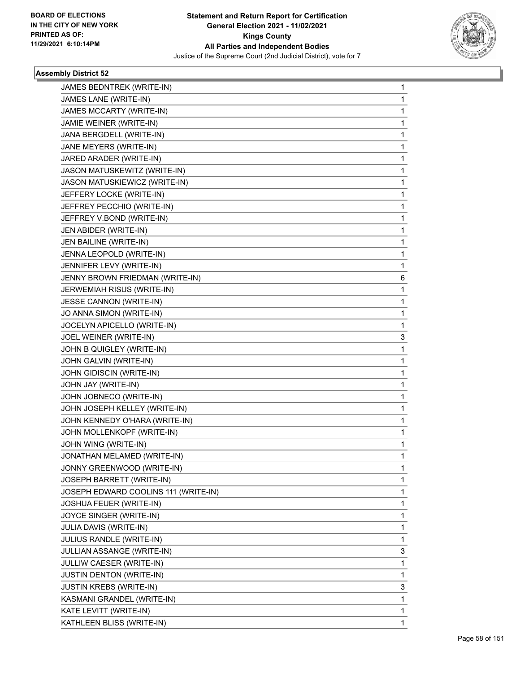

| JAMES BEDNTREK (WRITE-IN)            | 1            |
|--------------------------------------|--------------|
| JAMES LANE (WRITE-IN)                | 1            |
| JAMES MCCARTY (WRITE-IN)             | $\mathbf 1$  |
| JAMIE WEINER (WRITE-IN)              | 1            |
| JANA BERGDELL (WRITE-IN)             | 1            |
| JANE MEYERS (WRITE-IN)               | 1            |
| JARED ARADER (WRITE-IN)              | 1            |
| JASON MATUSKEWITZ (WRITE-IN)         | 1            |
| JASON MATUSKIEWICZ (WRITE-IN)        | $\mathbf 1$  |
| JEFFERY LOCKE (WRITE-IN)             | 1            |
| JEFFREY PECCHIO (WRITE-IN)           | 1            |
| JEFFREY V.BOND (WRITE-IN)            | 1            |
| JEN ABIDER (WRITE-IN)                | 1            |
| JEN BAILINE (WRITE-IN)               | 1            |
| JENNA LEOPOLD (WRITE-IN)             | 1            |
| JENNIFER LEVY (WRITE-IN)             | 1            |
| JENNY BROWN FRIEDMAN (WRITE-IN)      | 6            |
| JERWEMIAH RISUS (WRITE-IN)           | 1            |
| <b>JESSE CANNON (WRITE-IN)</b>       | 1            |
| JO ANNA SIMON (WRITE-IN)             | 1            |
| JOCELYN APICELLO (WRITE-IN)          | 1            |
| JOEL WEINER (WRITE-IN)               | 3            |
| JOHN B QUIGLEY (WRITE-IN)            | 1            |
| JOHN GALVIN (WRITE-IN)               | 1            |
| JOHN GIDISCIN (WRITE-IN)             | 1            |
| JOHN JAY (WRITE-IN)                  | 1            |
| JOHN JOBNECO (WRITE-IN)              | 1            |
| JOHN JOSEPH KELLEY (WRITE-IN)        | 1            |
| JOHN KENNEDY O'HARA (WRITE-IN)       | 1            |
| JOHN MOLLENKOPF (WRITE-IN)           | 1            |
| JOHN WING (WRITE-IN)                 | 1            |
| JONATHAN MELAMED (WRITE-IN)          | $\mathbf{1}$ |
| JONNY GREENWOOD (WRITE-IN)           | 1            |
| JOSEPH BARRETT (WRITE-IN)            | 1            |
| JOSEPH EDWARD COOLINS 111 (WRITE-IN) | 1            |
| JOSHUA FEUER (WRITE-IN)              | 1            |
| JOYCE SINGER (WRITE-IN)              | 1            |
| JULIA DAVIS (WRITE-IN)               | 1            |
| JULIUS RANDLE (WRITE-IN)             | 1            |
| JULLIAN ASSANGE (WRITE-IN)           | 3            |
| JULLIW CAESER (WRITE-IN)             | 1            |
| <b>JUSTIN DENTON (WRITE-IN)</b>      | 1            |
| <b>JUSTIN KREBS (WRITE-IN)</b>       | 3            |
| KASMANI GRANDEL (WRITE-IN)           | $\mathbf 1$  |
| KATE LEVITT (WRITE-IN)               | 1            |
| KATHLEEN BLISS (WRITE-IN)            | 1            |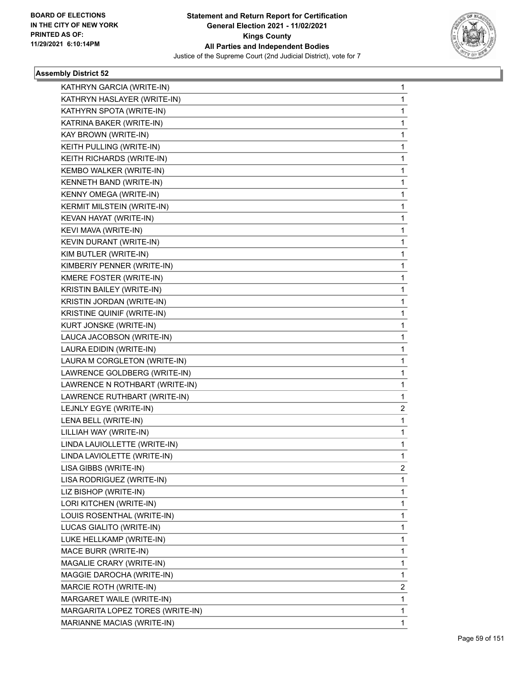

| KATHRYN GARCIA (WRITE-IN)         | 1 |
|-----------------------------------|---|
| KATHRYN HASLAYER (WRITE-IN)       | 1 |
| KATHYRN SPOTA (WRITE-IN)          | 1 |
| KATRINA BAKER (WRITE-IN)          | 1 |
| KAY BROWN (WRITE-IN)              | 1 |
| KEITH PULLING (WRITE-IN)          | 1 |
| KEITH RICHARDS (WRITE-IN)         | 1 |
| KEMBO WALKER (WRITE-IN)           | 1 |
| KENNETH BAND (WRITE-IN)           | 1 |
| KENNY OMEGA (WRITE-IN)            | 1 |
| KERMIT MILSTEIN (WRITE-IN)        | 1 |
| KEVAN HAYAT (WRITE-IN)            | 1 |
| KEVI MAVA (WRITE-IN)              | 1 |
| KEVIN DURANT (WRITE-IN)           | 1 |
| KIM BUTLER (WRITE-IN)             | 1 |
| KIMBERIY PENNER (WRITE-IN)        | 1 |
| KMERE FOSTER (WRITE-IN)           | 1 |
| KRISTIN BAILEY (WRITE-IN)         | 1 |
| KRISTIN JORDAN (WRITE-IN)         | 1 |
| <b>KRISTINE QUINIF (WRITE-IN)</b> | 1 |
| KURT JONSKE (WRITE-IN)            | 1 |
| LAUCA JACOBSON (WRITE-IN)         | 1 |
| LAURA EDIDIN (WRITE-IN)           | 1 |
| LAURA M CORGLETON (WRITE-IN)      | 1 |
| LAWRENCE GOLDBERG (WRITE-IN)      | 1 |
| LAWRENCE N ROTHBART (WRITE-IN)    | 1 |
| LAWRENCE RUTHBART (WRITE-IN)      | 1 |
| LEJNLY EGYE (WRITE-IN)            | 2 |
| LENA BELL (WRITE-IN)              | 1 |
| LILLIAH WAY (WRITE-IN)            | 1 |
| LINDA LAUIOLLETTE (WRITE-IN)      | 1 |
| LINDA LAVIOLETTE (WRITE-IN)       | 1 |
| LISA GIBBS (WRITE-IN)             | 2 |
| LISA RODRIGUEZ (WRITE-IN)         | 1 |
| LIZ BISHOP (WRITE-IN)             | 1 |
| LORI KITCHEN (WRITE-IN)           | 1 |
| LOUIS ROSENTHAL (WRITE-IN)        | 1 |
| LUCAS GIALITO (WRITE-IN)          | 1 |
| LUKE HELLKAMP (WRITE-IN)          | 1 |
| MACE BURR (WRITE-IN)              | 1 |
| MAGALIE CRARY (WRITE-IN)          | 1 |
| MAGGIE DAROCHA (WRITE-IN)         | 1 |
| MARCIE ROTH (WRITE-IN)            | 2 |
| MARGARET WAILE (WRITE-IN)         | 1 |
| MARGARITA LOPEZ TORES (WRITE-IN)  | 1 |
| MARIANNE MACIAS (WRITE-IN)        | 1 |
|                                   |   |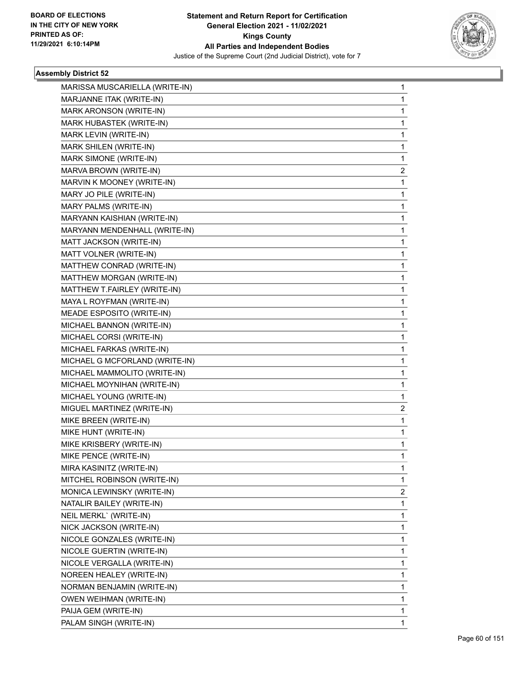

| MARISSA MUSCARIELLA (WRITE-IN) | 1 |
|--------------------------------|---|
| MARJANNE ITAK (WRITE-IN)       | 1 |
| MARK ARONSON (WRITE-IN)        | 1 |
| MARK HUBASTEK (WRITE-IN)       | 1 |
| MARK LEVIN (WRITE-IN)          | 1 |
| MARK SHILEN (WRITE-IN)         | 1 |
| MARK SIMONE (WRITE-IN)         | 1 |
| MARVA BROWN (WRITE-IN)         | 2 |
| MARVIN K MOONEY (WRITE-IN)     | 1 |
| MARY JO PILE (WRITE-IN)        | 1 |
| MARY PALMS (WRITE-IN)          | 1 |
| MARYANN KAISHIAN (WRITE-IN)    | 1 |
| MARYANN MENDENHALL (WRITE-IN)  | 1 |
| MATT JACKSON (WRITE-IN)        | 1 |
| MATT VOLNER (WRITE-IN)         | 1 |
| MATTHEW CONRAD (WRITE-IN)      | 1 |
| MATTHEW MORGAN (WRITE-IN)      | 1 |
| MATTHEW T.FAIRLEY (WRITE-IN)   | 1 |
| MAYA L ROYFMAN (WRITE-IN)      | 1 |
| MEADE ESPOSITO (WRITE-IN)      | 1 |
| MICHAEL BANNON (WRITE-IN)      | 1 |
| MICHAEL CORSI (WRITE-IN)       | 1 |
| MICHAEL FARKAS (WRITE-IN)      | 1 |
| MICHAEL G MCFORLAND (WRITE-IN) | 1 |
| MICHAEL MAMMOLITO (WRITE-IN)   | 1 |
| MICHAEL MOYNIHAN (WRITE-IN)    | 1 |
| MICHAEL YOUNG (WRITE-IN)       | 1 |
| MIGUEL MARTINEZ (WRITE-IN)     | 2 |
| MIKE BREEN (WRITE-IN)          | 1 |
| MIKE HUNT (WRITE-IN)           | 1 |
| MIKE KRISBERY (WRITE-IN)       | 1 |
| MIKE PENCE (WRITE-IN)          | 1 |
| MIRA KASINITZ (WRITE-IN)       | 1 |
| MITCHEL ROBINSON (WRITE-IN)    | 1 |
| MONICA LEWINSKY (WRITE-IN)     | 2 |
| NATALIR BAILEY (WRITE-IN)      | 1 |
| NEIL MERKL` (WRITE-IN)         | 1 |
| NICK JACKSON (WRITE-IN)        | 1 |
| NICOLE GONZALES (WRITE-IN)     | 1 |
| NICOLE GUERTIN (WRITE-IN)      | 1 |
| NICOLE VERGALLA (WRITE-IN)     | 1 |
| NOREEN HEALEY (WRITE-IN)       | 1 |
| NORMAN BENJAMIN (WRITE-IN)     | 1 |
| OWEN WEIHMAN (WRITE-IN)        | 1 |
| PAIJA GEM (WRITE-IN)           | 1 |
| PALAM SINGH (WRITE-IN)         | 1 |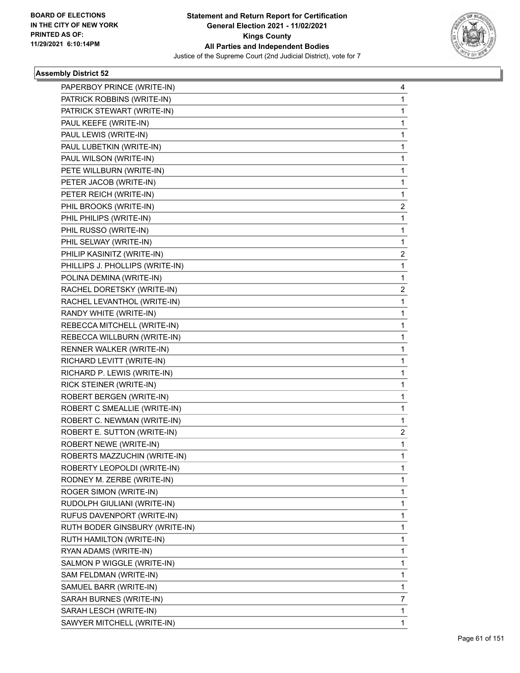

| PAPERBOY PRINCE (WRITE-IN)      | 4              |
|---------------------------------|----------------|
| PATRICK ROBBINS (WRITE-IN)      | 1              |
| PATRICK STEWART (WRITE-IN)      | 1              |
| PAUL KEEFE (WRITE-IN)           | 1              |
| PAUL LEWIS (WRITE-IN)           | 1              |
| PAUL LUBETKIN (WRITE-IN)        | 1              |
| PAUL WILSON (WRITE-IN)          | 1              |
| PETE WILLBURN (WRITE-IN)        | 1              |
| PETER JACOB (WRITE-IN)          | 1              |
| PETER REICH (WRITE-IN)          | 1              |
| PHIL BROOKS (WRITE-IN)          | 2              |
| PHIL PHILIPS (WRITE-IN)         | 1              |
| PHIL RUSSO (WRITE-IN)           | 1              |
| PHIL SELWAY (WRITE-IN)          | 1              |
| PHILIP KASINITZ (WRITE-IN)      | 2              |
| PHILLIPS J. PHOLLIPS (WRITE-IN) | 1              |
| POLINA DEMINA (WRITE-IN)        | 1              |
| RACHEL DORETSKY (WRITE-IN)      | 2              |
| RACHEL LEVANTHOL (WRITE-IN)     | 1              |
| RANDY WHITE (WRITE-IN)          | 1              |
| REBECCA MITCHELL (WRITE-IN)     | 1              |
| REBECCA WILLBURN (WRITE-IN)     | 1              |
| RENNER WALKER (WRITE-IN)        | 1              |
| RICHARD LEVITT (WRITE-IN)       | 1              |
| RICHARD P. LEWIS (WRITE-IN)     | 1              |
| RICK STEINER (WRITE-IN)         | 1              |
| ROBERT BERGEN (WRITE-IN)        | 1              |
| ROBERT C SMEALLIE (WRITE-IN)    | 1              |
| ROBERT C. NEWMAN (WRITE-IN)     | 1              |
| ROBERT E. SUTTON (WRITE-IN)     | $\overline{2}$ |
| <b>ROBERT NEWE (WRITE-IN)</b>   | 1              |
| ROBERTS MAZZUCHIN (WRITE-IN)    | 1              |
| ROBERTY LEOPOLDI (WRITE-IN)     | 1              |
| RODNEY M. ZERBE (WRITE-IN)      | 1              |
| ROGER SIMON (WRITE-IN)          | 1              |
| RUDOLPH GIULIANI (WRITE-IN)     | 1              |
| RUFUS DAVENPORT (WRITE-IN)      | 1              |
| RUTH BODER GINSBURY (WRITE-IN)  | 1              |
| <b>RUTH HAMILTON (WRITE-IN)</b> | 1              |
| RYAN ADAMS (WRITE-IN)           | 1              |
| SALMON P WIGGLE (WRITE-IN)      | 1              |
| SAM FELDMAN (WRITE-IN)          | 1              |
| SAMUEL BARR (WRITE-IN)          | 1              |
| SARAH BURNES (WRITE-IN)         | 7              |
| SARAH LESCH (WRITE-IN)          | 1              |
| SAWYER MITCHELL (WRITE-IN)      | 1              |
|                                 |                |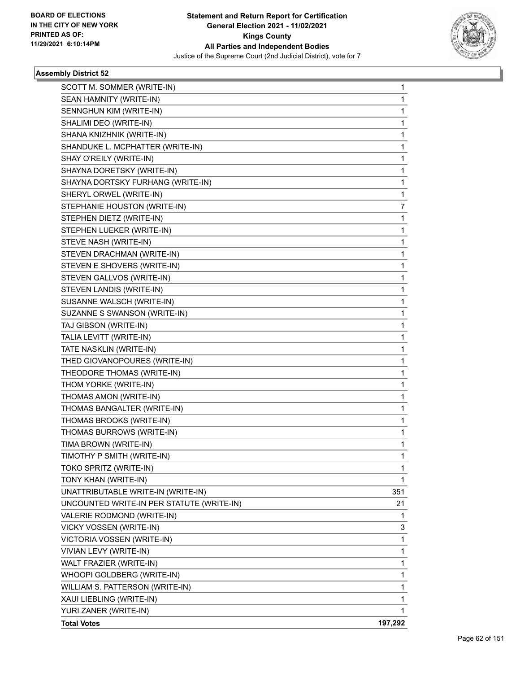

| SCOTT M. SOMMER (WRITE-IN)                | 1       |
|-------------------------------------------|---------|
| SEAN HAMNITY (WRITE-IN)                   | 1       |
| SENNGHUN KIM (WRITE-IN)                   | 1       |
| SHALIMI DEO (WRITE-IN)                    | 1       |
| SHANA KNIZHNIK (WRITE-IN)                 | 1       |
| SHANDUKE L. MCPHATTER (WRITE-IN)          | 1       |
| SHAY O'REILY (WRITE-IN)                   | 1       |
| SHAYNA DORETSKY (WRITE-IN)                | 1       |
| SHAYNA DORTSKY FURHANG (WRITE-IN)         | 1       |
| SHERYL ORWEL (WRITE-IN)                   | 1       |
| STEPHANIE HOUSTON (WRITE-IN)              | 7       |
| STEPHEN DIETZ (WRITE-IN)                  | 1       |
| STEPHEN LUEKER (WRITE-IN)                 | 1       |
| STEVE NASH (WRITE-IN)                     | 1       |
| STEVEN DRACHMAN (WRITE-IN)                | 1       |
| STEVEN E SHOVERS (WRITE-IN)               | 1       |
| STEVEN GALLVOS (WRITE-IN)                 | 1       |
| STEVEN LANDIS (WRITE-IN)                  | 1       |
| SUSANNE WALSCH (WRITE-IN)                 | 1       |
| SUZANNE S SWANSON (WRITE-IN)              | 1       |
| TAJ GIBSON (WRITE-IN)                     | 1       |
| TALIA LEVITT (WRITE-IN)                   | 1       |
| TATE NASKLIN (WRITE-IN)                   | 1       |
| THED GIOVANOPOURES (WRITE-IN)             | 1       |
| THEODORE THOMAS (WRITE-IN)                | 1       |
| THOM YORKE (WRITE-IN)                     | 1       |
| THOMAS AMON (WRITE-IN)                    | 1       |
| THOMAS BANGALTER (WRITE-IN)               | 1       |
| THOMAS BROOKS (WRITE-IN)                  | 1       |
| THOMAS BURROWS (WRITE-IN)                 | 1       |
| TIMA BROWN (WRITE-IN)                     | 1       |
| TIMOTHY P SMITH (WRITE-IN)                | 1       |
| TOKO SPRITZ (WRITE-IN)                    | 1       |
| TONY KHAN (WRITE-IN)                      | 1       |
| UNATTRIBUTABLE WRITE-IN (WRITE-IN)        | 351     |
| UNCOUNTED WRITE-IN PER STATUTE (WRITE-IN) | 21      |
| VALERIE RODMOND (WRITE-IN)                | 1       |
| VICKY VOSSEN (WRITE-IN)                   | 3       |
| VICTORIA VOSSEN (WRITE-IN)                | 1       |
| VIVIAN LEVY (WRITE-IN)                    | 1       |
| WALT FRAZIER (WRITE-IN)                   | 1       |
| WHOOPI GOLDBERG (WRITE-IN)                | 1       |
| WILLIAM S. PATTERSON (WRITE-IN)           | 1       |
| XAUI LIEBLING (WRITE-IN)                  | 1       |
| YURI ZANER (WRITE-IN)                     | 1       |
| <b>Total Votes</b>                        | 197,292 |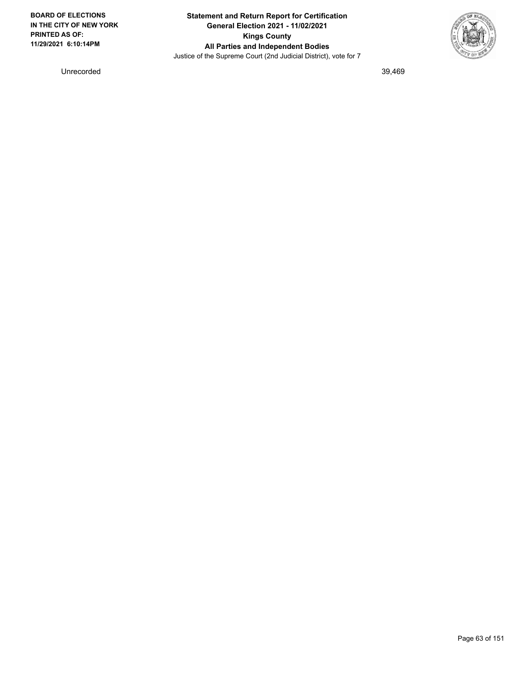

Unrecorded 39,469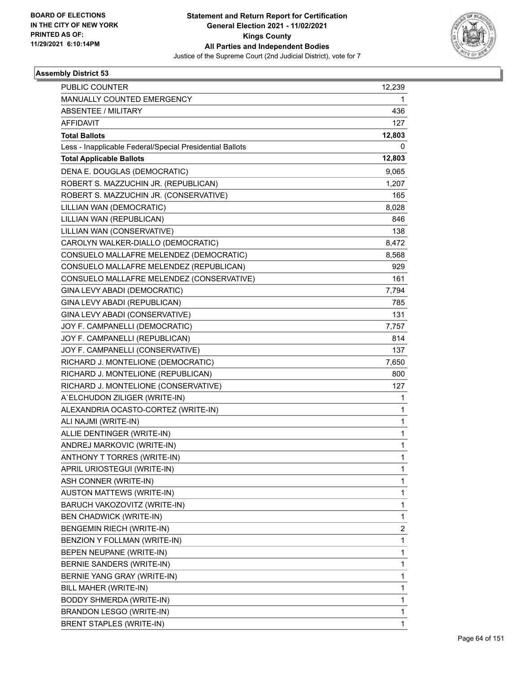

| <b>PUBLIC COUNTER</b>                                    | 12,239       |
|----------------------------------------------------------|--------------|
| MANUALLY COUNTED EMERGENCY                               | 1.           |
| <b>ABSENTEE / MILITARY</b>                               | 436          |
| <b>AFFIDAVIT</b>                                         | 127          |
| <b>Total Ballots</b>                                     | 12,803       |
| Less - Inapplicable Federal/Special Presidential Ballots | 0            |
| <b>Total Applicable Ballots</b>                          | 12,803       |
| DENA E. DOUGLAS (DEMOCRATIC)                             | 9,065        |
| ROBERT S. MAZZUCHIN JR. (REPUBLICAN)                     | 1,207        |
| ROBERT S. MAZZUCHIN JR. (CONSERVATIVE)                   | 165          |
| LILLIAN WAN (DEMOCRATIC)                                 | 8,028        |
| LILLIAN WAN (REPUBLICAN)                                 | 846          |
| LILLIAN WAN (CONSERVATIVE)                               | 138          |
| CAROLYN WALKER-DIALLO (DEMOCRATIC)                       | 8,472        |
| CONSUELO MALLAFRE MELENDEZ (DEMOCRATIC)                  | 8,568        |
| CONSUELO MALLAFRE MELENDEZ (REPUBLICAN)                  | 929          |
| CONSUELO MALLAFRE MELENDEZ (CONSERVATIVE)                | 161          |
| GINA LEVY ABADI (DEMOCRATIC)                             | 7,794        |
| GINA LEVY ABADI (REPUBLICAN)                             | 785          |
| GINA LEVY ABADI (CONSERVATIVE)                           | 131          |
| JOY F. CAMPANELLI (DEMOCRATIC)                           | 7,757        |
| JOY F. CAMPANELLI (REPUBLICAN)                           | 814          |
| JOY F. CAMPANELLI (CONSERVATIVE)                         | 137          |
| RICHARD J. MONTELIONE (DEMOCRATIC)                       | 7,650        |
| RICHARD J. MONTELIONE (REPUBLICAN)                       | 800          |
| RICHARD J. MONTELIONE (CONSERVATIVE)                     | 127          |
| A'ELCHUDON ZILIGER (WRITE-IN)                            | 1            |
| ALEXANDRIA OCASTO-CORTEZ (WRITE-IN)                      | 1            |
| ALI NAJMI (WRITE-IN)                                     | 1            |
| ALLIE DENTINGER (WRITE-IN)                               | 1            |
| ANDREJ MARKOVIC (WRITE-IN)                               | 1            |
| ANTHONY T TORRES (WRITE-IN)                              | 1            |
| APRIL URIOSTEGUI (WRITE-IN)                              | 1            |
| ASH CONNER (WRITE-IN)                                    | 1            |
| <b>AUSTON MATTEWS (WRITE-IN)</b>                         | 1            |
| BARUCH VAKOZOVITZ (WRITE-IN)                             | 1            |
| <b>BEN CHADWICK (WRITE-IN)</b>                           | 1            |
| <b>BENGEMIN RIECH (WRITE-IN)</b>                         | 2            |
| BENZION Y FOLLMAN (WRITE-IN)                             | 1            |
| BEPEN NEUPANE (WRITE-IN)                                 | 1            |
| BERNIE SANDERS (WRITE-IN)                                | 1            |
| BERNIE YANG GRAY (WRITE-IN)                              | 1            |
| BILL MAHER (WRITE-IN)                                    | 1            |
| <b>BODDY SHMERDA (WRITE-IN)</b>                          | 1            |
| <b>BRANDON LESGO (WRITE-IN)</b>                          | 1            |
| <b>BRENT STAPLES (WRITE-IN)</b>                          | $\mathbf{1}$ |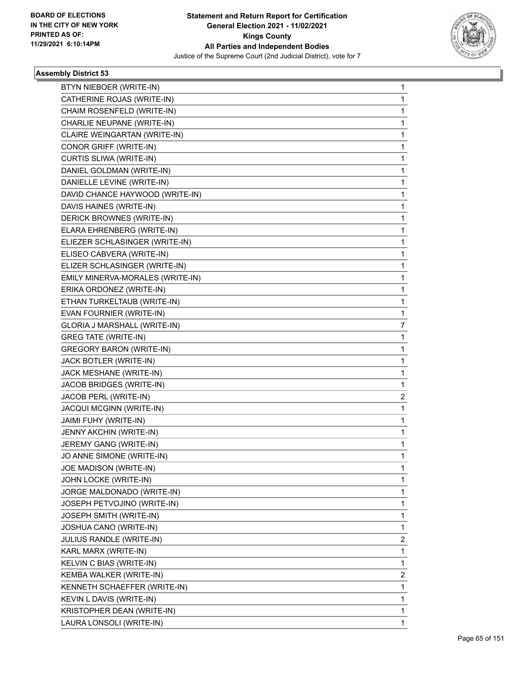

| BTYN NIEBOER (WRITE-IN)          | 1                       |
|----------------------------------|-------------------------|
| CATHERINE ROJAS (WRITE-IN)       | $\mathbf{1}$            |
| CHAIM ROSENFELD (WRITE-IN)       | 1                       |
| CHARLIE NEUPANE (WRITE-IN)       | $\mathbf{1}$            |
| CLAIRE WEINGARTAN (WRITE-IN)     | 1                       |
| CONOR GRIFF (WRITE-IN)           | 1                       |
| CURTIS SLIWA (WRITE-IN)          | $\mathbf{1}$            |
| DANIEL GOLDMAN (WRITE-IN)        | 1                       |
| DANIELLE LEVINE (WRITE-IN)       | 1                       |
| DAVID CHANCE HAYWOOD (WRITE-IN)  | $\mathbf{1}$            |
| DAVIS HAINES (WRITE-IN)          | 1                       |
| DERICK BROWNES (WRITE-IN)        | 1                       |
| ELARA EHRENBERG (WRITE-IN)       | $\mathbf{1}$            |
| ELIEZER SCHLASINGER (WRITE-IN)   | 1                       |
| ELISEO CABVERA (WRITE-IN)        | 1                       |
| ELIZER SCHLASINGER (WRITE-IN)    | $\mathbf{1}$            |
| EMILY MINERVA-MORALES (WRITE-IN) | 1                       |
| ERIKA ORDONEZ (WRITE-IN)         | 1                       |
| ETHAN TURKELTAUB (WRITE-IN)      | $\mathbf{1}$            |
| EVAN FOURNIER (WRITE-IN)         | $\mathbf{1}$            |
| GLORIA J MARSHALL (WRITE-IN)     | 7                       |
| <b>GREG TATE (WRITE-IN)</b>      | $\mathbf{1}$            |
| <b>GREGORY BARON (WRITE-IN)</b>  | 1                       |
| JACK BOTLER (WRITE-IN)           | 1                       |
| JACK MESHANE (WRITE-IN)          | $\mathbf{1}$            |
| JACOB BRIDGES (WRITE-IN)         | 1                       |
| JACOB PERL (WRITE-IN)            | 2                       |
| JACQUI MCGINN (WRITE-IN)         | $\mathbf{1}$            |
| JAIMI FUHY (WRITE-IN)            | 1                       |
| JENNY AKCHIN (WRITE-IN)          | 1                       |
| JEREMY GANG (WRITE-IN)           | $\mathbf{1}$            |
| JO ANNE SIMONE (WRITE-IN)        | 1                       |
| JOE MADISON (WRITE-IN)           | 1                       |
| JOHN LOCKE (WRITE-IN)            | $\mathbf{1}$            |
| JORGE MALDONADO (WRITE-IN)       | $\mathbf{1}$            |
| JOSEPH PETVOJINO (WRITE-IN)      | 1                       |
| JOSEPH SMITH (WRITE-IN)          | $\mathbf{1}$            |
| JOSHUA CANO (WRITE-IN)           | 1                       |
| JULIUS RANDLE (WRITE-IN)         | $\overline{\mathbf{c}}$ |
| KARL MARX (WRITE-IN)             | $\mathbf{1}$            |
| KELVIN C BIAS (WRITE-IN)         | $\mathbf{1}$            |
| KEMBA WALKER (WRITE-IN)          | $\overline{\mathbf{c}}$ |
| KENNETH SCHAEFFER (WRITE-IN)     | $\mathbf{1}$            |
| KEVIN L DAVIS (WRITE-IN)         | 1                       |
| KRISTOPHER DEAN (WRITE-IN)       | 1                       |
| LAURA LONSOLI (WRITE-IN)         | 1                       |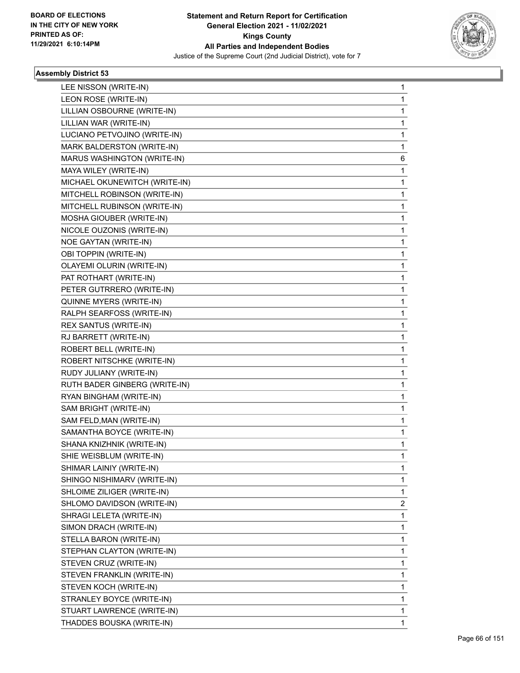

| 1                       |
|-------------------------|
| 1                       |
| 1                       |
| 1                       |
| 1                       |
| 1                       |
| 6                       |
| 1                       |
| 1                       |
| 1                       |
| 1                       |
| 1                       |
| 1                       |
| 1                       |
| 1                       |
| 1                       |
| 1                       |
| 1                       |
| 1                       |
| 1                       |
| 1                       |
| 1                       |
| 1                       |
| 1                       |
| 1                       |
| 1                       |
| 1                       |
| 1                       |
| 1                       |
| 1                       |
| 1                       |
| 1                       |
| 1                       |
| 1                       |
| 1                       |
| $\overline{\mathbf{c}}$ |
| 1                       |
| 1                       |
| 1                       |
| 1                       |
| 1                       |
| 1                       |
| 1                       |
| 1                       |
| 1                       |
| 1                       |
|                         |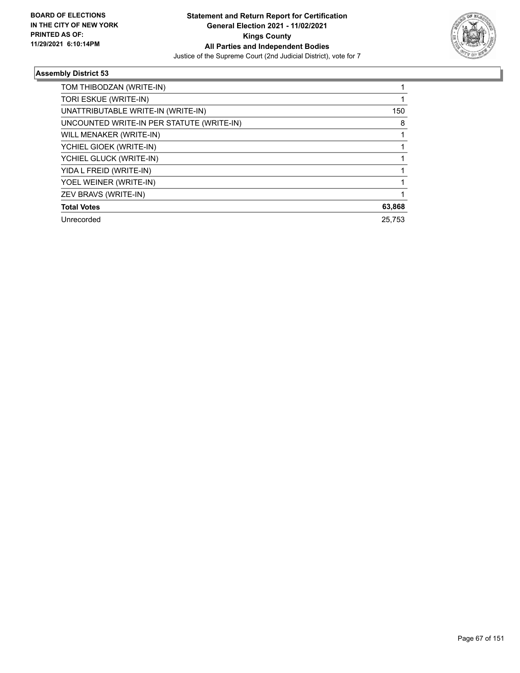

| TOM THIBODZAN (WRITE-IN)                  |        |
|-------------------------------------------|--------|
| TORI ESKUE (WRITE-IN)                     |        |
| UNATTRIBUTABLE WRITE-IN (WRITE-IN)        | 150    |
| UNCOUNTED WRITE-IN PER STATUTE (WRITE-IN) | 8      |
| WILL MENAKER (WRITE-IN)                   |        |
| YCHIEL GIOEK (WRITE-IN)                   |        |
| YCHIEL GLUCK (WRITE-IN)                   |        |
| YIDA L FREID (WRITE-IN)                   |        |
| YOEL WEINER (WRITE-IN)                    |        |
| ZEV BRAVS (WRITE-IN)                      |        |
| <b>Total Votes</b>                        | 63,868 |
| Unrecorded                                | 25.753 |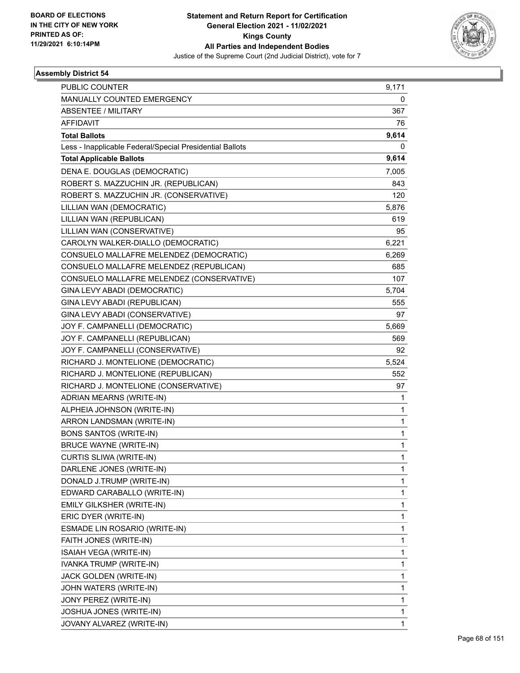

| PUBLIC COUNTER                                           | 9,171        |
|----------------------------------------------------------|--------------|
| MANUALLY COUNTED EMERGENCY                               | 0            |
| ABSENTEE / MILITARY                                      | 367          |
| <b>AFFIDAVIT</b>                                         | 76           |
| <b>Total Ballots</b>                                     | 9,614        |
| Less - Inapplicable Federal/Special Presidential Ballots | 0            |
| <b>Total Applicable Ballots</b>                          | 9,614        |
| DENA E. DOUGLAS (DEMOCRATIC)                             | 7,005        |
| ROBERT S. MAZZUCHIN JR. (REPUBLICAN)                     | 843          |
| ROBERT S. MAZZUCHIN JR. (CONSERVATIVE)                   | 120          |
| LILLIAN WAN (DEMOCRATIC)                                 | 5,876        |
| LILLIAN WAN (REPUBLICAN)                                 | 619          |
| LILLIAN WAN (CONSERVATIVE)                               | 95           |
| CAROLYN WALKER-DIALLO (DEMOCRATIC)                       | 6,221        |
| CONSUELO MALLAFRE MELENDEZ (DEMOCRATIC)                  | 6,269        |
| CONSUELO MALLAFRE MELENDEZ (REPUBLICAN)                  | 685          |
| CONSUELO MALLAFRE MELENDEZ (CONSERVATIVE)                | 107          |
| GINA LEVY ABADI (DEMOCRATIC)                             | 5,704        |
| GINA LEVY ABADI (REPUBLICAN)                             | 555          |
| GINA LEVY ABADI (CONSERVATIVE)                           | 97           |
| JOY F. CAMPANELLI (DEMOCRATIC)                           | 5,669        |
| JOY F. CAMPANELLI (REPUBLICAN)                           | 569          |
| JOY F. CAMPANELLI (CONSERVATIVE)                         | 92           |
| RICHARD J. MONTELIONE (DEMOCRATIC)                       | 5,524        |
| RICHARD J. MONTELIONE (REPUBLICAN)                       | 552          |
| RICHARD J. MONTELIONE (CONSERVATIVE)                     | 97           |
| ADRIAN MEARNS (WRITE-IN)                                 | 1            |
| ALPHEIA JOHNSON (WRITE-IN)                               | 1            |
| ARRON LANDSMAN (WRITE-IN)                                | 1            |
| <b>BONS SANTOS (WRITE-IN)</b>                            | $\mathbf{1}$ |
| <b>BRUCE WAYNE (WRITE-IN)</b>                            | $\mathbf{1}$ |
| CURTIS SLIWA (WRITE-IN)                                  | 1            |
| DARLENE JONES (WRITE-IN)                                 | 1            |
| DONALD J.TRUMP (WRITE-IN)                                | 1            |
| EDWARD CARABALLO (WRITE-IN)                              | 1            |
| EMILY GILKSHER (WRITE-IN)                                | 1            |
| ERIC DYER (WRITE-IN)                                     | $\mathbf{1}$ |
| ESMADE LIN ROSARIO (WRITE-IN)                            | 1            |
| FAITH JONES (WRITE-IN)                                   | 1            |
| ISAIAH VEGA (WRITE-IN)                                   | $\mathbf{1}$ |
| IVANKA TRUMP (WRITE-IN)                                  | 1            |
| JACK GOLDEN (WRITE-IN)                                   | 1            |
| JOHN WATERS (WRITE-IN)                                   | $\mathbf{1}$ |
| JONY PEREZ (WRITE-IN)                                    | 1            |
| JOSHUA JONES (WRITE-IN)                                  | 1            |
| JOVANY ALVAREZ (WRITE-IN)                                | $\mathbf{1}$ |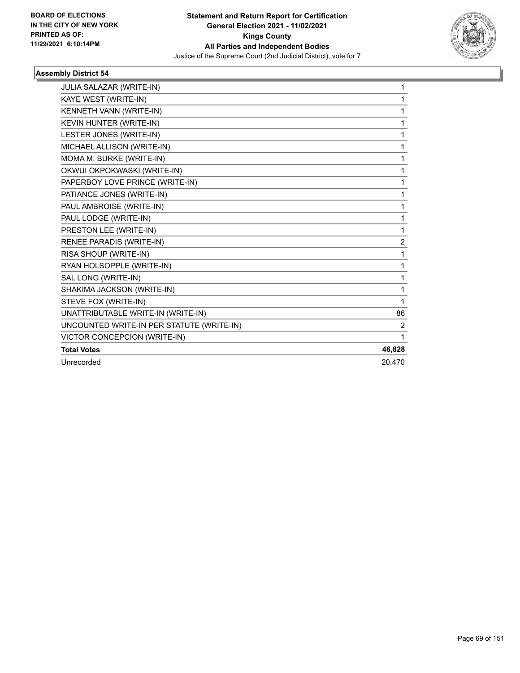

| JULIA SALAZAR (WRITE-IN)                  | 1              |
|-------------------------------------------|----------------|
| KAYE WEST (WRITE-IN)                      | 1              |
| KENNETH VANN (WRITE-IN)                   | 1              |
| KEVIN HUNTER (WRITE-IN)                   | 1              |
| LESTER JONES (WRITE-IN)                   | 1              |
| MICHAEL ALLISON (WRITE-IN)                | 1              |
| MOMA M. BURKE (WRITE-IN)                  | 1              |
| OKWUI OKPOKWASKI (WRITE-IN)               | 1              |
| PAPERBOY LOVE PRINCE (WRITE-IN)           | 1              |
| PATIANCE JONES (WRITE-IN)                 | 1              |
| PAUL AMBROISE (WRITE-IN)                  | 1              |
| PAUL LODGE (WRITE-IN)                     | 1              |
| PRESTON LEE (WRITE-IN)                    | 1              |
| <b>RENEE PARADIS (WRITE-IN)</b>           | $\overline{2}$ |
| RISA SHOUP (WRITE-IN)                     | 1              |
| RYAN HOLSOPPLE (WRITE-IN)                 | 1              |
| SAL LONG (WRITE-IN)                       | 1              |
| SHAKIMA JACKSON (WRITE-IN)                | 1              |
| STEVE FOX (WRITE-IN)                      | 1              |
| UNATTRIBUTABLE WRITE-IN (WRITE-IN)        | 86             |
| UNCOUNTED WRITE-IN PER STATUTE (WRITE-IN) | 2              |
| VICTOR CONCEPCION (WRITE-IN)              | 1              |
| <b>Total Votes</b>                        | 46,828         |
| Unrecorded                                | 20.470         |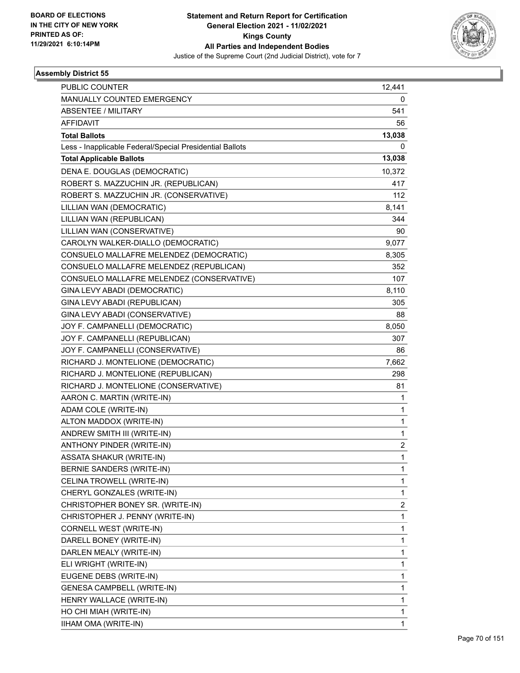

| <b>PUBLIC COUNTER</b>                                    | 12,441                  |
|----------------------------------------------------------|-------------------------|
| MANUALLY COUNTED EMERGENCY                               | 0                       |
| <b>ABSENTEE / MILITARY</b>                               | 541                     |
| <b>AFFIDAVIT</b>                                         | 56                      |
| <b>Total Ballots</b>                                     | 13,038                  |
| Less - Inapplicable Federal/Special Presidential Ballots | 0                       |
| <b>Total Applicable Ballots</b>                          | 13,038                  |
| DENA E. DOUGLAS (DEMOCRATIC)                             | 10,372                  |
| ROBERT S. MAZZUCHIN JR. (REPUBLICAN)                     | 417                     |
| ROBERT S. MAZZUCHIN JR. (CONSERVATIVE)                   | 112                     |
| LILLIAN WAN (DEMOCRATIC)                                 | 8,141                   |
| LILLIAN WAN (REPUBLICAN)                                 | 344                     |
| LILLIAN WAN (CONSERVATIVE)                               | 90                      |
| CAROLYN WALKER-DIALLO (DEMOCRATIC)                       | 9,077                   |
| CONSUELO MALLAFRE MELENDEZ (DEMOCRATIC)                  | 8,305                   |
| CONSUELO MALLAFRE MELENDEZ (REPUBLICAN)                  | 352                     |
| CONSUELO MALLAFRE MELENDEZ (CONSERVATIVE)                | 107                     |
| GINA LEVY ABADI (DEMOCRATIC)                             | 8,110                   |
| GINA LEVY ABADI (REPUBLICAN)                             | 305                     |
| GINA LEVY ABADI (CONSERVATIVE)                           | 88                      |
| JOY F. CAMPANELLI (DEMOCRATIC)                           | 8,050                   |
| JOY F. CAMPANELLI (REPUBLICAN)                           | 307                     |
| JOY F. CAMPANELLI (CONSERVATIVE)                         | 86                      |
| RICHARD J. MONTELIONE (DEMOCRATIC)                       | 7,662                   |
| RICHARD J. MONTELIONE (REPUBLICAN)                       | 298                     |
| RICHARD J. MONTELIONE (CONSERVATIVE)                     | 81                      |
| AARON C. MARTIN (WRITE-IN)                               | 1                       |
| ADAM COLE (WRITE-IN)                                     | 1                       |
| ALTON MADDOX (WRITE-IN)                                  | 1                       |
| ANDREW SMITH III (WRITE-IN)                              | 1                       |
| ANTHONY PINDER (WRITE-IN)                                | $\overline{\mathbf{c}}$ |
| <b>ASSATA SHAKUR (WRITE-IN)</b>                          | 1                       |
| BERNIE SANDERS (WRITE-IN)                                | 1                       |
| CELINA TROWELL (WRITE-IN)                                | 1                       |
| CHERYL GONZALES (WRITE-IN)                               | 1                       |
| CHRISTOPHER BONEY SR. (WRITE-IN)                         | 2                       |
| CHRISTOPHER J. PENNY (WRITE-IN)                          | 1                       |
| CORNELL WEST (WRITE-IN)                                  | 1                       |
| DARELL BONEY (WRITE-IN)                                  | 1                       |
| DARLEN MEALY (WRITE-IN)                                  | 1                       |
| ELI WRIGHT (WRITE-IN)                                    | 1                       |
| EUGENE DEBS (WRITE-IN)                                   | 1                       |
| <b>GENESA CAMPBELL (WRITE-IN)</b>                        | 1                       |
| HENRY WALLACE (WRITE-IN)                                 | 1                       |
| HO CHI MIAH (WRITE-IN)                                   | 1                       |
| IIHAM OMA (WRITE-IN)                                     | $\mathbf{1}$            |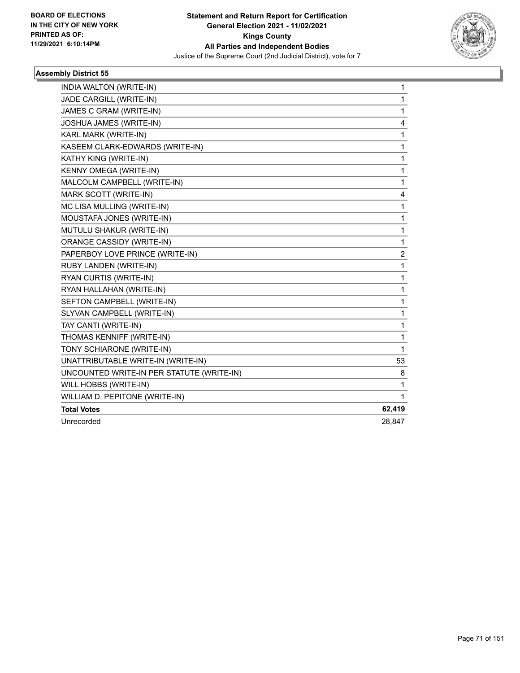

| INDIA WALTON (WRITE-IN)                   | 1      |
|-------------------------------------------|--------|
| JADE CARGILL (WRITE-IN)                   | 1      |
| JAMES C GRAM (WRITE-IN)                   | 1      |
| JOSHUA JAMES (WRITE-IN)                   | 4      |
| KARL MARK (WRITE-IN)                      | 1      |
| KASEEM CLARK-EDWARDS (WRITE-IN)           | 1      |
| KATHY KING (WRITE-IN)                     | 1      |
| KENNY OMEGA (WRITE-IN)                    | 1      |
| MALCOLM CAMPBELL (WRITE-IN)               | 1      |
| MARK SCOTT (WRITE-IN)                     | 4      |
| MC LISA MULLING (WRITE-IN)                | 1      |
| MOUSTAFA JONES (WRITE-IN)                 | 1      |
| MUTULU SHAKUR (WRITE-IN)                  | 1      |
| ORANGE CASSIDY (WRITE-IN)                 | 1      |
| PAPERBOY LOVE PRINCE (WRITE-IN)           | 2      |
| RUBY LANDEN (WRITE-IN)                    | 1      |
| RYAN CURTIS (WRITE-IN)                    | 1      |
| RYAN HALLAHAN (WRITE-IN)                  | 1      |
| SEFTON CAMPBELL (WRITE-IN)                | 1      |
| SLYVAN CAMPBELL (WRITE-IN)                | 1      |
| TAY CANTI (WRITE-IN)                      | 1      |
| THOMAS KENNIFF (WRITE-IN)                 | 1      |
| TONY SCHIARONE (WRITE-IN)                 | 1      |
| UNATTRIBUTABLE WRITE-IN (WRITE-IN)        | 53     |
| UNCOUNTED WRITE-IN PER STATUTE (WRITE-IN) | 8      |
| WILL HOBBS (WRITE-IN)                     | 1      |
| WILLIAM D. PEPITONE (WRITE-IN)            | 1      |
| <b>Total Votes</b>                        | 62,419 |
| Unrecorded                                | 28,847 |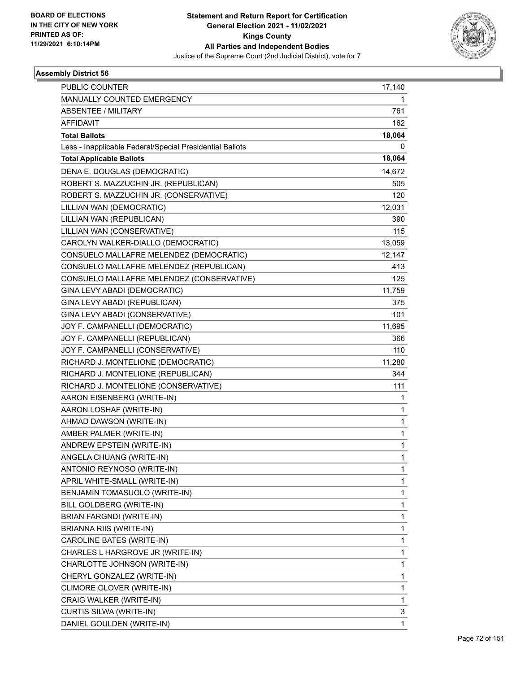

| <b>PUBLIC COUNTER</b>                                    | 17,140 |
|----------------------------------------------------------|--------|
| MANUALLY COUNTED EMERGENCY                               | 1      |
| <b>ABSENTEE / MILITARY</b>                               | 761    |
| <b>AFFIDAVIT</b>                                         | 162    |
| <b>Total Ballots</b>                                     | 18,064 |
| Less - Inapplicable Federal/Special Presidential Ballots | 0      |
| <b>Total Applicable Ballots</b>                          | 18,064 |
| DENA E. DOUGLAS (DEMOCRATIC)                             | 14,672 |
| ROBERT S. MAZZUCHIN JR. (REPUBLICAN)                     | 505    |
| ROBERT S. MAZZUCHIN JR. (CONSERVATIVE)                   | 120    |
| LILLIAN WAN (DEMOCRATIC)                                 | 12,031 |
| LILLIAN WAN (REPUBLICAN)                                 | 390    |
| LILLIAN WAN (CONSERVATIVE)                               | 115    |
| CAROLYN WALKER-DIALLO (DEMOCRATIC)                       | 13,059 |
| CONSUELO MALLAFRE MELENDEZ (DEMOCRATIC)                  | 12,147 |
| CONSUELO MALLAFRE MELENDEZ (REPUBLICAN)                  | 413    |
| CONSUELO MALLAFRE MELENDEZ (CONSERVATIVE)                | 125    |
| GINA LEVY ABADI (DEMOCRATIC)                             | 11,759 |
| GINA LEVY ABADI (REPUBLICAN)                             | 375    |
| GINA LEVY ABADI (CONSERVATIVE)                           | 101    |
| JOY F. CAMPANELLI (DEMOCRATIC)                           | 11,695 |
| JOY F. CAMPANELLI (REPUBLICAN)                           | 366    |
| JOY F. CAMPANELLI (CONSERVATIVE)                         | 110    |
| RICHARD J. MONTELIONE (DEMOCRATIC)                       | 11,280 |
| RICHARD J. MONTELIONE (REPUBLICAN)                       | 344    |
| RICHARD J. MONTELIONE (CONSERVATIVE)                     | 111    |
| AARON EISENBERG (WRITE-IN)                               | 1      |
| AARON LOSHAF (WRITE-IN)                                  | 1      |
| AHMAD DAWSON (WRITE-IN)                                  | 1      |
| AMBER PALMER (WRITE-IN)                                  | 1      |
| ANDREW EPSTEIN (WRITE-IN)                                | 1      |
| ANGELA CHUANG (WRITE-IN)                                 | 1      |
| ANTONIO REYNOSO (WRITE-IN)                               | 1      |
| APRIL WHITE-SMALL (WRITE-IN)                             | 1      |
| BENJAMIN TOMASUOLO (WRITE-IN)                            | 1      |
| BILL GOLDBERG (WRITE-IN)                                 | 1      |
| BRIAN FARGNDI (WRITE-IN)                                 | 1      |
| BRIANNA RIIS (WRITE-IN)                                  | 1      |
| CAROLINE BATES (WRITE-IN)                                | 1      |
| CHARLES L HARGROVE JR (WRITE-IN)                         | 1      |
| CHARLOTTE JOHNSON (WRITE-IN)                             | 1      |
| CHERYL GONZALEZ (WRITE-IN)                               | 1      |
| CLIMORE GLOVER (WRITE-IN)                                | 1      |
| CRAIG WALKER (WRITE-IN)                                  | 1      |
| CURTIS SILWA (WRITE-IN)                                  | 3      |
| DANIEL GOULDEN (WRITE-IN)                                | 1      |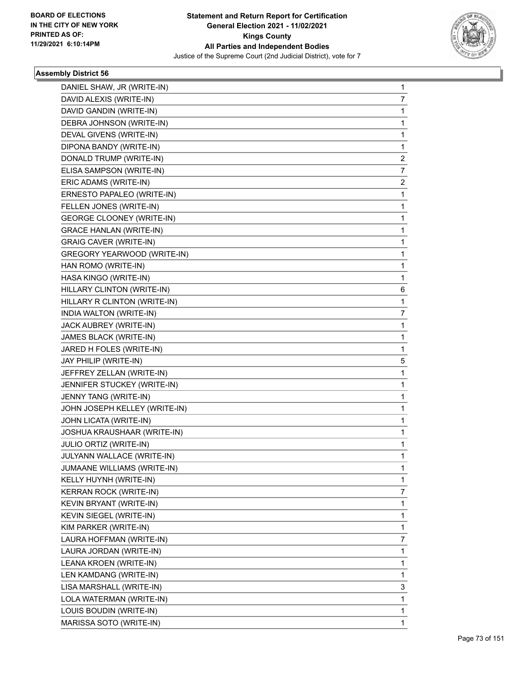

| DANIEL SHAW, JR (WRITE-IN)       | 1              |
|----------------------------------|----------------|
| DAVID ALEXIS (WRITE-IN)          | 7              |
| DAVID GANDIN (WRITE-IN)          | 1              |
| DEBRA JOHNSON (WRITE-IN)         | 1              |
| DEVAL GIVENS (WRITE-IN)          | 1              |
| DIPONA BANDY (WRITE-IN)          | 1              |
| DONALD TRUMP (WRITE-IN)          | $\overline{2}$ |
| ELISA SAMPSON (WRITE-IN)         | 7              |
| ERIC ADAMS (WRITE-IN)            | 2              |
| ERNESTO PAPALEO (WRITE-IN)       | 1              |
| FELLEN JONES (WRITE-IN)          | 1              |
| <b>GEORGE CLOONEY (WRITE-IN)</b> | $\mathbf{1}$   |
| <b>GRACE HANLAN (WRITE-IN)</b>   | 1              |
| <b>GRAIG CAVER (WRITE-IN)</b>    | 1              |
| GREGORY YEARWOOD (WRITE-IN)      | 1              |
| HAN ROMO (WRITE-IN)              | 1              |
| HASA KINGO (WRITE-IN)            | 1              |
| HILLARY CLINTON (WRITE-IN)       | 6              |
| HILLARY R CLINTON (WRITE-IN)     | 1              |
| INDIA WALTON (WRITE-IN)          | 7              |
| JACK AUBREY (WRITE-IN)           | 1              |
| JAMES BLACK (WRITE-IN)           | 1              |
| JARED H FOLES (WRITE-IN)         | 1              |
| JAY PHILIP (WRITE-IN)            | 5              |
| JEFFREY ZELLAN (WRITE-IN)        | 1              |
| JENNIFER STUCKEY (WRITE-IN)      | 1              |
| JENNY TANG (WRITE-IN)            | 1              |
| JOHN JOSEPH KELLEY (WRITE-IN)    | 1              |
| JOHN LICATA (WRITE-IN)           | 1              |
| JOSHUA KRAUSHAAR (WRITE-IN)      | $\mathbf{1}$   |
| JULIO ORTIZ (WRITE-IN)           | 1              |
| JULYANN WALLACE (WRITE-IN)       | 1              |
| JUMAANE WILLIAMS (WRITE-IN)      | 1              |
| KELLY HUYNH (WRITE-IN)           | 1              |
| KERRAN ROCK (WRITE-IN)           | 7              |
| KEVIN BRYANT (WRITE-IN)          | 1              |
| KEVIN SIEGEL (WRITE-IN)          | 1              |
| KIM PARKER (WRITE-IN)            | 1              |
| LAURA HOFFMAN (WRITE-IN)         | 7              |
| LAURA JORDAN (WRITE-IN)          | 1              |
| LEANA KROEN (WRITE-IN)           | 1              |
| LEN KAMDANG (WRITE-IN)           | 1              |
| LISA MARSHALL (WRITE-IN)         | 3              |
| LOLA WATERMAN (WRITE-IN)         | 1              |
| LOUIS BOUDIN (WRITE-IN)          | 1              |
| MARISSA SOTO (WRITE-IN)          | 1              |
|                                  |                |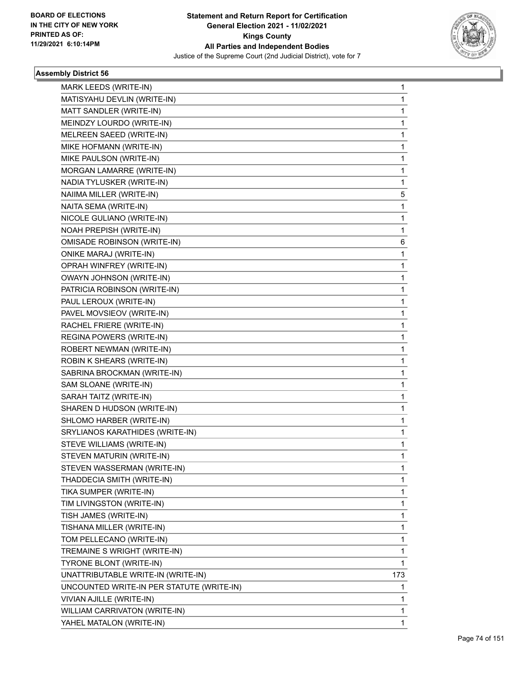

| MARK LEEDS (WRITE-IN)                     | 1   |
|-------------------------------------------|-----|
| MATISYAHU DEVLIN (WRITE-IN)               | 1   |
| MATT SANDLER (WRITE-IN)                   | 1   |
| MEINDZY LOURDO (WRITE-IN)                 | 1   |
| MELREEN SAEED (WRITE-IN)                  | 1   |
| MIKE HOFMANN (WRITE-IN)                   | 1   |
| MIKE PAULSON (WRITE-IN)                   | 1   |
| MORGAN LAMARRE (WRITE-IN)                 | 1   |
| NADIA TYLUSKER (WRITE-IN)                 | 1   |
| NAIIMA MILLER (WRITE-IN)                  | 5   |
| NAITA SEMA (WRITE-IN)                     | 1   |
| NICOLE GULIANO (WRITE-IN)                 | 1   |
| NOAH PREPISH (WRITE-IN)                   | 1   |
| <b>OMISADE ROBINSON (WRITE-IN)</b>        | 6   |
| <b>ONIKE MARAJ (WRITE-IN)</b>             | 1   |
| OPRAH WINFREY (WRITE-IN)                  | 1   |
| OWAYN JOHNSON (WRITE-IN)                  | 1   |
| PATRICIA ROBINSON (WRITE-IN)              | 1   |
| PAUL LEROUX (WRITE-IN)                    | 1   |
| PAVEL MOVSIEOV (WRITE-IN)                 | 1   |
| RACHEL FRIERE (WRITE-IN)                  | 1   |
| REGINA POWERS (WRITE-IN)                  | 1   |
| ROBERT NEWMAN (WRITE-IN)                  | 1   |
| ROBIN K SHEARS (WRITE-IN)                 | 1   |
| SABRINA BROCKMAN (WRITE-IN)               | 1   |
| SAM SLOANE (WRITE-IN)                     | 1   |
| SARAH TAITZ (WRITE-IN)                    | 1   |
| SHAREN D HUDSON (WRITE-IN)                | 1   |
| SHLOMO HARBER (WRITE-IN)                  | 1   |
| SRYLIANOS KARATHIDES (WRITE-IN)           | 1   |
| STEVE WILLIAMS (WRITE-IN)                 | 1   |
| STEVEN MATURIN (WRITE-IN)                 | 1   |
| STEVEN WASSERMAN (WRITE-IN)               | 1   |
| THADDECIA SMITH (WRITE-IN)                | 1   |
| TIKA SUMPER (WRITE-IN)                    | 1   |
| TIM LIVINGSTON (WRITE-IN)                 | 1   |
| TISH JAMES (WRITE-IN)                     | 1   |
| TISHANA MILLER (WRITE-IN)                 | 1   |
| TOM PELLECANO (WRITE-IN)                  | 1   |
| TREMAINE S WRIGHT (WRITE-IN)              | 1   |
| <b>TYRONE BLONT (WRITE-IN)</b>            | 1   |
| UNATTRIBUTABLE WRITE-IN (WRITE-IN)        | 173 |
| UNCOUNTED WRITE-IN PER STATUTE (WRITE-IN) | 1   |
| VIVIAN AJILLE (WRITE-IN)                  | 1   |
| WILLIAM CARRIVATON (WRITE-IN)             | 1   |
| YAHEL MATALON (WRITE-IN)                  | 1   |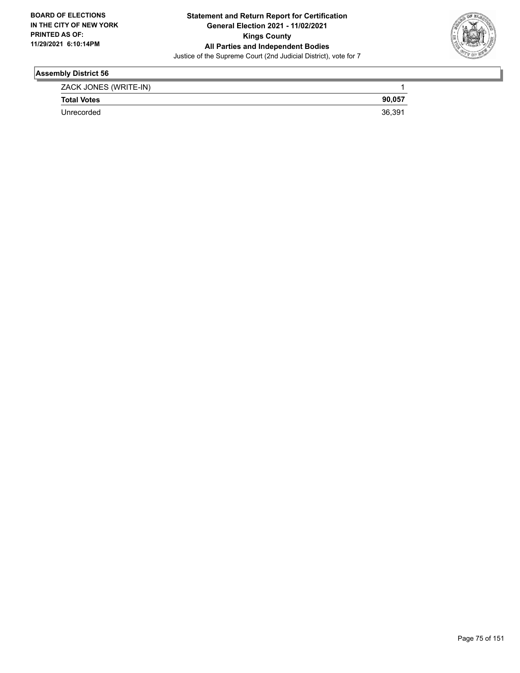

| ZACK JONES (WRITE-IN) |        |
|-----------------------|--------|
| <b>Total Votes</b>    | 90.057 |
| Unrecorded            | 36.39  |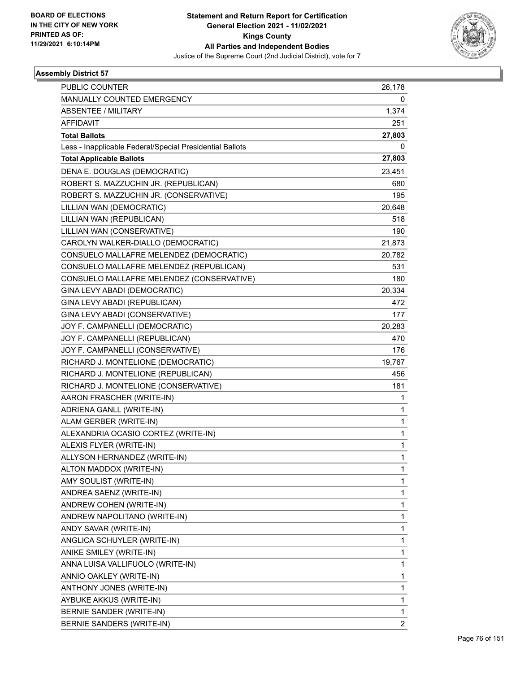

| <b>PUBLIC COUNTER</b>                                    | 26,178         |
|----------------------------------------------------------|----------------|
| MANUALLY COUNTED EMERGENCY                               | 0              |
| <b>ABSENTEE / MILITARY</b>                               | 1,374          |
| <b>AFFIDAVIT</b>                                         | 251            |
| <b>Total Ballots</b>                                     | 27,803         |
| Less - Inapplicable Federal/Special Presidential Ballots | 0              |
| <b>Total Applicable Ballots</b>                          | 27,803         |
| DENA E. DOUGLAS (DEMOCRATIC)                             | 23,451         |
| ROBERT S. MAZZUCHIN JR. (REPUBLICAN)                     | 680            |
| ROBERT S. MAZZUCHIN JR. (CONSERVATIVE)                   | 195            |
| LILLIAN WAN (DEMOCRATIC)                                 | 20,648         |
| LILLIAN WAN (REPUBLICAN)                                 | 518            |
| LILLIAN WAN (CONSERVATIVE)                               | 190            |
| CAROLYN WALKER-DIALLO (DEMOCRATIC)                       | 21,873         |
| CONSUELO MALLAFRE MELENDEZ (DEMOCRATIC)                  | 20,782         |
| CONSUELO MALLAFRE MELENDEZ (REPUBLICAN)                  | 531            |
| CONSUELO MALLAFRE MELENDEZ (CONSERVATIVE)                | 180            |
| GINA LEVY ABADI (DEMOCRATIC)                             | 20,334         |
| GINA LEVY ABADI (REPUBLICAN)                             | 472            |
| GINA LEVY ABADI (CONSERVATIVE)                           | 177            |
| JOY F. CAMPANELLI (DEMOCRATIC)                           | 20,283         |
| JOY F. CAMPANELLI (REPUBLICAN)                           | 470            |
| JOY F. CAMPANELLI (CONSERVATIVE)                         | 176            |
| RICHARD J. MONTELIONE (DEMOCRATIC)                       | 19,767         |
| RICHARD J. MONTELIONE (REPUBLICAN)                       | 456            |
| RICHARD J. MONTELIONE (CONSERVATIVE)                     | 181            |
| AARON FRASCHER (WRITE-IN)                                | 1              |
| ADRIENA GANLL (WRITE-IN)                                 | 1              |
| ALAM GERBER (WRITE-IN)                                   | $\mathbf{1}$   |
| ALEXANDRIA OCASIO CORTEZ (WRITE-IN)                      | 1              |
| ALEXIS FLYER (WRITE-IN)                                  | 1              |
| ALLYSON HERNANDEZ (WRITE-IN)                             | 1              |
| ALTON MADDOX (WRITE-IN)                                  | 1              |
| AMY SOULIST (WRITE-IN)                                   | 1              |
| ANDREA SAENZ (WRITE-IN)                                  | 1              |
| ANDREW COHEN (WRITE-IN)                                  | 1              |
| ANDREW NAPOLITANO (WRITE-IN)                             | 1              |
| ANDY SAVAR (WRITE-IN)                                    | 1              |
| ANGLICA SCHUYLER (WRITE-IN)                              | 1              |
| ANIKE SMILEY (WRITE-IN)                                  | 1              |
| ANNA LUISA VALLIFUOLO (WRITE-IN)                         | 1              |
| ANNIO OAKLEY (WRITE-IN)                                  | 1              |
| ANTHONY JONES (WRITE-IN)                                 | 1              |
| AYBUKE AKKUS (WRITE-IN)                                  | 1              |
| BERNIE SANDER (WRITE-IN)                                 | 1              |
| BERNIE SANDERS (WRITE-IN)                                | $\overline{2}$ |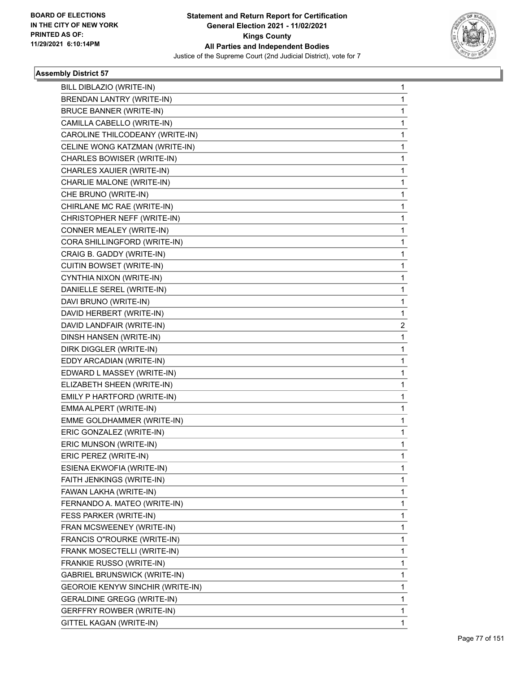

| BILL DIBLAZIO (WRITE-IN)            | 1            |
|-------------------------------------|--------------|
| BRENDAN LANTRY (WRITE-IN)           | $\mathbf{1}$ |
| <b>BRUCE BANNER (WRITE-IN)</b>      | 1            |
| CAMILLA CABELLO (WRITE-IN)          | $\mathbf{1}$ |
| CAROLINE THILCODEANY (WRITE-IN)     | 1            |
| CELINE WONG KATZMAN (WRITE-IN)      | 1            |
| CHARLES BOWISER (WRITE-IN)          | $\mathbf{1}$ |
| CHARLES XAUIER (WRITE-IN)           | $\mathbf{1}$ |
| CHARLIE MALONE (WRITE-IN)           | 1            |
| CHE BRUNO (WRITE-IN)                | $\mathbf{1}$ |
| CHIRLANE MC RAE (WRITE-IN)          | 1            |
| CHRISTOPHER NEFF (WRITE-IN)         | 1            |
| CONNER MEALEY (WRITE-IN)            | $\mathbf{1}$ |
| CORA SHILLINGFORD (WRITE-IN)        | $\mathbf{1}$ |
| CRAIG B. GADDY (WRITE-IN)           | 1            |
| CUITIN BOWSET (WRITE-IN)            | $\mathbf{1}$ |
| CYNTHIA NIXON (WRITE-IN)            | 1            |
| DANIELLE SEREL (WRITE-IN)           | 1            |
| DAVI BRUNO (WRITE-IN)               | $\mathbf{1}$ |
| DAVID HERBERT (WRITE-IN)            | 1            |
| DAVID LANDFAIR (WRITE-IN)           | 2            |
| DINSH HANSEN (WRITE-IN)             | $\mathbf{1}$ |
| DIRK DIGGLER (WRITE-IN)             | 1            |
| EDDY ARCADIAN (WRITE-IN)            | 1            |
| EDWARD L MASSEY (WRITE-IN)          | $\mathbf{1}$ |
| ELIZABETH SHEEN (WRITE-IN)          | $\mathbf{1}$ |
| EMILY P HARTFORD (WRITE-IN)         | 1            |
| EMMA ALPERT (WRITE-IN)              | $\mathbf{1}$ |
| EMME GOLDHAMMER (WRITE-IN)          | 1            |
| ERIC GONZALEZ (WRITE-IN)            | 1            |
| ERIC MUNSON (WRITE-IN)              | $\mathbf{1}$ |
| ERIC PEREZ (WRITE-IN)               | 1            |
| ESIENA EKWOFIA (WRITE-IN)           | 1            |
| FAITH JENKINGS (WRITE-IN)           | $\mathbf{1}$ |
| FAWAN LAKHA (WRITE-IN)              | $\mathbf{1}$ |
| FERNANDO A. MATEO (WRITE-IN)        | 1            |
| FESS PARKER (WRITE-IN)              | $\mathbf{1}$ |
| FRAN MCSWEENEY (WRITE-IN)           | 1            |
| FRANCIS O"ROURKE (WRITE-IN)         | 1            |
| FRANK MOSECTELLI (WRITE-IN)         | $\mathbf{1}$ |
| FRANKIE RUSSO (WRITE-IN)            | $\mathbf{1}$ |
| <b>GABRIEL BRUNSWICK (WRITE-IN)</b> | 1            |
| GEOROIE KENYW SINCHIR (WRITE-IN)    | $\mathbf{1}$ |
| <b>GERALDINE GREGG (WRITE-IN)</b>   | 1            |
| <b>GERFFRY ROWBER (WRITE-IN)</b>    | 1            |
| GITTEL KAGAN (WRITE-IN)             | 1            |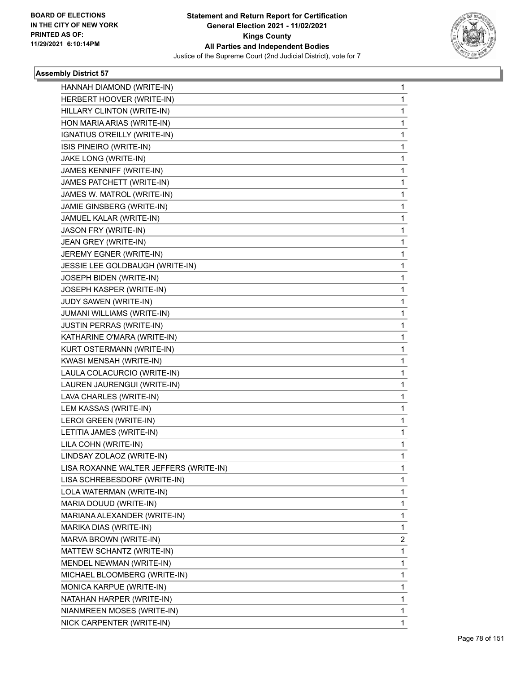

| HANNAH DIAMOND (WRITE-IN)              | 1 |
|----------------------------------------|---|
| HERBERT HOOVER (WRITE-IN)              | 1 |
| HILLARY CLINTON (WRITE-IN)             | 1 |
| HON MARIA ARIAS (WRITE-IN)             | 1 |
| IGNATIUS O'REILLY (WRITE-IN)           | 1 |
| ISIS PINEIRO (WRITE-IN)                | 1 |
| JAKE LONG (WRITE-IN)                   | 1 |
| JAMES KENNIFF (WRITE-IN)               | 1 |
| JAMES PATCHETT (WRITE-IN)              | 1 |
| JAMES W. MATROL (WRITE-IN)             | 1 |
| JAMIE GINSBERG (WRITE-IN)              | 1 |
| JAMUEL KALAR (WRITE-IN)                | 1 |
| JASON FRY (WRITE-IN)                   | 1 |
| JEAN GREY (WRITE-IN)                   | 1 |
| JEREMY EGNER (WRITE-IN)                | 1 |
| JESSIE LEE GOLDBAUGH (WRITE-IN)        | 1 |
| JOSEPH BIDEN (WRITE-IN)                | 1 |
| JOSEPH KASPER (WRITE-IN)               | 1 |
| JUDY SAWEN (WRITE-IN)                  | 1 |
| JUMANI WILLIAMS (WRITE-IN)             | 1 |
| <b>JUSTIN PERRAS (WRITE-IN)</b>        | 1 |
| KATHARINE O'MARA (WRITE-IN)            | 1 |
| KURT OSTERMANN (WRITE-IN)              | 1 |
| KWASI MENSAH (WRITE-IN)                | 1 |
| LAULA COLACURCIO (WRITE-IN)            | 1 |
| LAUREN JAURENGUI (WRITE-IN)            | 1 |
| LAVA CHARLES (WRITE-IN)                | 1 |
| LEM KASSAS (WRITE-IN)                  | 1 |
| LEROI GREEN (WRITE-IN)                 | 1 |
| LETITIA JAMES (WRITE-IN)               | 1 |
| LILA COHN (WRITE-IN)                   | 1 |
| LINDSAY ZOLAOZ (WRITE-IN)              | 1 |
| LISA ROXANNE WALTER JEFFERS (WRITE-IN) | 1 |
| LISA SCHREBESDORF (WRITE-IN)           | 1 |
| LOLA WATERMAN (WRITE-IN)               | 1 |
| MARIA DOUUD (WRITE-IN)                 | 1 |
| MARIANA ALEXANDER (WRITE-IN)           | 1 |
| MARIKA DIAS (WRITE-IN)                 | 1 |
| MARVA BROWN (WRITE-IN)                 | 2 |
| MATTEW SCHANTZ (WRITE-IN)              | 1 |
| MENDEL NEWMAN (WRITE-IN)               | 1 |
| MICHAEL BLOOMBERG (WRITE-IN)           | 1 |
| MONICA KARPUE (WRITE-IN)               | 1 |
| NATAHAN HARPER (WRITE-IN)              | 1 |
| NIANMREEN MOSES (WRITE-IN)             | 1 |
| NICK CARPENTER (WRITE-IN)              | 1 |
|                                        |   |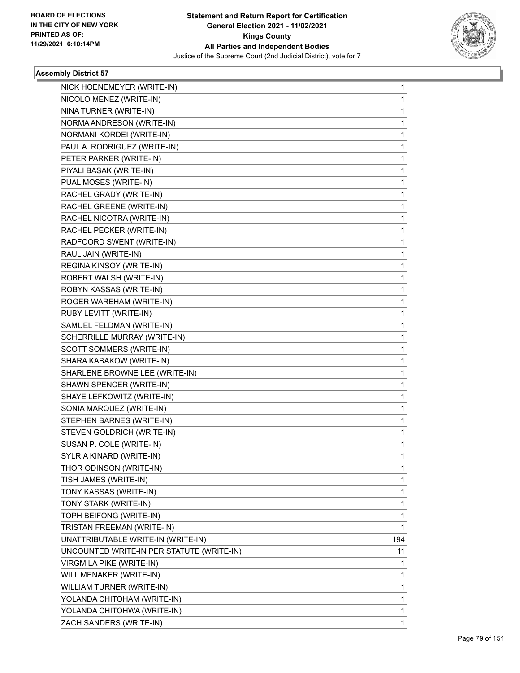

| NICK HOENEMEYER (WRITE-IN)                | 1            |
|-------------------------------------------|--------------|
| NICOLO MENEZ (WRITE-IN)                   | $\mathbf{1}$ |
| NINA TURNER (WRITE-IN)                    | 1            |
| NORMA ANDRESON (WRITE-IN)                 | 1            |
| NORMANI KORDEI (WRITE-IN)                 | 1            |
| PAUL A. RODRIGUEZ (WRITE-IN)              | 1            |
| PETER PARKER (WRITE-IN)                   | 1            |
| PIYALI BASAK (WRITE-IN)                   | $\mathbf{1}$ |
| PUAL MOSES (WRITE-IN)                     | 1            |
| RACHEL GRADY (WRITE-IN)                   | 1            |
| RACHEL GREENE (WRITE-IN)                  | 1            |
| RACHEL NICOTRA (WRITE-IN)                 | 1            |
| RACHEL PECKER (WRITE-IN)                  | 1            |
| RADFOORD SWENT (WRITE-IN)                 | $\mathbf{1}$ |
| RAUL JAIN (WRITE-IN)                      | 1            |
| REGINA KINSOY (WRITE-IN)                  | 1            |
| ROBERT WALSH (WRITE-IN)                   | 1            |
| ROBYN KASSAS (WRITE-IN)                   | 1            |
| ROGER WAREHAM (WRITE-IN)                  | 1            |
| RUBY LEVITT (WRITE-IN)                    | $\mathbf{1}$ |
| SAMUEL FELDMAN (WRITE-IN)                 | 1            |
| SCHERRILLE MURRAY (WRITE-IN)              | 1            |
| SCOTT SOMMERS (WRITE-IN)                  | 1            |
| SHARA KABAKOW (WRITE-IN)                  | 1            |
| SHARLENE BROWNE LEE (WRITE-IN)            | 1            |
| SHAWN SPENCER (WRITE-IN)                  | 1            |
| SHAYE LEFKOWITZ (WRITE-IN)                | 1            |
| SONIA MARQUEZ (WRITE-IN)                  | 1            |
| STEPHEN BARNES (WRITE-IN)                 | 1            |
| STEVEN GOLDRICH (WRITE-IN)                | 1            |
| SUSAN P. COLE (WRITE-IN)                  | 1            |
| SYLRIA KINARD (WRITE-IN)                  | $\mathbf{1}$ |
| THOR ODINSON (WRITE-IN)                   | 1            |
| TISH JAMES (WRITE-IN)                     | 1            |
| TONY KASSAS (WRITE-IN)                    | 1            |
| TONY STARK (WRITE-IN)                     | 1            |
| TOPH BEIFONG (WRITE-IN)                   | 1            |
| TRISTAN FREEMAN (WRITE-IN)                | $\mathbf{1}$ |
| UNATTRIBUTABLE WRITE-IN (WRITE-IN)        | 194          |
| UNCOUNTED WRITE-IN PER STATUTE (WRITE-IN) | 11           |
| VIRGMILA PIKE (WRITE-IN)                  | 1            |
| WILL MENAKER (WRITE-IN)                   | 1            |
| WILLIAM TURNER (WRITE-IN)                 | 1            |
| YOLANDA CHITOHAM (WRITE-IN)               | 1            |
| YOLANDA CHITOHWA (WRITE-IN)               | 1            |
| ZACH SANDERS (WRITE-IN)                   | 1            |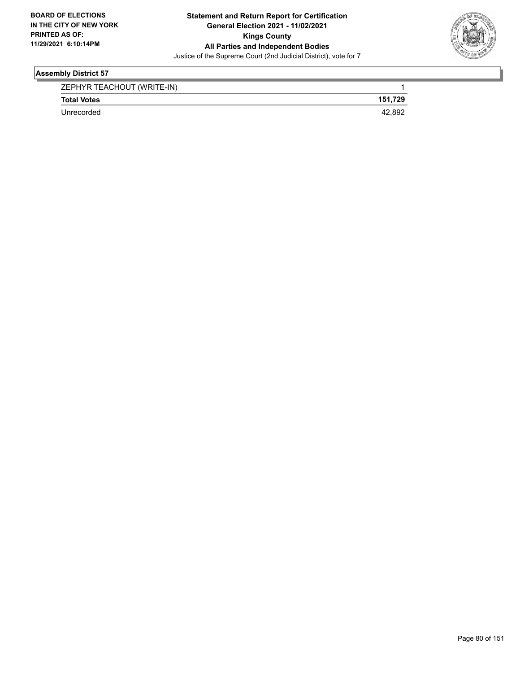

| ZEPHYR TEACHOUT (WRITE-IN) |         |
|----------------------------|---------|
| <b>Total Votes</b>         | 151.729 |
| Unrecorded                 | 42.892  |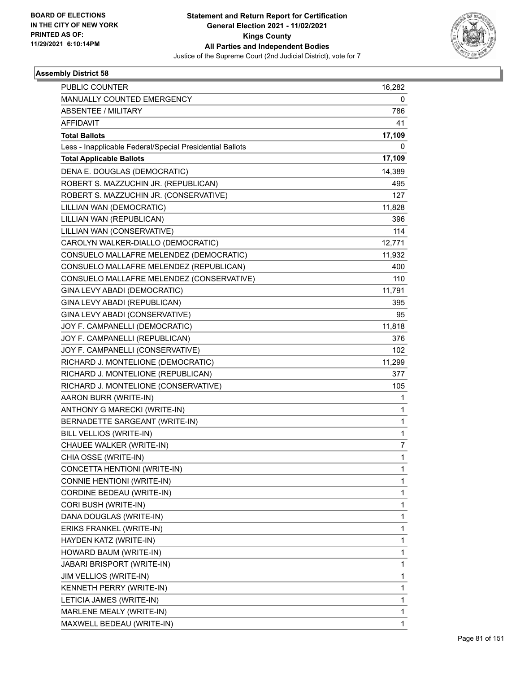

| 16,282       |
|--------------|
| 0            |
| 786          |
| 41           |
| 17,109       |
| 0            |
| 17,109       |
| 14,389       |
| 495          |
| 127          |
| 11,828       |
| 396          |
| 114          |
| 12,771       |
| 11,932       |
| 400          |
| 110          |
| 11,791       |
| 395          |
| 95           |
| 11,818       |
| 376          |
| 102          |
| 11,299       |
| 377          |
| 105          |
| 1            |
| 1            |
| 1            |
| 1            |
| 7            |
| 1            |
| 1            |
| 1            |
| 1            |
| 1            |
| 1            |
| 1            |
| 1            |
| 1            |
| 1            |
| 1            |
| 1            |
| 1            |
| 1            |
| $\mathbf{1}$ |
|              |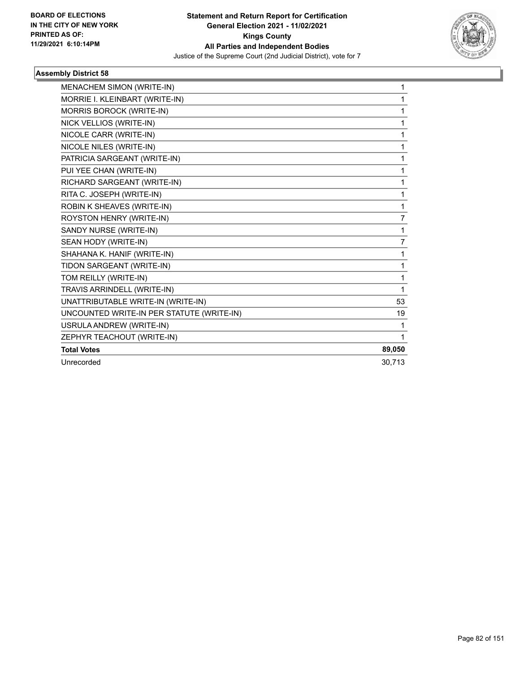

| MENACHEM SIMON (WRITE-IN)                 | 1              |
|-------------------------------------------|----------------|
| MORRIE I. KLEINBART (WRITE-IN)            | 1              |
| MORRIS BOROCK (WRITE-IN)                  | 1              |
|                                           |                |
| NICK VELLIOS (WRITE-IN)                   | 1              |
| NICOLE CARR (WRITE-IN)                    | 1              |
| NICOLE NILES (WRITE-IN)                   | 1              |
| PATRICIA SARGEANT (WRITE-IN)              | 1              |
| PUI YEE CHAN (WRITE-IN)                   | 1              |
| RICHARD SARGEANT (WRITE-IN)               | 1              |
| RITA C. JOSEPH (WRITE-IN)                 | 1              |
| ROBIN K SHEAVES (WRITE-IN)                | 1              |
| ROYSTON HENRY (WRITE-IN)                  | $\overline{7}$ |
| SANDY NURSE (WRITE-IN)                    | 1              |
| SEAN HODY (WRITE-IN)                      | $\overline{7}$ |
| SHAHANA K. HANIF (WRITE-IN)               | 1              |
| TIDON SARGEANT (WRITE-IN)                 | 1              |
| TOM REILLY (WRITE-IN)                     | 1              |
| TRAVIS ARRINDELL (WRITE-IN)               | 1              |
| UNATTRIBUTABLE WRITE-IN (WRITE-IN)        | 53             |
| UNCOUNTED WRITE-IN PER STATUTE (WRITE-IN) | 19             |
| USRULA ANDREW (WRITE-IN)                  | 1              |
| ZEPHYR TEACHOUT (WRITE-IN)                | 1              |
| <b>Total Votes</b>                        | 89,050         |
| Unrecorded                                | 30,713         |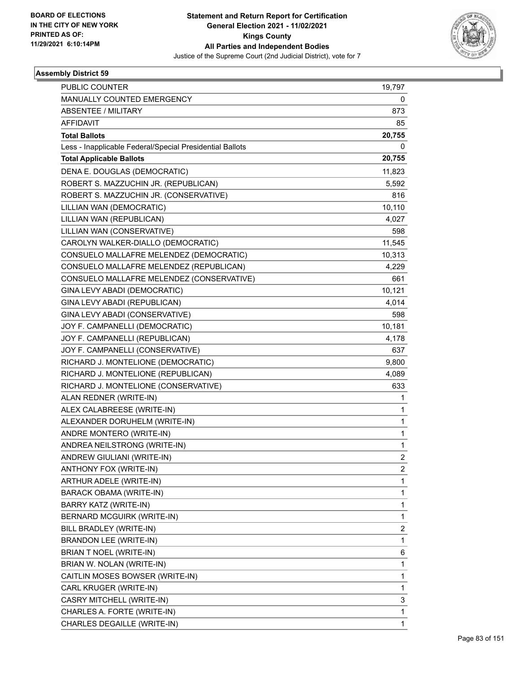

| <b>PUBLIC COUNTER</b>                                    | 19,797         |
|----------------------------------------------------------|----------------|
| MANUALLY COUNTED EMERGENCY                               | 0              |
| <b>ABSENTEE / MILITARY</b>                               | 873            |
| <b>AFFIDAVIT</b>                                         | 85             |
| <b>Total Ballots</b>                                     | 20,755         |
| Less - Inapplicable Federal/Special Presidential Ballots | 0              |
| <b>Total Applicable Ballots</b>                          | 20,755         |
| DENA E. DOUGLAS (DEMOCRATIC)                             | 11,823         |
| ROBERT S. MAZZUCHIN JR. (REPUBLICAN)                     | 5,592          |
| ROBERT S. MAZZUCHIN JR. (CONSERVATIVE)                   | 816            |
| LILLIAN WAN (DEMOCRATIC)                                 | 10,110         |
| LILLIAN WAN (REPUBLICAN)                                 | 4,027          |
| LILLIAN WAN (CONSERVATIVE)                               | 598            |
| CAROLYN WALKER-DIALLO (DEMOCRATIC)                       | 11,545         |
| CONSUELO MALLAFRE MELENDEZ (DEMOCRATIC)                  | 10,313         |
| CONSUELO MALLAFRE MELENDEZ (REPUBLICAN)                  | 4,229          |
| CONSUELO MALLAFRE MELENDEZ (CONSERVATIVE)                | 661            |
| GINA LEVY ABADI (DEMOCRATIC)                             | 10,121         |
| GINA LEVY ABADI (REPUBLICAN)                             | 4,014          |
| GINA LEVY ABADI (CONSERVATIVE)                           | 598            |
| JOY F. CAMPANELLI (DEMOCRATIC)                           | 10,181         |
| JOY F. CAMPANELLI (REPUBLICAN)                           | 4,178          |
| JOY F. CAMPANELLI (CONSERVATIVE)                         | 637            |
| RICHARD J. MONTELIONE (DEMOCRATIC)                       | 9,800          |
| RICHARD J. MONTELIONE (REPUBLICAN)                       | 4,089          |
| RICHARD J. MONTELIONE (CONSERVATIVE)                     | 633            |
| ALAN REDNER (WRITE-IN)                                   | 1              |
| ALEX CALABREESE (WRITE-IN)                               | 1              |
| ALEXANDER DORUHELM (WRITE-IN)                            | $\mathbf{1}$   |
| ANDRE MONTERO (WRITE-IN)                                 | 1              |
| ANDREA NEILSTRONG (WRITE-IN)                             | $\mathbf{1}$   |
| ANDREW GIULIANI (WRITE-IN)                               | $\overline{2}$ |
| ANTHONY FOX (WRITE-IN)                                   | 2              |
| ARTHUR ADELE (WRITE-IN)                                  | $\mathbf{1}$   |
| BARACK OBAMA (WRITE-IN)                                  | $\mathbf{1}$   |
| BARRY KATZ (WRITE-IN)                                    | 1              |
| BERNARD MCGUIRK (WRITE-IN)                               | $\mathbf{1}$   |
| BILL BRADLEY (WRITE-IN)                                  | 2              |
| <b>BRANDON LEE (WRITE-IN)</b>                            | 1              |
| BRIAN T NOEL (WRITE-IN)                                  | 6              |
| BRIAN W. NOLAN (WRITE-IN)                                | $\mathbf{1}$   |
| CAITLIN MOSES BOWSER (WRITE-IN)                          | 1              |
| CARL KRUGER (WRITE-IN)                                   | $\mathbf{1}$   |
| CASRY MITCHELL (WRITE-IN)                                | 3              |
| CHARLES A. FORTE (WRITE-IN)                              | 1              |
| CHARLES DEGAILLE (WRITE-IN)                              | $\mathbf{1}$   |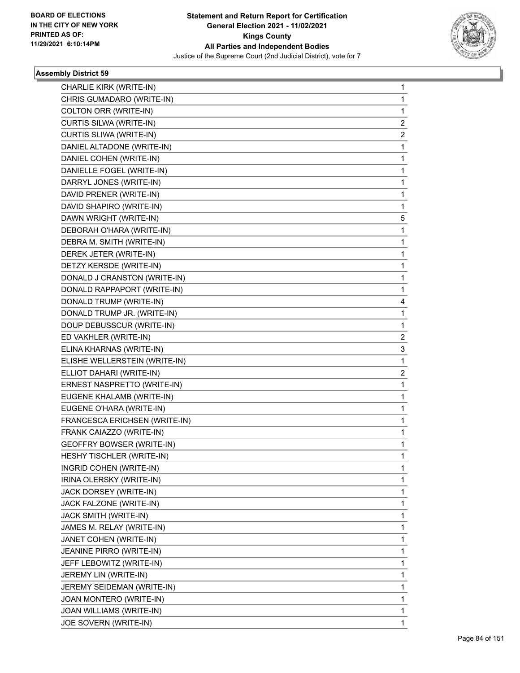

| <b>CHARLIE KIRK (WRITE-IN)</b>   | 1 |
|----------------------------------|---|
| CHRIS GUMADARO (WRITE-IN)        | 1 |
| COLTON ORR (WRITE-IN)            | 1 |
| CURTIS SILWA (WRITE-IN)          | 2 |
| CURTIS SLIWA (WRITE-IN)          | 2 |
| DANIEL ALTADONE (WRITE-IN)       | 1 |
| DANIEL COHEN (WRITE-IN)          | 1 |
| DANIELLE FOGEL (WRITE-IN)        | 1 |
| DARRYL JONES (WRITE-IN)          | 1 |
| DAVID PRENER (WRITE-IN)          | 1 |
| DAVID SHAPIRO (WRITE-IN)         | 1 |
| DAWN WRIGHT (WRITE-IN)           | 5 |
| DEBORAH O'HARA (WRITE-IN)        | 1 |
| DEBRA M. SMITH (WRITE-IN)        | 1 |
| DEREK JETER (WRITE-IN)           | 1 |
| DETZY KERSDE (WRITE-IN)          | 1 |
| DONALD J CRANSTON (WRITE-IN)     | 1 |
| DONALD RAPPAPORT (WRITE-IN)      | 1 |
| DONALD TRUMP (WRITE-IN)          | 4 |
| DONALD TRUMP JR. (WRITE-IN)      | 1 |
| DOUP DEBUSSCUR (WRITE-IN)        | 1 |
| ED VAKHLER (WRITE-IN)            | 2 |
| ELINA KHARNAS (WRITE-IN)         | 3 |
| ELISHE WELLERSTEIN (WRITE-IN)    | 1 |
| ELLIOT DAHARI (WRITE-IN)         | 2 |
| ERNEST NASPRETTO (WRITE-IN)      | 1 |
| EUGENE KHALAMB (WRITE-IN)        | 1 |
| EUGENE O'HARA (WRITE-IN)         | 1 |
| FRANCESCA ERICHSEN (WRITE-IN)    | 1 |
| FRANK CAIAZZO (WRITE-IN)         | 1 |
| GEOFFRY BOWSER (WRITE-IN)        | 1 |
| <b>HESHY TISCHLER (WRITE-IN)</b> | 1 |
| INGRID COHEN (WRITE-IN)          | 1 |
| IRINA OLERSKY (WRITE-IN)         | 1 |
| JACK DORSEY (WRITE-IN)           | 1 |
| JACK FALZONE (WRITE-IN)          | 1 |
| JACK SMITH (WRITE-IN)            | 1 |
| JAMES M. RELAY (WRITE-IN)        | 1 |
| JANET COHEN (WRITE-IN)           | 1 |
| JEANINE PIRRO (WRITE-IN)         | 1 |
| JEFF LEBOWITZ (WRITE-IN)         | 1 |
| JEREMY LIN (WRITE-IN)            | 1 |
| JEREMY SEIDEMAN (WRITE-IN)       | 1 |
| JOAN MONTERO (WRITE-IN)          | 1 |
| JOAN WILLIAMS (WRITE-IN)         | 1 |
| JOE SOVERN (WRITE-IN)            | 1 |
|                                  |   |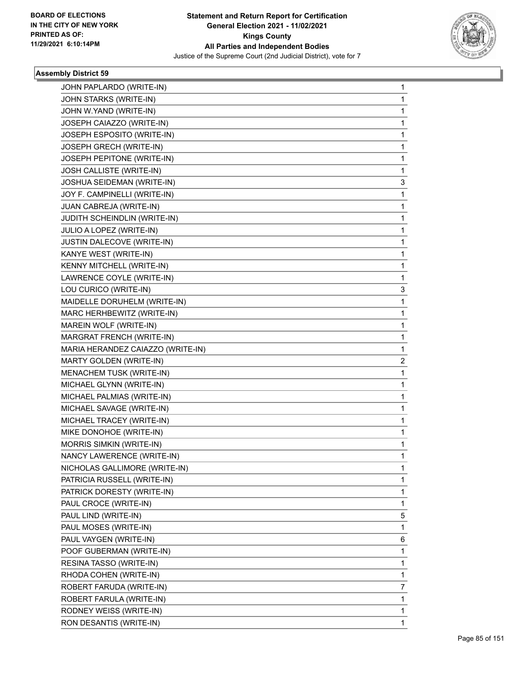

| JOHN PAPLARDO (WRITE-IN)          | 1            |
|-----------------------------------|--------------|
| JOHN STARKS (WRITE-IN)            | 1            |
| JOHN W.YAND (WRITE-IN)            | 1            |
| JOSEPH CAIAZZO (WRITE-IN)         | 1            |
| JOSEPH ESPOSITO (WRITE-IN)        | 1            |
| JOSEPH GRECH (WRITE-IN)           | 1            |
| JOSEPH PEPITONE (WRITE-IN)        | 1            |
| JOSH CALLISTE (WRITE-IN)          | 1            |
| JOSHUA SEIDEMAN (WRITE-IN)        | 3            |
| JOY F. CAMPINELLI (WRITE-IN)      | 1            |
| JUAN CABREJA (WRITE-IN)           | 1            |
| JUDITH SCHEINDLIN (WRITE-IN)      | 1            |
| JULIO A LOPEZ (WRITE-IN)          | 1            |
| JUSTIN DALECOVE (WRITE-IN)        | 1            |
| KANYE WEST (WRITE-IN)             | 1            |
| KENNY MITCHELL (WRITE-IN)         | 1            |
| LAWRENCE COYLE (WRITE-IN)         | 1            |
| LOU CURICO (WRITE-IN)             | 3            |
| MAIDELLE DORUHELM (WRITE-IN)      | 1            |
| MARC HERHBEWITZ (WRITE-IN)        | 1            |
| MAREIN WOLF (WRITE-IN)            | 1            |
| MARGRAT FRENCH (WRITE-IN)         | 1            |
| MARIA HERANDEZ CAIAZZO (WRITE-IN) | 1            |
| MARTY GOLDEN (WRITE-IN)           | 2            |
| MENACHEM TUSK (WRITE-IN)          | 1            |
| MICHAEL GLYNN (WRITE-IN)          | 1            |
| MICHAEL PALMIAS (WRITE-IN)        | 1            |
| MICHAEL SAVAGE (WRITE-IN)         | 1            |
| MICHAEL TRACEY (WRITE-IN)         | 1            |
| MIKE DONOHOE (WRITE-IN)           | $\mathbf{1}$ |
| MORRIS SIMKIN (WRITE-IN)          | 1            |
| NANCY LAWERENCE (WRITE-IN)        | 1            |
| NICHOLAS GALLIMORE (WRITE-IN)     | 1            |
| PATRICIA RUSSELL (WRITE-IN)       | 1            |
| PATRICK DORESTY (WRITE-IN)        | 1            |
| PAUL CROCE (WRITE-IN)             | 1            |
| PAUL LIND (WRITE-IN)              | 5            |
| PAUL MOSES (WRITE-IN)             | 1            |
| PAUL VAYGEN (WRITE-IN)            | 6            |
| POOF GUBERMAN (WRITE-IN)          | 1            |
| RESINA TASSO (WRITE-IN)           | 1            |
| RHODA COHEN (WRITE-IN)            | 1            |
| ROBERT FARUDA (WRITE-IN)          | 7            |
| ROBERT FARULA (WRITE-IN)          | 1            |
| RODNEY WEISS (WRITE-IN)           | 1            |
| RON DESANTIS (WRITE-IN)           | 1            |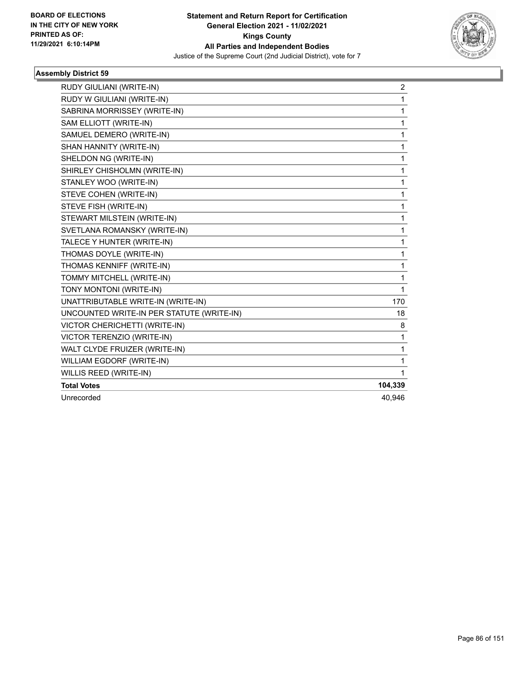

| RUDY GIULIANI (WRITE-IN)                  | $\overline{c}$ |
|-------------------------------------------|----------------|
| RUDY W GIULIANI (WRITE-IN)                | 1              |
| SABRINA MORRISSEY (WRITE-IN)              | 1              |
| SAM ELLIOTT (WRITE-IN)                    | 1              |
| SAMUEL DEMERO (WRITE-IN)                  | 1              |
| SHAN HANNITY (WRITE-IN)                   | 1              |
| SHELDON NG (WRITE-IN)                     | 1              |
| SHIRLEY CHISHOLMN (WRITE-IN)              | 1              |
| STANLEY WOO (WRITE-IN)                    | 1              |
| STEVE COHEN (WRITE-IN)                    | 1              |
| STEVE FISH (WRITE-IN)                     | 1              |
| STEWART MILSTEIN (WRITE-IN)               | 1              |
| SVETLANA ROMANSKY (WRITE-IN)              | 1              |
| TALECE Y HUNTER (WRITE-IN)                | 1              |
| THOMAS DOYLE (WRITE-IN)                   | 1              |
| THOMAS KENNIFF (WRITE-IN)                 | 1              |
| TOMMY MITCHELL (WRITE-IN)                 | 1              |
| TONY MONTONI (WRITE-IN)                   | 1              |
| UNATTRIBUTABLE WRITE-IN (WRITE-IN)        | 170            |
| UNCOUNTED WRITE-IN PER STATUTE (WRITE-IN) | 18             |
| VICTOR CHERICHETTI (WRITE-IN)             | 8              |
| <b>VICTOR TERENZIO (WRITE-IN)</b>         | 1              |
| WALT CLYDE FRUIZER (WRITE-IN)             | 1              |
| WILLIAM EGDORF (WRITE-IN)                 | 1              |
| WILLIS REED (WRITE-IN)                    | 1              |
| <b>Total Votes</b>                        | 104,339        |
| Unrecorded                                | 40.946         |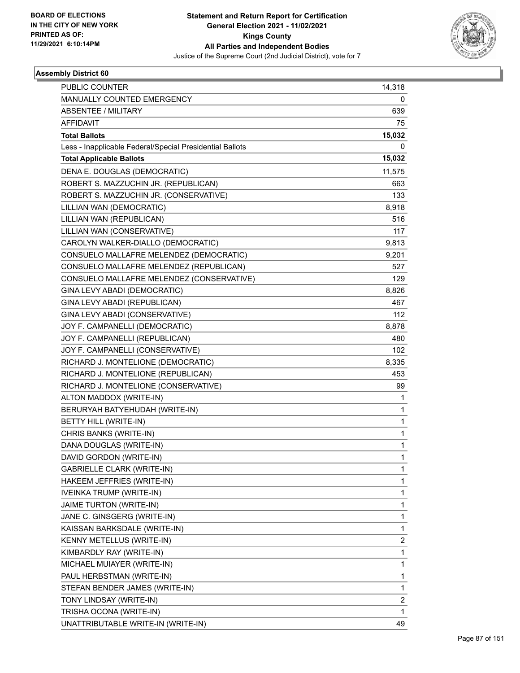

| <b>PUBLIC COUNTER</b>                                    | 14,318         |
|----------------------------------------------------------|----------------|
| MANUALLY COUNTED EMERGENCY                               | 0              |
| <b>ABSENTEE / MILITARY</b>                               | 639            |
| <b>AFFIDAVIT</b>                                         | 75             |
| <b>Total Ballots</b>                                     | 15,032         |
| Less - Inapplicable Federal/Special Presidential Ballots | 0              |
| <b>Total Applicable Ballots</b>                          | 15,032         |
| DENA E. DOUGLAS (DEMOCRATIC)                             | 11,575         |
| ROBERT S. MAZZUCHIN JR. (REPUBLICAN)                     | 663            |
| ROBERT S. MAZZUCHIN JR. (CONSERVATIVE)                   | 133            |
| LILLIAN WAN (DEMOCRATIC)                                 | 8,918          |
| LILLIAN WAN (REPUBLICAN)                                 | 516            |
| LILLIAN WAN (CONSERVATIVE)                               | 117            |
| CAROLYN WALKER-DIALLO (DEMOCRATIC)                       | 9,813          |
| CONSUELO MALLAFRE MELENDEZ (DEMOCRATIC)                  | 9,201          |
| CONSUELO MALLAFRE MELENDEZ (REPUBLICAN)                  | 527            |
| CONSUELO MALLAFRE MELENDEZ (CONSERVATIVE)                | 129            |
| GINA LEVY ABADI (DEMOCRATIC)                             | 8,826          |
| GINA LEVY ABADI (REPUBLICAN)                             | 467            |
| GINA LEVY ABADI (CONSERVATIVE)                           | 112            |
| JOY F. CAMPANELLI (DEMOCRATIC)                           | 8,878          |
| JOY F. CAMPANELLI (REPUBLICAN)                           | 480            |
| JOY F. CAMPANELLI (CONSERVATIVE)                         | 102            |
| RICHARD J. MONTELIONE (DEMOCRATIC)                       | 8,335          |
| RICHARD J. MONTELIONE (REPUBLICAN)                       | 453            |
| RICHARD J. MONTELIONE (CONSERVATIVE)                     | 99             |
| ALTON MADDOX (WRITE-IN)                                  | 1              |
| BERURYAH BATYEHUDAH (WRITE-IN)                           | 1              |
| <b>BETTY HILL (WRITE-IN)</b>                             | 1              |
| CHRIS BANKS (WRITE-IN)                                   | 1              |
| DANA DOUGLAS (WRITE-IN)                                  | 1              |
| DAVID GORDON (WRITE-IN)                                  | 1              |
| GABRIELLE CLARK (WRITE-IN)                               | 1              |
| HAKEEM JEFFRIES (WRITE-IN)                               | 1              |
| IVEINKA TRUMP (WRITE-IN)                                 | 1              |
| JAIME TURTON (WRITE-IN)                                  | 1              |
| JANE C. GINSGERG (WRITE-IN)                              | 1              |
| KAISSAN BARKSDALE (WRITE-IN)                             | 1              |
| KENNY METELLUS (WRITE-IN)                                | 2              |
| KIMBARDLY RAY (WRITE-IN)                                 | 1              |
| MICHAEL MUIAYER (WRITE-IN)                               | 1              |
| PAUL HERBSTMAN (WRITE-IN)                                | 1              |
| STEFAN BENDER JAMES (WRITE-IN)                           | 1              |
| TONY LINDSAY (WRITE-IN)                                  | $\overline{2}$ |
| TRISHA OCONA (WRITE-IN)                                  | 1              |
| UNATTRIBUTABLE WRITE-IN (WRITE-IN)                       | 49             |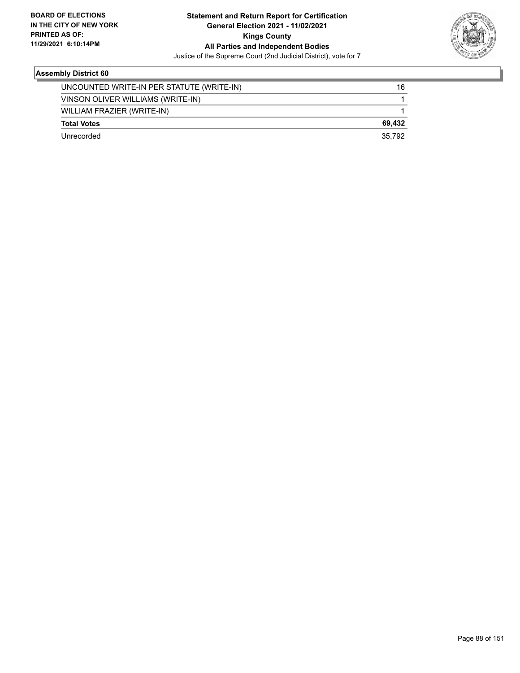

| Unrecorded                                | 35.792 |
|-------------------------------------------|--------|
| <b>Total Votes</b>                        | 69.432 |
| WILLIAM FRAZIER (WRITE-IN)                |        |
| VINSON OLIVER WILLIAMS (WRITE-IN)         |        |
| UNCOUNTED WRITE-IN PER STATUTE (WRITE-IN) | 16     |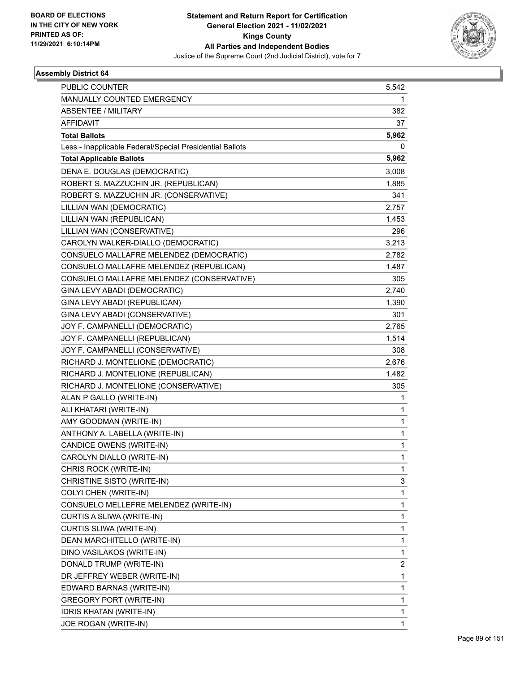

| <b>PUBLIC COUNTER</b>                                    | 5,542        |
|----------------------------------------------------------|--------------|
| MANUALLY COUNTED EMERGENCY                               | 1            |
| <b>ABSENTEE / MILITARY</b>                               | 382          |
| <b>AFFIDAVIT</b>                                         | 37           |
| <b>Total Ballots</b>                                     | 5,962        |
| Less - Inapplicable Federal/Special Presidential Ballots | 0            |
| <b>Total Applicable Ballots</b>                          | 5,962        |
| DENA E. DOUGLAS (DEMOCRATIC)                             | 3,008        |
| ROBERT S. MAZZUCHIN JR. (REPUBLICAN)                     | 1,885        |
| ROBERT S. MAZZUCHIN JR. (CONSERVATIVE)                   | 341          |
| LILLIAN WAN (DEMOCRATIC)                                 | 2,757        |
| LILLIAN WAN (REPUBLICAN)                                 | 1,453        |
| LILLIAN WAN (CONSERVATIVE)                               | 296          |
| CAROLYN WALKER-DIALLO (DEMOCRATIC)                       | 3,213        |
| CONSUELO MALLAFRE MELENDEZ (DEMOCRATIC)                  | 2,782        |
| CONSUELO MALLAFRE MELENDEZ (REPUBLICAN)                  | 1,487        |
| CONSUELO MALLAFRE MELENDEZ (CONSERVATIVE)                | 305          |
| GINA LEVY ABADI (DEMOCRATIC)                             | 2,740        |
| GINA LEVY ABADI (REPUBLICAN)                             | 1,390        |
| GINA LEVY ABADI (CONSERVATIVE)                           | 301          |
| JOY F. CAMPANELLI (DEMOCRATIC)                           | 2,765        |
| JOY F. CAMPANELLI (REPUBLICAN)                           | 1,514        |
| JOY F. CAMPANELLI (CONSERVATIVE)                         | 308          |
| RICHARD J. MONTELIONE (DEMOCRATIC)                       | 2,676        |
| RICHARD J. MONTELIONE (REPUBLICAN)                       | 1,482        |
| RICHARD J. MONTELIONE (CONSERVATIVE)                     | 305          |
| ALAN P GALLO (WRITE-IN)                                  | 1            |
| ALI KHATARI (WRITE-IN)                                   | 1            |
| AMY GOODMAN (WRITE-IN)                                   | 1            |
| ANTHONY A. LABELLA (WRITE-IN)                            | 1            |
| CANDICE OWENS (WRITE-IN)                                 | 1            |
| CAROLYN DIALLO (WRITE-IN)                                | 1            |
| CHRIS ROCK (WRITE-IN)                                    | 1            |
| CHRISTINE SISTO (WRITE-IN)                               | 3            |
| COLYI CHEN (WRITE-IN)                                    | 1            |
| CONSUELO MELLEFRE MELENDEZ (WRITE-IN)                    | 1            |
| CURTIS A SLIWA (WRITE-IN)                                | 1            |
| CURTIS SLIWA (WRITE-IN)                                  | 1            |
| DEAN MARCHITELLO (WRITE-IN)                              | 1            |
| DINO VASILAKOS (WRITE-IN)                                | 1            |
| DONALD TRUMP (WRITE-IN)                                  | 2            |
| DR JEFFREY WEBER (WRITE-IN)                              | $\mathbf{1}$ |
| EDWARD BARNAS (WRITE-IN)                                 | 1            |
| GREGORY PORT (WRITE-IN)                                  | 1            |
| <b>IDRIS KHATAN (WRITE-IN)</b>                           | 1            |
| JOE ROGAN (WRITE-IN)                                     | $\mathbf{1}$ |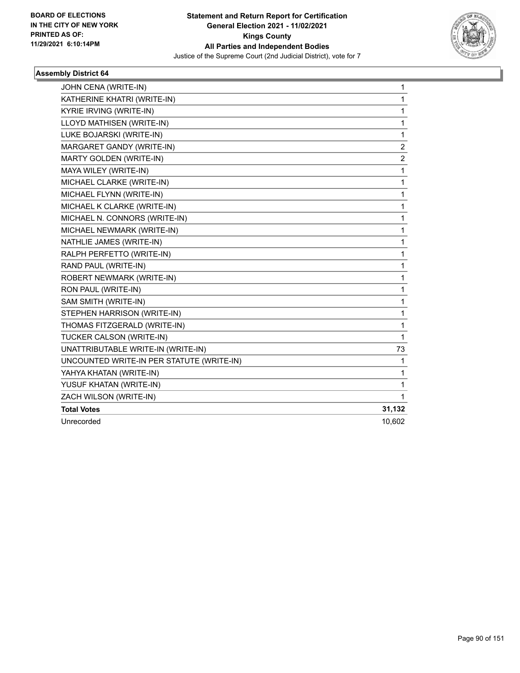

| JOHN CENA (WRITE-IN)                      | 1              |
|-------------------------------------------|----------------|
| KATHERINE KHATRI (WRITE-IN)               | 1              |
| KYRIE IRVING (WRITE-IN)                   | 1              |
| LLOYD MATHISEN (WRITE-IN)                 | 1              |
| LUKE BOJARSKI (WRITE-IN)                  | 1              |
| MARGARET GANDY (WRITE-IN)                 | $\overline{c}$ |
| MARTY GOLDEN (WRITE-IN)                   | $\overline{c}$ |
| MAYA WILEY (WRITE-IN)                     | 1              |
| MICHAEL CLARKE (WRITE-IN)                 | 1              |
| MICHAEL FLYNN (WRITE-IN)                  | 1              |
| MICHAEL K CLARKE (WRITE-IN)               | 1              |
| MICHAEL N. CONNORS (WRITE-IN)             | 1              |
| MICHAEL NEWMARK (WRITE-IN)                | 1              |
| NATHLIE JAMES (WRITE-IN)                  | 1              |
| RALPH PERFETTO (WRITE-IN)                 | 1              |
| RAND PAUL (WRITE-IN)                      | 1              |
| ROBERT NEWMARK (WRITE-IN)                 | 1              |
| RON PAUL (WRITE-IN)                       | 1              |
| SAM SMITH (WRITE-IN)                      | 1              |
| STEPHEN HARRISON (WRITE-IN)               | 1              |
| THOMAS FITZGERALD (WRITE-IN)              | 1              |
| TUCKER CALSON (WRITE-IN)                  | 1              |
| UNATTRIBUTABLE WRITE-IN (WRITE-IN)        | 73             |
| UNCOUNTED WRITE-IN PER STATUTE (WRITE-IN) | 1              |
| YAHYA KHATAN (WRITE-IN)                   | 1              |
| YUSUF KHATAN (WRITE-IN)                   | 1              |
| ZACH WILSON (WRITE-IN)                    | 1              |
| <b>Total Votes</b>                        | 31,132         |
| Unrecorded                                | 10,602         |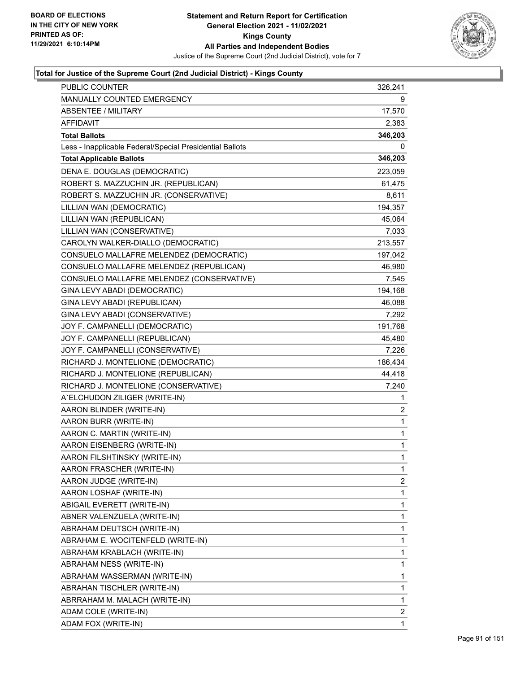

| PUBLIC COUNTER                                           | 326,241        |
|----------------------------------------------------------|----------------|
| MANUALLY COUNTED EMERGENCY                               | 9              |
| <b>ABSENTEE / MILITARY</b>                               | 17,570         |
| <b>AFFIDAVIT</b>                                         | 2,383          |
| <b>Total Ballots</b>                                     | 346,203        |
| Less - Inapplicable Federal/Special Presidential Ballots | 0              |
| <b>Total Applicable Ballots</b>                          | 346,203        |
| DENA E. DOUGLAS (DEMOCRATIC)                             | 223,059        |
| ROBERT S. MAZZUCHIN JR. (REPUBLICAN)                     | 61,475         |
| ROBERT S. MAZZUCHIN JR. (CONSERVATIVE)                   | 8,611          |
| LILLIAN WAN (DEMOCRATIC)                                 | 194,357        |
| LILLIAN WAN (REPUBLICAN)                                 | 45,064         |
| LILLIAN WAN (CONSERVATIVE)                               | 7,033          |
| CAROLYN WALKER-DIALLO (DEMOCRATIC)                       | 213,557        |
| CONSUELO MALLAFRE MELENDEZ (DEMOCRATIC)                  | 197,042        |
| CONSUELO MALLAFRE MELENDEZ (REPUBLICAN)                  | 46,980         |
| CONSUELO MALLAFRE MELENDEZ (CONSERVATIVE)                | 7,545          |
| GINA LEVY ABADI (DEMOCRATIC)                             | 194,168        |
| GINA LEVY ABADI (REPUBLICAN)                             | 46,088         |
| GINA LEVY ABADI (CONSERVATIVE)                           | 7,292          |
| JOY F. CAMPANELLI (DEMOCRATIC)                           | 191,768        |
| JOY F. CAMPANELLI (REPUBLICAN)                           | 45,480         |
| JOY F. CAMPANELLI (CONSERVATIVE)                         | 7,226          |
| RICHARD J. MONTELIONE (DEMOCRATIC)                       | 186,434        |
| RICHARD J. MONTELIONE (REPUBLICAN)                       | 44,418         |
| RICHARD J. MONTELIONE (CONSERVATIVE)                     | 7,240          |
| A'ELCHUDON ZILIGER (WRITE-IN)                            | 1              |
| AARON BLINDER (WRITE-IN)                                 | 2              |
| AARON BURR (WRITE-IN)                                    | 1              |
| AARON C. MARTIN (WRITE-IN)                               | $\mathbf{1}$   |
| AARON EISENBERG (WRITE-IN)                               | $\mathbf{1}$   |
| AARON FILSHTINSKY (WRITE-IN)                             | $\mathbf{1}$   |
| AARON FRASCHER (WRITE-IN)                                | $\mathbf{1}$   |
| AARON JUDGE (WRITE-IN)                                   | 2              |
| AARON LOSHAF (WRITE-IN)                                  | 1              |
| ABIGAIL EVERETT (WRITE-IN)                               | 1              |
| ABNER VALENZUELA (WRITE-IN)                              | 1              |
| ABRAHAM DEUTSCH (WRITE-IN)                               | 1              |
| ABRAHAM E. WOCITENFELD (WRITE-IN)                        | 1              |
| ABRAHAM KRABLACH (WRITE-IN)                              | 1              |
| ABRAHAM NESS (WRITE-IN)                                  | 1              |
| ABRAHAM WASSERMAN (WRITE-IN)                             | 1              |
| ABRAHAN TISCHLER (WRITE-IN)                              | 1              |
| ABRRAHAM M. MALACH (WRITE-IN)                            | 1              |
| ADAM COLE (WRITE-IN)                                     | $\overline{c}$ |
| ADAM FOX (WRITE-IN)                                      | $\mathbf{1}$   |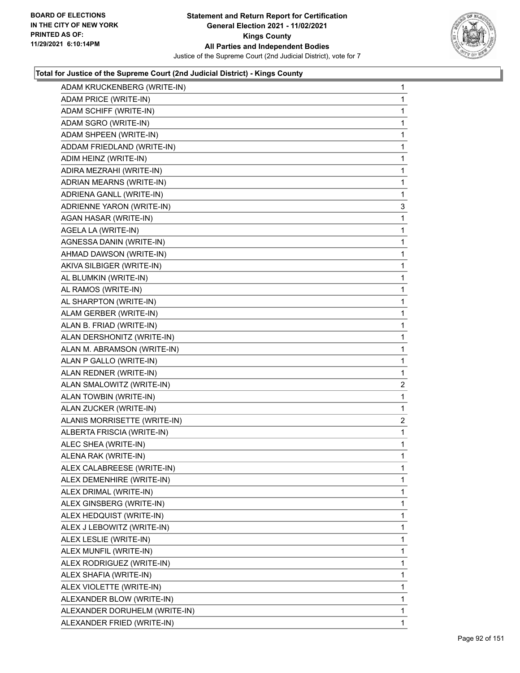

| ADAM KRUCKENBERG (WRITE-IN)   | 1              |
|-------------------------------|----------------|
| ADAM PRICE (WRITE-IN)         | 1              |
| ADAM SCHIFF (WRITE-IN)        | 1              |
| ADAM SGRO (WRITE-IN)          | 1              |
| ADAM SHPEEN (WRITE-IN)        | 1              |
| ADDAM FRIEDLAND (WRITE-IN)    | 1              |
| ADIM HEINZ (WRITE-IN)         | 1              |
| ADIRA MEZRAHI (WRITE-IN)      | 1              |
| ADRIAN MEARNS (WRITE-IN)      | 1              |
| ADRIENA GANLL (WRITE-IN)      | 1              |
| ADRIENNE YARON (WRITE-IN)     | 3              |
| AGAN HASAR (WRITE-IN)         | 1              |
| AGELA LA (WRITE-IN)           | 1              |
| AGNESSA DANIN (WRITE-IN)      | 1              |
| AHMAD DAWSON (WRITE-IN)       | 1              |
| AKIVA SILBIGER (WRITE-IN)     | 1              |
| AL BLUMKIN (WRITE-IN)         | 1              |
| AL RAMOS (WRITE-IN)           | 1              |
| AL SHARPTON (WRITE-IN)        | 1              |
| ALAM GERBER (WRITE-IN)        | 1              |
| ALAN B. FRIAD (WRITE-IN)      | 1              |
| ALAN DERSHONITZ (WRITE-IN)    | 1              |
| ALAN M. ABRAMSON (WRITE-IN)   | 1              |
| ALAN P GALLO (WRITE-IN)       | 1              |
| ALAN REDNER (WRITE-IN)        | 1              |
| ALAN SMALOWITZ (WRITE-IN)     | $\overline{c}$ |
| ALAN TOWBIN (WRITE-IN)        | 1              |
| ALAN ZUCKER (WRITE-IN)        | 1              |
| ALANIS MORRISETTE (WRITE-IN)  | $\overline{c}$ |
| ALBERTA FRISCIA (WRITE-IN)    | 1              |
| ALEC SHEA (WRITE-IN)          | 1              |
| ALENA RAK (WRITE-IN)          | 1              |
| ALEX CALABREESE (WRITE-IN)    | 1              |
| ALEX DEMENHIRE (WRITE-IN)     | 1              |
| ALEX DRIMAL (WRITE-IN)        | 1              |
| ALEX GINSBERG (WRITE-IN)      | 1              |
| ALEX HEDQUIST (WRITE-IN)      | 1              |
| ALEX J LEBOWITZ (WRITE-IN)    | 1              |
| ALEX LESLIE (WRITE-IN)        | 1              |
| ALEX MUNFIL (WRITE-IN)        | 1              |
| ALEX RODRIGUEZ (WRITE-IN)     | 1              |
| ALEX SHAFIA (WRITE-IN)        | 1              |
| ALEX VIOLETTE (WRITE-IN)      | 1              |
| ALEXANDER BLOW (WRITE-IN)     | 1              |
| ALEXANDER DORUHELM (WRITE-IN) | 1              |
| ALEXANDER FRIED (WRITE-IN)    | 1              |
|                               |                |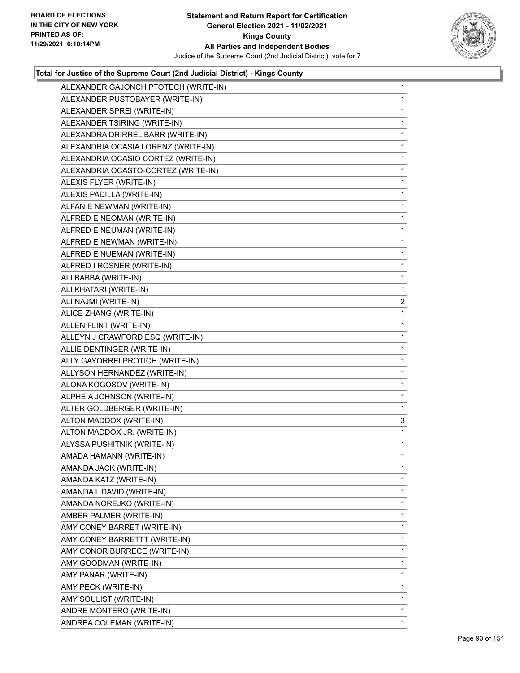

| ALEXANDER GAJONCH PTOTECH (WRITE-IN) | 1              |
|--------------------------------------|----------------|
| ALEXANDER PUSTOBAYER (WRITE-IN)      | 1              |
| ALEXANDER SPREI (WRITE-IN)           | 1              |
| ALEXANDER TSIRING (WRITE-IN)         | 1              |
| ALEXANDRA DRIRREL BARR (WRITE-IN)    | 1              |
| ALEXANDRIA OCASIA LORENZ (WRITE-IN)  | 1              |
| ALEXANDRIA OCASIO CORTEZ (WRITE-IN)  | 1              |
| ALEXANDRIA OCASTO-CORTEZ (WRITE-IN)  | 1              |
| ALEXIS FLYER (WRITE-IN)              | 1              |
| ALEXIS PADILLA (WRITE-IN)            | 1              |
| ALFAN E NEWMAN (WRITE-IN)            | 1              |
| ALFRED E NEOMAN (WRITE-IN)           | 1              |
| ALFRED E NEUMAN (WRITE-IN)           | 1              |
| ALFRED E NEWMAN (WRITE-IN)           | 1              |
| ALFRED E NUEMAN (WRITE-IN)           | 1              |
| ALFRED I ROSNER (WRITE-IN)           | 1              |
| ALI BABBA (WRITE-IN)                 | 1              |
| ALI KHATARI (WRITE-IN)               | 1              |
| ALI NAJMI (WRITE-IN)                 | $\overline{a}$ |
| ALICE ZHANG (WRITE-IN)               | 1              |
| ALLEN FLINT (WRITE-IN)               | 1              |
| ALLEYN J CRAWFORD ESQ (WRITE-IN)     | 1              |
| ALLIE DENTINGER (WRITE-IN)           | 1              |
| ALLY GAYORRELPROTICH (WRITE-IN)      | 1              |
| ALLYSON HERNANDEZ (WRITE-IN)         | 1              |
| ALONA KOGOSOV (WRITE-IN)             | 1              |
| ALPHEIA JOHNSON (WRITE-IN)           | 1              |
| ALTER GOLDBERGER (WRITE-IN)          | 1              |
| ALTON MADDOX (WRITE-IN)              | 3              |
| ALTON MADDOX JR. (WRITE-IN)          | 1              |
| ALYSSA PUSHITNIK (WRITE-IN)          | 1              |
| AMADA HAMANN (WRITE-IN)              | 1              |
| AMANDA JACK (WRITE-IN)               |                |
|                                      | 1              |
| AMANDA KATZ (WRITE-IN)               | 1              |
| AMANDA L DAVID (WRITE-IN)            | 1              |
| AMANDA NOREJKO (WRITE-IN)            | 1              |
| AMBER PALMER (WRITE-IN)              | 1              |
| AMY CONEY BARRET (WRITE-IN)          | 1              |
| AMY CONEY BARRETTT (WRITE-IN)        | 1              |
| AMY CONOR BURRECE (WRITE-IN)         | 1              |
| AMY GOODMAN (WRITE-IN)               | 1              |
| AMY PANAR (WRITE-IN)                 | 1              |
| AMY PECK (WRITE-IN)                  | 1              |
| AMY SOULIST (WRITE-IN)               | 1              |
| ANDRE MONTERO (WRITE-IN)             | 1              |
|                                      |                |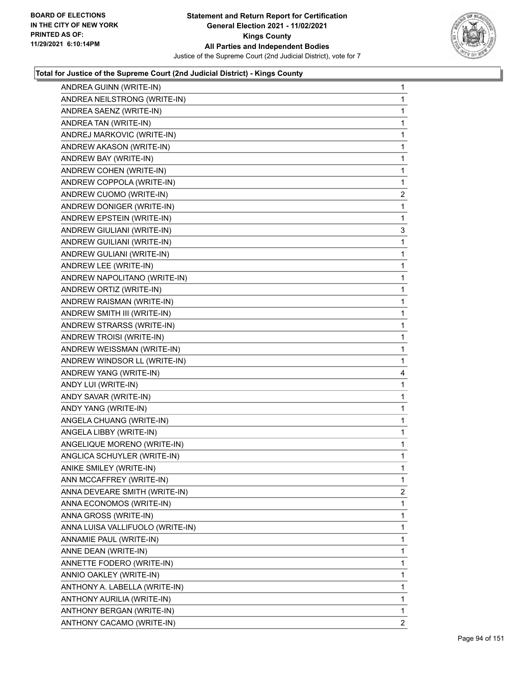

| ANDREA GUINN (WRITE-IN)          | 1              |
|----------------------------------|----------------|
| ANDREA NEILSTRONG (WRITE-IN)     | 1              |
| ANDREA SAENZ (WRITE-IN)          | 1              |
| ANDREA TAN (WRITE-IN)            | 1              |
| ANDREJ MARKOVIC (WRITE-IN)       | 1              |
| ANDREW AKASON (WRITE-IN)         | 1              |
| ANDREW BAY (WRITE-IN)            | 1              |
| ANDREW COHEN (WRITE-IN)          | 1              |
| ANDREW COPPOLA (WRITE-IN)        | 1              |
| ANDREW CUOMO (WRITE-IN)          | $\overline{a}$ |
| ANDREW DONIGER (WRITE-IN)        | 1              |
| ANDREW EPSTEIN (WRITE-IN)        | 1              |
| ANDREW GIULIANI (WRITE-IN)       | 3              |
| ANDREW GUILIANI (WRITE-IN)       | 1              |
| ANDREW GULIANI (WRITE-IN)        | 1              |
| ANDREW LEE (WRITE-IN)            | 1              |
| ANDREW NAPOLITANO (WRITE-IN)     | 1              |
| ANDREW ORTIZ (WRITE-IN)          | 1              |
| ANDREW RAISMAN (WRITE-IN)        | 1              |
| ANDREW SMITH III (WRITE-IN)      | 1              |
| ANDREW STRARSS (WRITE-IN)        | 1              |
| ANDREW TROISI (WRITE-IN)         | 1              |
| ANDREW WEISSMAN (WRITE-IN)       | 1              |
| ANDREW WINDSOR LL (WRITE-IN)     | 1              |
| ANDREW YANG (WRITE-IN)           | 4              |
| ANDY LUI (WRITE-IN)              | 1              |
| ANDY SAVAR (WRITE-IN)            | 1              |
| ANDY YANG (WRITE-IN)             | 1              |
| ANGELA CHUANG (WRITE-IN)         | 1              |
| ANGELA LIBBY (WRITE-IN)          | $\mathbf{1}$   |
| ANGELIQUE MORENO (WRITE-IN)      | 1              |
| ANGLICA SCHUYLER (WRITE-IN)      | $\mathbf{1}$   |
| ANIKE SMILEY (WRITE-IN)          | 1              |
| ANN MCCAFFREY (WRITE-IN)         | 1              |
| ANNA DEVEARE SMITH (WRITE-IN)    | $\overline{2}$ |
| ANNA ECONOMOS (WRITE-IN)         | 1              |
| ANNA GROSS (WRITE-IN)            | 1              |
| ANNA LUISA VALLIFUOLO (WRITE-IN) | 1              |
| ANNAMIE PAUL (WRITE-IN)          | 1              |
| ANNE DEAN (WRITE-IN)             | 1              |
| ANNETTE FODERO (WRITE-IN)        | 1              |
| ANNIO OAKLEY (WRITE-IN)          | 1              |
| ANTHONY A. LABELLA (WRITE-IN)    | 1              |
| ANTHONY AURILIA (WRITE-IN)       | 1              |
| ANTHONY BERGAN (WRITE-IN)        | 1              |
| ANTHONY CACAMO (WRITE-IN)        | 2              |
|                                  |                |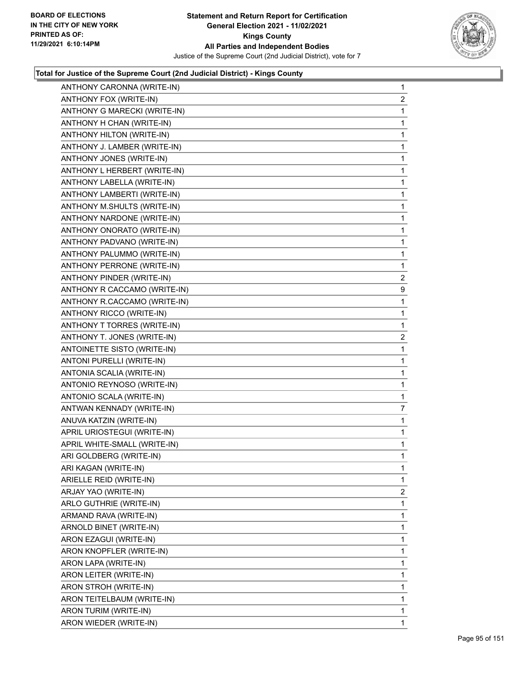

| ANTHONY CARONNA (WRITE-IN)   | 1              |
|------------------------------|----------------|
| ANTHONY FOX (WRITE-IN)       | $\overline{2}$ |
| ANTHONY G MARECKI (WRITE-IN) | $\mathbf 1$    |
| ANTHONY H CHAN (WRITE-IN)    | 1              |
| ANTHONY HILTON (WRITE-IN)    | 1              |
| ANTHONY J. LAMBER (WRITE-IN) | 1              |
| ANTHONY JONES (WRITE-IN)     | $\mathbf{1}$   |
| ANTHONY L HERBERT (WRITE-IN) | 1              |
| ANTHONY LABELLA (WRITE-IN)   | $\mathbf 1$    |
| ANTHONY LAMBERTI (WRITE-IN)  | 1              |
| ANTHONY M.SHULTS (WRITE-IN)  | $\mathbf{1}$   |
| ANTHONY NARDONE (WRITE-IN)   | $\mathbf{1}$   |
| ANTHONY ONORATO (WRITE-IN)   | $\mathbf{1}$   |
| ANTHONY PADVANO (WRITE-IN)   | 1              |
| ANTHONY PALUMMO (WRITE-IN)   | $\mathbf 1$    |
| ANTHONY PERRONE (WRITE-IN)   | 1              |
| ANTHONY PINDER (WRITE-IN)    | 2              |
| ANTHONY R CACCAMO (WRITE-IN) | 9              |
| ANTHONY R.CACCAMO (WRITE-IN) | 1              |
| ANTHONY RICCO (WRITE-IN)     | 1              |
| ANTHONY T TORRES (WRITE-IN)  | $\mathbf{1}$   |
| ANTHONY T. JONES (WRITE-IN)  | 2              |
| ANTOINETTE SISTO (WRITE-IN)  | 1              |
| ANTONI PURELLI (WRITE-IN)    | 1              |
| ANTONIA SCALIA (WRITE-IN)    | $\mathbf{1}$   |
| ANTONIO REYNOSO (WRITE-IN)   | 1              |
| ANTONIO SCALA (WRITE-IN)     | $\mathbf{1}$   |
| ANTWAN KENNADY (WRITE-IN)    | 7              |
| ANUVA KATZIN (WRITE-IN)      | 1              |
| APRIL URIOSTEGUI (WRITE-IN)  | $\mathbf{1}$   |
| APRIL WHITE-SMALL (WRITE-IN) | $\mathbf{1}$   |
| ARI GOLDBERG (WRITE-IN)      | 1              |
| ARI KAGAN (WRITE-IN)         | 1              |
| ARIELLE REID (WRITE-IN)      | 1              |
| ARJAY YAO (WRITE-IN)         | 2              |
| ARLO GUTHRIE (WRITE-IN)      | 1              |
| ARMAND RAVA (WRITE-IN)       | 1              |
| ARNOLD BINET (WRITE-IN)      | 1              |
| ARON EZAGUI (WRITE-IN)       | 1              |
| ARON KNOPFLER (WRITE-IN)     | 1              |
| ARON LAPA (WRITE-IN)         | 1              |
| ARON LEITER (WRITE-IN)       | 1              |
| ARON STROH (WRITE-IN)        | 1              |
| ARON TEITELBAUM (WRITE-IN)   | 1              |
| ARON TURIM (WRITE-IN)        | 1              |
| ARON WIEDER (WRITE-IN)       | $\mathbf{1}$   |
|                              |                |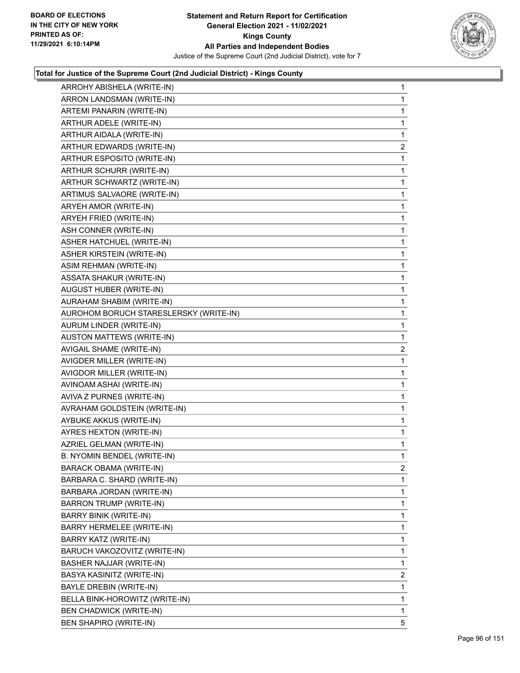

| ARROHY ABISHELA (WRITE-IN)             | $\mathbf{1}$   |
|----------------------------------------|----------------|
| ARRON LANDSMAN (WRITE-IN)              | $\mathbf{1}$   |
| ARTEMI PANARIN (WRITE-IN)              | $\mathbf{1}$   |
| ARTHUR ADELE (WRITE-IN)                | $\mathbf{1}$   |
| ARTHUR AIDALA (WRITE-IN)               | 1              |
| ARTHUR EDWARDS (WRITE-IN)              | $\overline{2}$ |
| ARTHUR ESPOSITO (WRITE-IN)             | 1              |
| ARTHUR SCHURR (WRITE-IN)               | $\mathbf{1}$   |
| ARTHUR SCHWARTZ (WRITE-IN)             | $\mathbf{1}$   |
| ARTIMUS SALVAORE (WRITE-IN)            | $\mathbf{1}$   |
| ARYEH AMOR (WRITE-IN)                  | $\mathbf 1$    |
| ARYEH FRIED (WRITE-IN)                 | $\mathbf{1}$   |
| ASH CONNER (WRITE-IN)                  | 1              |
| ASHER HATCHUEL (WRITE-IN)              | $\mathbf{1}$   |
| ASHER KIRSTEIN (WRITE-IN)              | $\mathbf{1}$   |
| ASIM REHMAN (WRITE-IN)                 | $\mathbf{1}$   |
| ASSATA SHAKUR (WRITE-IN)               | $\mathbf{1}$   |
| AUGUST HUBER (WRITE-IN)                | $\mathbf{1}$   |
| AURAHAM SHABIM (WRITE-IN)              | 1              |
| AUROHOM BORUCH STARESLERSKY (WRITE-IN) | $\mathbf{1}$   |
| AURUM LINDER (WRITE-IN)                | $\mathbf{1}$   |
| AUSTON MATTEWS (WRITE-IN)              | 1              |
| AVIGAIL SHAME (WRITE-IN)               | 2              |
| AVIGDER MILLER (WRITE-IN)              | $\mathbf{1}$   |
|                                        |                |
| AVIGDOR MILLER (WRITE-IN)              | 1              |
| AVINOAM ASHAI (WRITE-IN)               | $\mathbf{1}$   |
| AVIVA Z PURNES (WRITE-IN)              | 1              |
| AVRAHAM GOLDSTEIN (WRITE-IN)           | $\mathbf{1}$   |
| AYBUKE AKKUS (WRITE-IN)                | $\mathbf{1}$   |
| AYRES HEXTON (WRITE-IN)                | $\mathbf{1}$   |
| AZRIEL GELMAN (WRITE-IN)               | 1              |
| B. NYOMIN BENDEL (WRITE-IN)            | $\mathbf{1}$   |
| <b>BARACK OBAMA (WRITE-IN)</b>         | 2              |
| BARBARA C. SHARD (WRITE-IN)            | 1              |
| BARBARA JORDAN (WRITE-IN)              | $\mathbf{1}$   |
| <b>BARRON TRUMP (WRITE-IN)</b>         | 1              |
| BARRY BINIK (WRITE-IN)                 | 1              |
| BARRY HERMELEE (WRITE-IN)              | 1              |
| BARRY KATZ (WRITE-IN)                  | 1              |
| BARUCH VAKOZOVITZ (WRITE-IN)           | 1              |
| BASHER NAJJAR (WRITE-IN)               | 1              |
| BASYA KASINITZ (WRITE-IN)              | 2              |
| BAYLE DREBIN (WRITE-IN)                | 1              |
| BELLA BINK-HOROWITZ (WRITE-IN)         | 1              |
| <b>BEN CHADWICK (WRITE-IN)</b>         | $\mathbf{1}$   |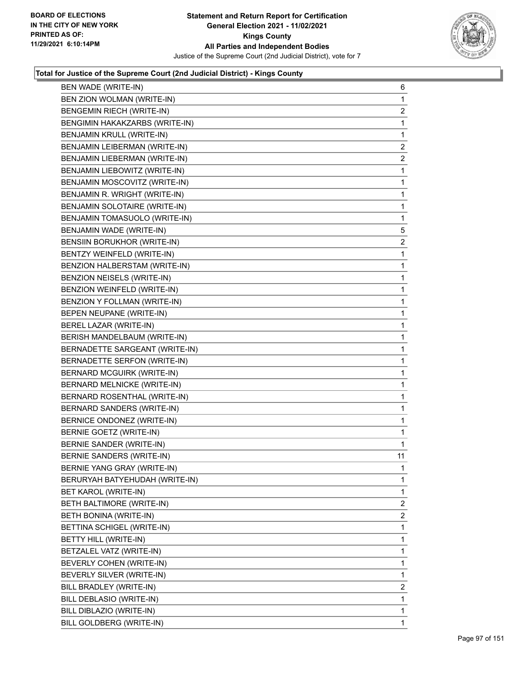

| BEN WADE (WRITE-IN)            | 6                       |
|--------------------------------|-------------------------|
| BEN ZION WOLMAN (WRITE-IN)     | $\mathbf{1}$            |
| BENGEMIN RIECH (WRITE-IN)      | 2                       |
| BENGIMIN HAKAKZARBS (WRITE-IN) | $\mathbf{1}$            |
| BENJAMIN KRULL (WRITE-IN)      | $\mathbf{1}$            |
| BENJAMIN LEIBERMAN (WRITE-IN)  | $\overline{2}$          |
| BENJAMIN LIEBERMAN (WRITE-IN)  | $\overline{c}$          |
| BENJAMIN LIEBOWITZ (WRITE-IN)  | $\mathbf{1}$            |
| BENJAMIN MOSCOVITZ (WRITE-IN)  | $\mathbf{1}$            |
| BENJAMIN R. WRIGHT (WRITE-IN)  | $\mathbf{1}$            |
| BENJAMIN SOLOTAIRE (WRITE-IN)  | $\mathbf{1}$            |
| BENJAMIN TOMASUOLO (WRITE-IN)  | $\mathbf{1}$            |
| BENJAMIN WADE (WRITE-IN)       | 5                       |
| BENSIIN BORUKHOR (WRITE-IN)    | $\overline{\mathbf{c}}$ |
| BENTZY WEINFELD (WRITE-IN)     | 1                       |
| BENZION HALBERSTAM (WRITE-IN)  | $\mathbf{1}$            |
| BENZION NEISELS (WRITE-IN)     | 1                       |
| BENZION WEINFELD (WRITE-IN)    | 1                       |
| BENZION Y FOLLMAN (WRITE-IN)   | $\mathbf{1}$            |
| BEPEN NEUPANE (WRITE-IN)       | $\mathbf{1}$            |
| BEREL LAZAR (WRITE-IN)         | 1                       |
| BERISH MANDELBAUM (WRITE-IN)   | $\mathbf{1}$            |
| BERNADETTE SARGEANT (WRITE-IN) | 1                       |
| BERNADETTE SERFON (WRITE-IN)   | 1                       |
| BERNARD MCGUIRK (WRITE-IN)     | $\mathbf{1}$            |
| BERNARD MELNICKE (WRITE-IN)    | $\mathbf{1}$            |
| BERNARD ROSENTHAL (WRITE-IN)   | 1                       |
| BERNARD SANDERS (WRITE-IN)     | $\mathbf{1}$            |
| BERNICE ONDONEZ (WRITE-IN)     | 1                       |
| BERNIE GOETZ (WRITE-IN)        | $\mathbf{1}$            |
| BERNIE SANDER (WRITE-IN)       | $\mathbf{1}$            |
| BERNIE SANDERS (WRITE-IN)      | 11                      |
| BERNIE YANG GRAY (WRITE-IN)    | $\mathbf{1}$            |
| BERURYAH BATYEHUDAH (WRITE-IN) | 1                       |
| BET KAROL (WRITE-IN)           | 1                       |
| BETH BALTIMORE (WRITE-IN)      | 2                       |
| BETH BONINA (WRITE-IN)         | 2                       |
| BETTINA SCHIGEL (WRITE-IN)     | 1                       |
| BETTY HILL (WRITE-IN)          | 1                       |
| BETZALEL VATZ (WRITE-IN)       | 1                       |
| BEVERLY COHEN (WRITE-IN)       | 1                       |
| BEVERLY SILVER (WRITE-IN)      | 1                       |
| BILL BRADLEY (WRITE-IN)        | 2                       |
| BILL DEBLASIO (WRITE-IN)       | 1                       |
| BILL DIBLAZIO (WRITE-IN)       | $\mathbf{1}$            |
| BILL GOLDBERG (WRITE-IN)       | $\mathbf{1}$            |
|                                |                         |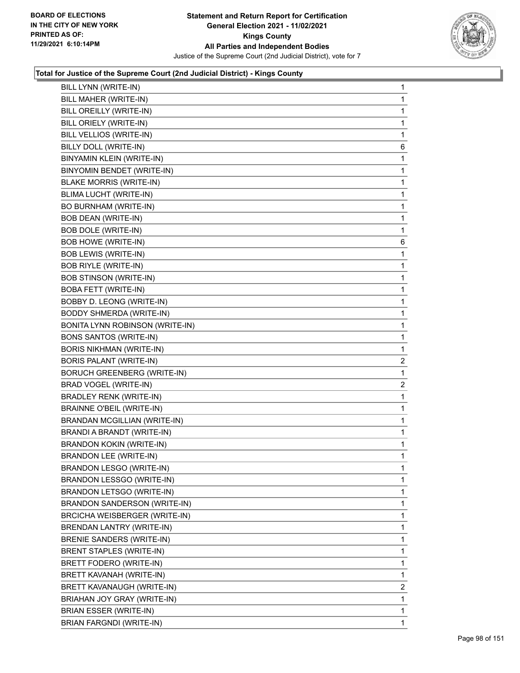

| BILL LYNN (WRITE-IN)                   | $\mathbf{1}$   |
|----------------------------------------|----------------|
| BILL MAHER (WRITE-IN)                  | 1              |
| BILL OREILLY (WRITE-IN)                | 1              |
| BILL ORIELY (WRITE-IN)                 | 1              |
| BILL VELLIOS (WRITE-IN)                | 1              |
| BILLY DOLL (WRITE-IN)                  | 6              |
| BINYAMIN KLEIN (WRITE-IN)              | 1              |
| BINYOMIN BENDET (WRITE-IN)             | 1              |
| <b>BLAKE MORRIS (WRITE-IN)</b>         | 1              |
| BLIMA LUCHT (WRITE-IN)                 | 1              |
| BO BURNHAM (WRITE-IN)                  | 1              |
| <b>BOB DEAN (WRITE-IN)</b>             | 1              |
| <b>BOB DOLE (WRITE-IN)</b>             | 1              |
| <b>BOB HOWE (WRITE-IN)</b>             | 6              |
| <b>BOB LEWIS (WRITE-IN)</b>            | 1              |
| <b>BOB RIYLE (WRITE-IN)</b>            | 1              |
| <b>BOB STINSON (WRITE-IN)</b>          | 1              |
| <b>BOBA FETT (WRITE-IN)</b>            | 1              |
| BOBBY D. LEONG (WRITE-IN)              | 1              |
| <b>BODDY SHMERDA (WRITE-IN)</b>        | 1              |
| <b>BONITA LYNN ROBINSON (WRITE-IN)</b> | 1              |
| <b>BONS SANTOS (WRITE-IN)</b>          | 1              |
| <b>BORIS NIKHMAN (WRITE-IN)</b>        | 1              |
| BORIS PALANT (WRITE-IN)                | 2              |
| <b>BORUCH GREENBERG (WRITE-IN)</b>     | 1              |
| BRAD VOGEL (WRITE-IN)                  | 2              |
| <b>BRADLEY RENK (WRITE-IN)</b>         | 1              |
| <b>BRAINNE O'BEIL (WRITE-IN)</b>       | 1              |
| <b>BRANDAN MCGILLIAN (WRITE-IN)</b>    | 1              |
| BRANDI A BRANDT (WRITE-IN)             | 1              |
| BRANDON KOKIN (WRITE-IN)               | 1              |
| <b>BRANDON LEE (WRITE-IN)</b>          | 1              |
| BRANDON LESGO (WRITE-IN)               | 1              |
| BRANDON LESSGO (WRITE-IN)              | 1              |
| BRANDON LETSGO (WRITE-IN)              | 1              |
| BRANDON SANDERSON (WRITE-IN)           | 1              |
| <b>BRCICHA WEISBERGER (WRITE-IN)</b>   | 1              |
| <b>BRENDAN LANTRY (WRITE-IN)</b>       | 1              |
| BRENIE SANDERS (WRITE-IN)              | 1              |
| <b>BRENT STAPLES (WRITE-IN)</b>        | 1              |
| BRETT FODERO (WRITE-IN)                | 1              |
| BRETT KAVANAH (WRITE-IN)               | 1              |
| BRETT KAVANAUGH (WRITE-IN)             | $\overline{c}$ |
| BRIAHAN JOY GRAY (WRITE-IN)            | 1              |
| BRIAN ESSER (WRITE-IN)                 | 1              |
|                                        |                |
| BRIAN FARGNDI (WRITE-IN)               | 1              |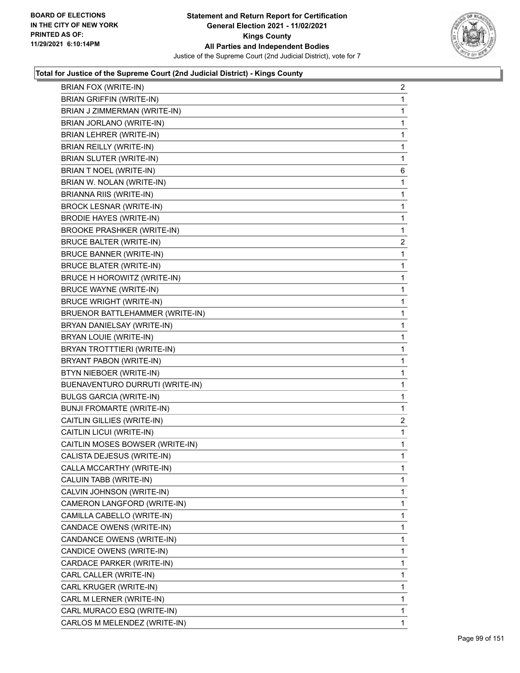

| <b>BRIAN FOX (WRITE-IN)</b>       | $\overline{2}$ |
|-----------------------------------|----------------|
| <b>BRIAN GRIFFIN (WRITE-IN)</b>   | $\mathbf{1}$   |
| BRIAN J ZIMMERMAN (WRITE-IN)      | 1              |
| BRIAN JORLANO (WRITE-IN)          | $\mathbf 1$    |
| BRIAN LEHRER (WRITE-IN)           | $\mathbf 1$    |
| BRIAN REILLY (WRITE-IN)           | 1              |
| BRIAN SLUTER (WRITE-IN)           | 1              |
| <b>BRIAN T NOEL (WRITE-IN)</b>    | 6              |
| BRIAN W. NOLAN (WRITE-IN)         | 1              |
| <b>BRIANNA RIIS (WRITE-IN)</b>    | 1              |
| <b>BROCK LESNAR (WRITE-IN)</b>    | $\mathbf 1$    |
| <b>BRODIE HAYES (WRITE-IN)</b>    | 1              |
| <b>BROOKE PRASHKER (WRITE-IN)</b> | 1              |
| <b>BRUCE BALTER (WRITE-IN)</b>    | 2              |
| <b>BRUCE BANNER (WRITE-IN)</b>    | 1              |
| <b>BRUCE BLATER (WRITE-IN)</b>    | $\mathbf 1$    |
| BRUCE H HOROWITZ (WRITE-IN)       | $\mathbf 1$    |
| <b>BRUCE WAYNE (WRITE-IN)</b>     | 1              |
| <b>BRUCE WRIGHT (WRITE-IN)</b>    | 1              |
| BRUENOR BATTLEHAMMER (WRITE-IN)   | $\mathbf{1}$   |
| BRYAN DANIELSAY (WRITE-IN)        | 1              |
| BRYAN LOUIE (WRITE-IN)            | $\mathbf 1$    |
| BRYAN TROTTTIERI (WRITE-IN)       | $\mathbf 1$    |
| BRYANT PABON (WRITE-IN)           | 1              |
| BTYN NIEBOER (WRITE-IN)           | 1              |
| BUENAVENTURO DURRUTI (WRITE-IN)   | $\mathbf{1}$   |
| <b>BULGS GARCIA (WRITE-IN)</b>    | 1              |
| <b>BUNJI FROMARTE (WRITE-IN)</b>  | 1              |
| CAITLIN GILLIES (WRITE-IN)        | 2              |
| CAITLIN LICUI (WRITE-IN)          | 1              |
| CAITLIN MOSES BOWSER (WRITE-IN)   | 1              |
| CALISTA DEJESUS (WRITE-IN)        | $\mathbf{1}$   |
| CALLA MCCARTHY (WRITE-IN)         | $\mathbf 1$    |
| CALUIN TABB (WRITE-IN)            | 1              |
| CALVIN JOHNSON (WRITE-IN)         | $\mathbf{1}$   |
| CAMERON LANGFORD (WRITE-IN)       | 1              |
| CAMILLA CABELLO (WRITE-IN)        | 1              |
| CANDACE OWENS (WRITE-IN)          | 1              |
| CANDANCE OWENS (WRITE-IN)         | 1              |
| CANDICE OWENS (WRITE-IN)          | 1              |
| CARDACE PARKER (WRITE-IN)         | 1              |
| CARL CALLER (WRITE-IN)            | 1              |
| CARL KRUGER (WRITE-IN)            | 1              |
| CARL M LERNER (WRITE-IN)          | 1              |
| CARL MURACO ESQ (WRITE-IN)        | 1              |
| CARLOS M MELENDEZ (WRITE-IN)      | 1              |
|                                   |                |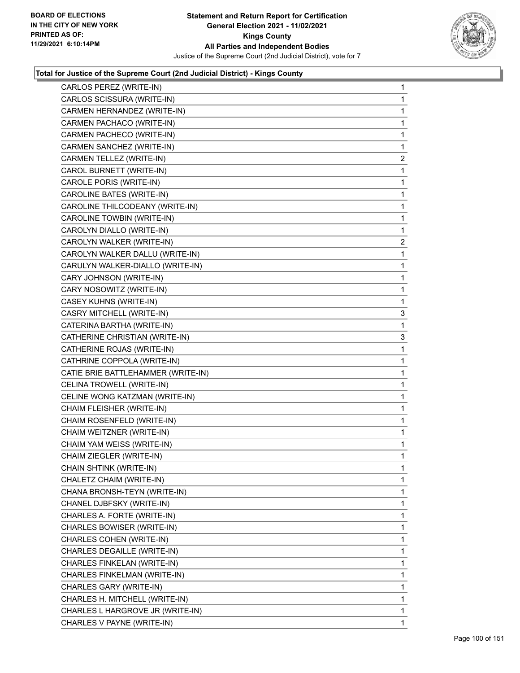

| CARLOS PEREZ (WRITE-IN)            | 1            |
|------------------------------------|--------------|
| CARLOS SCISSURA (WRITE-IN)         | 1            |
| CARMEN HERNANDEZ (WRITE-IN)        | 1            |
| CARMEN PACHACO (WRITE-IN)          | 1            |
| CARMEN PACHECO (WRITE-IN)          | 1            |
| CARMEN SANCHEZ (WRITE-IN)          | 1            |
| CARMEN TELLEZ (WRITE-IN)           | 2            |
| CAROL BURNETT (WRITE-IN)           | 1            |
| CAROLE PORIS (WRITE-IN)            | 1            |
| CAROLINE BATES (WRITE-IN)          | 1            |
| CAROLINE THILCODEANY (WRITE-IN)    | 1            |
| CAROLINE TOWBIN (WRITE-IN)         | 1            |
| CAROLYN DIALLO (WRITE-IN)          | 1            |
| CAROLYN WALKER (WRITE-IN)          | 2            |
| CAROLYN WALKER DALLU (WRITE-IN)    | 1            |
| CARULYN WALKER-DIALLO (WRITE-IN)   | 1            |
| CARY JOHNSON (WRITE-IN)            | 1            |
| CARY NOSOWITZ (WRITE-IN)           | 1            |
| CASEY KUHNS (WRITE-IN)             | 1            |
| CASRY MITCHELL (WRITE-IN)          | 3            |
| CATERINA BARTHA (WRITE-IN)         | 1            |
| CATHERINE CHRISTIAN (WRITE-IN)     | 3            |
| CATHERINE ROJAS (WRITE-IN)         | 1            |
| CATHRINE COPPOLA (WRITE-IN)        | 1            |
| CATIE BRIE BATTLEHAMMER (WRITE-IN) | 1            |
| CELINA TROWELL (WRITE-IN)          | 1            |
| CELINE WONG KATZMAN (WRITE-IN)     | 1            |
| CHAIM FLEISHER (WRITE-IN)          | 1            |
| CHAIM ROSENFELD (WRITE-IN)         | 1            |
| CHAIM WEITZNER (WRITE-IN)          | 1            |
| CHAIM YAM WEISS (WRITE-IN)         | 1            |
| CHAIM ZIEGLER (WRITE-IN)           | 1            |
| CHAIN SHTINK (WRITE-IN)            | 1            |
| CHALETZ CHAIM (WRITE-IN)           | 1            |
| CHANA BRONSH-TEYN (WRITE-IN)       | 1            |
| CHANEL DJBFSKY (WRITE-IN)          | 1            |
| CHARLES A. FORTE (WRITE-IN)        | 1            |
| CHARLES BOWISER (WRITE-IN)         | 1            |
| CHARLES COHEN (WRITE-IN)           | 1            |
| CHARLES DEGAILLE (WRITE-IN)        | 1            |
| CHARLES FINKELAN (WRITE-IN)        | 1            |
| CHARLES FINKELMAN (WRITE-IN)       | 1            |
| CHARLES GARY (WRITE-IN)            | 1            |
| CHARLES H. MITCHELL (WRITE-IN)     | 1            |
| CHARLES L HARGROVE JR (WRITE-IN)   | 1            |
| CHARLES V PAYNE (WRITE-IN)         | $\mathbf{1}$ |
|                                    |              |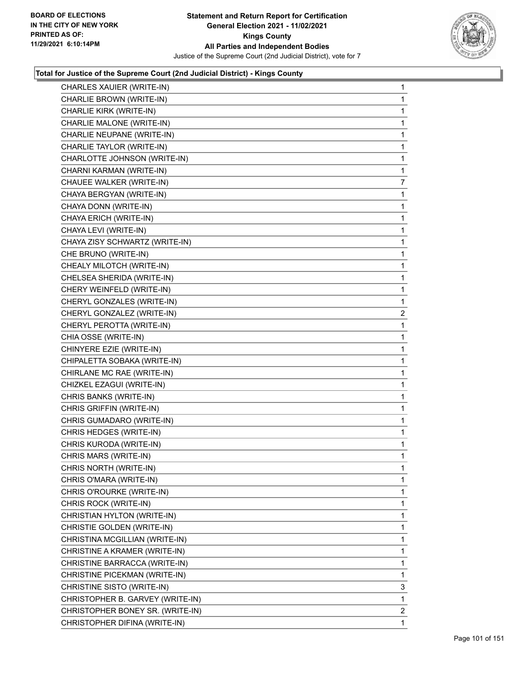

| CHARLES XAUIER (WRITE-IN)        | $\mathbf{1}$   |
|----------------------------------|----------------|
| CHARLIE BROWN (WRITE-IN)         | 1              |
| CHARLIE KIRK (WRITE-IN)          | 1              |
| CHARLIE MALONE (WRITE-IN)        | 1              |
| CHARLIE NEUPANE (WRITE-IN)       | 1              |
| CHARLIE TAYLOR (WRITE-IN)        | 1              |
| CHARLOTTE JOHNSON (WRITE-IN)     | $\mathbf 1$    |
| CHARNI KARMAN (WRITE-IN)         | 1              |
| CHAUEE WALKER (WRITE-IN)         | 7              |
| CHAYA BERGYAN (WRITE-IN)         | $\mathbf{1}$   |
| CHAYA DONN (WRITE-IN)            | 1              |
| CHAYA ERICH (WRITE-IN)           | 1              |
| CHAYA LEVI (WRITE-IN)            | $\mathbf{1}$   |
| CHAYA ZISY SCHWARTZ (WRITE-IN)   | $\mathbf{1}$   |
| CHE BRUNO (WRITE-IN)             | 1              |
| CHEALY MILOTCH (WRITE-IN)        | $\mathbf{1}$   |
| CHELSEA SHERIDA (WRITE-IN)       | 1              |
| CHERY WEINFELD (WRITE-IN)        | 1              |
| CHERYL GONZALES (WRITE-IN)       | $\mathbf{1}$   |
| CHERYL GONZALEZ (WRITE-IN)       | $\overline{2}$ |
| CHERYL PEROTTA (WRITE-IN)        | 1              |
| CHIA OSSE (WRITE-IN)             | $\mathbf{1}$   |
| CHINYERE EZIE (WRITE-IN)         | 1              |
| CHIPALETTA SOBAKA (WRITE-IN)     | 1              |
| CHIRLANE MC RAE (WRITE-IN)       | $\mathbf{1}$   |
| CHIZKEL EZAGUI (WRITE-IN)        | 1              |
| CHRIS BANKS (WRITE-IN)           | 1              |
| CHRIS GRIFFIN (WRITE-IN)         | $\mathbf{1}$   |
| CHRIS GUMADARO (WRITE-IN)        | 1              |
| CHRIS HEDGES (WRITE-IN)          | 1              |
| CHRIS KURODA (WRITE-IN)          | $\mathbf{1}$   |
| CHRIS MARS (WRITE-IN)            | 1              |
| CHRIS NORTH (WRITE-IN)           | 1              |
| CHRIS O'MARA (WRITE-IN)          | $\mathbf{1}$   |
| CHRIS O'ROURKE (WRITE-IN)        | 1              |
| CHRIS ROCK (WRITE-IN)            | 1              |
| CHRISTIAN HYLTON (WRITE-IN)      | 1              |
| CHRISTIE GOLDEN (WRITE-IN)       | 1              |
| CHRISTINA MCGILLIAN (WRITE-IN)   | 1              |
| CHRISTINE A KRAMER (WRITE-IN)    | 1              |
| CHRISTINE BARRACCA (WRITE-IN)    | 1              |
| CHRISTINE PICEKMAN (WRITE-IN)    | 1              |
| CHRISTINE SISTO (WRITE-IN)       | 3              |
| CHRISTOPHER B. GARVEY (WRITE-IN) | 1              |
| CHRISTOPHER BONEY SR. (WRITE-IN) | $\overline{2}$ |
| CHRISTOPHER DIFINA (WRITE-IN)    | $\mathbf{1}$   |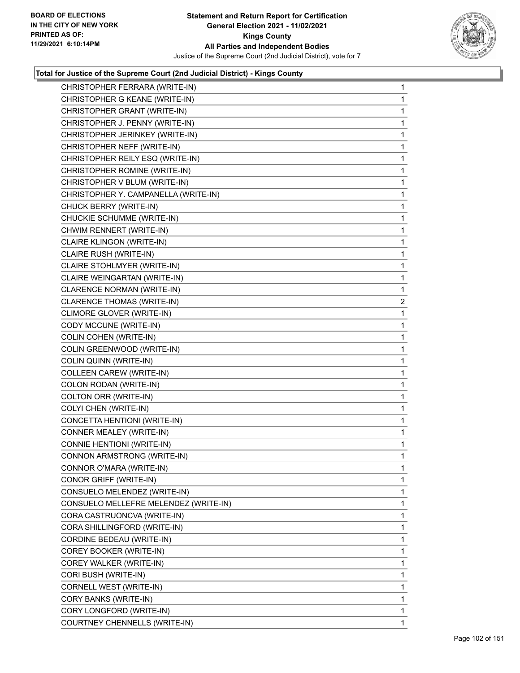

| CHRISTOPHER FERRARA (WRITE-IN)        | $\mathbf{1}$ |
|---------------------------------------|--------------|
| CHRISTOPHER G KEANE (WRITE-IN)        | 1            |
| CHRISTOPHER GRANT (WRITE-IN)          | 1            |
| CHRISTOPHER J. PENNY (WRITE-IN)       | 1            |
| CHRISTOPHER JERINKEY (WRITE-IN)       | 1            |
| CHRISTOPHER NEFF (WRITE-IN)           | 1            |
| CHRISTOPHER REILY ESQ (WRITE-IN)      | 1            |
| CHRISTOPHER ROMINE (WRITE-IN)         | 1            |
| CHRISTOPHER V BLUM (WRITE-IN)         | 1            |
| CHRISTOPHER Y. CAMPANELLA (WRITE-IN)  | 1            |
| CHUCK BERRY (WRITE-IN)                | 1            |
| CHUCKIE SCHUMME (WRITE-IN)            | 1            |
| CHWIM RENNERT (WRITE-IN)              | 1            |
| CLAIRE KLINGON (WRITE-IN)             | 1            |
| CLAIRE RUSH (WRITE-IN)                | 1            |
| CLAIRE STOHLMYER (WRITE-IN)           | 1            |
| CLAIRE WEINGARTAN (WRITE-IN)          | 1            |
| CLARENCE NORMAN (WRITE-IN)            | 1            |
| CLARENCE THOMAS (WRITE-IN)            | 2            |
| CLIMORE GLOVER (WRITE-IN)             | 1            |
| CODY MCCUNE (WRITE-IN)                | 1            |
| COLIN COHEN (WRITE-IN)                | 1            |
| COLIN GREENWOOD (WRITE-IN)            | 1            |
| COLIN QUINN (WRITE-IN)                | 1            |
| COLLEEN CAREW (WRITE-IN)              | 1            |
| COLON RODAN (WRITE-IN)                | 1            |
| COLTON ORR (WRITE-IN)                 | 1            |
| COLYI CHEN (WRITE-IN)                 | 1            |
| CONCETTA HENTIONI (WRITE-IN)          | 1            |
| CONNER MEALEY (WRITE-IN)              | 1            |
| CONNIE HENTIONI (WRITE-IN)            | 1            |
| CONNON ARMSTRONG (WRITE-IN)           | 1            |
| CONNOR O'MARA (WRITE-IN)              | 1            |
| CONOR GRIFF (WRITE-IN)                | 1            |
| CONSUELO MELENDEZ (WRITE-IN)          | 1            |
| CONSUELO MELLEFRE MELENDEZ (WRITE-IN) | 1            |
| CORA CASTRUONCVA (WRITE-IN)           | 1            |
| CORA SHILLINGFORD (WRITE-IN)          | 1            |
| CORDINE BEDEAU (WRITE-IN)             | 1            |
| COREY BOOKER (WRITE-IN)               | 1            |
| COREY WALKER (WRITE-IN)               | 1            |
| CORI BUSH (WRITE-IN)                  | 1            |
| CORNELL WEST (WRITE-IN)               | 1            |
| CORY BANKS (WRITE-IN)                 | 1            |
| CORY LONGFORD (WRITE-IN)              | 1            |
| COURTNEY CHENNELLS (WRITE-IN)         | 1            |
|                                       |              |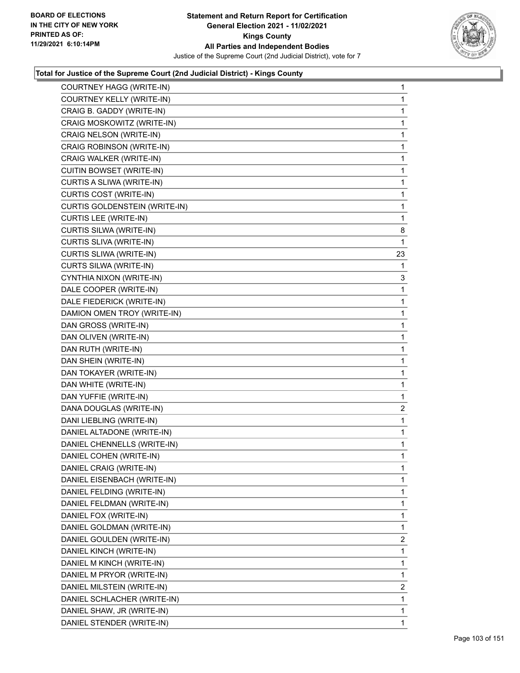

| COURTNEY HAGG (WRITE-IN)        | $\mathbf{1}$   |
|---------------------------------|----------------|
| COURTNEY KELLY (WRITE-IN)       | $\mathbf{1}$   |
| CRAIG B. GADDY (WRITE-IN)       | 1              |
| CRAIG MOSKOWITZ (WRITE-IN)      | 1              |
| CRAIG NELSON (WRITE-IN)         | 1              |
| CRAIG ROBINSON (WRITE-IN)       | $\mathbf{1}$   |
| CRAIG WALKER (WRITE-IN)         | 1              |
| <b>CUITIN BOWSET (WRITE-IN)</b> | $\mathbf{1}$   |
| CURTIS A SLIWA (WRITE-IN)       | 1              |
| CURTIS COST (WRITE-IN)          | 1              |
| CURTIS GOLDENSTEIN (WRITE-IN)   | $\mathbf{1}$   |
| <b>CURTIS LEE (WRITE-IN)</b>    | $\mathbf{1}$   |
| CURTIS SILWA (WRITE-IN)         | 8              |
| CURTIS SLIVA (WRITE-IN)         | $\mathbf{1}$   |
| CURTIS SLIWA (WRITE-IN)         | 23             |
| CURTS SILWA (WRITE-IN)          | 1              |
| CYNTHIA NIXON (WRITE-IN)        | 3              |
| DALE COOPER (WRITE-IN)          | $\mathbf{1}$   |
| DALE FIEDERICK (WRITE-IN)       | 1              |
| DAMION OMEN TROY (WRITE-IN)     | $\mathbf{1}$   |
| DAN GROSS (WRITE-IN)            | 1              |
| DAN OLIVEN (WRITE-IN)           | 1              |
| DAN RUTH (WRITE-IN)             | $\mathbf{1}$   |
| DAN SHEIN (WRITE-IN)            | $\mathbf{1}$   |
| DAN TOKAYER (WRITE-IN)          | 1              |
| DAN WHITE (WRITE-IN)            | $\mathbf{1}$   |
| DAN YUFFIE (WRITE-IN)           | 1              |
| DANA DOUGLAS (WRITE-IN)         | $\overline{c}$ |
| DANI LIEBLING (WRITE-IN)        | $\mathbf{1}$   |
| DANIEL ALTADONE (WRITE-IN)      | $\mathbf{1}$   |
| DANIEL CHENNELLS (WRITE-IN)     | 1              |
| DANIEL COHEN (WRITE-IN)         | $\mathbf{1}$   |
| DANIEL CRAIG (WRITE-IN)         | 1              |
| DANIEL EISENBACH (WRITE-IN)     | 1              |
| DANIEL FELDING (WRITE-IN)       | $\mathbf{1}$   |
| DANIEL FELDMAN (WRITE-IN)       | 1              |
| DANIEL FOX (WRITE-IN)           | 1              |
| DANIEL GOLDMAN (WRITE-IN)       | 1              |
| DANIEL GOULDEN (WRITE-IN)       | $\overline{2}$ |
| DANIEL KINCH (WRITE-IN)         | 1              |
| DANIEL M KINCH (WRITE-IN)       | $\mathbf{1}$   |
| DANIEL M PRYOR (WRITE-IN)       | 1              |
| DANIEL MILSTEIN (WRITE-IN)      | 2              |
| DANIEL SCHLACHER (WRITE-IN)     | 1              |
| DANIEL SHAW, JR (WRITE-IN)      | $\mathbf{1}$   |
| DANIEL STENDER (WRITE-IN)       | 1              |
|                                 |                |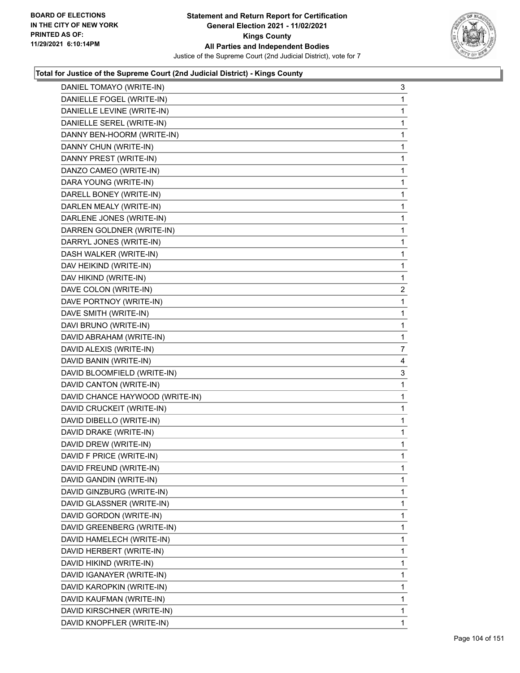

| DANIEL TOMAYO (WRITE-IN)        | 3            |
|---------------------------------|--------------|
| DANIELLE FOGEL (WRITE-IN)       | 1            |
| DANIELLE LEVINE (WRITE-IN)      | 1            |
| DANIELLE SEREL (WRITE-IN)       | $\mathbf{1}$ |
| DANNY BEN-HOORM (WRITE-IN)      | 1            |
| DANNY CHUN (WRITE-IN)           | 1            |
| DANNY PREST (WRITE-IN)          | $\mathbf{1}$ |
| DANZO CAMEO (WRITE-IN)          | 1            |
| DARA YOUNG (WRITE-IN)           | 1            |
| DARELL BONEY (WRITE-IN)         | $\mathbf 1$  |
| DARLEN MEALY (WRITE-IN)         | 1            |
| DARLENE JONES (WRITE-IN)        | 1            |
| DARREN GOLDNER (WRITE-IN)       | $\mathbf{1}$ |
| DARRYL JONES (WRITE-IN)         | 1            |
| DASH WALKER (WRITE-IN)          | 1            |
| DAV HEIKIND (WRITE-IN)          | $\mathbf 1$  |
| DAV HIKIND (WRITE-IN)           | 1            |
| DAVE COLON (WRITE-IN)           | 2            |
| DAVE PORTNOY (WRITE-IN)         | $\mathbf{1}$ |
| DAVE SMITH (WRITE-IN)           | 1            |
| DAVI BRUNO (WRITE-IN)           | 1            |
| DAVID ABRAHAM (WRITE-IN)        | $\mathbf 1$  |
| DAVID ALEXIS (WRITE-IN)         | 7            |
|                                 |              |
| DAVID BANIN (WRITE-IN)          | 4            |
| DAVID BLOOMFIELD (WRITE-IN)     | 3            |
| DAVID CANTON (WRITE-IN)         | 1            |
| DAVID CHANCE HAYWOOD (WRITE-IN) | 1            |
| DAVID CRUCKEIT (WRITE-IN)       | $\mathbf 1$  |
| DAVID DIBELLO (WRITE-IN)        | 1            |
| DAVID DRAKE (WRITE-IN)          | 1            |
| DAVID DREW (WRITE-IN)           | $\mathbf{1}$ |
| DAVID F PRICE (WRITE-IN)        | 1            |
| DAVID FREUND (WRITE-IN)         | 1            |
| DAVID GANDIN (WRITE-IN)         | $\mathbf{1}$ |
| DAVID GINZBURG (WRITE-IN)       | 1            |
| DAVID GLASSNER (WRITE-IN)       | 1            |
| DAVID GORDON (WRITE-IN)         | 1            |
| DAVID GREENBERG (WRITE-IN)      | 1            |
| DAVID HAMELECH (WRITE-IN)       | 1            |
| DAVID HERBERT (WRITE-IN)        | 1            |
| DAVID HIKIND (WRITE-IN)         | 1            |
| DAVID IGANAYER (WRITE-IN)       | 1            |
| DAVID KAROPKIN (WRITE-IN)       | 1            |
| DAVID KAUFMAN (WRITE-IN)        | 1            |
| DAVID KIRSCHNER (WRITE-IN)      | $\mathbf{1}$ |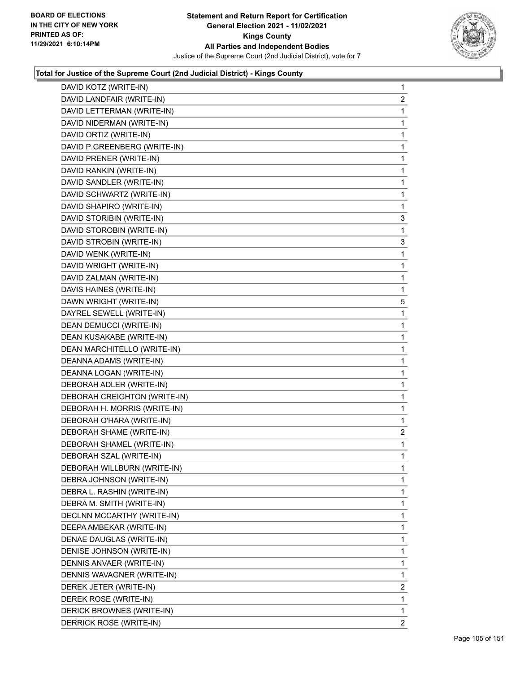

| DAVID KOTZ (WRITE-IN)        | $\mathbf{1}$   |
|------------------------------|----------------|
| DAVID LANDFAIR (WRITE-IN)    | $\overline{c}$ |
| DAVID LETTERMAN (WRITE-IN)   | 1              |
| DAVID NIDERMAN (WRITE-IN)    | $\mathbf{1}$   |
| DAVID ORTIZ (WRITE-IN)       | $\mathbf{1}$   |
| DAVID P.GREENBERG (WRITE-IN) | 1              |
| DAVID PRENER (WRITE-IN)      | 1              |
| DAVID RANKIN (WRITE-IN)      | $\mathbf{1}$   |
| DAVID SANDLER (WRITE-IN)     | 1              |
| DAVID SCHWARTZ (WRITE-IN)    | 1              |
| DAVID SHAPIRO (WRITE-IN)     | 1              |
| DAVID STORIBIN (WRITE-IN)    | 3              |
| DAVID STOROBIN (WRITE-IN)    | 1              |
| DAVID STROBIN (WRITE-IN)     | 3              |
| DAVID WENK (WRITE-IN)        | 1              |
| DAVID WRIGHT (WRITE-IN)      | $\mathbf{1}$   |
| DAVID ZALMAN (WRITE-IN)      | $\mathbf{1}$   |
| DAVIS HAINES (WRITE-IN)      | $\mathbf{1}$   |
| DAWN WRIGHT (WRITE-IN)       | 5              |
| DAYREL SEWELL (WRITE-IN)     | $\mathbf{1}$   |
| DEAN DEMUCCI (WRITE-IN)      | 1              |
| DEAN KUSAKABE (WRITE-IN)     | $\mathbf{1}$   |
| DEAN MARCHITELLO (WRITE-IN)  | $\mathbf{1}$   |
| DEANNA ADAMS (WRITE-IN)      | $\mathbf{1}$   |
| DEANNA LOGAN (WRITE-IN)      | 1              |
| DEBORAH ADLER (WRITE-IN)     | $\mathbf{1}$   |
| DEBORAH CREIGHTON (WRITE-IN) | 1              |
| DEBORAH H. MORRIS (WRITE-IN) | 1              |
| DEBORAH O'HARA (WRITE-IN)    | $\mathbf 1$    |
| DEBORAH SHAME (WRITE-IN)     | $\overline{2}$ |
| DEBORAH SHAMEL (WRITE-IN)    | $\mathbf 1$    |
| DEBORAH SZAL (WRITE-IN)      | $\mathbf{1}$   |
| DEBORAH WILLBURN (WRITE-IN)  | $\mathbf{1}$   |
| DEBRA JOHNSON (WRITE-IN)     | 1              |
| DEBRA L. RASHIN (WRITE-IN)   | $\mathbf{1}$   |
| DEBRA M. SMITH (WRITE-IN)    | 1              |
| DECLNN MCCARTHY (WRITE-IN)   | 1              |
| DEEPA AMBEKAR (WRITE-IN)     | 1              |
| DENAE DAUGLAS (WRITE-IN)     | 1              |
| DENISE JOHNSON (WRITE-IN)    | 1              |
| DENNIS ANVAER (WRITE-IN)     | 1              |
| DENNIS WAVAGNER (WRITE-IN)   | 1              |
| DEREK JETER (WRITE-IN)       | 2              |
| DEREK ROSE (WRITE-IN)        | 1              |
| DERICK BROWNES (WRITE-IN)    | $\mathbf{1}$   |
| DERRICK ROSE (WRITE-IN)      | $\overline{2}$ |
|                              |                |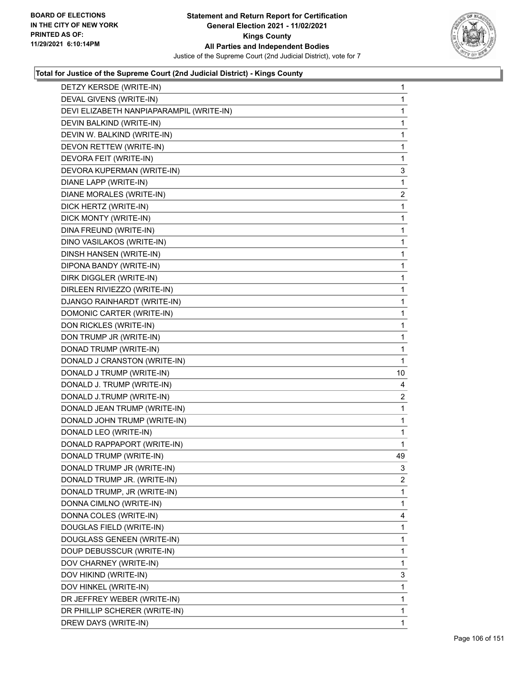

| DETZY KERSDE (WRITE-IN)                  | $\mathbf{1}$ |
|------------------------------------------|--------------|
| DEVAL GIVENS (WRITE-IN)                  | $\mathbf{1}$ |
| DEVI ELIZABETH NANPIAPARAMPIL (WRITE-IN) | 1            |
| DEVIN BALKIND (WRITE-IN)                 | $\mathbf{1}$ |
| DEVIN W. BALKIND (WRITE-IN)              | 1            |
| DEVON RETTEW (WRITE-IN)                  | 1            |
| DEVORA FEIT (WRITE-IN)                   | 1            |
| DEVORA KUPERMAN (WRITE-IN)               | 3            |
| DIANE LAPP (WRITE-IN)                    | 1            |
| DIANE MORALES (WRITE-IN)                 | 2            |
| DICK HERTZ (WRITE-IN)                    | 1            |
| DICK MONTY (WRITE-IN)                    | 1            |
| DINA FREUND (WRITE-IN)                   | 1            |
| DINO VASILAKOS (WRITE-IN)                | $\mathbf{1}$ |
| DINSH HANSEN (WRITE-IN)                  | 1            |
| DIPONA BANDY (WRITE-IN)                  | $\mathbf{1}$ |
| DIRK DIGGLER (WRITE-IN)                  | 1            |
| DIRLEEN RIVIEZZO (WRITE-IN)              | 1            |
| DJANGO RAINHARDT (WRITE-IN)              | 1            |
| DOMONIC CARTER (WRITE-IN)                | $\mathbf{1}$ |
| DON RICKLES (WRITE-IN)                   | 1            |
| DON TRUMP JR (WRITE-IN)                  | $\mathbf{1}$ |
| DONAD TRUMP (WRITE-IN)                   | 1            |
| DONALD J CRANSTON (WRITE-IN)             | 1            |
| DONALD J TRUMP (WRITE-IN)                | 10           |
| DONALD J. TRUMP (WRITE-IN)               | 4            |
| DONALD J.TRUMP (WRITE-IN)                | 2            |
| DONALD JEAN TRUMP (WRITE-IN)             | $\mathbf{1}$ |
| DONALD JOHN TRUMP (WRITE-IN)             | 1            |
| DONALD LEO (WRITE-IN)                    | 1            |
| DONALD RAPPAPORT (WRITE-IN)              | 1            |
| DONALD TRUMP (WRITE-IN)                  | 49           |
| DONALD TRUMP JR (WRITE-IN)               | 3            |
| DONALD TRUMP JR. (WRITE-IN)              | 2            |
| DONALD TRUMP, JR (WRITE-IN)              | 1            |
| DONNA CIMLNO (WRITE-IN)                  | 1            |
| DONNA COLES (WRITE-IN)                   | 4            |
| DOUGLAS FIELD (WRITE-IN)                 | 1            |
| DOUGLASS GENEEN (WRITE-IN)               | 1            |
| DOUP DEBUSSCUR (WRITE-IN)                | 1            |
| DOV CHARNEY (WRITE-IN)                   | 1            |
| DOV HIKIND (WRITE-IN)                    | 3            |
| DOV HINKEL (WRITE-IN)                    | 1            |
| DR JEFFREY WEBER (WRITE-IN)              | 1            |
| DR PHILLIP SCHERER (WRITE-IN)            | 1            |
| DREW DAYS (WRITE-IN)                     | 1            |
|                                          |              |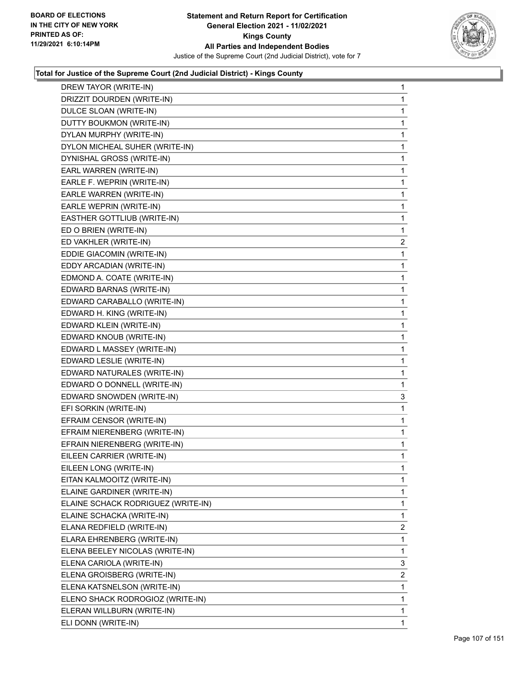

| DREW TAYOR (WRITE-IN)              | $\mathbf{1}$ |
|------------------------------------|--------------|
| DRIZZIT DOURDEN (WRITE-IN)         | $\mathbf 1$  |
| DULCE SLOAN (WRITE-IN)             | $\mathbf{1}$ |
| DUTTY BOUKMON (WRITE-IN)           | $\mathbf 1$  |
| DYLAN MURPHY (WRITE-IN)            | 1            |
| DYLON MICHEAL SUHER (WRITE-IN)     | 1            |
| DYNISHAL GROSS (WRITE-IN)          | $\mathbf 1$  |
| EARL WARREN (WRITE-IN)             | $\mathbf 1$  |
| EARLE F. WEPRIN (WRITE-IN)         | 1            |
| EARLE WARREN (WRITE-IN)            | $\mathbf{1}$ |
| EARLE WEPRIN (WRITE-IN)            | 1            |
| EASTHER GOTTLIUB (WRITE-IN)        | 1            |
| ED O BRIEN (WRITE-IN)              | $\mathbf 1$  |
| ED VAKHLER (WRITE-IN)              | 2            |
| EDDIE GIACOMIN (WRITE-IN)          | 1            |
| EDDY ARCADIAN (WRITE-IN)           | $\mathbf{1}$ |
| EDMOND A. COATE (WRITE-IN)         | 1            |
| EDWARD BARNAS (WRITE-IN)           | 1            |
| EDWARD CARABALLO (WRITE-IN)        | $\mathbf 1$  |
| EDWARD H. KING (WRITE-IN)          | $\mathbf 1$  |
| EDWARD KLEIN (WRITE-IN)            | 1            |
| EDWARD KNOUB (WRITE-IN)            | $\mathbf{1}$ |
| EDWARD L MASSEY (WRITE-IN)         | 1            |
| EDWARD LESLIE (WRITE-IN)           | 1            |
| EDWARD NATURALES (WRITE-IN)        | $\mathbf 1$  |
| EDWARD O DONNELL (WRITE-IN)        | 1            |
| EDWARD SNOWDEN (WRITE-IN)          | 3            |
| EFI SORKIN (WRITE-IN)              | $\mathbf{1}$ |
| EFRAIM CENSOR (WRITE-IN)           | 1            |
| EFRAIM NIERENBERG (WRITE-IN)       | 1            |
| EFRAIN NIERENBERG (WRITE-IN)       | $\mathbf{1}$ |
| EILEEN CARRIER (WRITE-IN)          | 1            |
| EILEEN LONG (WRITE-IN)             | 1            |
| EITAN KALMOOITZ (WRITE-IN)         | 1            |
| ELAINE GARDINER (WRITE-IN)         | 1            |
| ELAINE SCHACK RODRIGUEZ (WRITE-IN) | 1            |
| ELAINE SCHACKA (WRITE-IN)          | $\mathbf{1}$ |
| ELANA REDFIELD (WRITE-IN)          | 2            |
| ELARA EHRENBERG (WRITE-IN)         | 1            |
| ELENA BEELEY NICOLAS (WRITE-IN)    | $\mathbf 1$  |
| ELENA CARIOLA (WRITE-IN)           | 3            |
| ELENA GROISBERG (WRITE-IN)         | 2            |
| ELENA KATSNELSON (WRITE-IN)        | $\mathbf{1}$ |
| ELENO SHACK RODROGIOZ (WRITE-IN)   | 1            |
| ELERAN WILLBURN (WRITE-IN)         | 1            |
| ELI DONN (WRITE-IN)                | $\mathbf{1}$ |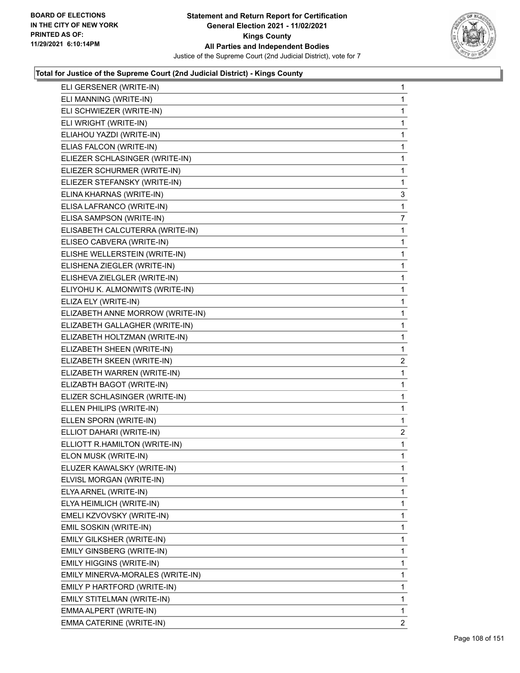

| ELI GERSENER (WRITE-IN)          | $\mathbf{1}$   |
|----------------------------------|----------------|
| ELI MANNING (WRITE-IN)           | $\mathbf 1$    |
| ELI SCHWIEZER (WRITE-IN)         | 1              |
| ELI WRIGHT (WRITE-IN)            | $\mathbf{1}$   |
| ELIAHOU YAZDI (WRITE-IN)         | 1              |
| ELIAS FALCON (WRITE-IN)          | 1              |
| ELIEZER SCHLASINGER (WRITE-IN)   | $\mathbf{1}$   |
| ELIEZER SCHURMER (WRITE-IN)      | 1              |
| ELIEZER STEFANSKY (WRITE-IN)     | $\mathbf{1}$   |
| ELINA KHARNAS (WRITE-IN)         | 3              |
| ELISA LAFRANCO (WRITE-IN)        | 1              |
| ELISA SAMPSON (WRITE-IN)         | 7              |
| ELISABETH CALCUTERRA (WRITE-IN)  | $\mathbf{1}$   |
| ELISEO CABVERA (WRITE-IN)        | 1              |
| ELISHE WELLERSTEIN (WRITE-IN)    | $\mathbf{1}$   |
| ELISHENA ZIEGLER (WRITE-IN)      | $\mathbf{1}$   |
| ELISHEVA ZIELGLER (WRITE-IN)     | 1              |
| ELIYOHU K. ALMONWITS (WRITE-IN)  | $\mathbf{1}$   |
| ELIZA ELY (WRITE-IN)             | $\mathbf{1}$   |
| ELIZABETH ANNE MORROW (WRITE-IN) | 1              |
| ELIZABETH GALLAGHER (WRITE-IN)   | $\mathbf{1}$   |
| ELIZABETH HOLTZMAN (WRITE-IN)    | $\mathbf{1}$   |
| ELIZABETH SHEEN (WRITE-IN)       | 1              |
| ELIZABETH SKEEN (WRITE-IN)       | 2              |
| ELIZABETH WARREN (WRITE-IN)      | $\mathbf{1}$   |
| ELIZABTH BAGOT (WRITE-IN)        | 1              |
| ELIZER SCHLASINGER (WRITE-IN)    | $\mathbf{1}$   |
| ELLEN PHILIPS (WRITE-IN)         | $\mathbf{1}$   |
| ELLEN SPORN (WRITE-IN)           | 1              |
| ELLIOT DAHARI (WRITE-IN)         | 2              |
| ELLIOTT R.HAMILTON (WRITE-IN)    | $\mathbf{1}$   |
| ELON MUSK (WRITE-IN)             | 1              |
| ELUZER KAWALSKY (WRITE-IN)       | $\mathbf{1}$   |
| ELVISL MORGAN (WRITE-IN)         | 1              |
| ELYA ARNEL (WRITE-IN)            | 1              |
| ELYA HEIMLICH (WRITE-IN)         | 1              |
| EMELI KZVOVSKY (WRITE-IN)        | 1              |
| EMIL SOSKIN (WRITE-IN)           | 1              |
| EMILY GILKSHER (WRITE-IN)        | 1              |
| <b>EMILY GINSBERG (WRITE-IN)</b> | 1              |
| EMILY HIGGINS (WRITE-IN)         | 1              |
| EMILY MINERVA-MORALES (WRITE-IN) | 1              |
| EMILY P HARTFORD (WRITE-IN)      | 1              |
| EMILY STITELMAN (WRITE-IN)       | 1              |
| EMMA ALPERT (WRITE-IN)           | $\mathbf{1}$   |
| EMMA CATERINE (WRITE-IN)         | $\overline{2}$ |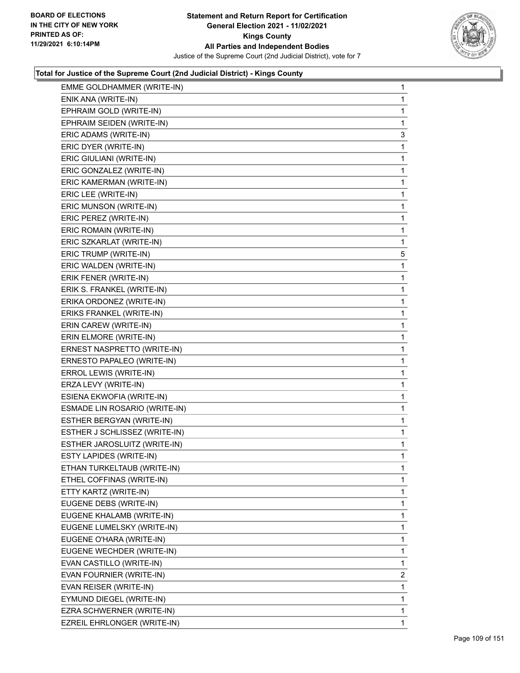

| EMME GOLDHAMMER (WRITE-IN)    | 1              |
|-------------------------------|----------------|
| ENIK ANA (WRITE-IN)           | 1              |
| EPHRAIM GOLD (WRITE-IN)       | 1              |
| EPHRAIM SEIDEN (WRITE-IN)     | 1              |
| ERIC ADAMS (WRITE-IN)         | 3              |
| ERIC DYER (WRITE-IN)          | 1              |
| ERIC GIULIANI (WRITE-IN)      | 1              |
| ERIC GONZALEZ (WRITE-IN)      | 1              |
| ERIC KAMERMAN (WRITE-IN)      | 1              |
| ERIC LEE (WRITE-IN)           | 1              |
| ERIC MUNSON (WRITE-IN)        | 1              |
| ERIC PEREZ (WRITE-IN)         | 1              |
| ERIC ROMAIN (WRITE-IN)        | 1              |
| ERIC SZKARLAT (WRITE-IN)      | 1              |
| ERIC TRUMP (WRITE-IN)         | 5              |
| ERIC WALDEN (WRITE-IN)        | 1              |
| ERIK FENER (WRITE-IN)         | 1              |
| ERIK S. FRANKEL (WRITE-IN)    | 1              |
| ERIKA ORDONEZ (WRITE-IN)      | 1              |
| ERIKS FRANKEL (WRITE-IN)      | 1              |
| ERIN CAREW (WRITE-IN)         | 1              |
| ERIN ELMORE (WRITE-IN)        | 1              |
| ERNEST NASPRETTO (WRITE-IN)   | 1              |
| ERNESTO PAPALEO (WRITE-IN)    | 1              |
| ERROL LEWIS (WRITE-IN)        | 1              |
| ERZA LEVY (WRITE-IN)          | 1              |
| ESIENA EKWOFIA (WRITE-IN)     | 1              |
| ESMADE LIN ROSARIO (WRITE-IN) | 1              |
| ESTHER BERGYAN (WRITE-IN)     | 1              |
| ESTHER J SCHLISSEZ (WRITE-IN) | 1              |
| ESTHER JAROSLUITZ (WRITE-IN)  | 1              |
| ESTY LAPIDES (WRITE-IN)       | 1              |
| ETHAN TURKELTAUB (WRITE-IN)   | 1              |
| ETHEL COFFINAS (WRITE-IN)     | 1              |
| ETTY KARTZ (WRITE-IN)         | 1              |
| EUGENE DEBS (WRITE-IN)        | 1              |
| EUGENE KHALAMB (WRITE-IN)     | 1              |
| EUGENE LUMELSKY (WRITE-IN)    | 1              |
| EUGENE O'HARA (WRITE-IN)      | 1              |
| EUGENE WECHDER (WRITE-IN)     | 1              |
| EVAN CASTILLO (WRITE-IN)      | 1              |
| EVAN FOURNIER (WRITE-IN)      | $\overline{2}$ |
| EVAN REISER (WRITE-IN)        | 1              |
| EYMUND DIEGEL (WRITE-IN)      | 1              |
| EZRA SCHWERNER (WRITE-IN)     | 1              |
| EZREIL EHRLONGER (WRITE-IN)   | 1              |
|                               |                |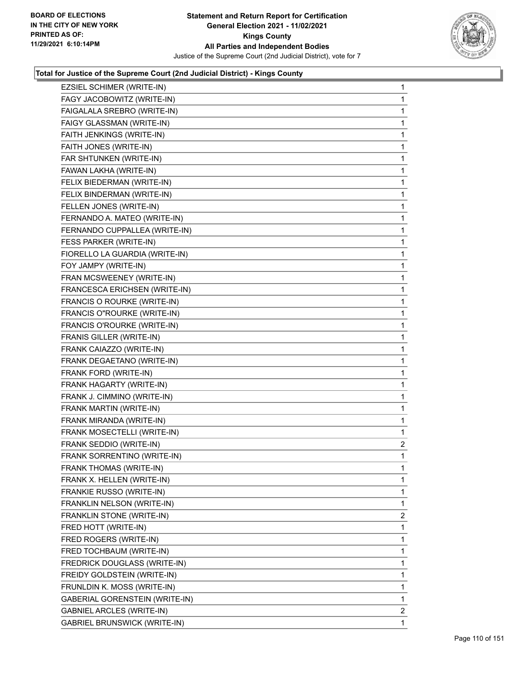

| EZSIEL SCHIMER (WRITE-IN)           | $\mathbf{1}$ |
|-------------------------------------|--------------|
| FAGY JACOBOWITZ (WRITE-IN)          | 1            |
| FAIGALALA SREBRO (WRITE-IN)         | 1            |
| FAIGY GLASSMAN (WRITE-IN)           | 1            |
| FAITH JENKINGS (WRITE-IN)           | 1            |
| FAITH JONES (WRITE-IN)              | 1            |
| FAR SHTUNKEN (WRITE-IN)             | 1            |
| FAWAN LAKHA (WRITE-IN)              | 1            |
| FELIX BIEDERMAN (WRITE-IN)          | 1            |
| FELIX BINDERMAN (WRITE-IN)          | 1            |
| FELLEN JONES (WRITE-IN)             | 1            |
| FERNANDO A. MATEO (WRITE-IN)        | 1            |
| FERNANDO CUPPALLEA (WRITE-IN)       | 1            |
| FESS PARKER (WRITE-IN)              | 1            |
| FIORELLO LA GUARDIA (WRITE-IN)      | 1            |
| FOY JAMPY (WRITE-IN)                | 1            |
| FRAN MCSWEENEY (WRITE-IN)           | 1            |
| FRANCESCA ERICHSEN (WRITE-IN)       | 1            |
| FRANCIS O ROURKE (WRITE-IN)         | 1            |
| FRANCIS O"ROURKE (WRITE-IN)         | 1            |
| FRANCIS O'ROURKE (WRITE-IN)         | 1            |
| FRANIS GILLER (WRITE-IN)            | 1            |
| FRANK CAIAZZO (WRITE-IN)            | 1            |
| FRANK DEGAETANO (WRITE-IN)          | 1            |
| FRANK FORD (WRITE-IN)               | 1            |
| FRANK HAGARTY (WRITE-IN)            | 1            |
| FRANK J. CIMMINO (WRITE-IN)         | 1            |
| FRANK MARTIN (WRITE-IN)             | 1            |
| FRANK MIRANDA (WRITE-IN)            | 1            |
| FRANK MOSECTELLI (WRITE-IN)         | 1            |
| FRANK SEDDIO (WRITE-IN)             | 2            |
| FRANK SORRENTINO (WRITE-IN)         | 1            |
| FRANK THOMAS (WRITE-IN)             | 1            |
| FRANK X. HELLEN (WRITE-IN)          | 1            |
| FRANKIE RUSSO (WRITE-IN)            | 1            |
| FRANKLIN NELSON (WRITE-IN)          | 1            |
| FRANKLIN STONE (WRITE-IN)           | 2            |
| FRED HOTT (WRITE-IN)                | 1            |
| FRED ROGERS (WRITE-IN)              | 1            |
| FRED TOCHBAUM (WRITE-IN)            | 1            |
| FREDRICK DOUGLASS (WRITE-IN)        | 1            |
| FREIDY GOLDSTEIN (WRITE-IN)         | 1            |
| FRUNLDIN K. MOSS (WRITE-IN)         | 1            |
| GABERIAL GORENSTEIN (WRITE-IN)      | 1            |
| GABNIEL ARCLES (WRITE-IN)           | 2            |
| <b>GABRIEL BRUNSWICK (WRITE-IN)</b> | 1            |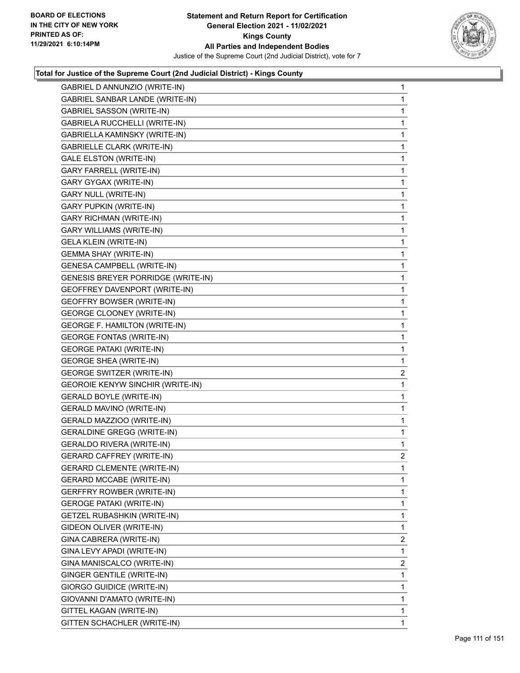

| GABRIEL D ANNUNZIO (WRITE-IN)           | $\mathbf{1}$   |
|-----------------------------------------|----------------|
| GABRIEL SANBAR LANDE (WRITE-IN)         | 1              |
| <b>GABRIEL SASSON (WRITE-IN)</b>        | 1              |
| GABRIELA RUCCHELLI (WRITE-IN)           | $\mathbf{1}$   |
| GABRIELLA KAMINSKY (WRITE-IN)           | 1              |
| <b>GABRIELLE CLARK (WRITE-IN)</b>       | 1              |
| <b>GALE ELSTON (WRITE-IN)</b>           | $\mathbf{1}$   |
| GARY FARRELL (WRITE-IN)                 | 1              |
| GARY GYGAX (WRITE-IN)                   | 1              |
| GARY NULL (WRITE-IN)                    | $\mathbf{1}$   |
| <b>GARY PUPKIN (WRITE-IN)</b>           | 1              |
| <b>GARY RICHMAN (WRITE-IN)</b>          | 1              |
| <b>GARY WILLIAMS (WRITE-IN)</b>         | $\mathbf{1}$   |
| <b>GELA KLEIN (WRITE-IN)</b>            | 1              |
| <b>GEMMA SHAY (WRITE-IN)</b>            | 1              |
| GENESA CAMPBELL (WRITE-IN)              | $\mathbf{1}$   |
| GENESIS BREYER PORRIDGE (WRITE-IN)      | 1              |
| GEOFFREY DAVENPORT (WRITE-IN)           | 1              |
| <b>GEOFFRY BOWSER (WRITE-IN)</b>        | $\mathbf{1}$   |
| <b>GEORGE CLOONEY (WRITE-IN)</b>        | 1              |
| <b>GEORGE F. HAMILTON (WRITE-IN)</b>    | 1              |
| <b>GEORGE FONTAS (WRITE-IN)</b>         | $\mathbf{1}$   |
| <b>GEORGE PATAKI (WRITE-IN)</b>         | $\mathbf{1}$   |
| <b>GEORGE SHEA (WRITE-IN)</b>           | 1              |
| <b>GEORGE SWITZER (WRITE-IN)</b>        | $\overline{2}$ |
| <b>GEOROIE KENYW SINCHIR (WRITE-IN)</b> | 1              |
| <b>GERALD BOYLE (WRITE-IN)</b>          | 1              |
| <b>GERALD MAVINO (WRITE-IN)</b>         | $\mathbf{1}$   |
| GERALD MAZZIOO (WRITE-IN)               | $\mathbf 1$    |
| <b>GERALDINE GREGG (WRITE-IN)</b>       | 1              |
| <b>GERALDO RIVERA (WRITE-IN)</b>        | 1              |
| <b>GERARD CAFFREY (WRITE-IN)</b>        | $\overline{2}$ |
| <b>GERARD CLEMENTE (WRITE-IN)</b>       | 1              |
| <b>GERARD MCCABE (WRITE-IN)</b>         | 1              |
| <b>GERFFRY ROWBER (WRITE-IN)</b>        | 1              |
| <b>GEROGE PATAKI (WRITE-IN)</b>         | 1              |
| GETZEL RUBASHKIN (WRITE-IN)             | 1              |
| GIDEON OLIVER (WRITE-IN)                | 1              |
| GINA CABRERA (WRITE-IN)                 | 2              |
| GINA LEVY APADI (WRITE-IN)              | 1              |
| GINA MANISCALCO (WRITE-IN)              | 2              |
| GINGER GENTILE (WRITE-IN)               | 1              |
| GIORGO GUIDICE (WRITE-IN)               | 1              |
| GIOVANNI D'AMATO (WRITE-IN)             | 1              |
| GITTEL KAGAN (WRITE-IN)                 | 1              |
| GITTEN SCHACHLER (WRITE-IN)             | 1              |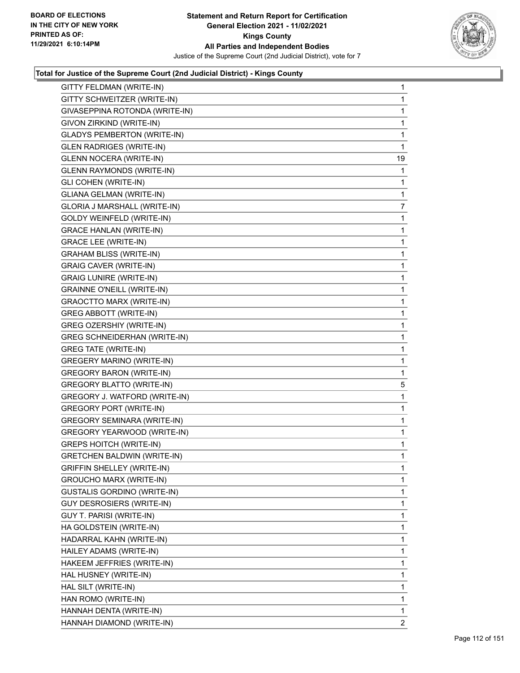

| GITTY FELDMAN (WRITE-IN)            | $\mathbf{1}$   |
|-------------------------------------|----------------|
| GITTY SCHWEITZER (WRITE-IN)         | 1              |
| GIVASEPPINA ROTONDA (WRITE-IN)      | 1              |
| GIVON ZIRKIND (WRITE-IN)            | $\mathbf{1}$   |
| <b>GLADYS PEMBERTON (WRITE-IN)</b>  | 1              |
| <b>GLEN RADRIGES (WRITE-IN)</b>     | 1              |
| <b>GLENN NOCERA (WRITE-IN)</b>      | 19             |
| <b>GLENN RAYMONDS (WRITE-IN)</b>    | 1              |
| <b>GLI COHEN (WRITE-IN)</b>         | 1              |
| <b>GLIANA GELMAN (WRITE-IN)</b>     | 1              |
| GLORIA J MARSHALL (WRITE-IN)        | 7              |
| GOLDY WEINFELD (WRITE-IN)           | 1              |
| <b>GRACE HANLAN (WRITE-IN)</b>      | $\mathbf 1$    |
| <b>GRACE LEE (WRITE-IN)</b>         | 1              |
| <b>GRAHAM BLISS (WRITE-IN)</b>      | 1              |
| <b>GRAIG CAVER (WRITE-IN)</b>       | $\mathbf 1$    |
| <b>GRAIG LUNIRE (WRITE-IN)</b>      | 1              |
| <b>GRAINNE O'NEILL (WRITE-IN)</b>   | 1              |
| <b>GRAOCTTO MARX (WRITE-IN)</b>     | $\mathbf 1$    |
| <b>GREG ABBOTT (WRITE-IN)</b>       | 1              |
| GREG OZERSHIY (WRITE-IN)            | 1              |
| <b>GREG SCHNEIDERHAN (WRITE-IN)</b> | $\mathbf 1$    |
| <b>GREG TATE (WRITE-IN)</b>         | 1              |
| <b>GREGERY MARINO (WRITE-IN)</b>    | 1              |
| <b>GREGORY BARON (WRITE-IN)</b>     | 1              |
| <b>GREGORY BLATTO (WRITE-IN)</b>    | 5              |
| GREGORY J. WATFORD (WRITE-IN)       | 1              |
| <b>GREGORY PORT (WRITE-IN)</b>      | $\mathbf 1$    |
| <b>GREGORY SEMINARA (WRITE-IN)</b>  | 1              |
| GREGORY YEARWOOD (WRITE-IN)         | 1              |
| <b>GREPS HOITCH (WRITE-IN)</b>      | $\mathbf{1}$   |
| <b>GRETCHEN BALDWIN (WRITE-IN)</b>  | 1              |
| GRIFFIN SHELLEY (WRITE-IN)          | $\mathbf 1$    |
| <b>GROUCHO MARX (WRITE-IN)</b>      | 1              |
| <b>GUSTALIS GORDINO (WRITE-IN)</b>  | 1              |
| GUY DESROSIERS (WRITE-IN)           | 1              |
| GUY T. PARISI (WRITE-IN)            | 1              |
| HA GOLDSTEIN (WRITE-IN)             | 1              |
| HADARRAL KAHN (WRITE-IN)            | 1              |
| HAILEY ADAMS (WRITE-IN)             | 1              |
| HAKEEM JEFFRIES (WRITE-IN)          | 1              |
| HAL HUSNEY (WRITE-IN)               | 1              |
| HAL SILT (WRITE-IN)                 | 1              |
| HAN ROMO (WRITE-IN)                 | 1              |
| HANNAH DENTA (WRITE-IN)             | $\mathbf{1}$   |
| HANNAH DIAMOND (WRITE-IN)           | $\overline{2}$ |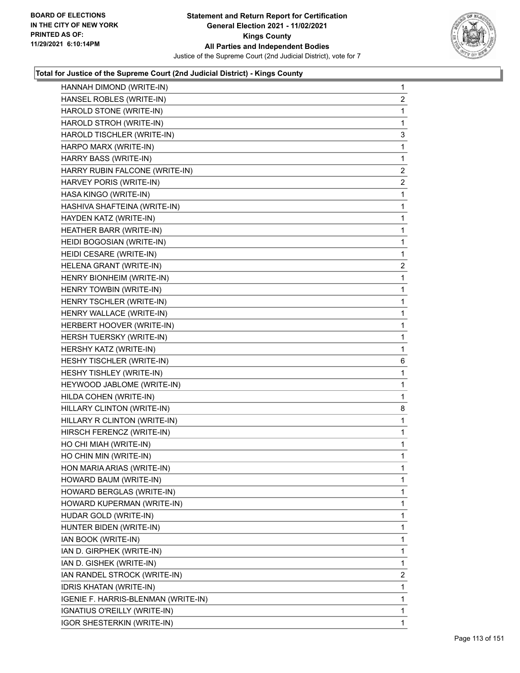

| HANNAH DIMOND (WRITE-IN)            | $\mathbf{1}$            |
|-------------------------------------|-------------------------|
| HANSEL ROBLES (WRITE-IN)            | $\overline{c}$          |
| HAROLD STONE (WRITE-IN)             | 1                       |
| HAROLD STROH (WRITE-IN)             | 1                       |
| HAROLD TISCHLER (WRITE-IN)          | 3                       |
| HARPO MARX (WRITE-IN)               | 1                       |
| HARRY BASS (WRITE-IN)               | 1                       |
| HARRY RUBIN FALCONE (WRITE-IN)      | 2                       |
| HARVEY PORIS (WRITE-IN)             | $\overline{2}$          |
| HASA KINGO (WRITE-IN)               | $\mathbf 1$             |
| HASHIVA SHAFTEINA (WRITE-IN)        | $\mathbf 1$             |
| HAYDEN KATZ (WRITE-IN)              | $\mathbf 1$             |
| HEATHER BARR (WRITE-IN)             | 1                       |
| HEIDI BOGOSIAN (WRITE-IN)           | $\mathbf{1}$            |
| HEIDI CESARE (WRITE-IN)             | 1                       |
| HELENA GRANT (WRITE-IN)             | $\overline{\mathbf{c}}$ |
| HENRY BIONHEIM (WRITE-IN)           | $\mathbf 1$             |
| HENRY TOWBIN (WRITE-IN)             | $\mathbf{1}$            |
| HENRY TSCHLER (WRITE-IN)            | 1                       |
| HENRY WALLACE (WRITE-IN)            | $\mathbf{1}$            |
| HERBERT HOOVER (WRITE-IN)           | $\mathbf{1}$            |
| <b>HERSH TUERSKY (WRITE-IN)</b>     | $\mathbf{1}$            |
| HERSHY KATZ (WRITE-IN)              | $\mathbf{1}$            |
| HESHY TISCHLER (WRITE-IN)           | 6                       |
| HESHY TISHLEY (WRITE-IN)            | 1                       |
| HEYWOOD JABLOME (WRITE-IN)          | $\mathbf{1}$            |
| HILDA COHEN (WRITE-IN)              | 1                       |
| HILLARY CLINTON (WRITE-IN)          | 8                       |
| HILLARY R CLINTON (WRITE-IN)        | $\mathbf{1}$            |
| HIRSCH FERENCZ (WRITE-IN)           | $\mathbf{1}$            |
| HO CHI MIAH (WRITE-IN)              | 1                       |
| HO CHIN MIN (WRITE-IN)              | $\mathbf{1}$            |
| HON MARIA ARIAS (WRITE-IN)          | $\mathbf{1}$            |
| HOWARD BAUM (WRITE-IN)              | 1                       |
| HOWARD BERGLAS (WRITE-IN)           | 1                       |
| HOWARD KUPERMAN (WRITE-IN)          | 1                       |
| HUDAR GOLD (WRITE-IN)               | 1                       |
| HUNTER BIDEN (WRITE-IN)             | 1                       |
| IAN BOOK (WRITE-IN)                 | 1                       |
| IAN D. GIRPHEK (WRITE-IN)           | 1                       |
| IAN D. GISHEK (WRITE-IN)            | 1                       |
| IAN RANDEL STROCK (WRITE-IN)        | 2                       |
| IDRIS KHATAN (WRITE-IN)             | 1                       |
| IGENIE F. HARRIS-BLENMAN (WRITE-IN) | 1                       |
| IGNATIUS O'REILLY (WRITE-IN)        | 1                       |
| <b>IGOR SHESTERKIN (WRITE-IN)</b>   | 1                       |
|                                     |                         |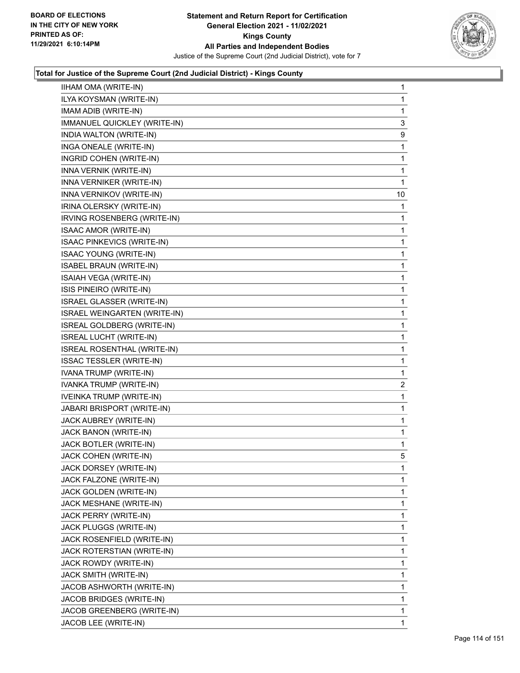

| IIHAM OMA (WRITE-IN)             | $\mathbf{1}$ |
|----------------------------------|--------------|
| ILYA KOYSMAN (WRITE-IN)          | 1            |
| IMAM ADIB (WRITE-IN)             | 1            |
| IMMANUEL QUICKLEY (WRITE-IN)     | 3            |
| INDIA WALTON (WRITE-IN)          | 9            |
| INGA ONEALE (WRITE-IN)           | 1            |
| INGRID COHEN (WRITE-IN)          | $\mathbf{1}$ |
| INNA VERNIK (WRITE-IN)           | 1            |
| INNA VERNIKER (WRITE-IN)         | 1            |
| INNA VERNIKOV (WRITE-IN)         | 10           |
| IRINA OLERSKY (WRITE-IN)         | 1            |
| IRVING ROSENBERG (WRITE-IN)      | 1            |
| <b>ISAAC AMOR (WRITE-IN)</b>     | $\mathbf{1}$ |
| ISAAC PINKEVICS (WRITE-IN)       | 1            |
| <b>ISAAC YOUNG (WRITE-IN)</b>    | 1            |
| <b>ISABEL BRAUN (WRITE-IN)</b>   | $\mathbf{1}$ |
| ISAIAH VEGA (WRITE-IN)           | 1            |
| ISIS PINEIRO (WRITE-IN)          | 1            |
| <b>ISRAEL GLASSER (WRITE-IN)</b> | $\mathbf 1$  |
| ISRAEL WEINGARTEN (WRITE-IN)     | 1            |
| ISREAL GOLDBERG (WRITE-IN)       | 1            |
| ISREAL LUCHT (WRITE-IN)          | $\mathbf 1$  |
| ISREAL ROSENTHAL (WRITE-IN)      | 1            |
| <b>ISSAC TESSLER (WRITE-IN)</b>  | 1            |
| IVANA TRUMP (WRITE-IN)           | 1            |
| IVANKA TRUMP (WRITE-IN)          | 2            |
| IVEINKA TRUMP (WRITE-IN)         | 1            |
| JABARI BRISPORT (WRITE-IN)       | $\mathbf 1$  |
| JACK AUBREY (WRITE-IN)           | 1            |
| JACK BANON (WRITE-IN)            | 1            |
| JACK BOTLER (WRITE-IN)           | 1            |
| JACK COHEN (WRITE-IN)            | 5            |
| JACK DORSEY (WRITE-IN)           | $\mathbf 1$  |
| JACK FALZONE (WRITE-IN)          | 1            |
| JACK GOLDEN (WRITE-IN)           | 1            |
| JACK MESHANE (WRITE-IN)          | 1            |
| JACK PERRY (WRITE-IN)            | 1            |
| JACK PLUGGS (WRITE-IN)           | 1            |
| JACK ROSENFIELD (WRITE-IN)       | 1            |
| JACK ROTERSTIAN (WRITE-IN)       | 1            |
| JACK ROWDY (WRITE-IN)            | 1            |
| JACK SMITH (WRITE-IN)            | 1            |
| JACOB ASHWORTH (WRITE-IN)        | 1            |
| JACOB BRIDGES (WRITE-IN)         | 1            |
| JACOB GREENBERG (WRITE-IN)       | 1            |
| JACOB LEE (WRITE-IN)             | 1            |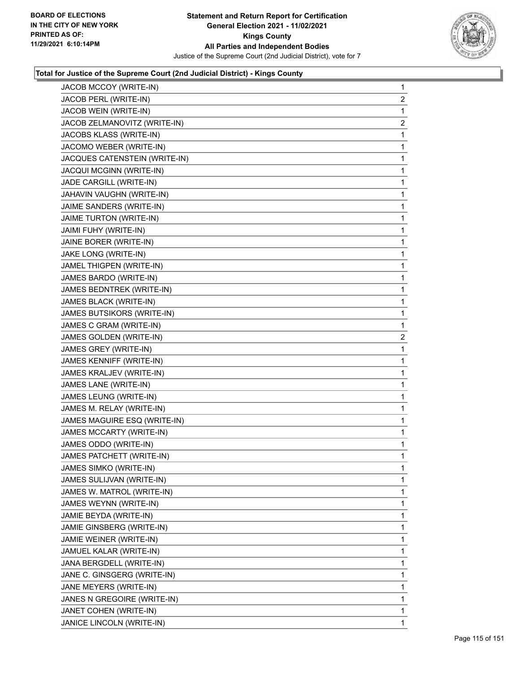

| JACOB MCCOY (WRITE-IN)        | $\mathbf{1}$   |
|-------------------------------|----------------|
| JACOB PERL (WRITE-IN)         | $\overline{2}$ |
| JACOB WEIN (WRITE-IN)         | 1              |
| JACOB ZELMANOVITZ (WRITE-IN)  | $\overline{c}$ |
| JACOBS KLASS (WRITE-IN)       | 1              |
| JACOMO WEBER (WRITE-IN)       | 1              |
| JACQUES CATENSTEIN (WRITE-IN) | 1              |
| JACQUI MCGINN (WRITE-IN)      | 1              |
| JADE CARGILL (WRITE-IN)       | 1              |
| JAHAVIN VAUGHN (WRITE-IN)     | 1              |
| JAIME SANDERS (WRITE-IN)      | 1              |
| JAIME TURTON (WRITE-IN)       | 1              |
| JAIMI FUHY (WRITE-IN)         | 1              |
| JAINE BORER (WRITE-IN)        | 1              |
| JAKE LONG (WRITE-IN)          | 1              |
| JAMEL THIGPEN (WRITE-IN)      | 1              |
| JAMES BARDO (WRITE-IN)        | 1              |
| JAMES BEDNTREK (WRITE-IN)     | 1              |
| JAMES BLACK (WRITE-IN)        | 1              |
| JAMES BUTSIKORS (WRITE-IN)    | 1              |
| JAMES C GRAM (WRITE-IN)       | 1              |
| JAMES GOLDEN (WRITE-IN)       | $\overline{c}$ |
| JAMES GREY (WRITE-IN)         | 1              |
| JAMES KENNIFF (WRITE-IN)      | 1              |
| JAMES KRALJEV (WRITE-IN)      | 1              |
| JAMES LANE (WRITE-IN)         | 1              |
| JAMES LEUNG (WRITE-IN)        | 1              |
| JAMES M. RELAY (WRITE-IN)     | 1              |
| JAMES MAGUIRE ESQ (WRITE-IN)  | 1              |
| JAMES MCCARTY (WRITE-IN)      | 1              |
| JAMES ODDO (WRITE-IN)         | 1              |
| JAMES PATCHETT (WRITE-IN)     | 1              |
| JAMES SIMKO (WRITE-IN)        | 1              |
| JAMES SULIJVAN (WRITE-IN)     | 1              |
| JAMES W. MATROL (WRITE-IN)    | 1              |
| JAMES WEYNN (WRITE-IN)        | 1              |
| JAMIE BEYDA (WRITE-IN)        | 1              |
| JAMIE GINSBERG (WRITE-IN)     | 1              |
| JAMIE WEINER (WRITE-IN)       | 1              |
| JAMUEL KALAR (WRITE-IN)       | 1              |
| JANA BERGDELL (WRITE-IN)      | 1              |
| JANE C. GINSGERG (WRITE-IN)   | 1              |
| JANE MEYERS (WRITE-IN)        | 1              |
| JANES N GREGOIRE (WRITE-IN)   | 1              |
| JANET COHEN (WRITE-IN)        | 1              |
| JANICE LINCOLN (WRITE-IN)     | $\mathbf{1}$   |
|                               |                |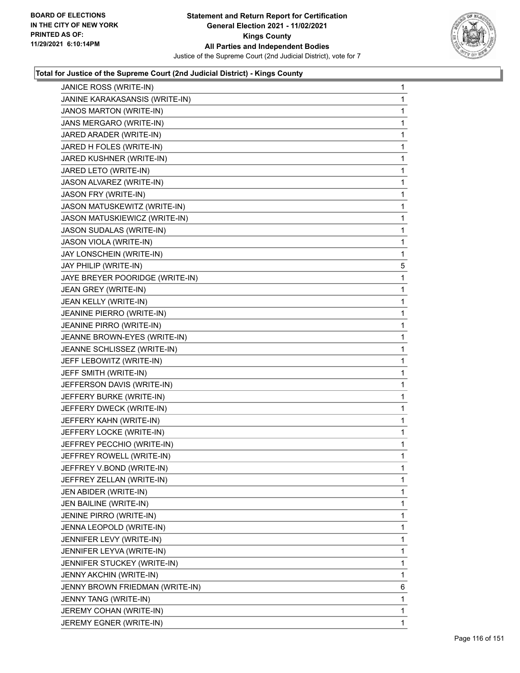

| JANICE ROSS (WRITE-IN)          | 1 |
|---------------------------------|---|
| JANINE KARAKASANSIS (WRITE-IN)  | 1 |
| JANOS MARTON (WRITE-IN)         | 1 |
| JANS MERGARO (WRITE-IN)         | 1 |
| JARED ARADER (WRITE-IN)         | 1 |
| JARED H FOLES (WRITE-IN)        | 1 |
| JARED KUSHNER (WRITE-IN)        | 1 |
| JARED LETO (WRITE-IN)           | 1 |
| JASON ALVAREZ (WRITE-IN)        | 1 |
| JASON FRY (WRITE-IN)            | 1 |
| JASON MATUSKEWITZ (WRITE-IN)    | 1 |
| JASON MATUSKIEWICZ (WRITE-IN)   | 1 |
| <b>JASON SUDALAS (WRITE-IN)</b> | 1 |
| JASON VIOLA (WRITE-IN)          | 1 |
| JAY LONSCHEIN (WRITE-IN)        | 1 |
| JAY PHILIP (WRITE-IN)           | 5 |
| JAYE BREYER POORIDGE (WRITE-IN) | 1 |
| JEAN GREY (WRITE-IN)            | 1 |
| JEAN KELLY (WRITE-IN)           | 1 |
| JEANINE PIERRO (WRITE-IN)       | 1 |
| JEANINE PIRRO (WRITE-IN)        | 1 |
| JEANNE BROWN-EYES (WRITE-IN)    | 1 |
| JEANNE SCHLISSEZ (WRITE-IN)     | 1 |
| JEFF LEBOWITZ (WRITE-IN)        | 1 |
| JEFF SMITH (WRITE-IN)           | 1 |
| JEFFERSON DAVIS (WRITE-IN)      | 1 |
| JEFFERY BURKE (WRITE-IN)        | 1 |
| JEFFERY DWECK (WRITE-IN)        | 1 |
| JEFFERY KAHN (WRITE-IN)         | 1 |
| JEFFERY LOCKE (WRITE-IN)        | 1 |
| JEFFREY PECCHIO (WRITE-IN)      | 1 |
| JEFFREY ROWELL (WRITE-IN)       | 1 |
| JEFFREY V.BOND (WRITE-IN)       | 1 |
| JEFFREY ZELLAN (WRITE-IN)       | 1 |
| JEN ABIDER (WRITE-IN)           | 1 |
| JEN BAILINE (WRITE-IN)          | 1 |
| JENINE PIRRO (WRITE-IN)         | 1 |
| JENNA LEOPOLD (WRITE-IN)        | 1 |
| JENNIFER LEVY (WRITE-IN)        | 1 |
| JENNIFER LEYVA (WRITE-IN)       | 1 |
| JENNIFER STUCKEY (WRITE-IN)     | 1 |
| JENNY AKCHIN (WRITE-IN)         | 1 |
| JENNY BROWN FRIEDMAN (WRITE-IN) | 6 |
| JENNY TANG (WRITE-IN)           | 1 |
| JEREMY COHAN (WRITE-IN)         | 1 |
| JEREMY EGNER (WRITE-IN)         | 1 |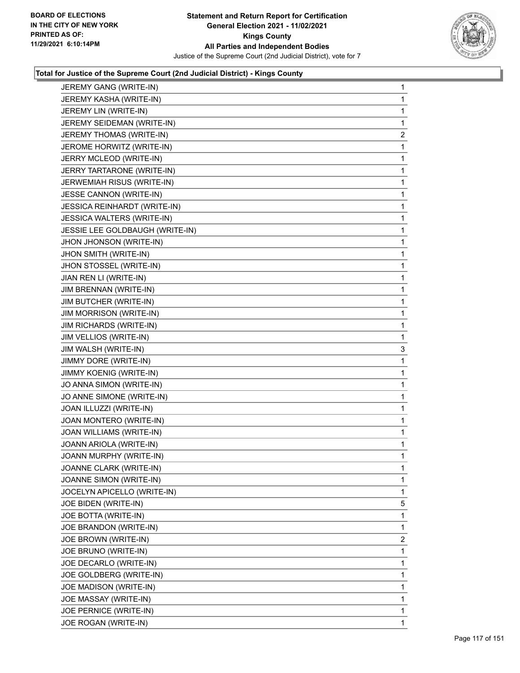

| JEREMY GANG (WRITE-IN)          | 1 |
|---------------------------------|---|
| JEREMY KASHA (WRITE-IN)         | 1 |
| JEREMY LIN (WRITE-IN)           | 1 |
| JEREMY SEIDEMAN (WRITE-IN)      | 1 |
| JEREMY THOMAS (WRITE-IN)        | 2 |
| JEROME HORWITZ (WRITE-IN)       | 1 |
| JERRY MCLEOD (WRITE-IN)         | 1 |
| JERRY TARTARONE (WRITE-IN)      | 1 |
| JERWEMIAH RISUS (WRITE-IN)      | 1 |
| <b>JESSE CANNON (WRITE-IN)</b>  | 1 |
| JESSICA REINHARDT (WRITE-IN)    | 1 |
| JESSICA WALTERS (WRITE-IN)      | 1 |
| JESSIE LEE GOLDBAUGH (WRITE-IN) | 1 |
| JHON JHONSON (WRITE-IN)         | 1 |
| JHON SMITH (WRITE-IN)           | 1 |
| JHON STOSSEL (WRITE-IN)         | 1 |
| JIAN REN LI (WRITE-IN)          | 1 |
| JIM BRENNAN (WRITE-IN)          | 1 |
| JIM BUTCHER (WRITE-IN)          | 1 |
| <b>JIM MORRISON (WRITE-IN)</b>  | 1 |
| <b>JIM RICHARDS (WRITE-IN)</b>  | 1 |
| JIM VELLIOS (WRITE-IN)          | 1 |
| JIM WALSH (WRITE-IN)            | 3 |
| JIMMY DORE (WRITE-IN)           | 1 |
| <b>JIMMY KOENIG (WRITE-IN)</b>  | 1 |
| JO ANNA SIMON (WRITE-IN)        | 1 |
| JO ANNE SIMONE (WRITE-IN)       | 1 |
| JOAN ILLUZZI (WRITE-IN)         | 1 |
| JOAN MONTERO (WRITE-IN)         | 1 |
| JOAN WILLIAMS (WRITE-IN)        | 1 |
| JOANN ARIOLA (WRITE-IN)         | 1 |
| JOANN MURPHY (WRITE-IN)         | 1 |
| JOANNE CLARK (WRITE-IN)         | 1 |
| JOANNE SIMON (WRITE-IN)         | 1 |
| JOCELYN APICELLO (WRITE-IN)     | 1 |
| JOE BIDEN (WRITE-IN)            | 5 |
| JOE BOTTA (WRITE-IN)            | 1 |
| JOE BRANDON (WRITE-IN)          | 1 |
| JOE BROWN (WRITE-IN)            | 2 |
| JOE BRUNO (WRITE-IN)            | 1 |
| JOE DECARLO (WRITE-IN)          | 1 |
| JOE GOLDBERG (WRITE-IN)         | 1 |
| JOE MADISON (WRITE-IN)          | 1 |
| JOE MASSAY (WRITE-IN)           | 1 |
| JOE PERNICE (WRITE-IN)          | 1 |
| JOE ROGAN (WRITE-IN)            | 1 |
|                                 |   |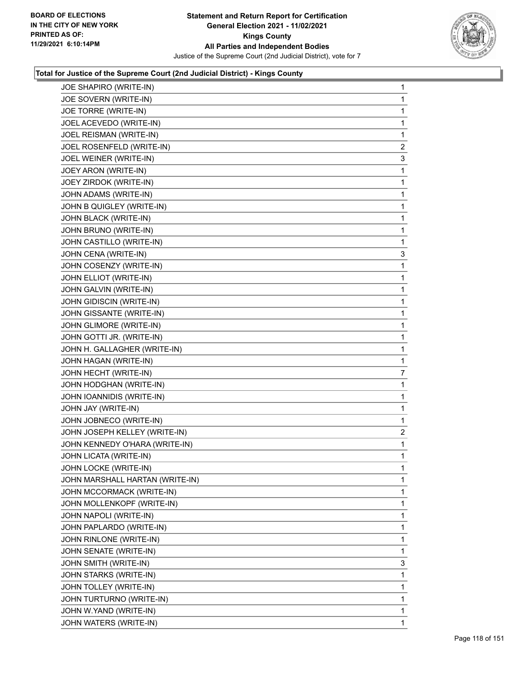

| JOE SHAPIRO (WRITE-IN)          | $\mathbf{1}$   |
|---------------------------------|----------------|
| JOE SOVERN (WRITE-IN)           | 1              |
| JOE TORRE (WRITE-IN)            | 1              |
| JOEL ACEVEDO (WRITE-IN)         | 1              |
| JOEL REISMAN (WRITE-IN)         | 1              |
| JOEL ROSENFELD (WRITE-IN)       | $\overline{2}$ |
| JOEL WEINER (WRITE-IN)          | 3              |
| JOEY ARON (WRITE-IN)            | 1              |
| JOEY ZIRDOK (WRITE-IN)          | 1              |
| JOHN ADAMS (WRITE-IN)           | 1              |
| JOHN B QUIGLEY (WRITE-IN)       | 1              |
| JOHN BLACK (WRITE-IN)           | 1              |
| JOHN BRUNO (WRITE-IN)           | 1              |
| JOHN CASTILLO (WRITE-IN)        | 1              |
| JOHN CENA (WRITE-IN)            | 3              |
| JOHN COSENZY (WRITE-IN)         | 1              |
| JOHN ELLIOT (WRITE-IN)          | 1              |
| JOHN GALVIN (WRITE-IN)          | 1              |
| JOHN GIDISCIN (WRITE-IN)        | 1              |
| JOHN GISSANTE (WRITE-IN)        | 1              |
| JOHN GLIMORE (WRITE-IN)         | 1              |
| JOHN GOTTI JR. (WRITE-IN)       | 1              |
| JOHN H. GALLAGHER (WRITE-IN)    | 1              |
| JOHN HAGAN (WRITE-IN)           | 1              |
| JOHN HECHT (WRITE-IN)           | 7              |
| JOHN HODGHAN (WRITE-IN)         | 1              |
| JOHN IOANNIDIS (WRITE-IN)       | 1              |
| JOHN JAY (WRITE-IN)             | 1              |
| JOHN JOBNECO (WRITE-IN)         | 1              |
| JOHN JOSEPH KELLEY (WRITE-IN)   | $\overline{a}$ |
| JOHN KENNEDY O'HARA (WRITE-IN)  | 1              |
| JOHN LICATA (WRITE-IN)          | 1              |
| JOHN LOCKE (WRITE-IN)           | 1              |
| JOHN MARSHALL HARTAN (WRITE-IN) | 1              |
| JOHN MCCORMACK (WRITE-IN)       | 1              |
| JOHN MOLLENKOPF (WRITE-IN)      | 1              |
| JOHN NAPOLI (WRITE-IN)          | 1              |
| JOHN PAPLARDO (WRITE-IN)        | 1              |
| JOHN RINLONE (WRITE-IN)         | 1              |
| JOHN SENATE (WRITE-IN)          | 1              |
| JOHN SMITH (WRITE-IN)           | 3              |
| JOHN STARKS (WRITE-IN)          | 1              |
| JOHN TOLLEY (WRITE-IN)          | 1              |
| JOHN TURTURNO (WRITE-IN)        | 1              |
| JOHN W.YAND (WRITE-IN)          | 1              |
| JOHN WATERS (WRITE-IN)          | 1.             |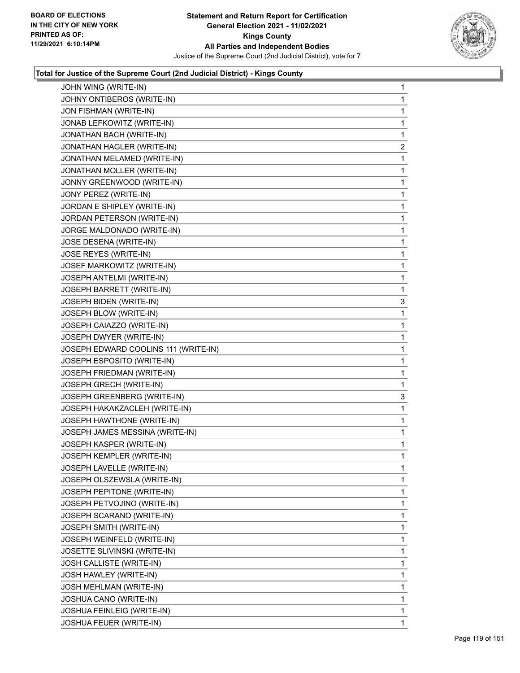

| JOHN WING (WRITE-IN)                 | $\mathbf{1}$   |
|--------------------------------------|----------------|
| JOHNY ONTIBEROS (WRITE-IN)           | $\mathbf{1}$   |
| JON FISHMAN (WRITE-IN)               | $\mathbf{1}$   |
| JONAB LEFKOWITZ (WRITE-IN)           | 1              |
| JONATHAN BACH (WRITE-IN)             | $\mathbf{1}$   |
| JONATHAN HAGLER (WRITE-IN)           | $\overline{2}$ |
| JONATHAN MELAMED (WRITE-IN)          | 1              |
| JONATHAN MOLLER (WRITE-IN)           | $\mathbf{1}$   |
| JONNY GREENWOOD (WRITE-IN)           | $\mathbf{1}$   |
| JONY PEREZ (WRITE-IN)                | 1              |
| JORDAN E SHIPLEY (WRITE-IN)          | $\mathbf{1}$   |
| JORDAN PETERSON (WRITE-IN)           | $\mathbf{1}$   |
| JORGE MALDONADO (WRITE-IN)           | 1              |
| JOSE DESENA (WRITE-IN)               | $\mathbf{1}$   |
| JOSE REYES (WRITE-IN)                | 1              |
| JOSEF MARKOWITZ (WRITE-IN)           | 1              |
| JOSEPH ANTELMI (WRITE-IN)            | $\mathbf{1}$   |
| JOSEPH BARRETT (WRITE-IN)            | $\mathbf{1}$   |
| JOSEPH BIDEN (WRITE-IN)              | 3              |
| JOSEPH BLOW (WRITE-IN)               | $\mathbf{1}$   |
| JOSEPH CAIAZZO (WRITE-IN)            | 1              |
| JOSEPH DWYER (WRITE-IN)              | 1              |
| JOSEPH EDWARD COOLINS 111 (WRITE-IN) | $\mathbf{1}$   |
| JOSEPH ESPOSITO (WRITE-IN)           | $\mathbf{1}$   |
| JOSEPH FRIEDMAN (WRITE-IN)           | 1              |
| JOSEPH GRECH (WRITE-IN)              | $\mathbf{1}$   |
| JOSEPH GREENBERG (WRITE-IN)          | 3              |
| JOSEPH HAKAKZACLEH (WRITE-IN)        | $\mathbf{1}$   |
| JOSEPH HAWTHONE (WRITE-IN)           | $\mathbf{1}$   |
| JOSEPH JAMES MESSINA (WRITE-IN)      | $\mathbf{1}$   |
| JOSEPH KASPER (WRITE-IN)             | 1              |
| JOSEPH KEMPLER (WRITE-IN)            | $\mathbf{1}$   |
| JOSEPH LAVELLE (WRITE-IN)            | 1              |
| JOSEPH OLSZEWSLA (WRITE-IN)          | 1              |
| JOSEPH PEPITONE (WRITE-IN)           | $\mathbf 1$    |
| JOSEPH PETVOJINO (WRITE-IN)          | 1              |
| JOSEPH SCARANO (WRITE-IN)            | 1              |
| JOSEPH SMITH (WRITE-IN)              | $\mathbf 1$    |
| JOSEPH WEINFELD (WRITE-IN)           | 1              |
| JOSETTE SLIVINSKI (WRITE-IN)         | 1              |
| JOSH CALLISTE (WRITE-IN)             | $\mathbf 1$    |
| JOSH HAWLEY (WRITE-IN)               | 1              |
| JOSH MEHLMAN (WRITE-IN)              | 1              |
| JOSHUA CANO (WRITE-IN)               | $\mathbf 1$    |
| JOSHUA FEINLEIG (WRITE-IN)           | $\mathbf{1}$   |
| JOSHUA FEUER (WRITE-IN)              | 1              |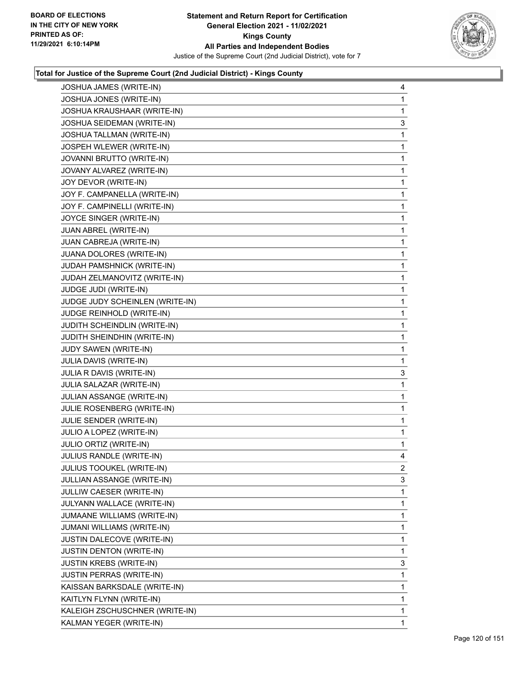

| JOSHUA JAMES (WRITE-IN)          | 4            |
|----------------------------------|--------------|
| JOSHUA JONES (WRITE-IN)          | 1            |
| JOSHUA KRAUSHAAR (WRITE-IN)      | 1            |
| JOSHUA SEIDEMAN (WRITE-IN)       | 3            |
| <b>JOSHUA TALLMAN (WRITE-IN)</b> | 1            |
| JOSPEH WLEWER (WRITE-IN)         | 1            |
| JOVANNI BRUTTO (WRITE-IN)        | $\mathbf{1}$ |
| JOVANY ALVAREZ (WRITE-IN)        | 1            |
| JOY DEVOR (WRITE-IN)             | 1            |
| JOY F. CAMPANELLA (WRITE-IN)     | $\mathbf 1$  |
| JOY F. CAMPINELLI (WRITE-IN)     | 1            |
| JOYCE SINGER (WRITE-IN)          | 1            |
| JUAN ABREL (WRITE-IN)            | $\mathbf 1$  |
| JUAN CABREJA (WRITE-IN)          | 1            |
| JUANA DOLORES (WRITE-IN)         | 1            |
| JUDAH PAMSHNICK (WRITE-IN)       | $\mathbf 1$  |
| JUDAH ZELMANOVITZ (WRITE-IN)     | 1            |
| JUDGE JUDI (WRITE-IN)            | 1            |
| JUDGE JUDY SCHEINLEN (WRITE-IN)  | $\mathbf 1$  |
| JUDGE REINHOLD (WRITE-IN)        | 1            |
| JUDITH SCHEINDLIN (WRITE-IN)     | 1            |
| JUDITH SHEINDHIN (WRITE-IN)      | $\mathbf 1$  |
| JUDY SAWEN (WRITE-IN)            | 1            |
| JULIA DAVIS (WRITE-IN)           | 1            |
| JULIA R DAVIS (WRITE-IN)         | 3            |
| JULIA SALAZAR (WRITE-IN)         | 1            |
| JULIAN ASSANGE (WRITE-IN)        | 1            |
| JULIE ROSENBERG (WRITE-IN)       | $\mathbf 1$  |
| JULIE SENDER (WRITE-IN)          | 1            |
| JULIO A LOPEZ (WRITE-IN)         | 1            |
| JULIO ORTIZ (WRITE-IN)           | $\mathbf{1}$ |
| JULIUS RANDLE (WRITE-IN)         | 4            |
| JULIUS TOOUKEL (WRITE-IN)        | 2            |
| JULLIAN ASSANGE (WRITE-IN)       | 3            |
| JULLIW CAESER (WRITE-IN)         | 1            |
| JULYANN WALLACE (WRITE-IN)       | 1            |
| JUMAANE WILLIAMS (WRITE-IN)      | 1            |
| JUMANI WILLIAMS (WRITE-IN)       | 1            |
| JUSTIN DALECOVE (WRITE-IN)       | 1            |
| <b>JUSTIN DENTON (WRITE-IN)</b>  | 1            |
| <b>JUSTIN KREBS (WRITE-IN)</b>   | 3            |
| <b>JUSTIN PERRAS (WRITE-IN)</b>  | 1            |
| KAISSAN BARKSDALE (WRITE-IN)     | 1            |
| KAITLYN FLYNN (WRITE-IN)         | 1            |
| KALEIGH ZSCHUSCHNER (WRITE-IN)   | 1            |
| KALMAN YEGER (WRITE-IN)          | 1            |
|                                  |              |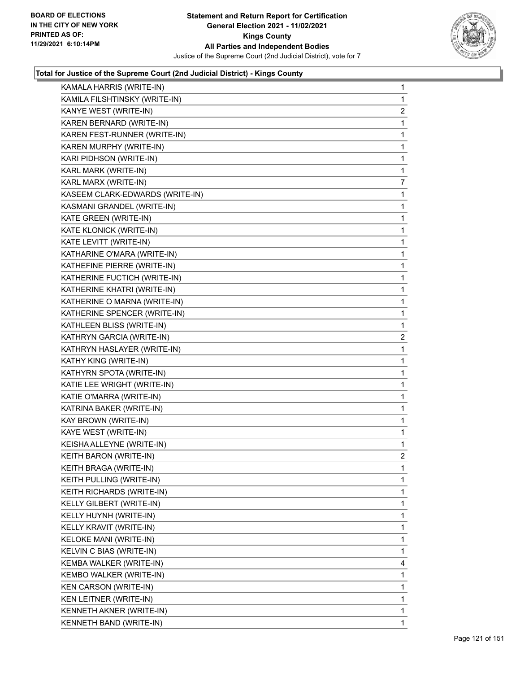

| KAMALA HARRIS (WRITE-IN)        | $\mathbf{1}$   |
|---------------------------------|----------------|
| KAMILA FILSHTINSKY (WRITE-IN)   | 1              |
| KANYE WEST (WRITE-IN)           | $\overline{2}$ |
| KAREN BERNARD (WRITE-IN)        | 1              |
| KAREN FEST-RUNNER (WRITE-IN)    | 1              |
| KAREN MURPHY (WRITE-IN)         | 1              |
| KARI PIDHSON (WRITE-IN)         | 1              |
| KARL MARK (WRITE-IN)            | 1              |
| KARL MARX (WRITE-IN)            | $\overline{7}$ |
| KASEEM CLARK-EDWARDS (WRITE-IN) | 1              |
| KASMANI GRANDEL (WRITE-IN)      | 1              |
| KATE GREEN (WRITE-IN)           | 1              |
| KATE KLONICK (WRITE-IN)         | 1              |
| KATE LEVITT (WRITE-IN)          | 1              |
| KATHARINE O'MARA (WRITE-IN)     | 1              |
| KATHEFINE PIERRE (WRITE-IN)     | 1              |
| KATHERINE FUCTICH (WRITE-IN)    | 1              |
| KATHERINE KHATRI (WRITE-IN)     | 1              |
| KATHERINE O MARNA (WRITE-IN)    | 1              |
| KATHERINE SPENCER (WRITE-IN)    | 1              |
| KATHLEEN BLISS (WRITE-IN)       | 1              |
| KATHRYN GARCIA (WRITE-IN)       | $\overline{2}$ |
| KATHRYN HASLAYER (WRITE-IN)     | 1              |
| KATHY KING (WRITE-IN)           | 1              |
| KATHYRN SPOTA (WRITE-IN)        | 1              |
| KATIE LEE WRIGHT (WRITE-IN)     | 1              |
| KATIE O'MARRA (WRITE-IN)        | 1              |
| KATRINA BAKER (WRITE-IN)        | 1              |
| KAY BROWN (WRITE-IN)            | 1              |
| KAYE WEST (WRITE-IN)            | 1              |
| KEISHA ALLEYNE (WRITE-IN)       | 1              |
| KEITH BARON (WRITE-IN)          | $\overline{2}$ |
| KEITH BRAGA (WRITE-IN)          | 1              |
| KEITH PULLING (WRITE-IN)        | 1              |
| KEITH RICHARDS (WRITE-IN)       | 1              |
| KELLY GILBERT (WRITE-IN)        | 1              |
| KELLY HUYNH (WRITE-IN)          | 1              |
| KELLY KRAVIT (WRITE-IN)         | 1              |
| KELOKE MANI (WRITE-IN)          | 1              |
| KELVIN C BIAS (WRITE-IN)        | 1              |
| KEMBA WALKER (WRITE-IN)         | 4              |
| KEMBO WALKER (WRITE-IN)         | 1              |
| KEN CARSON (WRITE-IN)           | 1              |
| KEN LEITNER (WRITE-IN)          | 1              |
| KENNETH AKNER (WRITE-IN)        | 1              |
| KENNETH BAND (WRITE-IN)         | 1              |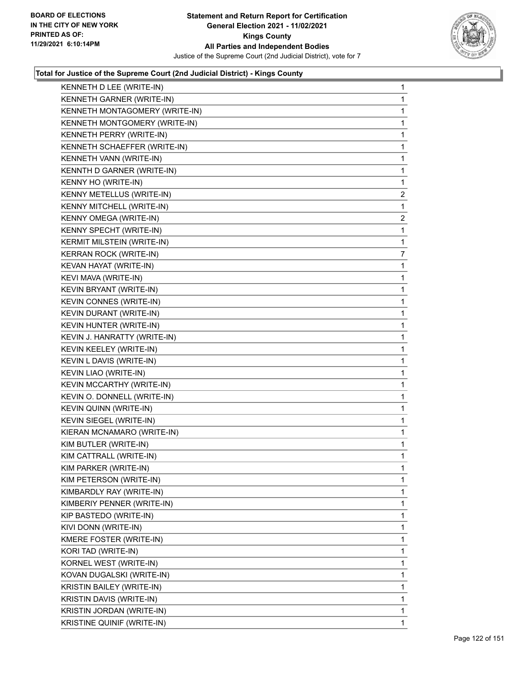

| KENNETH D LEE (WRITE-IN)       | 1              |
|--------------------------------|----------------|
| KENNETH GARNER (WRITE-IN)      | 1              |
| KENNETH MONTAGOMERY (WRITE-IN) | 1              |
| KENNETH MONTGOMERY (WRITE-IN)  | 1              |
| KENNETH PERRY (WRITE-IN)       | 1              |
| KENNETH SCHAEFFER (WRITE-IN)   | 1              |
| KENNETH VANN (WRITE-IN)        | 1              |
| KENNTH D GARNER (WRITE-IN)     | 1              |
| KENNY HO (WRITE-IN)            | 1              |
| KENNY METELLUS (WRITE-IN)      | $\overline{2}$ |
| KENNY MITCHELL (WRITE-IN)      | 1              |
| KENNY OMEGA (WRITE-IN)         | 2              |
| KENNY SPECHT (WRITE-IN)        | 1              |
| KERMIT MILSTEIN (WRITE-IN)     | 1              |
| KERRAN ROCK (WRITE-IN)         | $\overline{7}$ |
| KEVAN HAYAT (WRITE-IN)         | 1              |
| KEVI MAVA (WRITE-IN)           | 1              |
| KEVIN BRYANT (WRITE-IN)        | 1              |
| KEVIN CONNES (WRITE-IN)        | 1              |
| KEVIN DURANT (WRITE-IN)        | 1              |
| KEVIN HUNTER (WRITE-IN)        | 1              |
| KEVIN J. HANRATTY (WRITE-IN)   | 1              |
| KEVIN KEELEY (WRITE-IN)        | 1              |
| KEVIN L DAVIS (WRITE-IN)       | 1              |
| KEVIN LIAO (WRITE-IN)          | 1              |
| KEVIN MCCARTHY (WRITE-IN)      | 1              |
| KEVIN O. DONNELL (WRITE-IN)    | 1              |
| KEVIN QUINN (WRITE-IN)         | 1              |
| KEVIN SIEGEL (WRITE-IN)        | 1              |
| KIERAN MCNAMARO (WRITE-IN)     | 1              |
| KIM BUTLER (WRITE-IN)          | 1              |
| KIM CATTRALL (WRITE-IN)        | 1              |
| KIM PARKER (WRITE-IN)          | 1              |
| KIM PETERSON (WRITE-IN)        | 1              |
| KIMBARDLY RAY (WRITE-IN)       | 1              |
| KIMBERIY PENNER (WRITE-IN)     | 1              |
| KIP BASTEDO (WRITE-IN)         | 1              |
| KIVI DONN (WRITE-IN)           | 1              |
| KMERE FOSTER (WRITE-IN)        | 1              |
| KORI TAD (WRITE-IN)            | 1              |
| KORNEL WEST (WRITE-IN)         | 1              |
| KOVAN DUGALSKI (WRITE-IN)      | 1              |
| KRISTIN BAILEY (WRITE-IN)      | 1              |
| KRISTIN DAVIS (WRITE-IN)       | 1              |
| KRISTIN JORDAN (WRITE-IN)      | 1              |
| KRISTINE QUINIF (WRITE-IN)     | 1.             |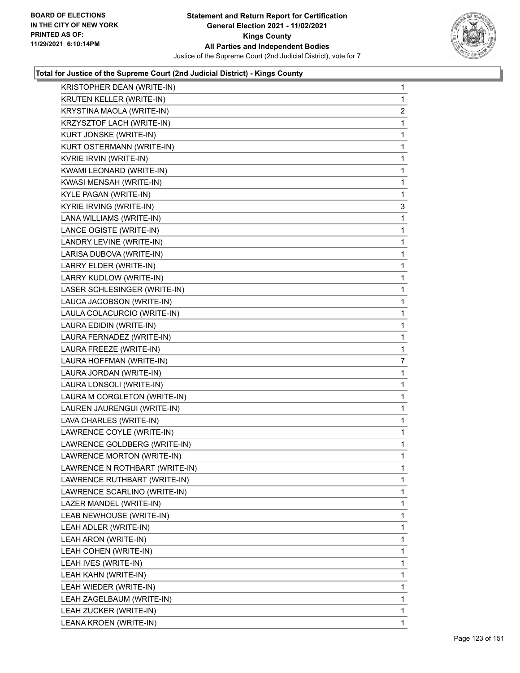

| KRISTOPHER DEAN (WRITE-IN)     | $\mathbf{1}$   |
|--------------------------------|----------------|
| KRUTEN KELLER (WRITE-IN)       | 1              |
| KRYSTINA MAOLA (WRITE-IN)      | $\overline{2}$ |
| KRZYSZTOF LACH (WRITE-IN)      | $\mathbf{1}$   |
| KURT JONSKE (WRITE-IN)         | $\mathbf{1}$   |
| KURT OSTERMANN (WRITE-IN)      | 1              |
| KVRIE IRVIN (WRITE-IN)         | $\mathbf{1}$   |
| KWAMI LEONARD (WRITE-IN)       | $\mathbf{1}$   |
| KWASI MENSAH (WRITE-IN)        | $\mathbf{1}$   |
| KYLE PAGAN (WRITE-IN)          | 1              |
| KYRIE IRVING (WRITE-IN)        | 3              |
| LANA WILLIAMS (WRITE-IN)       | 1              |
| LANCE OGISTE (WRITE-IN)        | $\mathbf{1}$   |
| LANDRY LEVINE (WRITE-IN)       | $\mathbf{1}$   |
| LARISA DUBOVA (WRITE-IN)       | 1              |
| LARRY ELDER (WRITE-IN)         | $\mathbf{1}$   |
| LARRY KUDLOW (WRITE-IN)        | 1              |
| LASER SCHLESINGER (WRITE-IN)   | $\mathbf{1}$   |
| LAUCA JACOBSON (WRITE-IN)      | $\mathbf{1}$   |
| LAULA COLACURCIO (WRITE-IN)    | $\mathbf{1}$   |
| LAURA EDIDIN (WRITE-IN)        | $\mathbf{1}$   |
| LAURA FERNADEZ (WRITE-IN)      | $\mathbf{1}$   |
| LAURA FREEZE (WRITE-IN)        | 1              |
| LAURA HOFFMAN (WRITE-IN)       | 7              |
| LAURA JORDAN (WRITE-IN)        | $\mathbf{1}$   |
| LAURA LONSOLI (WRITE-IN)       | 1              |
| LAURA M CORGLETON (WRITE-IN)   | $\mathbf{1}$   |
| LAUREN JAURENGUI (WRITE-IN)    | $\mathbf{1}$   |
| LAVA CHARLES (WRITE-IN)        | 1              |
| LAWRENCE COYLE (WRITE-IN)      | $\mathbf{1}$   |
| LAWRENCE GOLDBERG (WRITE-IN)   | $\mathbf{1}$   |
| LAWRENCE MORTON (WRITE-IN)     | 1              |
| LAWRENCE N ROTHBART (WRITE-IN) | 1              |
| LAWRENCE RUTHBART (WRITE-IN)   | 1              |
| LAWRENCE SCARLINO (WRITE-IN)   | 1              |
| LAZER MANDEL (WRITE-IN)        | 1              |
| LEAB NEWHOUSE (WRITE-IN)       | 1              |
| LEAH ADLER (WRITE-IN)          | 1              |
| LEAH ARON (WRITE-IN)           | 1              |
| LEAH COHEN (WRITE-IN)          | 1              |
| LEAH IVES (WRITE-IN)           | 1              |
| LEAH KAHN (WRITE-IN)           | 1              |
| LEAH WIEDER (WRITE-IN)         | 1              |
| LEAH ZAGELBAUM (WRITE-IN)      | 1              |
| LEAH ZUCKER (WRITE-IN)         | $\mathbf{1}$   |
| LEANA KROEN (WRITE-IN)         | 1              |
|                                |                |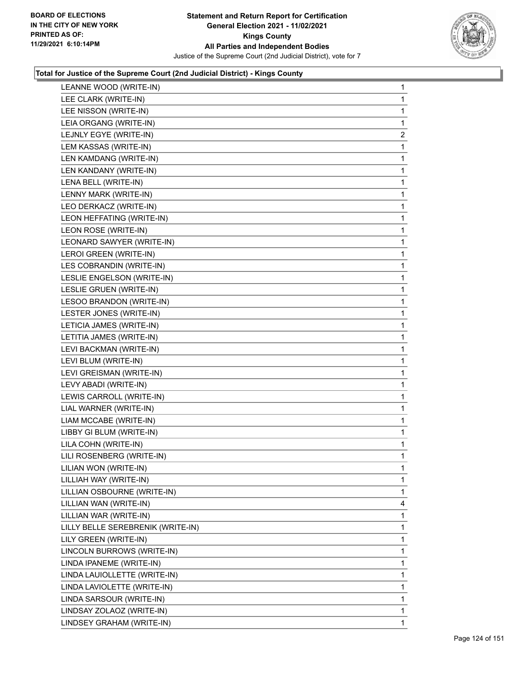

| LEANNE WOOD (WRITE-IN)            | $\mathbf{1}$   |
|-----------------------------------|----------------|
| LEE CLARK (WRITE-IN)              | 1              |
| LEE NISSON (WRITE-IN)             | 1              |
| LEIA ORGANG (WRITE-IN)            | 1              |
| LEJNLY EGYE (WRITE-IN)            | $\overline{2}$ |
| LEM KASSAS (WRITE-IN)             | 1              |
| LEN KAMDANG (WRITE-IN)            | 1              |
| LEN KANDANY (WRITE-IN)            | 1              |
| LENA BELL (WRITE-IN)              | 1              |
| LENNY MARK (WRITE-IN)             | 1              |
| LEO DERKACZ (WRITE-IN)            | 1              |
| LEON HEFFATING (WRITE-IN)         | $\mathbf{1}$   |
| LEON ROSE (WRITE-IN)              | 1              |
| LEONARD SAWYER (WRITE-IN)         | 1              |
| LEROI GREEN (WRITE-IN)            | 1              |
| LES COBRANDIN (WRITE-IN)          | 1              |
| LESLIE ENGELSON (WRITE-IN)        | 1              |
| LESLIE GRUEN (WRITE-IN)           | $\mathbf{1}$   |
| LESOO BRANDON (WRITE-IN)          | 1              |
| LESTER JONES (WRITE-IN)           | 1              |
| LETICIA JAMES (WRITE-IN)          | 1              |
| LETITIA JAMES (WRITE-IN)          | 1              |
| LEVI BACKMAN (WRITE-IN)           | 1              |
| LEVI BLUM (WRITE-IN)              | 1              |
| LEVI GREISMAN (WRITE-IN)          | 1              |
| LEVY ABADI (WRITE-IN)             | 1              |
| LEWIS CARROLL (WRITE-IN)          | 1              |
| LIAL WARNER (WRITE-IN)            | 1              |
| LIAM MCCABE (WRITE-IN)            | 1              |
| LIBBY GI BLUM (WRITE-IN)          | $\mathbf{1}$   |
| LILA COHN (WRITE-IN)              | 1              |
| LILI ROSENBERG (WRITE-IN)         | 1              |
| LILIAN WON (WRITE-IN)             | 1              |
| LILLIAH WAY (WRITE-IN)            | 1              |
| LILLIAN OSBOURNE (WRITE-IN)       | 1              |
| LILLIAN WAN (WRITE-IN)            | 4              |
| LILLIAN WAR (WRITE-IN)            | 1              |
| LILLY BELLE SEREBRENIK (WRITE-IN) | 1              |
| LILY GREEN (WRITE-IN)             | 1              |
| LINCOLN BURROWS (WRITE-IN)        | 1              |
| LINDA IPANEME (WRITE-IN)          | 1              |
| LINDA LAUIOLLETTE (WRITE-IN)      | 1              |
| LINDA LAVIOLETTE (WRITE-IN)       | 1              |
| LINDA SARSOUR (WRITE-IN)          | 1              |
| LINDSAY ZOLAOZ (WRITE-IN)         | 1              |
| LINDSEY GRAHAM (WRITE-IN)         | 1.             |
|                                   |                |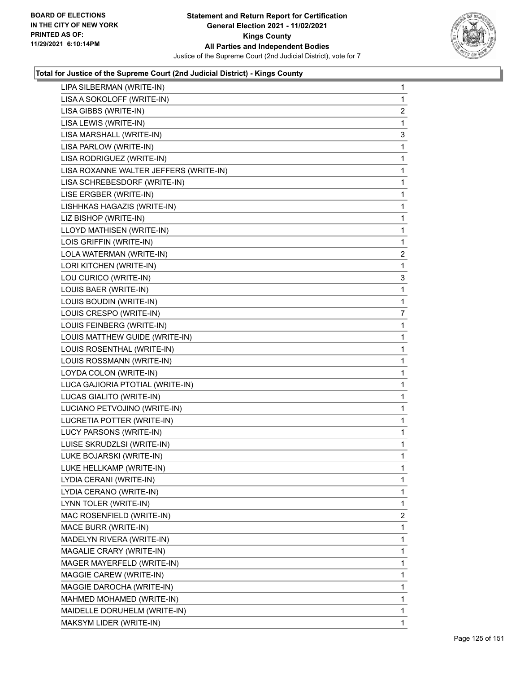

| LIPA SILBERMAN (WRITE-IN)              | 1              |
|----------------------------------------|----------------|
| LISA A SOKOLOFF (WRITE-IN)             | 1              |
| LISA GIBBS (WRITE-IN)                  | $\overline{2}$ |
| LISA LEWIS (WRITE-IN)                  | 1              |
| LISA MARSHALL (WRITE-IN)               | 3              |
| LISA PARLOW (WRITE-IN)                 | 1              |
| LISA RODRIGUEZ (WRITE-IN)              | 1              |
| LISA ROXANNE WALTER JEFFERS (WRITE-IN) | $\mathbf{1}$   |
| LISA SCHREBESDORF (WRITE-IN)           | 1              |
| LISE ERGBER (WRITE-IN)                 | 1              |
| LISHHKAS HAGAZIS (WRITE-IN)            | $\mathbf{1}$   |
| LIZ BISHOP (WRITE-IN)                  | 1              |
| LLOYD MATHISEN (WRITE-IN)              | 1              |
| LOIS GRIFFIN (WRITE-IN)                | 1              |
| LOLA WATERMAN (WRITE-IN)               | $\overline{2}$ |
| LORI KITCHEN (WRITE-IN)                | 1              |
| LOU CURICO (WRITE-IN)                  | 3              |
| LOUIS BAER (WRITE-IN)                  | 1              |
| LOUIS BOUDIN (WRITE-IN)                | 1              |
| LOUIS CRESPO (WRITE-IN)                | $\overline{7}$ |
| LOUIS FEINBERG (WRITE-IN)              | $\mathbf{1}$   |
| LOUIS MATTHEW GUIDE (WRITE-IN)         | 1              |
| LOUIS ROSENTHAL (WRITE-IN)             | 1              |
| LOUIS ROSSMANN (WRITE-IN)              | 1              |
| LOYDA COLON (WRITE-IN)                 | 1              |
| LUCA GAJIORIA PTOTIAL (WRITE-IN)       | $\mathbf{1}$   |
| LUCAS GIALITO (WRITE-IN)               | 1              |
| LUCIANO PETVOJINO (WRITE-IN)           | 1              |
| LUCRETIA POTTER (WRITE-IN)             | $\mathbf{1}$   |
| LUCY PARSONS (WRITE-IN)                | 1              |
| LUISE SKRUDZLSI (WRITE-IN)             | 1              |
| LUKE BOJARSKI (WRITE-IN)               | 1              |
| LUKE HELLKAMP (WRITE-IN)               | 1              |
| LYDIA CERANI (WRITE-IN)                | 1              |
| LYDIA CERANO (WRITE-IN)                | 1              |
| LYNN TOLER (WRITE-IN)                  | 1              |
| MAC ROSENFIELD (WRITE-IN)              | $\overline{2}$ |
| MACE BURR (WRITE-IN)                   | 1              |
| MADELYN RIVERA (WRITE-IN)              | 1              |
| MAGALIE CRARY (WRITE-IN)               | 1              |
| MAGER MAYERFELD (WRITE-IN)             | 1              |
| MAGGIE CAREW (WRITE-IN)                | 1              |
| MAGGIE DAROCHA (WRITE-IN)              | 1              |
| MAHMED MOHAMED (WRITE-IN)              | 1              |
| MAIDELLE DORUHELM (WRITE-IN)           | 1              |
| MAKSYM LIDER (WRITE-IN)                | 1              |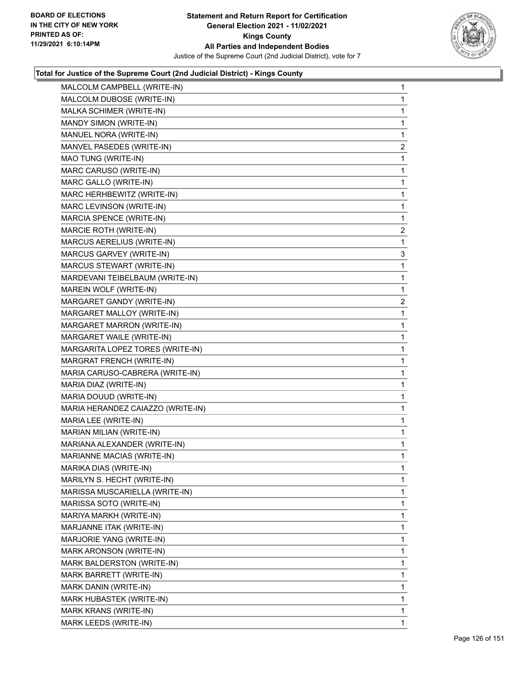

| MALCOLM CAMPBELL (WRITE-IN)       | 1              |
|-----------------------------------|----------------|
| MALCOLM DUBOSE (WRITE-IN)         | 1              |
| MALKA SCHIMER (WRITE-IN)          | 1              |
| MANDY SIMON (WRITE-IN)            | 1              |
| MANUEL NORA (WRITE-IN)            | 1              |
| MANVEL PASEDES (WRITE-IN)         | $\overline{2}$ |
| MAO TUNG (WRITE-IN)               | 1              |
| MARC CARUSO (WRITE-IN)            | 1              |
| MARC GALLO (WRITE-IN)             | 1              |
| MARC HERHBEWITZ (WRITE-IN)        | 1              |
| MARC LEVINSON (WRITE-IN)          | 1              |
| MARCIA SPENCE (WRITE-IN)          | 1              |
| MARCIE ROTH (WRITE-IN)            | $\overline{2}$ |
| MARCUS AERELIUS (WRITE-IN)        | 1              |
| MARCUS GARVEY (WRITE-IN)          | 3              |
| MARCUS STEWART (WRITE-IN)         | 1              |
| MARDEVANI TEIBELBAUM (WRITE-IN)   | 1              |
| MAREIN WOLF (WRITE-IN)            | 1              |
| MARGARET GANDY (WRITE-IN)         | $\overline{2}$ |
| MARGARET MALLOY (WRITE-IN)        | 1              |
| MARGARET MARRON (WRITE-IN)        | 1              |
| MARGARET WAILE (WRITE-IN)         | 1              |
| MARGARITA LOPEZ TORES (WRITE-IN)  | 1              |
| MARGRAT FRENCH (WRITE-IN)         | 1              |
| MARIA CARUSO-CABRERA (WRITE-IN)   | 1              |
| MARIA DIAZ (WRITE-IN)             | 1              |
| MARIA DOUUD (WRITE-IN)            | 1              |
| MARIA HERANDEZ CAIAZZO (WRITE-IN) | 1              |
| MARIA LEE (WRITE-IN)              | 1              |
| MARIAN MILIAN (WRITE-IN)          | 1              |
| MARIANA ALEXANDER (WRITE-IN)      | 1              |
| MARIANNE MACIAS (WRITE-IN)        | 1              |
| MARIKA DIAS (WRITE-IN)            | 1              |
| MARILYN S. HECHT (WRITE-IN)       | 1              |
| MARISSA MUSCARIELLA (WRITE-IN)    | 1              |
| MARISSA SOTO (WRITE-IN)           | 1              |
| MARIYA MARKH (WRITE-IN)           | 1              |
| MARJANNE ITAK (WRITE-IN)          | 1              |
| MARJORIE YANG (WRITE-IN)          | 1              |
| MARK ARONSON (WRITE-IN)           | 1              |
| MARK BALDERSTON (WRITE-IN)        | 1              |
| MARK BARRETT (WRITE-IN)           | 1              |
| MARK DANIN (WRITE-IN)             | 1              |
| MARK HUBASTEK (WRITE-IN)          | 1              |
| MARK KRANS (WRITE-IN)             | 1              |
| MARK LEEDS (WRITE-IN)             | 1              |
|                                   |                |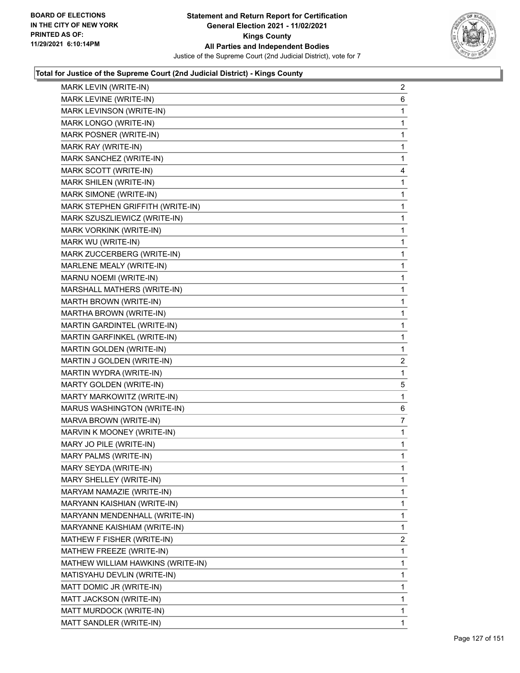

| MARK LEVINE (WRITE-IN)<br>MARK LEVINSON (WRITE-IN)<br>MARK LONGO (WRITE-IN)<br>MARK POSNER (WRITE-IN)<br>MARK RAY (WRITE-IN)<br>MARK SANCHEZ (WRITE-IN)<br>MARK SCOTT (WRITE-IN)<br>MARK SHILEN (WRITE-IN)<br>MARK SIMONE (WRITE-IN)<br>MARK STEPHEN GRIFFITH (WRITE-IN)<br>MARK SZUSZLIEWICZ (WRITE-IN)<br>MARK VORKINK (WRITE-IN)<br>MARK WU (WRITE-IN)<br>MARK ZUCCERBERG (WRITE-IN)<br>MARLENE MEALY (WRITE-IN)<br>MARNU NOEMI (WRITE-IN)<br>MARSHALL MATHERS (WRITE-IN)<br>MARTH BROWN (WRITE-IN)<br>MARTHA BROWN (WRITE-IN)<br>MARTIN GARDINTEL (WRITE-IN)<br>MARTIN GARFINKEL (WRITE-IN)<br>MARTIN GOLDEN (WRITE-IN)<br>MARTIN J GOLDEN (WRITE-IN)<br>MARTIN WYDRA (WRITE-IN)<br>MARTY GOLDEN (WRITE-IN)<br>MARTY MARKOWITZ (WRITE-IN)<br>MARUS WASHINGTON (WRITE-IN)<br>MARVA BROWN (WRITE-IN)<br>MARVIN K MOONEY (WRITE-IN)<br>MARY JO PILE (WRITE-IN)<br>MARY PALMS (WRITE-IN)<br>MARY SEYDA (WRITE-IN)<br>MARY SHELLEY (WRITE-IN)<br>MARYAM NAMAZIE (WRITE-IN)<br>MARYANN KAISHIAN (WRITE-IN)<br>MARYANN MENDENHALL (WRITE-IN)<br>MARYANNE KAISHIAM (WRITE-IN)<br>MATHEW F FISHER (WRITE-IN)<br>MATHEW FREEZE (WRITE-IN)<br>MATHEW WILLIAM HAWKINS (WRITE-IN) | MARK LEVIN (WRITE-IN) | $\overline{2}$ |
|--------------------------------------------------------------------------------------------------------------------------------------------------------------------------------------------------------------------------------------------------------------------------------------------------------------------------------------------------------------------------------------------------------------------------------------------------------------------------------------------------------------------------------------------------------------------------------------------------------------------------------------------------------------------------------------------------------------------------------------------------------------------------------------------------------------------------------------------------------------------------------------------------------------------------------------------------------------------------------------------------------------------------------------------------------------------------------------------------------------------------------------------------------------------------|-----------------------|----------------|
|                                                                                                                                                                                                                                                                                                                                                                                                                                                                                                                                                                                                                                                                                                                                                                                                                                                                                                                                                                                                                                                                                                                                                                          |                       | 6              |
|                                                                                                                                                                                                                                                                                                                                                                                                                                                                                                                                                                                                                                                                                                                                                                                                                                                                                                                                                                                                                                                                                                                                                                          |                       | 1              |
|                                                                                                                                                                                                                                                                                                                                                                                                                                                                                                                                                                                                                                                                                                                                                                                                                                                                                                                                                                                                                                                                                                                                                                          |                       | $\mathbf 1$    |
|                                                                                                                                                                                                                                                                                                                                                                                                                                                                                                                                                                                                                                                                                                                                                                                                                                                                                                                                                                                                                                                                                                                                                                          |                       | 1              |
|                                                                                                                                                                                                                                                                                                                                                                                                                                                                                                                                                                                                                                                                                                                                                                                                                                                                                                                                                                                                                                                                                                                                                                          |                       | 1              |
|                                                                                                                                                                                                                                                                                                                                                                                                                                                                                                                                                                                                                                                                                                                                                                                                                                                                                                                                                                                                                                                                                                                                                                          |                       | 1              |
|                                                                                                                                                                                                                                                                                                                                                                                                                                                                                                                                                                                                                                                                                                                                                                                                                                                                                                                                                                                                                                                                                                                                                                          |                       | 4              |
|                                                                                                                                                                                                                                                                                                                                                                                                                                                                                                                                                                                                                                                                                                                                                                                                                                                                                                                                                                                                                                                                                                                                                                          |                       | 1              |
|                                                                                                                                                                                                                                                                                                                                                                                                                                                                                                                                                                                                                                                                                                                                                                                                                                                                                                                                                                                                                                                                                                                                                                          |                       | $\mathbf 1$    |
|                                                                                                                                                                                                                                                                                                                                                                                                                                                                                                                                                                                                                                                                                                                                                                                                                                                                                                                                                                                                                                                                                                                                                                          |                       | 1              |
|                                                                                                                                                                                                                                                                                                                                                                                                                                                                                                                                                                                                                                                                                                                                                                                                                                                                                                                                                                                                                                                                                                                                                                          |                       | 1              |
|                                                                                                                                                                                                                                                                                                                                                                                                                                                                                                                                                                                                                                                                                                                                                                                                                                                                                                                                                                                                                                                                                                                                                                          |                       | 1              |
|                                                                                                                                                                                                                                                                                                                                                                                                                                                                                                                                                                                                                                                                                                                                                                                                                                                                                                                                                                                                                                                                                                                                                                          |                       | 1              |
|                                                                                                                                                                                                                                                                                                                                                                                                                                                                                                                                                                                                                                                                                                                                                                                                                                                                                                                                                                                                                                                                                                                                                                          |                       | 1              |
|                                                                                                                                                                                                                                                                                                                                                                                                                                                                                                                                                                                                                                                                                                                                                                                                                                                                                                                                                                                                                                                                                                                                                                          |                       | $\mathbf 1$    |
|                                                                                                                                                                                                                                                                                                                                                                                                                                                                                                                                                                                                                                                                                                                                                                                                                                                                                                                                                                                                                                                                                                                                                                          |                       | 1              |
|                                                                                                                                                                                                                                                                                                                                                                                                                                                                                                                                                                                                                                                                                                                                                                                                                                                                                                                                                                                                                                                                                                                                                                          |                       | 1              |
|                                                                                                                                                                                                                                                                                                                                                                                                                                                                                                                                                                                                                                                                                                                                                                                                                                                                                                                                                                                                                                                                                                                                                                          |                       | 1              |
|                                                                                                                                                                                                                                                                                                                                                                                                                                                                                                                                                                                                                                                                                                                                                                                                                                                                                                                                                                                                                                                                                                                                                                          |                       | 1              |
|                                                                                                                                                                                                                                                                                                                                                                                                                                                                                                                                                                                                                                                                                                                                                                                                                                                                                                                                                                                                                                                                                                                                                                          |                       | 1              |
|                                                                                                                                                                                                                                                                                                                                                                                                                                                                                                                                                                                                                                                                                                                                                                                                                                                                                                                                                                                                                                                                                                                                                                          |                       | $\mathbf{1}$   |
|                                                                                                                                                                                                                                                                                                                                                                                                                                                                                                                                                                                                                                                                                                                                                                                                                                                                                                                                                                                                                                                                                                                                                                          |                       | 1              |
|                                                                                                                                                                                                                                                                                                                                                                                                                                                                                                                                                                                                                                                                                                                                                                                                                                                                                                                                                                                                                                                                                                                                                                          |                       | 2              |
|                                                                                                                                                                                                                                                                                                                                                                                                                                                                                                                                                                                                                                                                                                                                                                                                                                                                                                                                                                                                                                                                                                                                                                          |                       | $\mathbf{1}$   |
|                                                                                                                                                                                                                                                                                                                                                                                                                                                                                                                                                                                                                                                                                                                                                                                                                                                                                                                                                                                                                                                                                                                                                                          |                       | 5              |
|                                                                                                                                                                                                                                                                                                                                                                                                                                                                                                                                                                                                                                                                                                                                                                                                                                                                                                                                                                                                                                                                                                                                                                          |                       | 1              |
|                                                                                                                                                                                                                                                                                                                                                                                                                                                                                                                                                                                                                                                                                                                                                                                                                                                                                                                                                                                                                                                                                                                                                                          |                       | 6              |
|                                                                                                                                                                                                                                                                                                                                                                                                                                                                                                                                                                                                                                                                                                                                                                                                                                                                                                                                                                                                                                                                                                                                                                          |                       | 7              |
|                                                                                                                                                                                                                                                                                                                                                                                                                                                                                                                                                                                                                                                                                                                                                                                                                                                                                                                                                                                                                                                                                                                                                                          |                       | 1              |
|                                                                                                                                                                                                                                                                                                                                                                                                                                                                                                                                                                                                                                                                                                                                                                                                                                                                                                                                                                                                                                                                                                                                                                          |                       | 1              |
|                                                                                                                                                                                                                                                                                                                                                                                                                                                                                                                                                                                                                                                                                                                                                                                                                                                                                                                                                                                                                                                                                                                                                                          |                       | 1              |
|                                                                                                                                                                                                                                                                                                                                                                                                                                                                                                                                                                                                                                                                                                                                                                                                                                                                                                                                                                                                                                                                                                                                                                          |                       | 1              |
|                                                                                                                                                                                                                                                                                                                                                                                                                                                                                                                                                                                                                                                                                                                                                                                                                                                                                                                                                                                                                                                                                                                                                                          |                       | 1              |
|                                                                                                                                                                                                                                                                                                                                                                                                                                                                                                                                                                                                                                                                                                                                                                                                                                                                                                                                                                                                                                                                                                                                                                          |                       | 1              |
|                                                                                                                                                                                                                                                                                                                                                                                                                                                                                                                                                                                                                                                                                                                                                                                                                                                                                                                                                                                                                                                                                                                                                                          |                       | 1              |
|                                                                                                                                                                                                                                                                                                                                                                                                                                                                                                                                                                                                                                                                                                                                                                                                                                                                                                                                                                                                                                                                                                                                                                          |                       | 1              |
|                                                                                                                                                                                                                                                                                                                                                                                                                                                                                                                                                                                                                                                                                                                                                                                                                                                                                                                                                                                                                                                                                                                                                                          |                       | 1              |
|                                                                                                                                                                                                                                                                                                                                                                                                                                                                                                                                                                                                                                                                                                                                                                                                                                                                                                                                                                                                                                                                                                                                                                          |                       | 2              |
|                                                                                                                                                                                                                                                                                                                                                                                                                                                                                                                                                                                                                                                                                                                                                                                                                                                                                                                                                                                                                                                                                                                                                                          |                       | 1              |
|                                                                                                                                                                                                                                                                                                                                                                                                                                                                                                                                                                                                                                                                                                                                                                                                                                                                                                                                                                                                                                                                                                                                                                          |                       | 1              |
| MATISYAHU DEVLIN (WRITE-IN)                                                                                                                                                                                                                                                                                                                                                                                                                                                                                                                                                                                                                                                                                                                                                                                                                                                                                                                                                                                                                                                                                                                                              |                       | 1              |
| MATT DOMIC JR (WRITE-IN)                                                                                                                                                                                                                                                                                                                                                                                                                                                                                                                                                                                                                                                                                                                                                                                                                                                                                                                                                                                                                                                                                                                                                 |                       | 1              |
| MATT JACKSON (WRITE-IN)                                                                                                                                                                                                                                                                                                                                                                                                                                                                                                                                                                                                                                                                                                                                                                                                                                                                                                                                                                                                                                                                                                                                                  |                       | 1              |
| MATT MURDOCK (WRITE-IN)                                                                                                                                                                                                                                                                                                                                                                                                                                                                                                                                                                                                                                                                                                                                                                                                                                                                                                                                                                                                                                                                                                                                                  |                       | 1              |
| MATT SANDLER (WRITE-IN)                                                                                                                                                                                                                                                                                                                                                                                                                                                                                                                                                                                                                                                                                                                                                                                                                                                                                                                                                                                                                                                                                                                                                  |                       |                |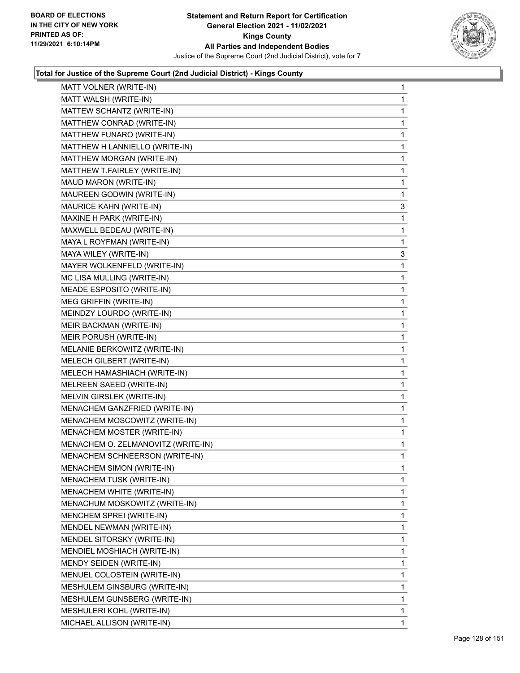

| MATT VOLNER (WRITE-IN)                                  | $\mathbf{1}$ |
|---------------------------------------------------------|--------------|
| MATT WALSH (WRITE-IN)                                   | $\mathbf 1$  |
| MATTEW SCHANTZ (WRITE-IN)                               | 1            |
| MATTHEW CONRAD (WRITE-IN)                               | $\mathbf 1$  |
| MATTHEW FUNARO (WRITE-IN)                               | 1            |
| MATTHEW H LANNIELLO (WRITE-IN)                          | 1            |
| MATTHEW MORGAN (WRITE-IN)                               | $\mathbf 1$  |
| MATTHEW T.FAIRLEY (WRITE-IN)                            | 1            |
| MAUD MARON (WRITE-IN)                                   | 1            |
| MAUREEN GODWIN (WRITE-IN)                               | $\mathbf 1$  |
| MAURICE KAHN (WRITE-IN)                                 | 3            |
| MAXINE H PARK (WRITE-IN)                                | 1            |
| MAXWELL BEDEAU (WRITE-IN)                               | $\mathbf 1$  |
| MAYA L ROYFMAN (WRITE-IN)                               | 1            |
| MAYA WILEY (WRITE-IN)                                   | 3            |
| MAYER WOLKENFELD (WRITE-IN)                             | $\mathbf 1$  |
| MC LISA MULLING (WRITE-IN)                              | 1            |
| MEADE ESPOSITO (WRITE-IN)                               | 1            |
| MEG GRIFFIN (WRITE-IN)                                  | $\mathbf 1$  |
| MEINDZY LOURDO (WRITE-IN)                               | 1            |
| MEIR BACKMAN (WRITE-IN)                                 | 1            |
| MEIR PORUSH (WRITE-IN)                                  | $\mathbf 1$  |
| MELANIE BERKOWITZ (WRITE-IN)                            | 1            |
| MELECH GILBERT (WRITE-IN)                               | 1            |
| MELECH HAMASHIACH (WRITE-IN)                            | $\mathbf 1$  |
| MELREEN SAEED (WRITE-IN)                                | 1            |
| MELVIN GIRSLEK (WRITE-IN)                               | 1            |
| MENACHEM GANZFRIED (WRITE-IN)                           | $\mathbf 1$  |
| MENACHEM MOSCOWITZ (WRITE-IN)                           | 1            |
| MENACHEM MOSTER (WRITE-IN)                              | 1            |
| MENACHEM O. ZELMANOVITZ (WRITE-IN)                      | $\mathbf{1}$ |
| MENACHEM SCHNEERSON (WRITE-IN)                          | 1            |
| MENACHEM SIMON (WRITE-IN)                               | $\mathbf 1$  |
| MENACHEM TUSK (WRITE-IN)                                | 1            |
| MENACHEM WHITE (WRITE-IN)                               | 1            |
| MENACHUM MOSKOWITZ (WRITE-IN)                           | 1            |
| MENCHEM SPREI (WRITE-IN)                                | 1            |
| MENDEL NEWMAN (WRITE-IN)                                | 1            |
| MENDEL SITORSKY (WRITE-IN)                              | 1            |
| MENDIEL MOSHIACH (WRITE-IN)                             | 1            |
| MENDY SEIDEN (WRITE-IN)                                 | 1            |
| MENUEL COLOSTEIN (WRITE-IN)                             | 1            |
| MESHULEM GINSBURG (WRITE-IN)                            | 1            |
| MESHULEM GUNSBERG (WRITE-IN)                            | 1            |
|                                                         |              |
|                                                         | $\mathbf{1}$ |
| MESHULERI KOHL (WRITE-IN)<br>MICHAEL ALLISON (WRITE-IN) | 1            |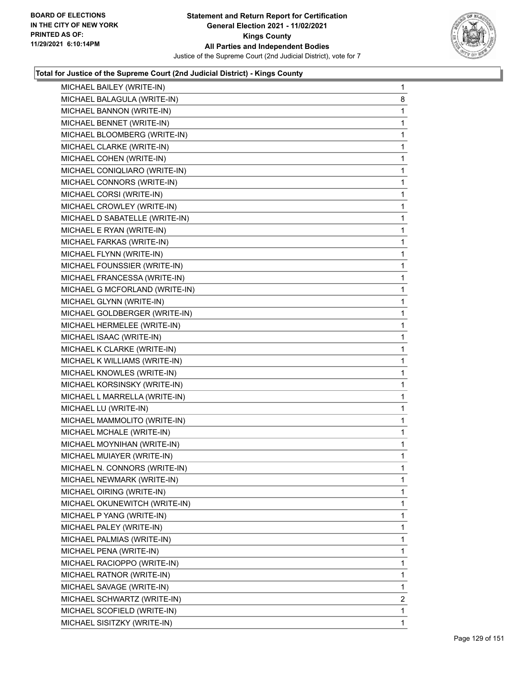

| MICHAEL BAILEY (WRITE-IN)      | $\mathbf{1}$ |
|--------------------------------|--------------|
| MICHAEL BALAGULA (WRITE-IN)    | 8            |
| MICHAEL BANNON (WRITE-IN)      | 1            |
| MICHAEL BENNET (WRITE-IN)      | 1            |
| MICHAEL BLOOMBERG (WRITE-IN)   | 1            |
| MICHAEL CLARKE (WRITE-IN)      | 1            |
| MICHAEL COHEN (WRITE-IN)       | 1            |
| MICHAEL CONIQLIARO (WRITE-IN)  | 1            |
| MICHAEL CONNORS (WRITE-IN)     | 1            |
| MICHAEL CORSI (WRITE-IN)       | 1            |
| MICHAEL CROWLEY (WRITE-IN)     | 1            |
| MICHAEL D SABATELLE (WRITE-IN) | 1            |
| MICHAEL E RYAN (WRITE-IN)      | 1            |
| MICHAEL FARKAS (WRITE-IN)      | 1            |
| MICHAEL FLYNN (WRITE-IN)       | 1            |
| MICHAEL FOUNSSIER (WRITE-IN)   | 1            |
| MICHAEL FRANCESSA (WRITE-IN)   | 1            |
| MICHAEL G MCFORLAND (WRITE-IN) | 1            |
| MICHAEL GLYNN (WRITE-IN)       | 1            |
| MICHAEL GOLDBERGER (WRITE-IN)  | 1            |
| MICHAEL HERMELEE (WRITE-IN)    | 1            |
| MICHAEL ISAAC (WRITE-IN)       | 1            |
| MICHAEL K CLARKE (WRITE-IN)    | 1            |
| MICHAEL K WILLIAMS (WRITE-IN)  | 1            |
| MICHAEL KNOWLES (WRITE-IN)     | 1            |
| MICHAEL KORSINSKY (WRITE-IN)   | 1            |
| MICHAEL L MARRELLA (WRITE-IN)  | 1            |
| MICHAEL LU (WRITE-IN)          | 1            |
| MICHAEL MAMMOLITO (WRITE-IN)   | 1            |
| MICHAEL MCHALE (WRITE-IN)      | 1            |
| MICHAEL MOYNIHAN (WRITE-IN)    | 1            |
| MICHAEL MUIAYER (WRITE-IN)     | 1            |
| MICHAEL N. CONNORS (WRITE-IN)  | 1            |
| MICHAEL NEWMARK (WRITE-IN)     | 1            |
| MICHAEL OIRING (WRITE-IN)      | 1            |
| MICHAEL OKUNEWITCH (WRITE-IN)  | 1            |
| MICHAEL P YANG (WRITE-IN)      | 1            |
| MICHAEL PALEY (WRITE-IN)       | 1            |
| MICHAEL PALMIAS (WRITE-IN)     | 1            |
| MICHAEL PENA (WRITE-IN)        | 1            |
| MICHAEL RACIOPPO (WRITE-IN)    | 1            |
| MICHAEL RATNOR (WRITE-IN)      | 1            |
| MICHAEL SAVAGE (WRITE-IN)      | 1            |
| MICHAEL SCHWARTZ (WRITE-IN)    | 2            |
| MICHAEL SCOFIELD (WRITE-IN)    | 1            |
| MICHAEL SISITZKY (WRITE-IN)    | 1            |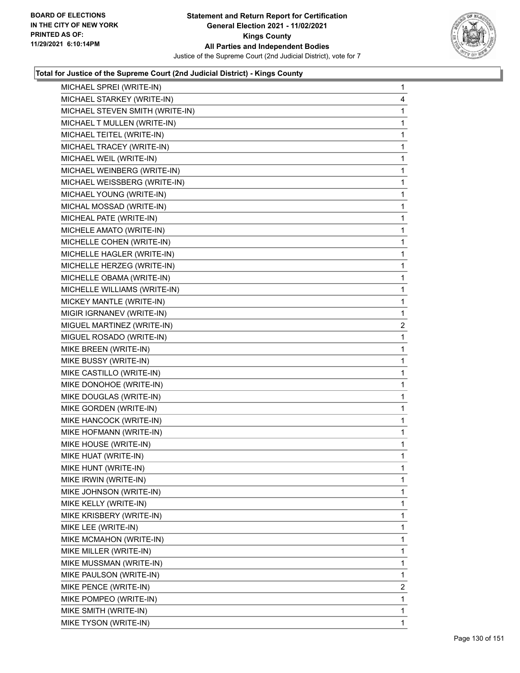

| MICHAEL SPREI (WRITE-IN)        | $\mathbf{1}$   |
|---------------------------------|----------------|
| MICHAEL STARKEY (WRITE-IN)      | 4              |
| MICHAEL STEVEN SMITH (WRITE-IN) | 1              |
| MICHAEL T MULLEN (WRITE-IN)     | $\mathbf 1$    |
| MICHAEL TEITEL (WRITE-IN)       | $\mathbf{1}$   |
| MICHAEL TRACEY (WRITE-IN)       | 1              |
| MICHAEL WEIL (WRITE-IN)         | $\mathbf 1$    |
| MICHAEL WEINBERG (WRITE-IN)     | $\mathbf{1}$   |
| MICHAEL WEISSBERG (WRITE-IN)    | 1              |
| MICHAEL YOUNG (WRITE-IN)        | $\mathbf 1$    |
| MICHAL MOSSAD (WRITE-IN)        | $\mathbf{1}$   |
| MICHEAL PATE (WRITE-IN)         | 1              |
| MICHELE AMATO (WRITE-IN)        | $\mathbf 1$    |
| MICHELLE COHEN (WRITE-IN)       | $\mathbf{1}$   |
| MICHELLE HAGLER (WRITE-IN)      | 1              |
| MICHELLE HERZEG (WRITE-IN)      | $\mathbf 1$    |
| MICHELLE OBAMA (WRITE-IN)       | $\mathbf{1}$   |
| MICHELLE WILLIAMS (WRITE-IN)    | 1              |
| MICKEY MANTLE (WRITE-IN)        | $\mathbf 1$    |
| MIGIR IGRNANEV (WRITE-IN)       | $\mathbf{1}$   |
| MIGUEL MARTINEZ (WRITE-IN)      | $\overline{2}$ |
| MIGUEL ROSADO (WRITE-IN)        | $\mathbf 1$    |
| MIKE BREEN (WRITE-IN)           | $\mathbf 1$    |
| MIKE BUSSY (WRITE-IN)           | 1              |
| MIKE CASTILLO (WRITE-IN)        | $\mathbf{1}$   |
| MIKE DONOHOE (WRITE-IN)         | $\mathbf{1}$   |
| MIKE DOUGLAS (WRITE-IN)         | 1              |
| MIKE GORDEN (WRITE-IN)          | $\mathbf{1}$   |
| MIKE HANCOCK (WRITE-IN)         | $\mathbf{1}$   |
| MIKE HOFMANN (WRITE-IN)         | 1              |
| MIKE HOUSE (WRITE-IN)           | $\mathbf{1}$   |
| MIKE HUAT (WRITE-IN)            | $\mathbf 1$    |
| MIKE HUNT (WRITE-IN)            | 1              |
| MIKE IRWIN (WRITE-IN)           | 1              |
| MIKE JOHNSON (WRITE-IN)         | 1              |
| MIKE KELLY (WRITE-IN)           | 1              |
| MIKE KRISBERY (WRITE-IN)        | 1              |
| MIKE LEE (WRITE-IN)             | 1              |
| MIKE MCMAHON (WRITE-IN)         | 1              |
| MIKE MILLER (WRITE-IN)          | 1              |
| MIKE MUSSMAN (WRITE-IN)         | 1              |
| MIKE PAULSON (WRITE-IN)         | 1              |
| MIKE PENCE (WRITE-IN)           | 2              |
| MIKE POMPEO (WRITE-IN)          | 1              |
| MIKE SMITH (WRITE-IN)           | 1              |
| MIKE TYSON (WRITE-IN)           | 1              |
|                                 |                |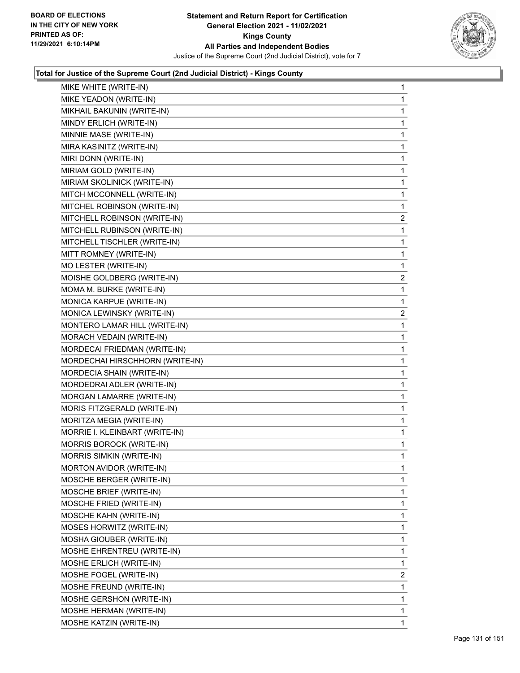

| MIKE WHITE (WRITE-IN)           | 1              |
|---------------------------------|----------------|
| MIKE YEADON (WRITE-IN)          | 1              |
| MIKHAIL BAKUNIN (WRITE-IN)      | 1              |
| MINDY ERLICH (WRITE-IN)         | 1              |
| MINNIE MASE (WRITE-IN)          | 1              |
| MIRA KASINITZ (WRITE-IN)        | 1              |
| MIRI DONN (WRITE-IN)            | 1              |
| MIRIAM GOLD (WRITE-IN)          | 1              |
| MIRIAM SKOLINICK (WRITE-IN)     | 1              |
| MITCH MCCONNELL (WRITE-IN)      | 1              |
| MITCHEL ROBINSON (WRITE-IN)     | 1              |
| MITCHELL ROBINSON (WRITE-IN)    | $\overline{c}$ |
| MITCHELL RUBINSON (WRITE-IN)    | 1              |
| MITCHELL TISCHLER (WRITE-IN)    | 1              |
| MITT ROMNEY (WRITE-IN)          | 1              |
| MO LESTER (WRITE-IN)            | 1              |
| MOISHE GOLDBERG (WRITE-IN)      | $\overline{2}$ |
| MOMA M. BURKE (WRITE-IN)        | 1              |
| MONICA KARPUE (WRITE-IN)        | 1              |
| MONICA LEWINSKY (WRITE-IN)      | $\overline{c}$ |
| MONTERO LAMAR HILL (WRITE-IN)   | 1              |
| MORACH VEDAIN (WRITE-IN)        | 1              |
| MORDECAI FRIEDMAN (WRITE-IN)    | $\mathbf{1}$   |
| MORDECHAI HIRSCHHORN (WRITE-IN) | 1              |
| MORDECIA SHAIN (WRITE-IN)       | 1              |
| MORDEDRAI ADLER (WRITE-IN)      | $\mathbf{1}$   |
| MORGAN LAMARRE (WRITE-IN)       | 1              |
| MORIS FITZGERALD (WRITE-IN)     | 1              |
| MORITZA MEGIA (WRITE-IN)        | $\mathbf{1}$   |
| MORRIE I. KLEINBART (WRITE-IN)  | 1              |
| MORRIS BOROCK (WRITE-IN)        | 1              |
| MORRIS SIMKIN (WRITE-IN)        | $\mathbf{1}$   |
| MORTON AVIDOR (WRITE-IN)        | 1              |
| MOSCHE BERGER (WRITE-IN)        | 1              |
| MOSCHE BRIEF (WRITE-IN)         | 1              |
| MOSCHE FRIED (WRITE-IN)         | 1              |
| MOSCHE KAHN (WRITE-IN)          | 1              |
| MOSES HORWITZ (WRITE-IN)        | 1              |
| MOSHA GIOUBER (WRITE-IN)        | 1              |
| MOSHE EHRENTREU (WRITE-IN)      | 1              |
| MOSHE ERLICH (WRITE-IN)         | 1              |
| MOSHE FOGEL (WRITE-IN)          | 2              |
| MOSHE FREUND (WRITE-IN)         | 1              |
| MOSHE GERSHON (WRITE-IN)        | 1              |
| MOSHE HERMAN (WRITE-IN)         | 1              |
| MOSHE KATZIN (WRITE-IN)         | 1              |
|                                 |                |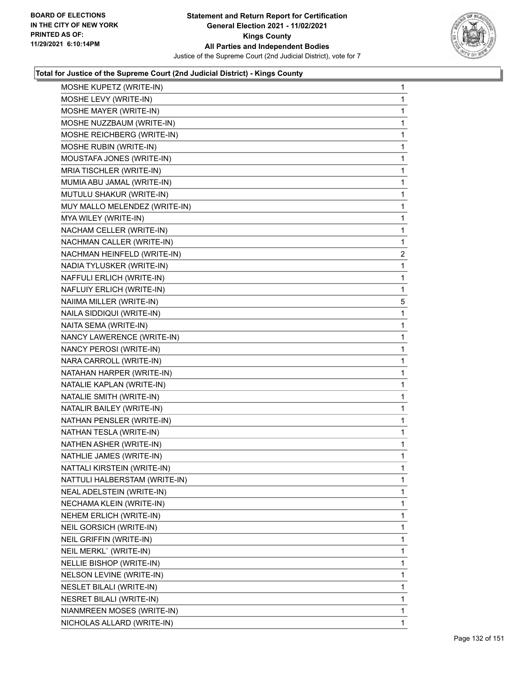

| MOSHE KUPETZ (WRITE-IN)         | 1              |
|---------------------------------|----------------|
| MOSHE LEVY (WRITE-IN)           | 1              |
| MOSHE MAYER (WRITE-IN)          | 1              |
| MOSHE NUZZBAUM (WRITE-IN)       | 1              |
| MOSHE REICHBERG (WRITE-IN)      | 1              |
| MOSHE RUBIN (WRITE-IN)          | 1              |
| MOUSTAFA JONES (WRITE-IN)       | 1              |
| MRIA TISCHLER (WRITE-IN)        | $\mathbf{1}$   |
| MUMIA ABU JAMAL (WRITE-IN)      | 1              |
| MUTULU SHAKUR (WRITE-IN)        | 1              |
| MUY MALLO MELENDEZ (WRITE-IN)   | 1              |
| MYA WILEY (WRITE-IN)            | 1              |
| NACHAM CELLER (WRITE-IN)        | 1              |
| NACHMAN CALLER (WRITE-IN)       | 1              |
| NACHMAN HEINFELD (WRITE-IN)     | $\overline{2}$ |
| NADIA TYLUSKER (WRITE-IN)       | 1              |
| NAFFULI ERLICH (WRITE-IN)       | 1              |
| NAFLUIY ERLICH (WRITE-IN)       | 1              |
| NAIIMA MILLER (WRITE-IN)        | 5              |
| NAILA SIDDIQUI (WRITE-IN)       | 1              |
| NAITA SEMA (WRITE-IN)           | 1              |
| NANCY LAWERENCE (WRITE-IN)      | 1              |
| NANCY PEROSI (WRITE-IN)         | 1              |
| NARA CARROLL (WRITE-IN)         | 1              |
| NATAHAN HARPER (WRITE-IN)       | 1              |
| NATALIE KAPLAN (WRITE-IN)       | $\mathbf{1}$   |
| NATALIE SMITH (WRITE-IN)        | 1              |
| NATALIR BAILEY (WRITE-IN)       | 1              |
| NATHAN PENSLER (WRITE-IN)       | 1              |
| NATHAN TESLA (WRITE-IN)         | 1              |
| NATHEN ASHER (WRITE-IN)         | 1              |
| NATHLIE JAMES (WRITE-IN)        | 1              |
| NATTALI KIRSTEIN (WRITE-IN)     | 1              |
| NATTULI HALBERSTAM (WRITE-IN)   | 1              |
| NEAL ADELSTEIN (WRITE-IN)       | 1              |
| NECHAMA KLEIN (WRITE-IN)        | 1              |
| NEHEM ERLICH (WRITE-IN)         | 1              |
| <b>NEIL GORSICH (WRITE-IN)</b>  | 1              |
| NEIL GRIFFIN (WRITE-IN)         | 1              |
| NEIL MERKL` (WRITE-IN)          | 1              |
| NELLIE BISHOP (WRITE-IN)        | 1              |
| NELSON LEVINE (WRITE-IN)        | 1              |
| <b>NESLET BILALI (WRITE-IN)</b> | 1              |
| NESRET BILALI (WRITE-IN)        | 1              |
| NIANMREEN MOSES (WRITE-IN)      | 1              |
| NICHOLAS ALLARD (WRITE-IN)      | 1.             |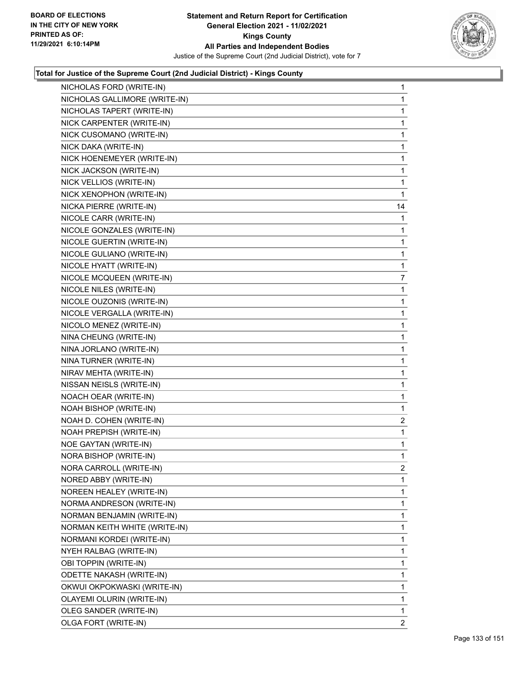

| NICHOLAS FORD (WRITE-IN)      | 1              |
|-------------------------------|----------------|
| NICHOLAS GALLIMORE (WRITE-IN) | 1              |
| NICHOLAS TAPERT (WRITE-IN)    | 1              |
| NICK CARPENTER (WRITE-IN)     | 1              |
| NICK CUSOMANO (WRITE-IN)      | 1              |
| NICK DAKA (WRITE-IN)          | 1              |
| NICK HOENEMEYER (WRITE-IN)    | 1              |
| NICK JACKSON (WRITE-IN)       | 1              |
| NICK VELLIOS (WRITE-IN)       | 1              |
| NICK XENOPHON (WRITE-IN)      | 1              |
| NICKA PIERRE (WRITE-IN)       | 14             |
| NICOLE CARR (WRITE-IN)        | 1              |
| NICOLE GONZALES (WRITE-IN)    | 1              |
| NICOLE GUERTIN (WRITE-IN)     | 1              |
| NICOLE GULIANO (WRITE-IN)     | 1              |
| NICOLE HYATT (WRITE-IN)       | 1              |
| NICOLE MCQUEEN (WRITE-IN)     | 7              |
| NICOLE NILES (WRITE-IN)       | 1              |
| NICOLE OUZONIS (WRITE-IN)     | 1              |
| NICOLE VERGALLA (WRITE-IN)    | 1              |
| NICOLO MENEZ (WRITE-IN)       | 1              |
| NINA CHEUNG (WRITE-IN)        | 1              |
| NINA JORLANO (WRITE-IN)       | 1              |
| NINA TURNER (WRITE-IN)        | 1              |
| NIRAV MEHTA (WRITE-IN)        | 1              |
| NISSAN NEISLS (WRITE-IN)      | 1              |
| NOACH OEAR (WRITE-IN)         | 1              |
| NOAH BISHOP (WRITE-IN)        | 1              |
| NOAH D. COHEN (WRITE-IN)      | 2              |
| NOAH PREPISH (WRITE-IN)       | 1              |
| <b>NOE GAYTAN (WRITE-IN)</b>  | 1              |
| NORA BISHOP (WRITE-IN)        | 1              |
| NORA CARROLL (WRITE-IN)       | 2              |
| NORED ABBY (WRITE-IN)         | 1              |
| NOREEN HEALEY (WRITE-IN)      | 1              |
| NORMA ANDRESON (WRITE-IN)     | 1              |
| NORMAN BENJAMIN (WRITE-IN)    | 1              |
| NORMAN KEITH WHITE (WRITE-IN) | 1              |
| NORMANI KORDEI (WRITE-IN)     | 1              |
| NYEH RALBAG (WRITE-IN)        | 1              |
| OBI TOPPIN (WRITE-IN)         | 1              |
| ODETTE NAKASH (WRITE-IN)      | 1              |
| OKWUI OKPOKWASKI (WRITE-IN)   | 1              |
| OLAYEMI OLURIN (WRITE-IN)     | 1              |
| OLEG SANDER (WRITE-IN)        | 1              |
| OLGA FORT (WRITE-IN)          | $\overline{2}$ |
|                               |                |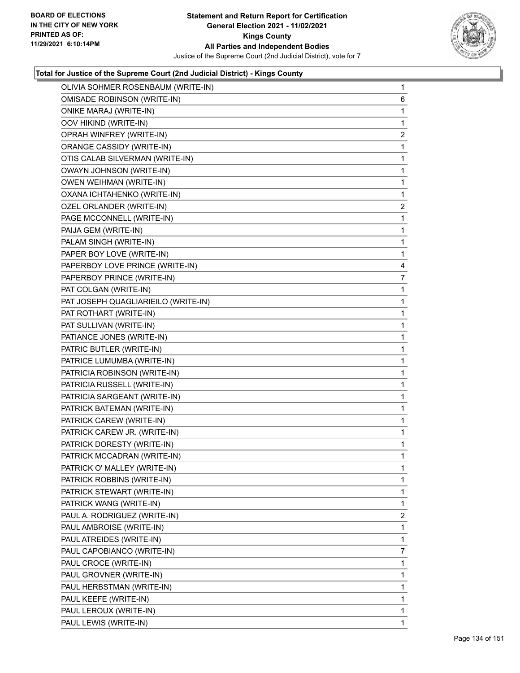

| OLIVIA SOHMER ROSENBAUM (WRITE-IN)  | $\mathbf{1}$   |
|-------------------------------------|----------------|
| <b>OMISADE ROBINSON (WRITE-IN)</b>  | 6              |
| ONIKE MARAJ (WRITE-IN)              | 1              |
| OOV HIKIND (WRITE-IN)               | 1              |
| OPRAH WINFREY (WRITE-IN)            | 2              |
| ORANGE CASSIDY (WRITE-IN)           | 1              |
| OTIS CALAB SILVERMAN (WRITE-IN)     | 1              |
| OWAYN JOHNSON (WRITE-IN)            | 1              |
| OWEN WEIHMAN (WRITE-IN)             | 1              |
| OXANA ICHTAHENKO (WRITE-IN)         | 1              |
| OZEL ORLANDER (WRITE-IN)            | $\overline{2}$ |
| PAGE MCCONNELL (WRITE-IN)           | 1              |
| PAIJA GEM (WRITE-IN)                | 1              |
| PALAM SINGH (WRITE-IN)              | 1              |
| PAPER BOY LOVE (WRITE-IN)           | 1              |
| PAPERBOY LOVE PRINCE (WRITE-IN)     | 4              |
| PAPERBOY PRINCE (WRITE-IN)          | 7              |
| PAT COLGAN (WRITE-IN)               | 1              |
| PAT JOSEPH QUAGLIARIEILO (WRITE-IN) | 1              |
| PAT ROTHART (WRITE-IN)              | 1              |
| PAT SULLIVAN (WRITE-IN)             | 1              |
| PATIANCE JONES (WRITE-IN)           | 1              |
| PATRIC BUTLER (WRITE-IN)            | 1              |
| PATRICE LUMUMBA (WRITE-IN)          | 1              |
| PATRICIA ROBINSON (WRITE-IN)        | 1              |
| PATRICIA RUSSELL (WRITE-IN)         | 1              |
| PATRICIA SARGEANT (WRITE-IN)        | 1              |
| PATRICK BATEMAN (WRITE-IN)          | 1              |
| PATRICK CAREW (WRITE-IN)            | 1              |
| PATRICK CAREW JR. (WRITE-IN)        | 1              |
| PATRICK DORESTY (WRITE-IN)          | 1              |
| PATRICK MCCADRAN (WRITE-IN)         | 1              |
| PATRICK O' MALLEY (WRITE-IN)        | 1              |
| PATRICK ROBBINS (WRITE-IN)          | 1              |
| PATRICK STEWART (WRITE-IN)          | 1              |
| PATRICK WANG (WRITE-IN)             | 1              |
| PAUL A. RODRIGUEZ (WRITE-IN)        | $\overline{2}$ |
| PAUL AMBROISE (WRITE-IN)            | 1              |
| PAUL ATREIDES (WRITE-IN)            | 1              |
| PAUL CAPOBIANCO (WRITE-IN)          | 7              |
| PAUL CROCE (WRITE-IN)               | 1              |
| PAUL GROVNER (WRITE-IN)             | 1              |
| PAUL HERBSTMAN (WRITE-IN)           | 1              |
| PAUL KEEFE (WRITE-IN)               | 1              |
| PAUL LEROUX (WRITE-IN)              | 1              |
| PAUL LEWIS (WRITE-IN)               | 1.             |
|                                     |                |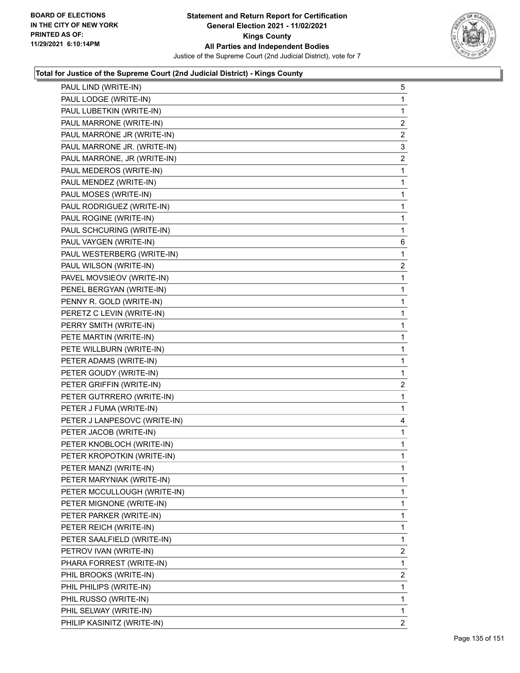

| PAUL LIND (WRITE-IN)         | 5              |
|------------------------------|----------------|
| PAUL LODGE (WRITE-IN)        | 1              |
| PAUL LUBETKIN (WRITE-IN)     | 1              |
| PAUL MARRONE (WRITE-IN)      | $\overline{c}$ |
| PAUL MARRONE JR (WRITE-IN)   | $\overline{c}$ |
| PAUL MARRONE JR. (WRITE-IN)  | 3              |
| PAUL MARRONE, JR (WRITE-IN)  | $\overline{a}$ |
| PAUL MEDEROS (WRITE-IN)      | 1              |
| PAUL MENDEZ (WRITE-IN)       | 1              |
| PAUL MOSES (WRITE-IN)        | $\mathbf 1$    |
| PAUL RODRIGUEZ (WRITE-IN)    | 1              |
| PAUL ROGINE (WRITE-IN)       | 1              |
| PAUL SCHCURING (WRITE-IN)    | $\mathbf{1}$   |
| PAUL VAYGEN (WRITE-IN)       | 6              |
| PAUL WESTERBERG (WRITE-IN)   | 1              |
| PAUL WILSON (WRITE-IN)       | $\overline{c}$ |
| PAVEL MOVSIEOV (WRITE-IN)    | 1              |
| PENEL BERGYAN (WRITE-IN)     | 1              |
| PENNY R. GOLD (WRITE-IN)     | 1              |
| PERETZ C LEVIN (WRITE-IN)    | 1              |
| PERRY SMITH (WRITE-IN)       | 1              |
| PETE MARTIN (WRITE-IN)       | $\mathbf 1$    |
| PETE WILLBURN (WRITE-IN)     | 1              |
| PETER ADAMS (WRITE-IN)       | 1              |
| PETER GOUDY (WRITE-IN)       | $\mathbf 1$    |
| PETER GRIFFIN (WRITE-IN)     | $\overline{c}$ |
| PETER GUTRRERO (WRITE-IN)    | 1              |
| PETER J FUMA (WRITE-IN)      | 1              |
| PETER J LANPESOVC (WRITE-IN) | 4              |
| PETER JACOB (WRITE-IN)       | 1              |
| PETER KNOBLOCH (WRITE-IN)    | 1              |
| PETER KROPOTKIN (WRITE-IN)   | 1              |
| PETER MANZI (WRITE-IN)       | 1              |
| PETER MARYNIAK (WRITE-IN)    | 1              |
| PETER MCCULLOUGH (WRITE-IN)  | 1              |
| PETER MIGNONE (WRITE-IN)     | 1              |
| PETER PARKER (WRITE-IN)      | 1              |
| PETER REICH (WRITE-IN)       | 1              |
| PETER SAALFIELD (WRITE-IN)   | 1              |
| PETROV IVAN (WRITE-IN)       | $\overline{2}$ |
| PHARA FORREST (WRITE-IN)     | 1              |
| PHIL BROOKS (WRITE-IN)       | $\overline{2}$ |
| PHIL PHILIPS (WRITE-IN)      | 1              |
| PHIL RUSSO (WRITE-IN)        | 1              |
| PHIL SELWAY (WRITE-IN)       | 1              |
| PHILIP KASINITZ (WRITE-IN)   | 2              |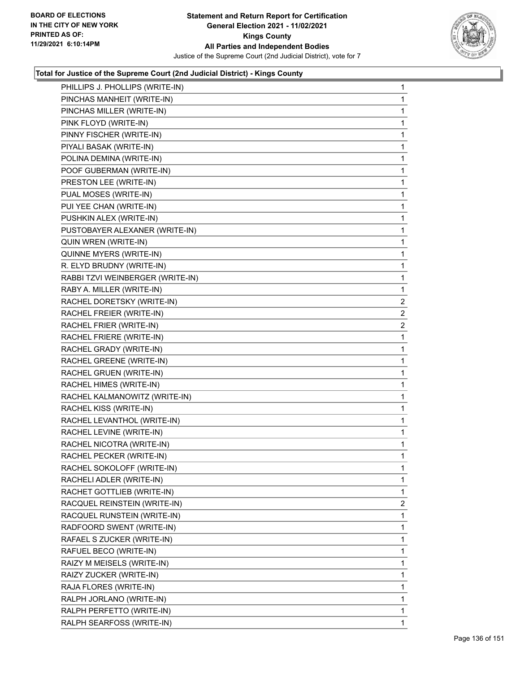

| PHILLIPS J. PHOLLIPS (WRITE-IN)  | $\mathbf{1}$   |
|----------------------------------|----------------|
| PINCHAS MANHEIT (WRITE-IN)       | 1              |
| PINCHAS MILLER (WRITE-IN)        | 1              |
| PINK FLOYD (WRITE-IN)            | 1              |
| PINNY FISCHER (WRITE-IN)         | 1              |
| PIYALI BASAK (WRITE-IN)          | 1              |
| POLINA DEMINA (WRITE-IN)         | 1              |
| POOF GUBERMAN (WRITE-IN)         | 1              |
| PRESTON LEE (WRITE-IN)           | 1              |
| PUAL MOSES (WRITE-IN)            | 1              |
| PUI YEE CHAN (WRITE-IN)          | 1              |
| PUSHKIN ALEX (WRITE-IN)          | 1              |
| PUSTOBAYER ALEXANER (WRITE-IN)   | 1              |
| QUIN WREN (WRITE-IN)             | 1              |
| QUINNE MYERS (WRITE-IN)          | 1              |
| R. ELYD BRUDNY (WRITE-IN)        | 1              |
| RABBI TZVI WEINBERGER (WRITE-IN) | 1              |
| RABY A. MILLER (WRITE-IN)        | 1              |
| RACHEL DORETSKY (WRITE-IN)       | $\overline{2}$ |
| RACHEL FREIER (WRITE-IN)         | $\overline{2}$ |
| RACHEL FRIER (WRITE-IN)          | $\overline{a}$ |
| RACHEL FRIERE (WRITE-IN)         | 1              |
| RACHEL GRADY (WRITE-IN)          | 1              |
| RACHEL GREENE (WRITE-IN)         | 1              |
| RACHEL GRUEN (WRITE-IN)          | 1              |
| RACHEL HIMES (WRITE-IN)          | 1              |
| RACHEL KALMANOWITZ (WRITE-IN)    | 1              |
| RACHEL KISS (WRITE-IN)           | 1              |
| RACHEL LEVANTHOL (WRITE-IN)      | 1              |
| RACHEL LEVINE (WRITE-IN)         | 1              |
| RACHEL NICOTRA (WRITE-IN)        | 1              |
| RACHEL PECKER (WRITE-IN)         | 1              |
| RACHEL SOKOLOFF (WRITE-IN)       | 1              |
| RACHELI ADLER (WRITE-IN)         | 1              |
| RACHET GOTTLIEB (WRITE-IN)       | 1              |
| RACQUEL REINSTEIN (WRITE-IN)     | $\overline{2}$ |
| RACQUEL RUNSTEIN (WRITE-IN)      | 1              |
| RADFOORD SWENT (WRITE-IN)        | 1              |
| RAFAEL S ZUCKER (WRITE-IN)       | 1              |
| RAFUEL BECO (WRITE-IN)           | 1              |
| RAIZY M MEISELS (WRITE-IN)       | 1              |
| RAIZY ZUCKER (WRITE-IN)          | 1              |
| RAJA FLORES (WRITE-IN)           | 1              |
| RALPH JORLANO (WRITE-IN)         | 1              |
| RALPH PERFETTO (WRITE-IN)        | 1              |
| RALPH SEARFOSS (WRITE-IN)        | 1              |
|                                  |                |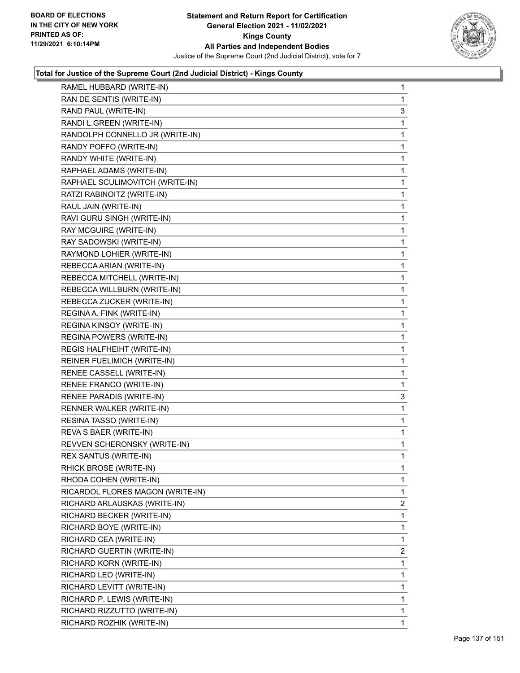

| RAMEL HUBBARD (WRITE-IN)         | $\mathbf{1}$   |
|----------------------------------|----------------|
| RAN DE SENTIS (WRITE-IN)         | 1              |
| RAND PAUL (WRITE-IN)             | 3              |
| RANDI L.GREEN (WRITE-IN)         | $\mathbf 1$    |
| RANDOLPH CONNELLO JR (WRITE-IN)  | 1              |
| RANDY POFFO (WRITE-IN)           | 1              |
| RANDY WHITE (WRITE-IN)           | 1              |
| RAPHAEL ADAMS (WRITE-IN)         | 1              |
| RAPHAEL SCULIMOVITCH (WRITE-IN)  | 1              |
| RATZI RABINOITZ (WRITE-IN)       | $\mathbf 1$    |
| RAUL JAIN (WRITE-IN)             | 1              |
| RAVI GURU SINGH (WRITE-IN)       | 1              |
| RAY MCGUIRE (WRITE-IN)           | 1              |
| RAY SADOWSKI (WRITE-IN)          | 1              |
| RAYMOND LOHIER (WRITE-IN)        | 1              |
| REBECCA ARIAN (WRITE-IN)         | $\mathbf 1$    |
| REBECCA MITCHELL (WRITE-IN)      | 1              |
| REBECCA WILLBURN (WRITE-IN)      | 1              |
| REBECCA ZUCKER (WRITE-IN)        | 1              |
| REGINA A. FINK (WRITE-IN)        | 1              |
| REGINA KINSOY (WRITE-IN)         | 1              |
| REGINA POWERS (WRITE-IN)         | $\mathbf 1$    |
| REGIS HALFHEIHT (WRITE-IN)       | 1              |
| REINER FUELIMICH (WRITE-IN)      | 1              |
| RENEE CASSELL (WRITE-IN)         | 1              |
| RENEE FRANCO (WRITE-IN)          | 1              |
| RENEE PARADIS (WRITE-IN)         | 3              |
| RENNER WALKER (WRITE-IN)         | $\mathbf 1$    |
| RESINA TASSO (WRITE-IN)          | 1              |
| REVA S BAER (WRITE-IN)           | 1              |
| REVVEN SCHERONSKY (WRITE-IN)     | $\mathbf 1$    |
| REX SANTUS (WRITE-IN)            | 1              |
| RHICK BROSE (WRITE-IN)           | $\mathbf 1$    |
| RHODA COHEN (WRITE-IN)           | 1              |
| RICARDOL FLORES MAGON (WRITE-IN) | 1              |
| RICHARD ARLAUSKAS (WRITE-IN)     | 2              |
| RICHARD BECKER (WRITE-IN)        | 1              |
| RICHARD BOYE (WRITE-IN)          | 1              |
| RICHARD CEA (WRITE-IN)           | 1              |
| RICHARD GUERTIN (WRITE-IN)       | $\overline{2}$ |
| RICHARD KORN (WRITE-IN)          | 1              |
| RICHARD LEO (WRITE-IN)           | 1              |
| RICHARD LEVITT (WRITE-IN)        | 1              |
| RICHARD P. LEWIS (WRITE-IN)      | 1              |
| RICHARD RIZZUTTO (WRITE-IN)      | $\mathbf{1}$   |
| RICHARD ROZHIK (WRITE-IN)        | 1              |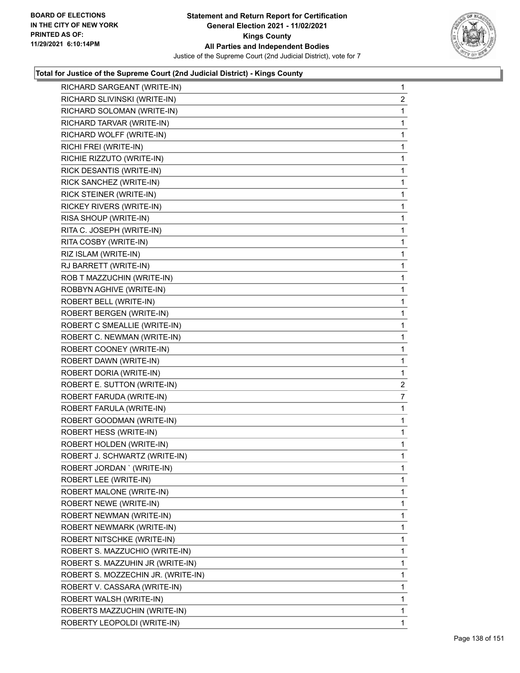

| RICHARD SLIVINSKI (WRITE-IN)<br>$\overline{2}$<br>$\mathbf{1}$<br>RICHARD SOLOMAN (WRITE-IN)<br>RICHARD TARVAR (WRITE-IN)<br>1<br>RICHARD WOLFF (WRITE-IN)<br>$\mathbf 1$<br>RICHI FREI (WRITE-IN)<br>1<br>RICHIE RIZZUTO (WRITE-IN)<br>1<br>RICK DESANTIS (WRITE-IN)<br>$\mathbf{1}$<br>RICK SANCHEZ (WRITE-IN)<br>1<br>RICK STEINER (WRITE-IN)<br>1<br>RICKEY RIVERS (WRITE-IN)<br>1<br>RISA SHOUP (WRITE-IN)<br>$\mathbf{1}$<br>RITA C. JOSEPH (WRITE-IN)<br>1<br>RITA COSBY (WRITE-IN)<br>$\mathbf{1}$<br>RIZ ISLAM (WRITE-IN)<br>1<br>RJ BARRETT (WRITE-IN)<br>1<br>ROB T MAZZUCHIN (WRITE-IN)<br>1<br>ROBBYN AGHIVE (WRITE-IN)<br>$\mathbf{1}$<br>ROBERT BELL (WRITE-IN)<br>1<br>ROBERT BERGEN (WRITE-IN)<br>$\mathbf{1}$<br>ROBERT C SMEALLIE (WRITE-IN)<br>1<br>ROBERT C. NEWMAN (WRITE-IN)<br>1<br>ROBERT COONEY (WRITE-IN)<br>$\mathbf{1}$<br>ROBERT DAWN (WRITE-IN)<br>$\mathbf{1}$<br>ROBERT DORIA (WRITE-IN)<br>1<br>ROBERT E. SUTTON (WRITE-IN)<br>$\overline{\mathbf{c}}$<br>ROBERT FARUDA (WRITE-IN)<br>7<br>ROBERT FARULA (WRITE-IN)<br>1<br>ROBERT GOODMAN (WRITE-IN)<br>$\mathbf 1$<br>ROBERT HESS (WRITE-IN)<br>$\mathbf{1}$<br>ROBERT HOLDEN (WRITE-IN)<br>1<br>ROBERT J. SCHWARTZ (WRITE-IN)<br>$\mathbf{1}$<br>1<br>ROBERT JORDAN ' (WRITE-IN)<br>ROBERT LEE (WRITE-IN)<br>1<br>ROBERT MALONE (WRITE-IN)<br>$\mathbf{1}$<br>1<br>ROBERT NEWE (WRITE-IN)<br>ROBERT NEWMAN (WRITE-IN)<br>1<br>ROBERT NEWMARK (WRITE-IN)<br>1<br>1<br>ROBERT NITSCHKE (WRITE-IN)<br>ROBERT S. MAZZUCHIO (WRITE-IN)<br>1<br>ROBERT S. MAZZUHIN JR (WRITE-IN)<br>1<br>1<br>ROBERT S. MOZZECHIN JR. (WRITE-IN)<br>ROBERT V. CASSARA (WRITE-IN)<br>1<br>$\mathbf{1}$<br>ROBERT WALSH (WRITE-IN)<br>$\mathbf{1}$<br>ROBERTS MAZZUCHIN (WRITE-IN)<br>ROBERTY LEOPOLDI (WRITE-IN)<br>1 | RICHARD SARGEANT (WRITE-IN) | $\mathbf{1}$ |
|-------------------------------------------------------------------------------------------------------------------------------------------------------------------------------------------------------------------------------------------------------------------------------------------------------------------------------------------------------------------------------------------------------------------------------------------------------------------------------------------------------------------------------------------------------------------------------------------------------------------------------------------------------------------------------------------------------------------------------------------------------------------------------------------------------------------------------------------------------------------------------------------------------------------------------------------------------------------------------------------------------------------------------------------------------------------------------------------------------------------------------------------------------------------------------------------------------------------------------------------------------------------------------------------------------------------------------------------------------------------------------------------------------------------------------------------------------------------------------------------------------------------------------------------------------------------------------------------------------------------------------------------------------------------------------------------------------------------------------------------------------------------------------------|-----------------------------|--------------|
|                                                                                                                                                                                                                                                                                                                                                                                                                                                                                                                                                                                                                                                                                                                                                                                                                                                                                                                                                                                                                                                                                                                                                                                                                                                                                                                                                                                                                                                                                                                                                                                                                                                                                                                                                                                     |                             |              |
|                                                                                                                                                                                                                                                                                                                                                                                                                                                                                                                                                                                                                                                                                                                                                                                                                                                                                                                                                                                                                                                                                                                                                                                                                                                                                                                                                                                                                                                                                                                                                                                                                                                                                                                                                                                     |                             |              |
|                                                                                                                                                                                                                                                                                                                                                                                                                                                                                                                                                                                                                                                                                                                                                                                                                                                                                                                                                                                                                                                                                                                                                                                                                                                                                                                                                                                                                                                                                                                                                                                                                                                                                                                                                                                     |                             |              |
|                                                                                                                                                                                                                                                                                                                                                                                                                                                                                                                                                                                                                                                                                                                                                                                                                                                                                                                                                                                                                                                                                                                                                                                                                                                                                                                                                                                                                                                                                                                                                                                                                                                                                                                                                                                     |                             |              |
|                                                                                                                                                                                                                                                                                                                                                                                                                                                                                                                                                                                                                                                                                                                                                                                                                                                                                                                                                                                                                                                                                                                                                                                                                                                                                                                                                                                                                                                                                                                                                                                                                                                                                                                                                                                     |                             |              |
|                                                                                                                                                                                                                                                                                                                                                                                                                                                                                                                                                                                                                                                                                                                                                                                                                                                                                                                                                                                                                                                                                                                                                                                                                                                                                                                                                                                                                                                                                                                                                                                                                                                                                                                                                                                     |                             |              |
|                                                                                                                                                                                                                                                                                                                                                                                                                                                                                                                                                                                                                                                                                                                                                                                                                                                                                                                                                                                                                                                                                                                                                                                                                                                                                                                                                                                                                                                                                                                                                                                                                                                                                                                                                                                     |                             |              |
|                                                                                                                                                                                                                                                                                                                                                                                                                                                                                                                                                                                                                                                                                                                                                                                                                                                                                                                                                                                                                                                                                                                                                                                                                                                                                                                                                                                                                                                                                                                                                                                                                                                                                                                                                                                     |                             |              |
|                                                                                                                                                                                                                                                                                                                                                                                                                                                                                                                                                                                                                                                                                                                                                                                                                                                                                                                                                                                                                                                                                                                                                                                                                                                                                                                                                                                                                                                                                                                                                                                                                                                                                                                                                                                     |                             |              |
|                                                                                                                                                                                                                                                                                                                                                                                                                                                                                                                                                                                                                                                                                                                                                                                                                                                                                                                                                                                                                                                                                                                                                                                                                                                                                                                                                                                                                                                                                                                                                                                                                                                                                                                                                                                     |                             |              |
|                                                                                                                                                                                                                                                                                                                                                                                                                                                                                                                                                                                                                                                                                                                                                                                                                                                                                                                                                                                                                                                                                                                                                                                                                                                                                                                                                                                                                                                                                                                                                                                                                                                                                                                                                                                     |                             |              |
|                                                                                                                                                                                                                                                                                                                                                                                                                                                                                                                                                                                                                                                                                                                                                                                                                                                                                                                                                                                                                                                                                                                                                                                                                                                                                                                                                                                                                                                                                                                                                                                                                                                                                                                                                                                     |                             |              |
|                                                                                                                                                                                                                                                                                                                                                                                                                                                                                                                                                                                                                                                                                                                                                                                                                                                                                                                                                                                                                                                                                                                                                                                                                                                                                                                                                                                                                                                                                                                                                                                                                                                                                                                                                                                     |                             |              |
|                                                                                                                                                                                                                                                                                                                                                                                                                                                                                                                                                                                                                                                                                                                                                                                                                                                                                                                                                                                                                                                                                                                                                                                                                                                                                                                                                                                                                                                                                                                                                                                                                                                                                                                                                                                     |                             |              |
|                                                                                                                                                                                                                                                                                                                                                                                                                                                                                                                                                                                                                                                                                                                                                                                                                                                                                                                                                                                                                                                                                                                                                                                                                                                                                                                                                                                                                                                                                                                                                                                                                                                                                                                                                                                     |                             |              |
|                                                                                                                                                                                                                                                                                                                                                                                                                                                                                                                                                                                                                                                                                                                                                                                                                                                                                                                                                                                                                                                                                                                                                                                                                                                                                                                                                                                                                                                                                                                                                                                                                                                                                                                                                                                     |                             |              |
|                                                                                                                                                                                                                                                                                                                                                                                                                                                                                                                                                                                                                                                                                                                                                                                                                                                                                                                                                                                                                                                                                                                                                                                                                                                                                                                                                                                                                                                                                                                                                                                                                                                                                                                                                                                     |                             |              |
|                                                                                                                                                                                                                                                                                                                                                                                                                                                                                                                                                                                                                                                                                                                                                                                                                                                                                                                                                                                                                                                                                                                                                                                                                                                                                                                                                                                                                                                                                                                                                                                                                                                                                                                                                                                     |                             |              |
|                                                                                                                                                                                                                                                                                                                                                                                                                                                                                                                                                                                                                                                                                                                                                                                                                                                                                                                                                                                                                                                                                                                                                                                                                                                                                                                                                                                                                                                                                                                                                                                                                                                                                                                                                                                     |                             |              |
|                                                                                                                                                                                                                                                                                                                                                                                                                                                                                                                                                                                                                                                                                                                                                                                                                                                                                                                                                                                                                                                                                                                                                                                                                                                                                                                                                                                                                                                                                                                                                                                                                                                                                                                                                                                     |                             |              |
|                                                                                                                                                                                                                                                                                                                                                                                                                                                                                                                                                                                                                                                                                                                                                                                                                                                                                                                                                                                                                                                                                                                                                                                                                                                                                                                                                                                                                                                                                                                                                                                                                                                                                                                                                                                     |                             |              |
|                                                                                                                                                                                                                                                                                                                                                                                                                                                                                                                                                                                                                                                                                                                                                                                                                                                                                                                                                                                                                                                                                                                                                                                                                                                                                                                                                                                                                                                                                                                                                                                                                                                                                                                                                                                     |                             |              |
|                                                                                                                                                                                                                                                                                                                                                                                                                                                                                                                                                                                                                                                                                                                                                                                                                                                                                                                                                                                                                                                                                                                                                                                                                                                                                                                                                                                                                                                                                                                                                                                                                                                                                                                                                                                     |                             |              |
|                                                                                                                                                                                                                                                                                                                                                                                                                                                                                                                                                                                                                                                                                                                                                                                                                                                                                                                                                                                                                                                                                                                                                                                                                                                                                                                                                                                                                                                                                                                                                                                                                                                                                                                                                                                     |                             |              |
|                                                                                                                                                                                                                                                                                                                                                                                                                                                                                                                                                                                                                                                                                                                                                                                                                                                                                                                                                                                                                                                                                                                                                                                                                                                                                                                                                                                                                                                                                                                                                                                                                                                                                                                                                                                     |                             |              |
|                                                                                                                                                                                                                                                                                                                                                                                                                                                                                                                                                                                                                                                                                                                                                                                                                                                                                                                                                                                                                                                                                                                                                                                                                                                                                                                                                                                                                                                                                                                                                                                                                                                                                                                                                                                     |                             |              |
|                                                                                                                                                                                                                                                                                                                                                                                                                                                                                                                                                                                                                                                                                                                                                                                                                                                                                                                                                                                                                                                                                                                                                                                                                                                                                                                                                                                                                                                                                                                                                                                                                                                                                                                                                                                     |                             |              |
|                                                                                                                                                                                                                                                                                                                                                                                                                                                                                                                                                                                                                                                                                                                                                                                                                                                                                                                                                                                                                                                                                                                                                                                                                                                                                                                                                                                                                                                                                                                                                                                                                                                                                                                                                                                     |                             |              |
|                                                                                                                                                                                                                                                                                                                                                                                                                                                                                                                                                                                                                                                                                                                                                                                                                                                                                                                                                                                                                                                                                                                                                                                                                                                                                                                                                                                                                                                                                                                                                                                                                                                                                                                                                                                     |                             |              |
|                                                                                                                                                                                                                                                                                                                                                                                                                                                                                                                                                                                                                                                                                                                                                                                                                                                                                                                                                                                                                                                                                                                                                                                                                                                                                                                                                                                                                                                                                                                                                                                                                                                                                                                                                                                     |                             |              |
|                                                                                                                                                                                                                                                                                                                                                                                                                                                                                                                                                                                                                                                                                                                                                                                                                                                                                                                                                                                                                                                                                                                                                                                                                                                                                                                                                                                                                                                                                                                                                                                                                                                                                                                                                                                     |                             |              |
|                                                                                                                                                                                                                                                                                                                                                                                                                                                                                                                                                                                                                                                                                                                                                                                                                                                                                                                                                                                                                                                                                                                                                                                                                                                                                                                                                                                                                                                                                                                                                                                                                                                                                                                                                                                     |                             |              |
|                                                                                                                                                                                                                                                                                                                                                                                                                                                                                                                                                                                                                                                                                                                                                                                                                                                                                                                                                                                                                                                                                                                                                                                                                                                                                                                                                                                                                                                                                                                                                                                                                                                                                                                                                                                     |                             |              |
|                                                                                                                                                                                                                                                                                                                                                                                                                                                                                                                                                                                                                                                                                                                                                                                                                                                                                                                                                                                                                                                                                                                                                                                                                                                                                                                                                                                                                                                                                                                                                                                                                                                                                                                                                                                     |                             |              |
|                                                                                                                                                                                                                                                                                                                                                                                                                                                                                                                                                                                                                                                                                                                                                                                                                                                                                                                                                                                                                                                                                                                                                                                                                                                                                                                                                                                                                                                                                                                                                                                                                                                                                                                                                                                     |                             |              |
|                                                                                                                                                                                                                                                                                                                                                                                                                                                                                                                                                                                                                                                                                                                                                                                                                                                                                                                                                                                                                                                                                                                                                                                                                                                                                                                                                                                                                                                                                                                                                                                                                                                                                                                                                                                     |                             |              |
|                                                                                                                                                                                                                                                                                                                                                                                                                                                                                                                                                                                                                                                                                                                                                                                                                                                                                                                                                                                                                                                                                                                                                                                                                                                                                                                                                                                                                                                                                                                                                                                                                                                                                                                                                                                     |                             |              |
|                                                                                                                                                                                                                                                                                                                                                                                                                                                                                                                                                                                                                                                                                                                                                                                                                                                                                                                                                                                                                                                                                                                                                                                                                                                                                                                                                                                                                                                                                                                                                                                                                                                                                                                                                                                     |                             |              |
|                                                                                                                                                                                                                                                                                                                                                                                                                                                                                                                                                                                                                                                                                                                                                                                                                                                                                                                                                                                                                                                                                                                                                                                                                                                                                                                                                                                                                                                                                                                                                                                                                                                                                                                                                                                     |                             |              |
|                                                                                                                                                                                                                                                                                                                                                                                                                                                                                                                                                                                                                                                                                                                                                                                                                                                                                                                                                                                                                                                                                                                                                                                                                                                                                                                                                                                                                                                                                                                                                                                                                                                                                                                                                                                     |                             |              |
|                                                                                                                                                                                                                                                                                                                                                                                                                                                                                                                                                                                                                                                                                                                                                                                                                                                                                                                                                                                                                                                                                                                                                                                                                                                                                                                                                                                                                                                                                                                                                                                                                                                                                                                                                                                     |                             |              |
|                                                                                                                                                                                                                                                                                                                                                                                                                                                                                                                                                                                                                                                                                                                                                                                                                                                                                                                                                                                                                                                                                                                                                                                                                                                                                                                                                                                                                                                                                                                                                                                                                                                                                                                                                                                     |                             |              |
|                                                                                                                                                                                                                                                                                                                                                                                                                                                                                                                                                                                                                                                                                                                                                                                                                                                                                                                                                                                                                                                                                                                                                                                                                                                                                                                                                                                                                                                                                                                                                                                                                                                                                                                                                                                     |                             |              |
|                                                                                                                                                                                                                                                                                                                                                                                                                                                                                                                                                                                                                                                                                                                                                                                                                                                                                                                                                                                                                                                                                                                                                                                                                                                                                                                                                                                                                                                                                                                                                                                                                                                                                                                                                                                     |                             |              |
|                                                                                                                                                                                                                                                                                                                                                                                                                                                                                                                                                                                                                                                                                                                                                                                                                                                                                                                                                                                                                                                                                                                                                                                                                                                                                                                                                                                                                                                                                                                                                                                                                                                                                                                                                                                     |                             |              |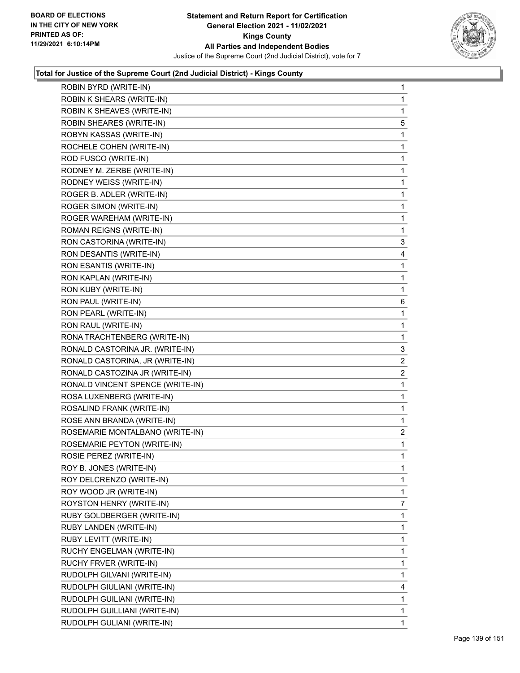

| ROBIN BYRD (WRITE-IN)            | $\mathbf{1}$   |
|----------------------------------|----------------|
| ROBIN K SHEARS (WRITE-IN)        | 1              |
| ROBIN K SHEAVES (WRITE-IN)       | 1              |
| ROBIN SHEARES (WRITE-IN)         | 5              |
| ROBYN KASSAS (WRITE-IN)          | 1              |
| ROCHELE COHEN (WRITE-IN)         | 1              |
| ROD FUSCO (WRITE-IN)             | 1              |
| RODNEY M. ZERBE (WRITE-IN)       | 1              |
| RODNEY WEISS (WRITE-IN)          | 1              |
| ROGER B. ADLER (WRITE-IN)        | 1              |
| ROGER SIMON (WRITE-IN)           | 1              |
| ROGER WAREHAM (WRITE-IN)         | 1              |
| ROMAN REIGNS (WRITE-IN)          | 1              |
| RON CASTORINA (WRITE-IN)         | 3              |
| RON DESANTIS (WRITE-IN)          | 4              |
| RON ESANTIS (WRITE-IN)           | 1              |
| RON KAPLAN (WRITE-IN)            | 1              |
| RON KUBY (WRITE-IN)              | 1              |
| RON PAUL (WRITE-IN)              | 6              |
| RON PEARL (WRITE-IN)             | 1              |
| RON RAUL (WRITE-IN)              | 1              |
| RONA TRACHTENBERG (WRITE-IN)     | 1              |
| RONALD CASTORINA JR. (WRITE-IN)  | 3              |
| RONALD CASTORINA, JR (WRITE-IN)  | 2              |
| RONALD CASTOZINA JR (WRITE-IN)   | $\overline{2}$ |
| RONALD VINCENT SPENCE (WRITE-IN) | 1              |
| ROSA LUXENBERG (WRITE-IN)        | 1              |
| ROSALIND FRANK (WRITE-IN)        | 1              |
| ROSE ANN BRANDA (WRITE-IN)       | 1              |
| ROSEMARIE MONTALBANO (WRITE-IN)  | $\overline{2}$ |
| ROSEMARIE PEYTON (WRITE-IN)      | $\mathbf{1}$   |
| ROSIE PEREZ (WRITE-IN)           | 1              |
| ROY B. JONES (WRITE-IN)          | 1              |
| ROY DELCRENZO (WRITE-IN)         | 1              |
| ROY WOOD JR (WRITE-IN)           | 1              |
| ROYSTON HENRY (WRITE-IN)         | 7              |
| RUBY GOLDBERGER (WRITE-IN)       | 1              |
| RUBY LANDEN (WRITE-IN)           | 1              |
| RUBY LEVITT (WRITE-IN)           | 1              |
| RUCHY ENGELMAN (WRITE-IN)        | 1              |
| RUCHY FRVER (WRITE-IN)           | 1              |
| RUDOLPH GILVANI (WRITE-IN)       | 1              |
| RUDOLPH GIULIANI (WRITE-IN)      | 4              |
| RUDOLPH GUILIANI (WRITE-IN)      | 1              |
| RUDOLPH GUILLIANI (WRITE-IN)     | 1              |
| RUDOLPH GULIANI (WRITE-IN)       | 1              |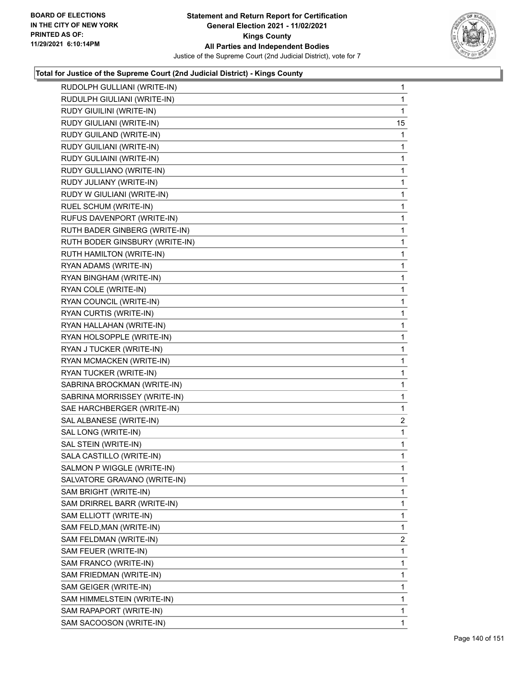

| RUDOLPH GULLIANI (WRITE-IN)    | $\mathbf{1}$   |
|--------------------------------|----------------|
| RUDULPH GIULIANI (WRITE-IN)    | $\mathbf{1}$   |
| RUDY GIUILINI (WRITE-IN)       | $\mathbf{1}$   |
| RUDY GIULIANI (WRITE-IN)       | 15             |
| RUDY GUILAND (WRITE-IN)        | 1              |
| RUDY GUILIANI (WRITE-IN)       | $\mathbf{1}$   |
| RUDY GULIAINI (WRITE-IN)       | 1              |
| RUDY GULLIANO (WRITE-IN)       | $\mathbf 1$    |
| RUDY JULIANY (WRITE-IN)        | 1              |
| RUDY W GIULIANI (WRITE-IN)     | 1              |
| RUEL SCHUM (WRITE-IN)          | 1              |
| RUFUS DAVENPORT (WRITE-IN)     | 1              |
| RUTH BADER GINBERG (WRITE-IN)  | 1              |
| RUTH BODER GINSBURY (WRITE-IN) | $\mathbf 1$    |
| RUTH HAMILTON (WRITE-IN)       | 1              |
| RYAN ADAMS (WRITE-IN)          | 1              |
| RYAN BINGHAM (WRITE-IN)        | 1              |
| RYAN COLE (WRITE-IN)           | 1              |
| RYAN COUNCIL (WRITE-IN)        | 1              |
| RYAN CURTIS (WRITE-IN)         | $\mathbf 1$    |
| RYAN HALLAHAN (WRITE-IN)       | 1              |
| RYAN HOLSOPPLE (WRITE-IN)      | 1              |
| RYAN J TUCKER (WRITE-IN)       | 1              |
| RYAN MCMACKEN (WRITE-IN)       | 1              |
| RYAN TUCKER (WRITE-IN)         | 1              |
| SABRINA BROCKMAN (WRITE-IN)    | $\mathbf 1$    |
| SABRINA MORRISSEY (WRITE-IN)   | 1              |
| SAE HARCHBERGER (WRITE-IN)     | 1              |
| SAL ALBANESE (WRITE-IN)        | 2              |
| SAL LONG (WRITE-IN)            | $\mathbf{1}$   |
| SAL STEIN (WRITE-IN)           | 1              |
| SALA CASTILLO (WRITE-IN)       | $\mathbf{1}$   |
| SALMON P WIGGLE (WRITE-IN)     | 1              |
| SALVATORE GRAVANO (WRITE-IN)   | 1              |
| SAM BRIGHT (WRITE-IN)          | $\mathbf{1}$   |
| SAM DRIRREL BARR (WRITE-IN)    | 1              |
| SAM ELLIOTT (WRITE-IN)         | 1              |
| SAM FELD, MAN (WRITE-IN)       | 1              |
| SAM FELDMAN (WRITE-IN)         | $\overline{2}$ |
| SAM FEUER (WRITE-IN)           | 1              |
| SAM FRANCO (WRITE-IN)          | $\mathbf{1}$   |
| SAM FRIEDMAN (WRITE-IN)        | 1              |
| SAM GEIGER (WRITE-IN)          | 1              |
| SAM HIMMELSTEIN (WRITE-IN)     | $\mathbf{1}$   |
| SAM RAPAPORT (WRITE-IN)        | 1              |
| SAM SACOOSON (WRITE-IN)        | 1              |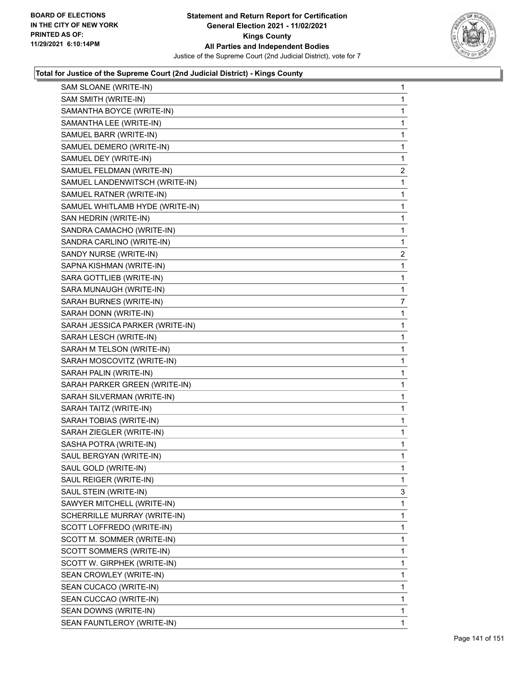

| SAM SLOANE (WRITE-IN)           | 1              |
|---------------------------------|----------------|
| SAM SMITH (WRITE-IN)            | 1              |
| SAMANTHA BOYCE (WRITE-IN)       | 1              |
| SAMANTHA LEE (WRITE-IN)         | 1              |
| SAMUEL BARR (WRITE-IN)          | 1              |
| SAMUEL DEMERO (WRITE-IN)        | 1              |
| SAMUEL DEY (WRITE-IN)           | 1              |
| SAMUEL FELDMAN (WRITE-IN)       | $\overline{c}$ |
| SAMUEL LANDENWITSCH (WRITE-IN)  | 1              |
| SAMUEL RATNER (WRITE-IN)        | 1              |
| SAMUEL WHITLAMB HYDE (WRITE-IN) | 1              |
| SAN HEDRIN (WRITE-IN)           | 1              |
| SANDRA CAMACHO (WRITE-IN)       | 1              |
| SANDRA CARLINO (WRITE-IN)       | 1              |
| SANDY NURSE (WRITE-IN)          | 2              |
| SAPNA KISHMAN (WRITE-IN)        | 1              |
| SARA GOTTLIEB (WRITE-IN)        | 1              |
| SARA MUNAUGH (WRITE-IN)         | 1              |
| SARAH BURNES (WRITE-IN)         | 7              |
| SARAH DONN (WRITE-IN)           | 1              |
| SARAH JESSICA PARKER (WRITE-IN) | 1              |
| SARAH LESCH (WRITE-IN)          | 1              |
| SARAH M TELSON (WRITE-IN)       | 1              |
| SARAH MOSCOVITZ (WRITE-IN)      | 1              |
| SARAH PALIN (WRITE-IN)          | 1              |
| SARAH PARKER GREEN (WRITE-IN)   | 1              |
| SARAH SILVERMAN (WRITE-IN)      | 1              |
| SARAH TAITZ (WRITE-IN)          | 1              |
| SARAH TOBIAS (WRITE-IN)         | 1              |
| SARAH ZIEGLER (WRITE-IN)        | 1              |
| SASHA POTRA (WRITE-IN)          | 1              |
| SAUL BERGYAN (WRITE-IN)         | 1              |
| SAUL GOLD (WRITE-IN)            | 1              |
| SAUL REIGER (WRITE-IN)          | 1              |
| SAUL STEIN (WRITE-IN)           | 3              |
| SAWYER MITCHELL (WRITE-IN)      | 1              |
| SCHERRILLE MURRAY (WRITE-IN)    | 1              |
| SCOTT LOFFREDO (WRITE-IN)       | 1              |
| SCOTT M. SOMMER (WRITE-IN)      | 1              |
| SCOTT SOMMERS (WRITE-IN)        | 1              |
| SCOTT W. GIRPHEK (WRITE-IN)     | 1              |
| SEAN CROWLEY (WRITE-IN)         | 1              |
| SEAN CUCACO (WRITE-IN)          | 1              |
| SEAN CUCCAO (WRITE-IN)          | 1              |
| SEAN DOWNS (WRITE-IN)           | 1              |
| SEAN FAUNTLEROY (WRITE-IN)      | 1              |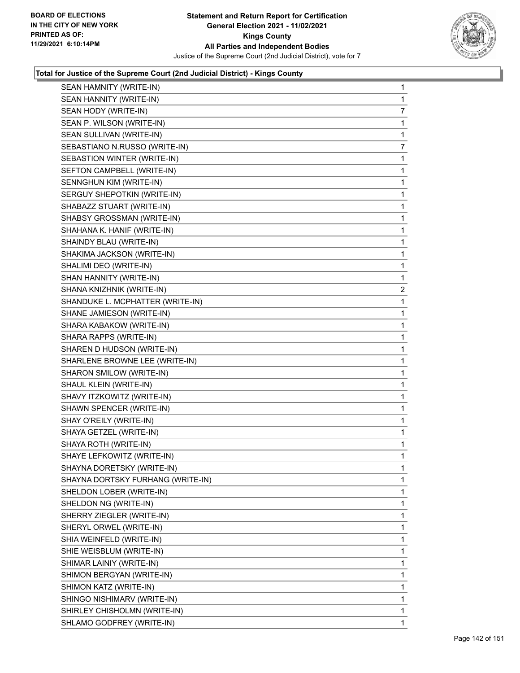

| SEAN HAMNITY (WRITE-IN)           | $\mathbf{1}$   |
|-----------------------------------|----------------|
| SEAN HANNITY (WRITE-IN)           | 1              |
| SEAN HODY (WRITE-IN)              | 7              |
| SEAN P. WILSON (WRITE-IN)         | 1              |
| SEAN SULLIVAN (WRITE-IN)          | 1              |
| SEBASTIANO N.RUSSO (WRITE-IN)     | 7              |
| SEBASTION WINTER (WRITE-IN)       | 1              |
| SEFTON CAMPBELL (WRITE-IN)        | 1              |
| SENNGHUN KIM (WRITE-IN)           | 1              |
| SERGUY SHEPOTKIN (WRITE-IN)       | 1              |
| SHABAZZ STUART (WRITE-IN)         | 1              |
| SHABSY GROSSMAN (WRITE-IN)        | 1              |
| SHAHANA K. HANIF (WRITE-IN)       | 1              |
| SHAINDY BLAU (WRITE-IN)           | 1              |
| SHAKIMA JACKSON (WRITE-IN)        | 1              |
| SHALIMI DEO (WRITE-IN)            | 1              |
| SHAN HANNITY (WRITE-IN)           | 1              |
| SHANA KNIZHNIK (WRITE-IN)         | $\overline{2}$ |
| SHANDUKE L. MCPHATTER (WRITE-IN)  | $\mathbf{1}$   |
| SHANE JAMIESON (WRITE-IN)         | 1              |
| SHARA KABAKOW (WRITE-IN)          | 1              |
| SHARA RAPPS (WRITE-IN)            | 1              |
| SHAREN D HUDSON (WRITE-IN)        | 1              |
| SHARLENE BROWNE LEE (WRITE-IN)    | 1              |
| SHARON SMILOW (WRITE-IN)          | 1              |
| SHAUL KLEIN (WRITE-IN)            | 1              |
| SHAVY ITZKOWITZ (WRITE-IN)        | 1              |
| SHAWN SPENCER (WRITE-IN)          | 1              |
| SHAY O'REILY (WRITE-IN)           | 1              |
| SHAYA GETZEL (WRITE-IN)           | 1              |
| SHAYA ROTH (WRITE-IN)             | 1              |
| SHAYE LEFKOWITZ (WRITE-IN)        | 1              |
| SHAYNA DORETSKY (WRITE-IN)        | 1              |
| SHAYNA DORTSKY FURHANG (WRITE-IN) | 1              |
| SHELDON LOBER (WRITE-IN)          | 1              |
| SHELDON NG (WRITE-IN)             | 1              |
| SHERRY ZIEGLER (WRITE-IN)         | 1              |
| SHERYL ORWEL (WRITE-IN)           | 1              |
| SHIA WEINFELD (WRITE-IN)          | 1              |
| SHIE WEISBLUM (WRITE-IN)          | 1              |
| SHIMAR LAINIY (WRITE-IN)          | 1              |
| SHIMON BERGYAN (WRITE-IN)         | 1              |
| SHIMON KATZ (WRITE-IN)            | 1              |
| SHINGO NISHIMARV (WRITE-IN)       | 1              |
| SHIRLEY CHISHOLMN (WRITE-IN)      | 1              |
| SHLAMO GODFREY (WRITE-IN)         | 1              |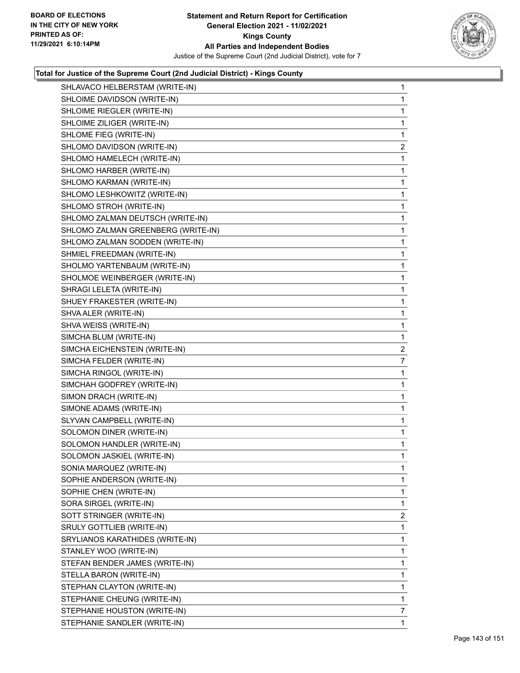

| SHLAVACO HELBERSTAM (WRITE-IN)     | $\mathbf{1}$   |
|------------------------------------|----------------|
| SHLOIME DAVIDSON (WRITE-IN)        | 1.             |
| SHLOIME RIEGLER (WRITE-IN)         | 1              |
| SHLOIME ZILIGER (WRITE-IN)         | $\mathbf{1}$   |
| SHLOME FIEG (WRITE-IN)             | 1              |
| SHLOMO DAVIDSON (WRITE-IN)         | $\overline{2}$ |
| SHLOMO HAMELECH (WRITE-IN)         | 1              |
| SHLOMO HARBER (WRITE-IN)           | 1              |
| SHLOMO KARMAN (WRITE-IN)           | 1              |
| SHLOMO LESHKOWITZ (WRITE-IN)       | $\mathbf{1}$   |
| SHLOMO STROH (WRITE-IN)            | 1              |
| SHLOMO ZALMAN DEUTSCH (WRITE-IN)   | 1              |
| SHLOMO ZALMAN GREENBERG (WRITE-IN) | 1              |
| SHLOMO ZALMAN SODDEN (WRITE-IN)    | 1              |
| SHMIEL FREEDMAN (WRITE-IN)         | 1              |
| SHOLMO YARTENBAUM (WRITE-IN)       | $\mathbf{1}$   |
| SHOLMOE WEINBERGER (WRITE-IN)      | 1              |
| SHRAGI LELETA (WRITE-IN)           | 1              |
| SHUEY FRAKESTER (WRITE-IN)         | 1              |
| SHVA ALER (WRITE-IN)               | 1              |
| SHVA WEISS (WRITE-IN)              | 1              |
| SIMCHA BLUM (WRITE-IN)             | 1              |
| SIMCHA EICHENSTEIN (WRITE-IN)      | 2              |
| SIMCHA FELDER (WRITE-IN)           | $\overline{7}$ |
| SIMCHA RINGOL (WRITE-IN)           | 1              |
| SIMCHAH GODFREY (WRITE-IN)         | 1              |
| SIMON DRACH (WRITE-IN)             | 1              |
| SIMONE ADAMS (WRITE-IN)            | $\mathbf{1}$   |
| SLYVAN CAMPBELL (WRITE-IN)         | 1              |
| SOLOMON DINER (WRITE-IN)           | 1              |
| SOLOMON HANDLER (WRITE-IN)         | $\mathbf{1}$   |
| SOLOMON JASKIEL (WRITE-IN)         | 1              |
| SONIA MARQUEZ (WRITE-IN)           | 1              |
| SOPHIE ANDERSON (WRITE-IN)         | 1              |
| SOPHIE CHEN (WRITE-IN)             | 1              |
| SORA SIRGEL (WRITE-IN)             | 1              |
| SOTT STRINGER (WRITE-IN)           | $\overline{2}$ |
| SRULY GOTTLIEB (WRITE-IN)          | 1              |
| SRYLIANOS KARATHIDES (WRITE-IN)    | 1              |
| STANLEY WOO (WRITE-IN)             | 1              |
| STEFAN BENDER JAMES (WRITE-IN)     | 1              |
| STELLA BARON (WRITE-IN)            | 1              |
| STEPHAN CLAYTON (WRITE-IN)         | 1              |
| STEPHANIE CHEUNG (WRITE-IN)        | 1              |
| STEPHANIE HOUSTON (WRITE-IN)       | 7              |
| STEPHANIE SANDLER (WRITE-IN)       | 1              |
|                                    |                |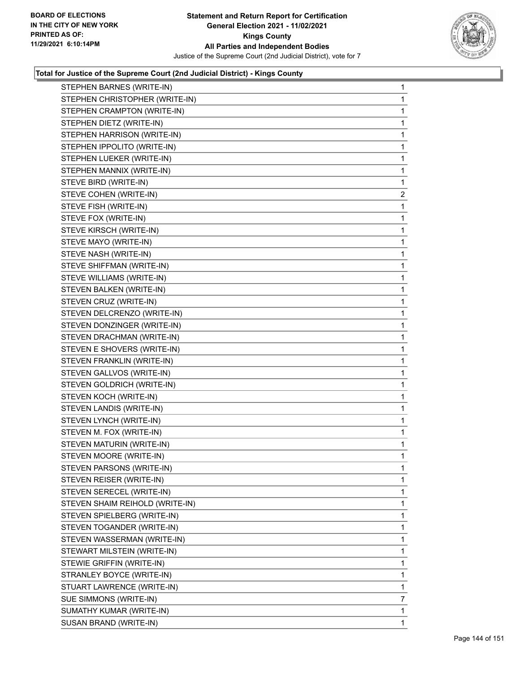

| STEPHEN BARNES (WRITE-IN)       | 1              |
|---------------------------------|----------------|
| STEPHEN CHRISTOPHER (WRITE-IN)  | 1              |
| STEPHEN CRAMPTON (WRITE-IN)     | 1              |
| STEPHEN DIETZ (WRITE-IN)        | 1              |
| STEPHEN HARRISON (WRITE-IN)     | 1              |
| STEPHEN IPPOLITO (WRITE-IN)     | 1              |
| STEPHEN LUEKER (WRITE-IN)       | 1              |
| STEPHEN MANNIX (WRITE-IN)       | 1              |
| STEVE BIRD (WRITE-IN)           | 1              |
| STEVE COHEN (WRITE-IN)          | $\overline{c}$ |
| STEVE FISH (WRITE-IN)           | 1              |
| STEVE FOX (WRITE-IN)            | 1              |
| STEVE KIRSCH (WRITE-IN)         | 1              |
| STEVE MAYO (WRITE-IN)           | 1              |
| STEVE NASH (WRITE-IN)           | 1              |
| STEVE SHIFFMAN (WRITE-IN)       | 1              |
| STEVE WILLIAMS (WRITE-IN)       | 1              |
| STEVEN BALKEN (WRITE-IN)        | 1              |
| STEVEN CRUZ (WRITE-IN)          | 1              |
| STEVEN DELCRENZO (WRITE-IN)     | 1              |
| STEVEN DONZINGER (WRITE-IN)     | 1              |
| STEVEN DRACHMAN (WRITE-IN)      | 1              |
| STEVEN E SHOVERS (WRITE-IN)     | 1              |
| STEVEN FRANKLIN (WRITE-IN)      | 1              |
| STEVEN GALLVOS (WRITE-IN)       | 1              |
| STEVEN GOLDRICH (WRITE-IN)      | 1              |
| STEVEN KOCH (WRITE-IN)          | 1              |
| STEVEN LANDIS (WRITE-IN)        | 1              |
| STEVEN LYNCH (WRITE-IN)         | 1              |
| STEVEN M. FOX (WRITE-IN)        | 1              |
| STEVEN MATURIN (WRITE-IN)       | 1              |
| STEVEN MOORE (WRITE-IN)         | 1              |
| STEVEN PARSONS (WRITE-IN)       | 1              |
| STEVEN REISER (WRITE-IN)        | 1              |
| STEVEN SERECEL (WRITE-IN)       | 1              |
| STEVEN SHAIM REIHOLD (WRITE-IN) | 1              |
| STEVEN SPIELBERG (WRITE-IN)     | 1              |
| STEVEN TOGANDER (WRITE-IN)      | 1              |
| STEVEN WASSERMAN (WRITE-IN)     | 1              |
| STEWART MILSTEIN (WRITE-IN)     | 1              |
| STEWIE GRIFFIN (WRITE-IN)       | 1              |
| STRANLEY BOYCE (WRITE-IN)       | 1              |
| STUART LAWRENCE (WRITE-IN)      | 1              |
| SUE SIMMONS (WRITE-IN)          | 7              |
| SUMATHY KUMAR (WRITE-IN)        | 1              |
| SUSAN BRAND (WRITE-IN)          | 1.             |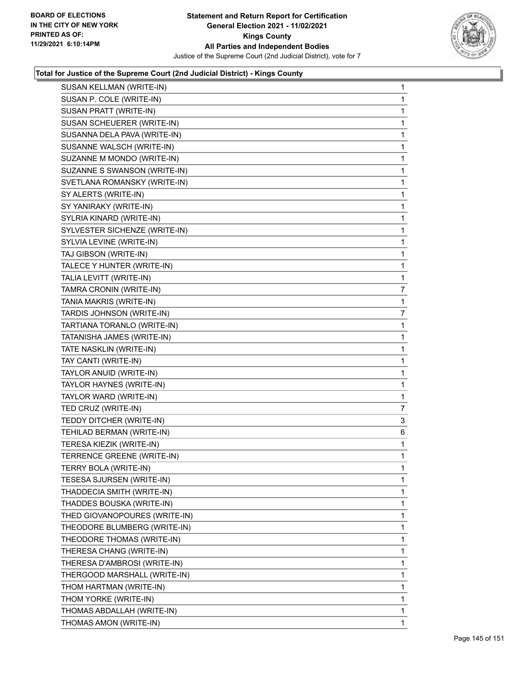

| SUSAN KELLMAN (WRITE-IN)      | $\mathbf{1}$ |
|-------------------------------|--------------|
| SUSAN P. COLE (WRITE-IN)      | $\mathbf{1}$ |
| SUSAN PRATT (WRITE-IN)        | 1            |
| SUSAN SCHEUERER (WRITE-IN)    | $\mathbf 1$  |
| SUSANNA DELA PAVA (WRITE-IN)  | $\mathbf 1$  |
| SUSANNE WALSCH (WRITE-IN)     | 1            |
| SUZANNE M MONDO (WRITE-IN)    | 1            |
| SUZANNE S SWANSON (WRITE-IN)  | $\mathbf{1}$ |
| SVETLANA ROMANSKY (WRITE-IN)  | 1            |
| SY ALERTS (WRITE-IN)          | 1            |
| SY YANIRAKY (WRITE-IN)        | $\mathbf 1$  |
| SYLRIA KINARD (WRITE-IN)      | 1            |
| SYLVESTER SICHENZE (WRITE-IN) | 1            |
| SYLVIA LEVINE (WRITE-IN)      | $\mathbf{1}$ |
| TAJ GIBSON (WRITE-IN)         | 1            |
| TALECE Y HUNTER (WRITE-IN)    | $\mathbf 1$  |
| TALIA LEVITT (WRITE-IN)       | $\mathbf 1$  |
| TAMRA CRONIN (WRITE-IN)       | 7            |
| TANIA MAKRIS (WRITE-IN)       | 1            |
| TARDIS JOHNSON (WRITE-IN)     | 7            |
| TARTIANA TORANLO (WRITE-IN)   | 1            |
| TATANISHA JAMES (WRITE-IN)    | 1            |
| TATE NASKLIN (WRITE-IN)       | $\mathbf{1}$ |
| TAY CANTI (WRITE-IN)          | 1            |
| TAYLOR ANUID (WRITE-IN)       | 1            |
| TAYLOR HAYNES (WRITE-IN)      | $\mathbf{1}$ |
| TAYLOR WARD (WRITE-IN)        | 1            |
| TED CRUZ (WRITE-IN)           | 7            |
| TEDDY DITCHER (WRITE-IN)      | 3            |
| TEHILAD BERMAN (WRITE-IN)     | 6            |
| TERESA KIEZIK (WRITE-IN)      | 1            |
| TERRENCE GREENE (WRITE-IN)    | $\mathbf{1}$ |
| TERRY BOLA (WRITE-IN)         | $\mathbf 1$  |
| TESESA SJURSEN (WRITE-IN)     | 1            |
| THADDECIA SMITH (WRITE-IN)    | $\mathbf{1}$ |
| THADDES BOUSKA (WRITE-IN)     | 1            |
| THED GIOVANOPOURES (WRITE-IN) | 1            |
| THEODORE BLUMBERG (WRITE-IN)  | 1            |
| THEODORE THOMAS (WRITE-IN)    | 1            |
| THERESA CHANG (WRITE-IN)      | 1            |
| THERESA D'AMBROSI (WRITE-IN)  | 1            |
| THERGOOD MARSHALL (WRITE-IN)  | 1            |
| THOM HARTMAN (WRITE-IN)       | 1            |
| THOM YORKE (WRITE-IN)         | 1            |
| THOMAS ABDALLAH (WRITE-IN)    | 1            |
| THOMAS AMON (WRITE-IN)        | 1            |
|                               |              |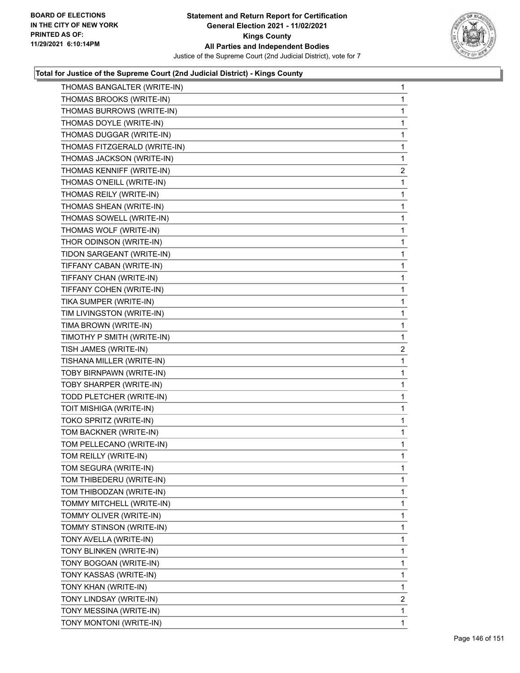

| THOMAS BANGALTER (WRITE-IN)  | $\mathbf{1}$   |
|------------------------------|----------------|
| THOMAS BROOKS (WRITE-IN)     | $\mathbf{1}$   |
| THOMAS BURROWS (WRITE-IN)    | 1              |
| THOMAS DOYLE (WRITE-IN)      | 1              |
| THOMAS DUGGAR (WRITE-IN)     | 1              |
| THOMAS FITZGERALD (WRITE-IN) | 1              |
| THOMAS JACKSON (WRITE-IN)    | 1              |
| THOMAS KENNIFF (WRITE-IN)    | $\overline{2}$ |
| THOMAS O'NEILL (WRITE-IN)    | 1              |
| THOMAS REILY (WRITE-IN)      | 1              |
| THOMAS SHEAN (WRITE-IN)      | 1              |
| THOMAS SOWELL (WRITE-IN)     | 1              |
| THOMAS WOLF (WRITE-IN)       | 1              |
| THOR ODINSON (WRITE-IN)      | 1              |
| TIDON SARGEANT (WRITE-IN)    | 1              |
| TIFFANY CABAN (WRITE-IN)     | 1              |
| TIFFANY CHAN (WRITE-IN)      | 1              |
| TIFFANY COHEN (WRITE-IN)     | 1              |
| TIKA SUMPER (WRITE-IN)       | 1              |
| TIM LIVINGSTON (WRITE-IN)    | 1              |
| TIMA BROWN (WRITE-IN)        | 1              |
| TIMOTHY P SMITH (WRITE-IN)   | 1              |
| TISH JAMES (WRITE-IN)        | 2              |
| TISHANA MILLER (WRITE-IN)    | 1              |
| TOBY BIRNPAWN (WRITE-IN)     | 1              |
| TOBY SHARPER (WRITE-IN)      | 1              |
| TODD PLETCHER (WRITE-IN)     | 1              |
| TOIT MISHIGA (WRITE-IN)      | 1              |
| TOKO SPRITZ (WRITE-IN)       | 1              |
| TOM BACKNER (WRITE-IN)       | $\mathbf{1}$   |
| TOM PELLECANO (WRITE-IN)     | 1              |
| TOM REILLY (WRITE-IN)        | 1              |
| TOM SEGURA (WRITE-IN)        | 1              |
| TOM THIBEDERU (WRITE-IN)     | 1              |
| TOM THIBODZAN (WRITE-IN)     | 1              |
| TOMMY MITCHELL (WRITE-IN)    | 1              |
| TOMMY OLIVER (WRITE-IN)      | 1              |
| TOMMY STINSON (WRITE-IN)     | 1              |
| TONY AVELLA (WRITE-IN)       | 1              |
| TONY BLINKEN (WRITE-IN)      | 1              |
| TONY BOGOAN (WRITE-IN)       | 1              |
| TONY KASSAS (WRITE-IN)       | 1              |
| TONY KHAN (WRITE-IN)         | 1              |
| TONY LINDSAY (WRITE-IN)      | $\overline{2}$ |
| TONY MESSINA (WRITE-IN)      | 1              |
| TONY MONTONI (WRITE-IN)      | 1              |
|                              |                |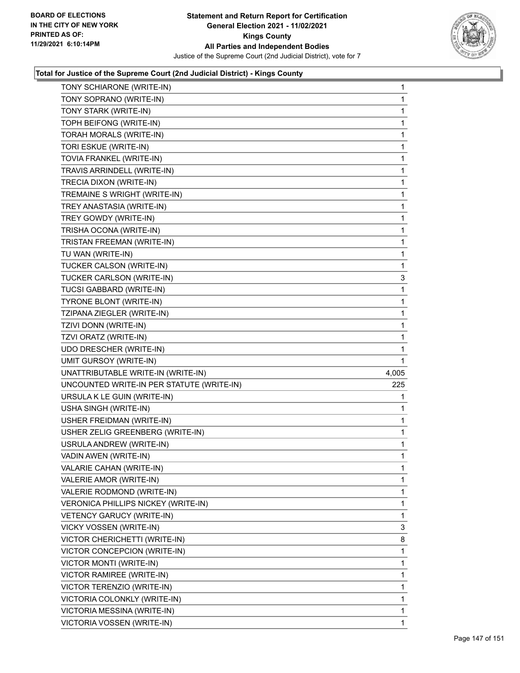

| TONY SCHIARONE (WRITE-IN)                 | $\mathbf{1}$ |
|-------------------------------------------|--------------|
| TONY SOPRANO (WRITE-IN)                   | $\mathbf{1}$ |
| TONY STARK (WRITE-IN)                     | 1            |
| TOPH BEIFONG (WRITE-IN)                   | $\mathbf{1}$ |
| TORAH MORALS (WRITE-IN)                   | 1            |
| TORI ESKUE (WRITE-IN)                     | 1            |
| TOVIA FRANKEL (WRITE-IN)                  | $\mathbf{1}$ |
| TRAVIS ARRINDELL (WRITE-IN)               | $\mathbf{1}$ |
| TRECIA DIXON (WRITE-IN)                   | 1            |
| TREMAINE S WRIGHT (WRITE-IN)              | $\mathbf 1$  |
| TREY ANASTASIA (WRITE-IN)                 | 1            |
| TREY GOWDY (WRITE-IN)                     | 1            |
| TRISHA OCONA (WRITE-IN)                   | $\mathbf{1}$ |
| TRISTAN FREEMAN (WRITE-IN)                | $\mathbf{1}$ |
| TU WAN (WRITE-IN)                         | 1            |
| TUCKER CALSON (WRITE-IN)                  | $\mathbf{1}$ |
| TUCKER CARLSON (WRITE-IN)                 | 3            |
| TUCSI GABBARD (WRITE-IN)                  | 1            |
| TYRONE BLONT (WRITE-IN)                   | $\mathbf{1}$ |
| TZIPANA ZIEGLER (WRITE-IN)                | 1            |
| TZIVI DONN (WRITE-IN)                     | 1            |
| TZVI ORATZ (WRITE-IN)                     | $\mathbf 1$  |
| UDO DRESCHER (WRITE-IN)                   | 1            |
|                                           |              |
| <b>UMIT GURSOY (WRITE-IN)</b>             | 1            |
| UNATTRIBUTABLE WRITE-IN (WRITE-IN)        | 4,005        |
| UNCOUNTED WRITE-IN PER STATUTE (WRITE-IN) | 225          |
| URSULA K LE GUIN (WRITE-IN)               | 1            |
| USHA SINGH (WRITE-IN)                     | 1            |
| USHER FREIDMAN (WRITE-IN)                 | 1            |
| USHER ZELIG GREENBERG (WRITE-IN)          | 1            |
| USRULA ANDREW (WRITE-IN)                  | $\mathbf{1}$ |
| VADIN AWEN (WRITE-IN)                     | 1            |
| VALARIE CAHAN (WRITE-IN)                  | 1            |
| VALERIE AMOR (WRITE-IN)                   | $\mathbf{1}$ |
| VALERIE RODMOND (WRITE-IN)                | 1            |
| VERONICA PHILLIPS NICKEY (WRITE-IN)       | 1            |
| VETENCY GARUCY (WRITE-IN)                 | $\mathbf{1}$ |
| VICKY VOSSEN (WRITE-IN)                   | 3            |
| VICTOR CHERICHETTI (WRITE-IN)             | 8            |
| VICTOR CONCEPCION (WRITE-IN)              | 1            |
| VICTOR MONTI (WRITE-IN)                   | 1            |
| VICTOR RAMIREE (WRITE-IN)                 | 1            |
| VICTOR TERENZIO (WRITE-IN)                | 1            |
| VICTORIA COLONKLY (WRITE-IN)              | 1            |
| VICTORIA MESSINA (WRITE-IN)               | 1            |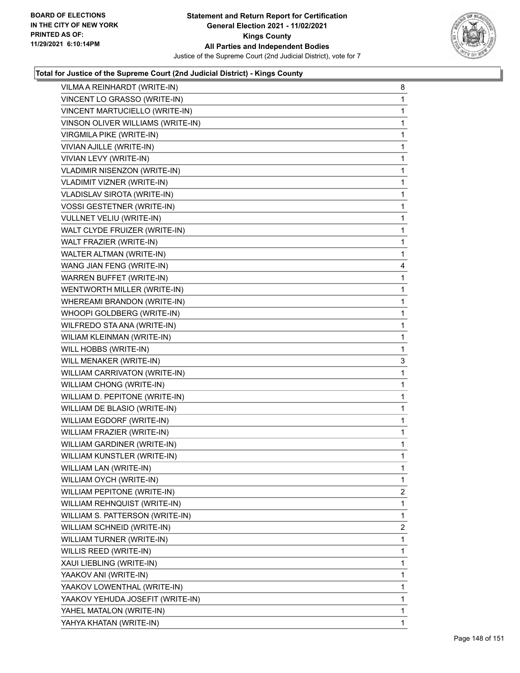

| VILMA A REINHARDT (WRITE-IN)        | 8            |
|-------------------------------------|--------------|
| VINCENT LO GRASSO (WRITE-IN)        | $\mathbf{1}$ |
| VINCENT MARTUCIELLO (WRITE-IN)      | 1            |
| VINSON OLIVER WILLIAMS (WRITE-IN)   | $\mathbf{1}$ |
| VIRGMILA PIKE (WRITE-IN)            | $\mathbf{1}$ |
| VIVIAN AJILLE (WRITE-IN)            | 1            |
| VIVIAN LEVY (WRITE-IN)              | $\mathbf{1}$ |
| <b>VLADIMIR NISENZON (WRITE-IN)</b> | $\mathbf{1}$ |
| VLADIMIT VIZNER (WRITE-IN)          | 1            |
| VLADISLAV SIROTA (WRITE-IN)         | $\mathbf{1}$ |
| <b>VOSSI GESTETNER (WRITE-IN)</b>   | $\mathbf{1}$ |
| VULLNET VELIU (WRITE-IN)            | 1            |
| WALT CLYDE FRUIZER (WRITE-IN)       | $\mathbf{1}$ |
| WALT FRAZIER (WRITE-IN)             | $\mathbf{1}$ |
| WALTER ALTMAN (WRITE-IN)            | 1            |
| WANG JIAN FENG (WRITE-IN)           | 4            |
| <b>WARREN BUFFET (WRITE-IN)</b>     | $\mathbf{1}$ |
| WENTWORTH MILLER (WRITE-IN)         | 1            |
| WHEREAMI BRANDON (WRITE-IN)         | $\mathbf{1}$ |
| WHOOPI GOLDBERG (WRITE-IN)          | $\mathbf{1}$ |
| WILFREDO STA ANA (WRITE-IN)         | 1            |
| WILIAM KLEINMAN (WRITE-IN)          | $\mathbf{1}$ |
| WILL HOBBS (WRITE-IN)               | $\mathbf{1}$ |
| WILL MENAKER (WRITE-IN)             | 3            |
| WILLIAM CARRIVATON (WRITE-IN)       | 1            |
| WILLIAM CHONG (WRITE-IN)            | $\mathbf{1}$ |
| WILLIAM D. PEPITONE (WRITE-IN)      | 1            |
| WILLIAM DE BLASIO (WRITE-IN)        | $\mathbf{1}$ |
| WILLIAM EGDORF (WRITE-IN)           | $\mathbf{1}$ |
| WILLIAM FRAZIER (WRITE-IN)          | $\mathbf{1}$ |
| WILLIAM GARDINER (WRITE-IN)         | $\mathbf{1}$ |
| WILLIAM KUNSTLER (WRITE-IN)         | $\mathbf{1}$ |
| WILLIAM LAN (WRITE-IN)              | 1            |
| WILLIAM OYCH (WRITE-IN)             | 1            |
| WILLIAM PEPITONE (WRITE-IN)         | 2            |
| WILLIAM REHNQUIST (WRITE-IN)        | 1            |
| WILLIAM S. PATTERSON (WRITE-IN)     | 1            |
| WILLIAM SCHNEID (WRITE-IN)          | 2            |
| WILLIAM TURNER (WRITE-IN)           | 1            |
| WILLIS REED (WRITE-IN)              | 1            |
| XAUI LIEBLING (WRITE-IN)            | 1            |
| YAAKOV ANI (WRITE-IN)               | 1            |
| YAAKOV LOWENTHAL (WRITE-IN)         | 1            |
| YAAKOV YEHUDA JOSEFIT (WRITE-IN)    | 1            |
| YAHEL MATALON (WRITE-IN)            | 1            |
| YAHYA KHATAN (WRITE-IN)             | 1            |
|                                     |              |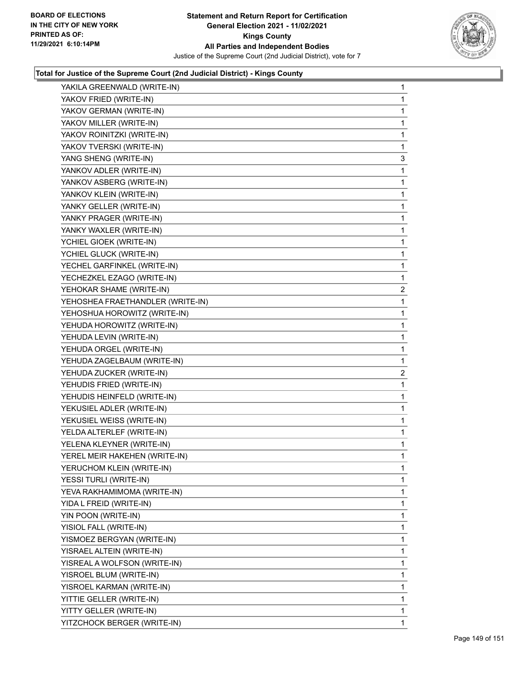

| YAKILA GREENWALD (WRITE-IN)      | 1              |
|----------------------------------|----------------|
| YAKOV FRIED (WRITE-IN)           | 1              |
| YAKOV GERMAN (WRITE-IN)          | 1              |
| YAKOV MILLER (WRITE-IN)          | 1              |
| YAKOV ROINITZKI (WRITE-IN)       | 1              |
| YAKOV TVERSKI (WRITE-IN)         | 1              |
| YANG SHENG (WRITE-IN)            | 3              |
| YANKOV ADLER (WRITE-IN)          | 1              |
| YANKOV ASBERG (WRITE-IN)         | 1              |
| YANKOV KLEIN (WRITE-IN)          | 1              |
| YANKY GELLER (WRITE-IN)          | $\mathbf{1}$   |
| YANKY PRAGER (WRITE-IN)          | 1              |
| YANKY WAXLER (WRITE-IN)          | 1              |
| YCHIEL GIOEK (WRITE-IN)          | $\mathbf{1}$   |
| YCHIEL GLUCK (WRITE-IN)          | 1              |
| YECHEL GARFINKEL (WRITE-IN)      | 1              |
| YECHEZKEL EZAGO (WRITE-IN)       | 1              |
| YEHOKAR SHAME (WRITE-IN)         | $\overline{2}$ |
| YEHOSHEA FRAETHANDLER (WRITE-IN) | 1              |
| YEHOSHUA HOROWITZ (WRITE-IN)     | $\mathbf{1}$   |
| YEHUDA HOROWITZ (WRITE-IN)       | 1              |
| YEHUDA LEVIN (WRITE-IN)          | 1              |
| YEHUDA ORGEL (WRITE-IN)          | $\mathbf{1}$   |
| YEHUDA ZAGELBAUM (WRITE-IN)      | 1              |
| YEHUDA ZUCKER (WRITE-IN)         | $\overline{2}$ |
| YEHUDIS FRIED (WRITE-IN)         | 1              |
| YEHUDIS HEINFELD (WRITE-IN)      | 1              |
| YEKUSIEL ADLER (WRITE-IN)        | 1              |
| YEKUSIEL WEISS (WRITE-IN)        | $\mathbf{1}$   |
| YELDA ALTERLEF (WRITE-IN)        | 1              |
| YELENA KLEYNER (WRITE-IN)        | 1              |
| YEREL MEIR HAKEHEN (WRITE-IN)    | 1              |
| YERUCHOM KLEIN (WRITE-IN)        | 1              |
| YESSI TURLI (WRITE-IN)           | 1              |
| YEVA RAKHAMIMOMA (WRITE-IN)      | 1              |
| YIDA L FREID (WRITE-IN)          | 1              |
| YIN POON (WRITE-IN)              | 1              |
| YISIOL FALL (WRITE-IN)           | 1              |
| YISMOEZ BERGYAN (WRITE-IN)       | 1              |
| YISRAEL ALTEIN (WRITE-IN)        | 1              |
| YISREAL A WOLFSON (WRITE-IN)     | 1              |
| YISROEL BLUM (WRITE-IN)          | 1              |
| YISROEL KARMAN (WRITE-IN)        | 1              |
| YITTIE GELLER (WRITE-IN)         | 1              |
| YITTY GELLER (WRITE-IN)          | 1              |
| YITZCHOCK BERGER (WRITE-IN)      | 1.             |
|                                  |                |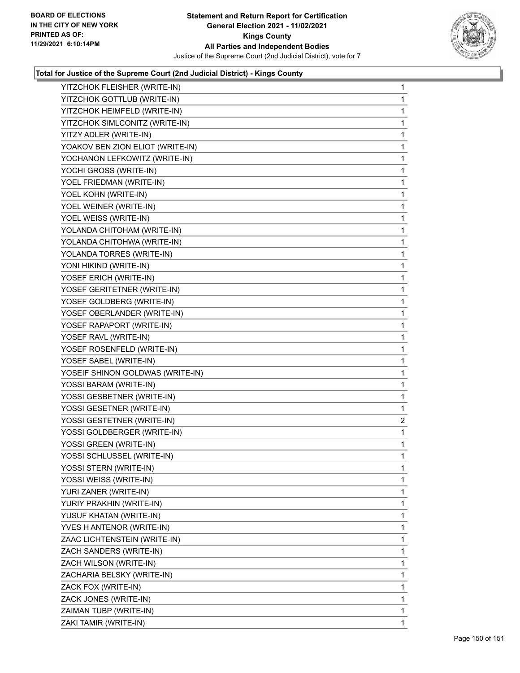

| YITZCHOK FLEISHER (WRITE-IN)     | $\mathbf{1}$ |
|----------------------------------|--------------|
| YITZCHOK GOTTLUB (WRITE-IN)      | 1.           |
| YITZCHOK HEIMFELD (WRITE-IN)     | 1            |
| YITZCHOK SIMLCONITZ (WRITE-IN)   | 1            |
| YITZY ADLER (WRITE-IN)           | 1            |
| YOAKOV BEN ZION ELIOT (WRITE-IN) | 1            |
| YOCHANON LEFKOWITZ (WRITE-IN)    | 1            |
| YOCHI GROSS (WRITE-IN)           | 1            |
| YOEL FRIEDMAN (WRITE-IN)         | 1            |
| YOEL KOHN (WRITE-IN)             | 1            |
| YOEL WEINER (WRITE-IN)           | 1            |
| YOEL WEISS (WRITE-IN)            | 1            |
| YOLANDA CHITOHAM (WRITE-IN)      | 1            |
| YOLANDA CHITOHWA (WRITE-IN)      | 1            |
| YOLANDA TORRES (WRITE-IN)        | 1            |
| YONI HIKIND (WRITE-IN)           | 1            |
| YOSEF ERICH (WRITE-IN)           | 1            |
| YOSEF GERITETNER (WRITE-IN)      | 1            |
| YOSEF GOLDBERG (WRITE-IN)        | 1            |
| YOSEF OBERLANDER (WRITE-IN)      | 1            |
| YOSEF RAPAPORT (WRITE-IN)        | 1            |
| YOSEF RAVL (WRITE-IN)            | 1            |
| YOSEF ROSENFELD (WRITE-IN)       | 1            |
| YOSEF SABEL (WRITE-IN)           | 1            |
| YOSEIF SHINON GOLDWAS (WRITE-IN) | 1            |
| YOSSI BARAM (WRITE-IN)           | 1            |
| YOSSI GESBETNER (WRITE-IN)       | 1            |
| YOSSI GESETNER (WRITE-IN)        | 1            |
| YOSSI GESTETNER (WRITE-IN)       | 2            |
| YOSSI GOLDBERGER (WRITE-IN)      | $\mathbf{1}$ |
| YOSSI GREEN (WRITE-IN)           | 1            |
| YOSSI SCHLUSSEL (WRITE-IN)       | 1            |
| YOSSI STERN (WRITE-IN)           | 1            |
| YOSSI WEISS (WRITE-IN)           | 1            |
| YURI ZANER (WRITE-IN)            | 1            |
| YURIY PRAKHIN (WRITE-IN)         | 1            |
| YUSUF KHATAN (WRITE-IN)          | 1            |
| YVES H ANTENOR (WRITE-IN)        | 1            |
| ZAAC LICHTENSTEIN (WRITE-IN)     | 1            |
| ZACH SANDERS (WRITE-IN)          | 1            |
| ZACH WILSON (WRITE-IN)           | 1            |
| ZACHARIA BELSKY (WRITE-IN)       | 1            |
| ZACK FOX (WRITE-IN)              | 1            |
| ZACK JONES (WRITE-IN)            | 1            |
| ZAIMAN TUBP (WRITE-IN)           | 1            |
| ZAKI TAMIR (WRITE-IN)            | 1            |
|                                  |              |